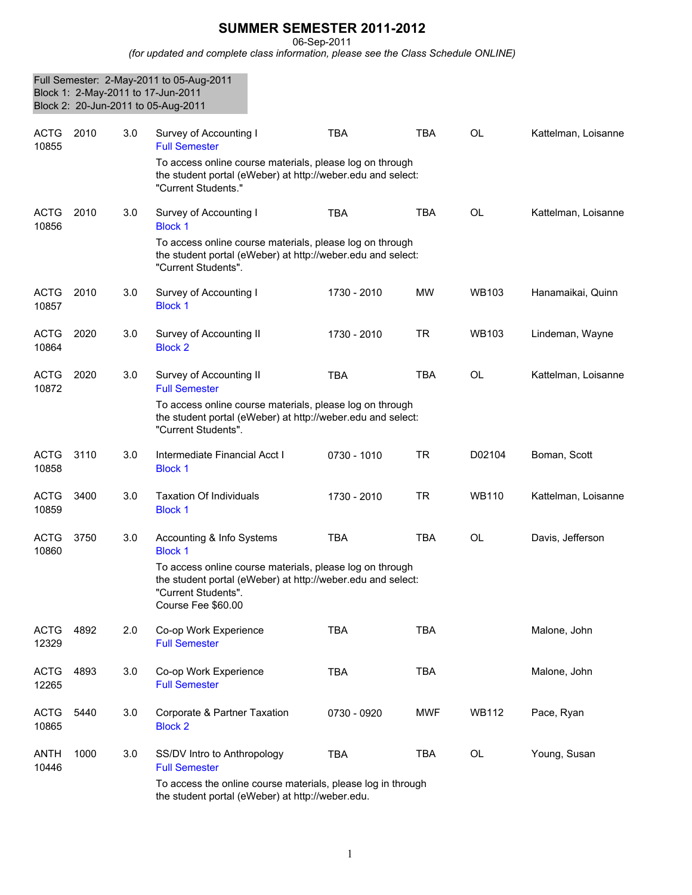## **SUMMER SEMESTER 2011-2012**

06-Sep-2011

*(for updated and complete class information, please see the Class Schedule ONLINE)*

|                      |      |     | Full Semester: 2-May-2011 to 05-Aug-2011<br>Block 1: 2-May-2011 to 17-Jun-2011<br>Block 2: 20-Jun-2011 to 05-Aug-2011                                                |             |            |              |                     |
|----------------------|------|-----|----------------------------------------------------------------------------------------------------------------------------------------------------------------------|-------------|------------|--------------|---------------------|
| <b>ACTG</b><br>10855 | 2010 | 3.0 | Survey of Accounting I<br><b>Full Semester</b>                                                                                                                       | <b>TBA</b>  | <b>TBA</b> | <b>OL</b>    | Kattelman, Loisanne |
|                      |      |     | To access online course materials, please log on through<br>the student portal (eWeber) at http://weber.edu and select:<br>"Current Students."                       |             |            |              |                     |
| <b>ACTG</b><br>10856 | 2010 | 3.0 | Survey of Accounting I<br><b>Block 1</b>                                                                                                                             | <b>TBA</b>  | <b>TBA</b> | <b>OL</b>    | Kattelman, Loisanne |
|                      |      |     | To access online course materials, please log on through<br>the student portal (eWeber) at http://weber.edu and select:<br>"Current Students".                       |             |            |              |                     |
| <b>ACTG</b><br>10857 | 2010 | 3.0 | Survey of Accounting I<br><b>Block 1</b>                                                                                                                             | 1730 - 2010 | <b>MW</b>  | <b>WB103</b> | Hanamaikai, Quinn   |
| <b>ACTG</b><br>10864 | 2020 | 3.0 | Survey of Accounting II<br><b>Block 2</b>                                                                                                                            | 1730 - 2010 | <b>TR</b>  | <b>WB103</b> | Lindeman, Wayne     |
| <b>ACTG</b><br>10872 | 2020 | 3.0 | Survey of Accounting II<br><b>Full Semester</b>                                                                                                                      | <b>TBA</b>  | <b>TBA</b> | <b>OL</b>    | Kattelman, Loisanne |
|                      |      |     | To access online course materials, please log on through<br>the student portal (eWeber) at http://weber.edu and select:<br>"Current Students".                       |             |            |              |                     |
| <b>ACTG</b><br>10858 | 3110 | 3.0 | Intermediate Financial Acct I<br><b>Block 1</b>                                                                                                                      | 0730 - 1010 | <b>TR</b>  | D02104       | Boman, Scott        |
| <b>ACTG</b><br>10859 | 3400 | 3.0 | <b>Taxation Of Individuals</b><br><b>Block 1</b>                                                                                                                     | 1730 - 2010 | <b>TR</b>  | <b>WB110</b> | Kattelman, Loisanne |
| <b>ACTG</b><br>10860 | 3750 | 3.0 | Accounting & Info Systems<br><b>Block 1</b>                                                                                                                          | <b>TBA</b>  | <b>TBA</b> | <b>OL</b>    | Davis, Jefferson    |
|                      |      |     | To access online course materials, please log on through<br>the student portal (eWeber) at http://weber.edu and select:<br>"Current Students".<br>Course Fee \$60.00 |             |            |              |                     |
| <b>ACTG</b><br>12329 | 4892 | 2.0 | Co-op Work Experience<br><b>Full Semester</b>                                                                                                                        | <b>TBA</b>  | <b>TBA</b> |              | Malone, John        |
| <b>ACTG</b><br>12265 | 4893 | 3.0 | Co-op Work Experience<br><b>Full Semester</b>                                                                                                                        | <b>TBA</b>  | <b>TBA</b> |              | Malone, John        |
| <b>ACTG</b><br>10865 | 5440 | 3.0 | Corporate & Partner Taxation<br><b>Block 2</b>                                                                                                                       | 0730 - 0920 | <b>MWF</b> | <b>WB112</b> | Pace, Ryan          |
| <b>ANTH</b><br>10446 | 1000 | 3.0 | SS/DV Intro to Anthropology<br><b>Full Semester</b>                                                                                                                  | <b>TBA</b>  | <b>TBA</b> | OL           | Young, Susan        |
|                      |      |     | To access the online course materials, please log in through<br>the student portal (eWeber) at http://weber.edu.                                                     |             |            |              |                     |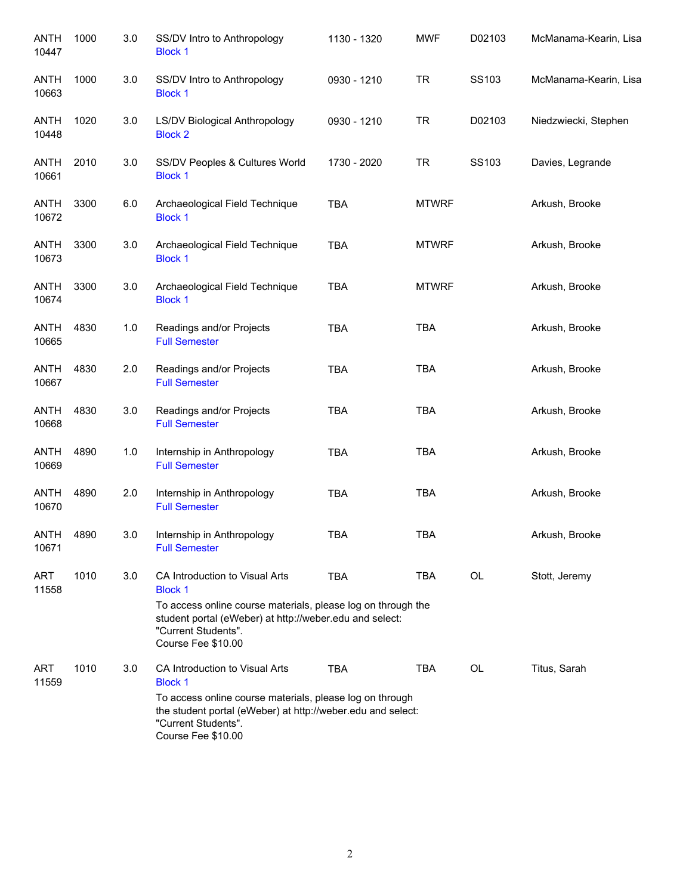| <b>ANTH</b><br>10447 | 1000 | 3.0 | SS/DV Intro to Anthropology<br><b>Block 1</b>                                                                                                                        | 1130 - 1320 | <b>MWF</b>   | D02103 | McManama-Kearin, Lisa |
|----------------------|------|-----|----------------------------------------------------------------------------------------------------------------------------------------------------------------------|-------------|--------------|--------|-----------------------|
| <b>ANTH</b><br>10663 | 1000 | 3.0 | SS/DV Intro to Anthropology<br><b>Block 1</b>                                                                                                                        | 0930 - 1210 | <b>TR</b>    | SS103  | McManama-Kearin, Lisa |
| ANTH<br>10448        | 1020 | 3.0 | LS/DV Biological Anthropology<br><b>Block 2</b>                                                                                                                      | 0930 - 1210 | <b>TR</b>    | D02103 | Niedzwiecki, Stephen  |
| ANTH<br>10661        | 2010 | 3.0 | SS/DV Peoples & Cultures World<br><b>Block 1</b>                                                                                                                     | 1730 - 2020 | <b>TR</b>    | SS103  | Davies, Legrande      |
| ANTH<br>10672        | 3300 | 6.0 | Archaeological Field Technique<br><b>Block 1</b>                                                                                                                     | <b>TBA</b>  | <b>MTWRF</b> |        | Arkush, Brooke        |
| <b>ANTH</b><br>10673 | 3300 | 3.0 | Archaeological Field Technique<br><b>Block 1</b>                                                                                                                     | <b>TBA</b>  | <b>MTWRF</b> |        | Arkush, Brooke        |
| <b>ANTH</b><br>10674 | 3300 | 3.0 | Archaeological Field Technique<br><b>Block 1</b>                                                                                                                     | <b>TBA</b>  | <b>MTWRF</b> |        | Arkush, Brooke        |
| <b>ANTH</b><br>10665 | 4830 | 1.0 | Readings and/or Projects<br><b>Full Semester</b>                                                                                                                     | <b>TBA</b>  | <b>TBA</b>   |        | Arkush, Brooke        |
| <b>ANTH</b><br>10667 | 4830 | 2.0 | Readings and/or Projects<br><b>Full Semester</b>                                                                                                                     | <b>TBA</b>  | <b>TBA</b>   |        | Arkush, Brooke        |
| <b>ANTH</b><br>10668 | 4830 | 3.0 | Readings and/or Projects<br><b>Full Semester</b>                                                                                                                     | <b>TBA</b>  | <b>TBA</b>   |        | Arkush, Brooke        |
| <b>ANTH</b><br>10669 | 4890 | 1.0 | Internship in Anthropology<br><b>Full Semester</b>                                                                                                                   | <b>TBA</b>  | <b>TBA</b>   |        | Arkush, Brooke        |
| <b>ANTH</b><br>10670 | 4890 | 2.0 | Internship in Anthropology<br><b>Full Semester</b>                                                                                                                   | <b>TBA</b>  | <b>TBA</b>   |        | Arkush, Brooke        |
| ANTH<br>10671        | 4890 | 3.0 | Internship in Anthropology<br><b>Full Semester</b>                                                                                                                   | <b>TBA</b>  | <b>TBA</b>   |        | Arkush, Brooke        |
| <b>ART</b><br>11558  | 1010 | 3.0 | CA Introduction to Visual Arts<br><b>Block 1</b>                                                                                                                     | <b>TBA</b>  | TBA          | OL     | Stott, Jeremy         |
|                      |      |     | To access online course materials, please log on through the<br>student portal (eWeber) at http://weber.edu and select:<br>"Current Students".<br>Course Fee \$10.00 |             |              |        |                       |
| <b>ART</b><br>11559  | 1010 | 3.0 | CA Introduction to Visual Arts<br><b>Block 1</b>                                                                                                                     | <b>TBA</b>  | TBA          | OL     | Titus, Sarah          |
|                      |      |     | To access online course materials, please log on through<br>the student portal (eWeber) at http://weber.edu and select:<br>"Current Students".<br>Course Fee \$10.00 |             |              |        |                       |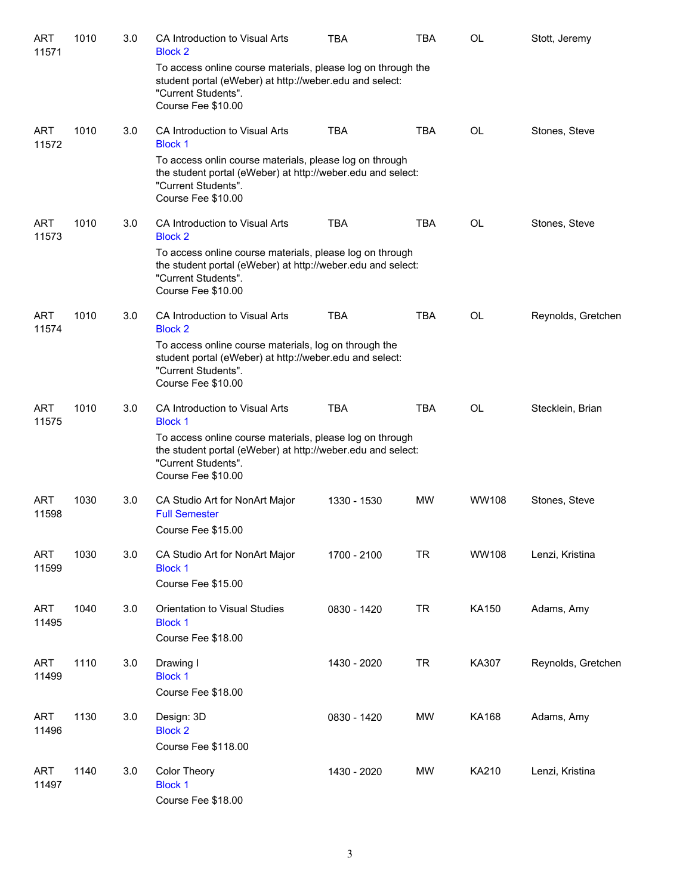| <b>ART</b><br>11571 | 1010 | 3.0 | CA Introduction to Visual Arts<br><b>Block 2</b>                                                                                                                     | <b>TBA</b>  | <b>TBA</b> | OL           | Stott, Jeremy      |
|---------------------|------|-----|----------------------------------------------------------------------------------------------------------------------------------------------------------------------|-------------|------------|--------------|--------------------|
|                     |      |     | To access online course materials, please log on through the<br>student portal (eWeber) at http://weber.edu and select:<br>"Current Students".<br>Course Fee \$10.00 |             |            |              |                    |
| ART<br>11572        | 1010 | 3.0 | CA Introduction to Visual Arts<br><b>Block 1</b>                                                                                                                     | <b>TBA</b>  | <b>TBA</b> | OL           | Stones, Steve      |
|                     |      |     | To access onlin course materials, please log on through<br>the student portal (eWeber) at http://weber.edu and select:<br>"Current Students".<br>Course Fee \$10.00  |             |            |              |                    |
| ART<br>11573        | 1010 | 3.0 | CA Introduction to Visual Arts<br><b>Block 2</b>                                                                                                                     | <b>TBA</b>  | <b>TBA</b> | OL           | Stones, Steve      |
|                     |      |     | To access online course materials, please log on through<br>the student portal (eWeber) at http://weber.edu and select:<br>"Current Students".<br>Course Fee \$10.00 |             |            |              |                    |
| <b>ART</b><br>11574 | 1010 | 3.0 | CA Introduction to Visual Arts<br><b>Block 2</b>                                                                                                                     | <b>TBA</b>  | <b>TBA</b> | <b>OL</b>    | Reynolds, Gretchen |
|                     |      |     | To access online course materials, log on through the<br>student portal (eWeber) at http://weber.edu and select:<br>"Current Students".<br>Course Fee \$10.00        |             |            |              |                    |
| ART<br>11575        | 1010 | 3.0 | CA Introduction to Visual Arts<br><b>Block 1</b>                                                                                                                     | <b>TBA</b>  | <b>TBA</b> | OL           | Stecklein, Brian   |
|                     |      |     | To access online course materials, please log on through<br>the student portal (eWeber) at http://weber.edu and select:<br>"Current Students".<br>Course Fee \$10.00 |             |            |              |                    |
| <b>ART</b><br>11598 | 1030 | 3.0 | CA Studio Art for NonArt Major<br><b>Full Semester</b><br>Course Fee \$15.00                                                                                         | 1330 - 1530 | <b>MW</b>  | WW108        | Stones, Steve      |
| <b>ART</b><br>11599 | 1030 | 3.0 | CA Studio Art for NonArt Major<br><b>Block 1</b><br>Course Fee \$15.00                                                                                               | 1700 - 2100 | <b>TR</b>  | WW108        | Lenzi, Kristina    |
| <b>ART</b><br>11495 | 1040 | 3.0 | Orientation to Visual Studies<br><b>Block 1</b><br>Course Fee \$18.00                                                                                                | 0830 - 1420 | <b>TR</b>  | KA150        | Adams, Amy         |
| <b>ART</b><br>11499 | 1110 | 3.0 | Drawing I<br><b>Block 1</b><br>Course Fee \$18.00                                                                                                                    | 1430 - 2020 | <b>TR</b>  | KA307        | Reynolds, Gretchen |
| ART<br>11496        | 1130 | 3.0 | Design: 3D<br><b>Block 2</b><br>Course Fee \$118.00                                                                                                                  | 0830 - 1420 | <b>MW</b>  | <b>KA168</b> | Adams, Amy         |
| ART<br>11497        | 1140 | 3.0 | Color Theory<br><b>Block 1</b><br>Course Fee \$18.00                                                                                                                 | 1430 - 2020 | <b>MW</b>  | KA210        | Lenzi, Kristina    |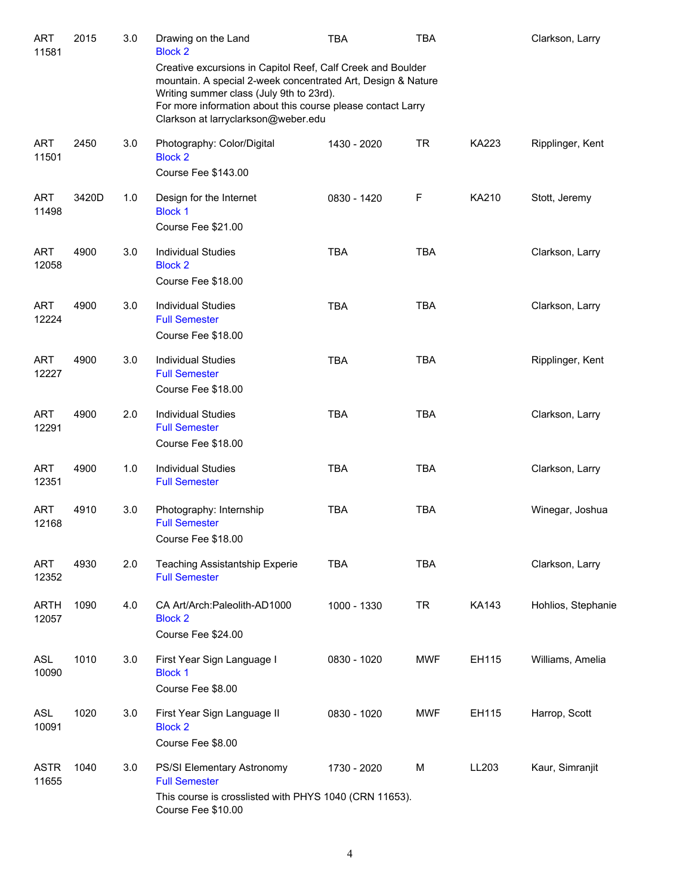| <b>ART</b><br>11581  | 2015  | 3.0 | Drawing on the Land<br><b>Block 2</b>                                                                                                                                                                                                                                         | TBA         | <b>TBA</b> |              | Clarkson, Larry    |
|----------------------|-------|-----|-------------------------------------------------------------------------------------------------------------------------------------------------------------------------------------------------------------------------------------------------------------------------------|-------------|------------|--------------|--------------------|
|                      |       |     | Creative excursions in Capitol Reef, Calf Creek and Boulder<br>mountain. A special 2-week concentrated Art, Design & Nature<br>Writing summer class (July 9th to 23rd).<br>For more information about this course please contact Larry<br>Clarkson at larryclarkson@weber.edu |             |            |              |                    |
| <b>ART</b><br>11501  | 2450  | 3.0 | Photography: Color/Digital<br><b>Block 2</b><br>Course Fee \$143.00                                                                                                                                                                                                           | 1430 - 2020 | <b>TR</b>  | <b>KA223</b> | Ripplinger, Kent   |
| <b>ART</b><br>11498  | 3420D | 1.0 | Design for the Internet<br><b>Block 1</b><br>Course Fee \$21.00                                                                                                                                                                                                               | 0830 - 1420 | F          | KA210        | Stott, Jeremy      |
| <b>ART</b><br>12058  | 4900  | 3.0 | <b>Individual Studies</b><br><b>Block 2</b><br>Course Fee \$18.00                                                                                                                                                                                                             | <b>TBA</b>  | <b>TBA</b> |              | Clarkson, Larry    |
| <b>ART</b><br>12224  | 4900  | 3.0 | <b>Individual Studies</b><br><b>Full Semester</b><br>Course Fee \$18.00                                                                                                                                                                                                       | <b>TBA</b>  | <b>TBA</b> |              | Clarkson, Larry    |
| <b>ART</b><br>12227  | 4900  | 3.0 | <b>Individual Studies</b><br><b>Full Semester</b><br>Course Fee \$18.00                                                                                                                                                                                                       | <b>TBA</b>  | <b>TBA</b> |              | Ripplinger, Kent   |
| <b>ART</b><br>12291  | 4900  | 2.0 | <b>Individual Studies</b><br><b>Full Semester</b><br>Course Fee \$18.00                                                                                                                                                                                                       | <b>TBA</b>  | <b>TBA</b> |              | Clarkson, Larry    |
| ART<br>12351         | 4900  | 1.0 | <b>Individual Studies</b><br><b>Full Semester</b>                                                                                                                                                                                                                             | <b>TBA</b>  | <b>TBA</b> |              | Clarkson, Larry    |
| <b>ART</b><br>12168  | 4910  | 3.0 | Photography: Internship<br><b>Full Semester</b><br>Course Fee \$18.00                                                                                                                                                                                                         | <b>TBA</b>  | <b>TBA</b> |              | Winegar, Joshua    |
| <b>ART</b><br>12352  | 4930  | 2.0 | <b>Teaching Assistantship Experie</b><br><b>Full Semester</b>                                                                                                                                                                                                                 | <b>TBA</b>  | <b>TBA</b> |              | Clarkson, Larry    |
| ARTH<br>12057        | 1090  | 4.0 | CA Art/Arch: Paleolith-AD1000<br><b>Block 2</b><br>Course Fee \$24.00                                                                                                                                                                                                         | 1000 - 1330 | TR         | KA143        | Hohlios, Stephanie |
| <b>ASL</b><br>10090  | 1010  | 3.0 | First Year Sign Language I<br><b>Block 1</b><br>Course Fee \$8.00                                                                                                                                                                                                             | 0830 - 1020 | <b>MWF</b> | EH115        | Williams, Amelia   |
| <b>ASL</b><br>10091  | 1020  | 3.0 | First Year Sign Language II<br><b>Block 2</b><br>Course Fee \$8.00                                                                                                                                                                                                            | 0830 - 1020 | <b>MWF</b> | EH115        | Harrop, Scott      |
| <b>ASTR</b><br>11655 | 1040  | 3.0 | PS/SI Elementary Astronomy<br><b>Full Semester</b><br>This course is crosslisted with PHYS 1040 (CRN 11653).<br>Course Fee \$10.00                                                                                                                                            | 1730 - 2020 | М          | LL203        | Kaur, Simranjit    |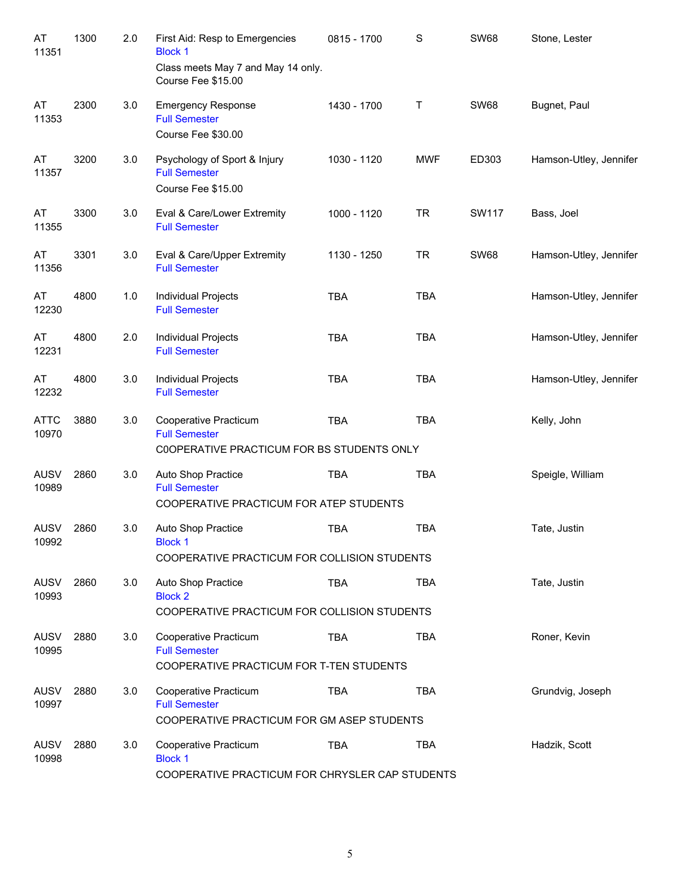| AT<br>11351          | 1300 | 2.0 | First Aid: Resp to Emergencies<br><b>Block 1</b><br>Class meets May 7 and May 14 only.      | 0815 - 1700 | $\mathbf S$ | <b>SW68</b>  | Stone, Lester          |
|----------------------|------|-----|---------------------------------------------------------------------------------------------|-------------|-------------|--------------|------------------------|
|                      |      |     | Course Fee \$15.00                                                                          |             |             |              |                        |
| AT<br>11353          | 2300 | 3.0 | <b>Emergency Response</b><br><b>Full Semester</b><br>Course Fee \$30.00                     | 1430 - 1700 | Τ           | <b>SW68</b>  | Bugnet, Paul           |
| AT<br>11357          | 3200 | 3.0 | Psychology of Sport & Injury<br><b>Full Semester</b><br>Course Fee \$15.00                  | 1030 - 1120 | <b>MWF</b>  | ED303        | Hamson-Utley, Jennifer |
| AT<br>11355          | 3300 | 3.0 | Eval & Care/Lower Extremity<br><b>Full Semester</b>                                         | 1000 - 1120 | <b>TR</b>   | <b>SW117</b> | Bass, Joel             |
| AT<br>11356          | 3301 | 3.0 | Eval & Care/Upper Extremity<br><b>Full Semester</b>                                         | 1130 - 1250 | <b>TR</b>   | <b>SW68</b>  | Hamson-Utley, Jennifer |
| AT<br>12230          | 4800 | 1.0 | <b>Individual Projects</b><br><b>Full Semester</b>                                          | <b>TBA</b>  | <b>TBA</b>  |              | Hamson-Utley, Jennifer |
| AT<br>12231          | 4800 | 2.0 | Individual Projects<br><b>Full Semester</b>                                                 | <b>TBA</b>  | <b>TBA</b>  |              | Hamson-Utley, Jennifer |
| AT<br>12232          | 4800 | 3.0 | Individual Projects<br><b>Full Semester</b>                                                 | <b>TBA</b>  | <b>TBA</b>  |              | Hamson-Utley, Jennifer |
| <b>ATTC</b><br>10970 | 3880 | 3.0 | Cooperative Practicum<br><b>Full Semester</b><br>COOPERATIVE PRACTICUM FOR BS STUDENTS ONLY | <b>TBA</b>  | <b>TBA</b>  |              | Kelly, John            |
| <b>AUSV</b><br>10989 | 2860 | 3.0 | Auto Shop Practice<br><b>Full Semester</b><br>COOPERATIVE PRACTICUM FOR ATEP STUDENTS       | <b>TBA</b>  | <b>TBA</b>  |              | Speigle, William       |
| <b>AUSV</b><br>10992 | 2860 | 3.0 | Auto Shop Practice<br><b>Block 1</b><br>COOPERATIVE PRACTICUM FOR COLLISION STUDENTS        | <b>TBA</b>  | <b>TBA</b>  |              | Tate, Justin           |
| <b>AUSV</b><br>10993 | 2860 | 3.0 | Auto Shop Practice<br><b>Block 2</b><br>COOPERATIVE PRACTICUM FOR COLLISION STUDENTS        | <b>TBA</b>  | <b>TBA</b>  |              | Tate, Justin           |
| <b>AUSV</b><br>10995 | 2880 | 3.0 | Cooperative Practicum<br><b>Full Semester</b><br>COOPERATIVE PRACTICUM FOR T-TEN STUDENTS   | <b>TBA</b>  | <b>TBA</b>  |              | Roner, Kevin           |
| <b>AUSV</b><br>10997 | 2880 | 3.0 | Cooperative Practicum<br><b>Full Semester</b><br>COOPERATIVE PRACTICUM FOR GM ASEP STUDENTS | <b>TBA</b>  | <b>TBA</b>  |              | Grundvig, Joseph       |
| <b>AUSV</b><br>10998 | 2880 | 3.0 | Cooperative Practicum<br><b>Block 1</b><br>COOPERATIVE PRACTICUM FOR CHRYSLER CAP STUDENTS  | <b>TBA</b>  | <b>TBA</b>  |              | Hadzik, Scott          |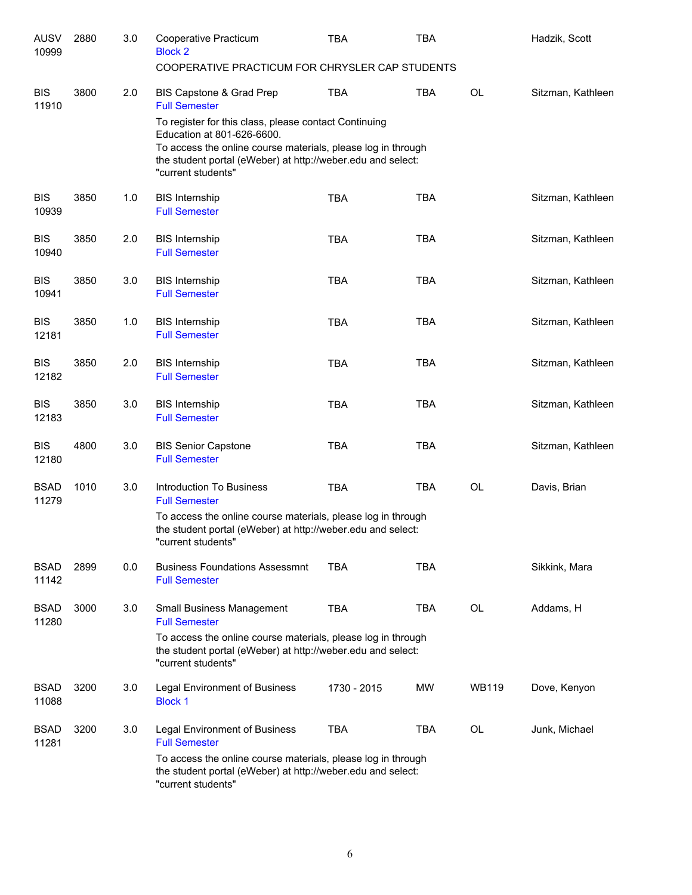| <b>AUSV</b><br>10999 | 2880 | 3.0 | Cooperative Practicum<br><b>Block 2</b><br>COOPERATIVE PRACTICUM FOR CHRYSLER CAP STUDENTS                                                                                                                                               | <b>TBA</b>  | <b>TBA</b> |              | Hadzik, Scott     |
|----------------------|------|-----|------------------------------------------------------------------------------------------------------------------------------------------------------------------------------------------------------------------------------------------|-------------|------------|--------------|-------------------|
|                      |      |     |                                                                                                                                                                                                                                          |             |            |              |                   |
| <b>BIS</b><br>11910  | 3800 | 2.0 | BIS Capstone & Grad Prep<br><b>Full Semester</b>                                                                                                                                                                                         | <b>TBA</b>  | <b>TBA</b> | <b>OL</b>    | Sitzman, Kathleen |
|                      |      |     | To register for this class, please contact Continuing<br>Education at 801-626-6600.<br>To access the online course materials, please log in through<br>the student portal (eWeber) at http://weber.edu and select:<br>"current students" |             |            |              |                   |
| <b>BIS</b><br>10939  | 3850 | 1.0 | <b>BIS Internship</b><br><b>Full Semester</b>                                                                                                                                                                                            | <b>TBA</b>  | <b>TBA</b> |              | Sitzman, Kathleen |
| <b>BIS</b><br>10940  | 3850 | 2.0 | <b>BIS Internship</b><br><b>Full Semester</b>                                                                                                                                                                                            | <b>TBA</b>  | <b>TBA</b> |              | Sitzman, Kathleen |
| <b>BIS</b><br>10941  | 3850 | 3.0 | <b>BIS Internship</b><br><b>Full Semester</b>                                                                                                                                                                                            | <b>TBA</b>  | <b>TBA</b> |              | Sitzman, Kathleen |
| <b>BIS</b><br>12181  | 3850 | 1.0 | <b>BIS Internship</b><br><b>Full Semester</b>                                                                                                                                                                                            | <b>TBA</b>  | <b>TBA</b> |              | Sitzman, Kathleen |
| <b>BIS</b><br>12182  | 3850 | 2.0 | <b>BIS Internship</b><br><b>Full Semester</b>                                                                                                                                                                                            | <b>TBA</b>  | <b>TBA</b> |              | Sitzman, Kathleen |
| <b>BIS</b><br>12183  | 3850 | 3.0 | <b>BIS Internship</b><br><b>Full Semester</b>                                                                                                                                                                                            | <b>TBA</b>  | <b>TBA</b> |              | Sitzman, Kathleen |
| <b>BIS</b><br>12180  | 4800 | 3.0 | <b>BIS Senior Capstone</b><br><b>Full Semester</b>                                                                                                                                                                                       | <b>TBA</b>  | <b>TBA</b> |              | Sitzman, Kathleen |
| <b>BSAD</b><br>11279 | 1010 | 3.0 | <b>Introduction To Business</b><br><b>Full Semester</b>                                                                                                                                                                                  | <b>TBA</b>  | <b>TBA</b> | <b>OL</b>    | Davis, Brian      |
|                      |      |     | To access the online course materials, please log in through<br>the student portal (eWeber) at http://weber.edu and select:<br>"current students"                                                                                        |             |            |              |                   |
| <b>BSAD</b><br>11142 | 2899 | 0.0 | <b>Business Foundations Assessmnt</b><br><b>Full Semester</b>                                                                                                                                                                            | <b>TBA</b>  | <b>TBA</b> |              | Sikkink, Mara     |
| <b>BSAD</b><br>11280 | 3000 | 3.0 | <b>Small Business Management</b><br><b>Full Semester</b>                                                                                                                                                                                 | <b>TBA</b>  | <b>TBA</b> | <b>OL</b>    | Addams, H         |
|                      |      |     | To access the online course materials, please log in through<br>the student portal (eWeber) at http://weber.edu and select:<br>"current students"                                                                                        |             |            |              |                   |
| <b>BSAD</b><br>11088 | 3200 | 3.0 | Legal Environment of Business<br><b>Block 1</b>                                                                                                                                                                                          | 1730 - 2015 | MW         | <b>WB119</b> | Dove, Kenyon      |
| <b>BSAD</b><br>11281 | 3200 | 3.0 | Legal Environment of Business<br><b>Full Semester</b>                                                                                                                                                                                    | <b>TBA</b>  | TBA        | OL           | Junk, Michael     |
|                      |      |     | To access the online course materials, please log in through<br>the student portal (eWeber) at http://weber.edu and select:<br>"current students"                                                                                        |             |            |              |                   |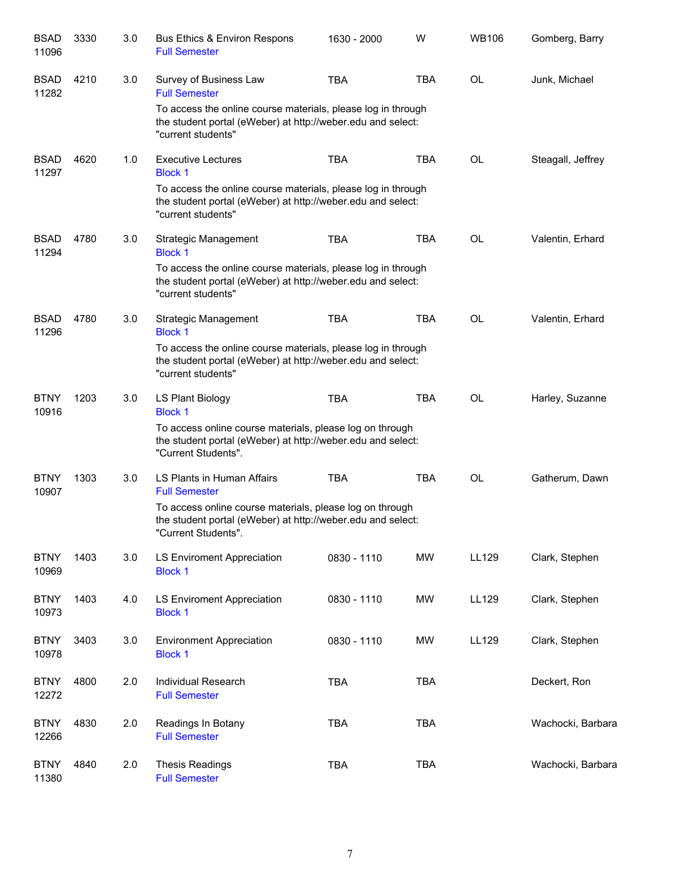| <b>BSAD</b><br>11096 | 3330 | 3.0 | Bus Ethics & Environ Respons<br><b>Full Semester</b>                                                                                              | 1630 - 2000 | W          | <b>WB106</b> | Gomberg, Barry    |
|----------------------|------|-----|---------------------------------------------------------------------------------------------------------------------------------------------------|-------------|------------|--------------|-------------------|
| <b>BSAD</b><br>11282 | 4210 | 3.0 | Survey of Business Law<br><b>Full Semester</b>                                                                                                    | <b>TBA</b>  | <b>TBA</b> | <b>OL</b>    | Junk, Michael     |
|                      |      |     | To access the online course materials, please log in through<br>the student portal (eWeber) at http://weber.edu and select:<br>"current students" |             |            |              |                   |
| <b>BSAD</b><br>11297 | 4620 | 1.0 | <b>Executive Lectures</b><br><b>Block 1</b>                                                                                                       | <b>TBA</b>  | <b>TBA</b> | <b>OL</b>    | Steagall, Jeffrey |
|                      |      |     | To access the online course materials, please log in through<br>the student portal (eWeber) at http://weber.edu and select:<br>"current students" |             |            |              |                   |
| <b>BSAD</b><br>11294 | 4780 | 3.0 | Strategic Management<br><b>Block 1</b>                                                                                                            | <b>TBA</b>  | <b>TBA</b> | <b>OL</b>    | Valentin, Erhard  |
|                      |      |     | To access the online course materials, please log in through<br>the student portal (eWeber) at http://weber.edu and select:<br>"current students" |             |            |              |                   |
| <b>BSAD</b><br>11296 | 4780 | 3.0 | Strategic Management<br><b>Block 1</b>                                                                                                            | <b>TBA</b>  | <b>TBA</b> | <b>OL</b>    | Valentin, Erhard  |
|                      |      |     | To access the online course materials, please log in through<br>the student portal (eWeber) at http://weber.edu and select:<br>"current students" |             |            |              |                   |
| <b>BTNY</b><br>10916 | 1203 | 3.0 | LS Plant Biology<br><b>Block 1</b>                                                                                                                | <b>TBA</b>  | <b>TBA</b> | <b>OL</b>    | Harley, Suzanne   |
|                      |      |     | To access online course materials, please log on through<br>the student portal (eWeber) at http://weber.edu and select:<br>"Current Students".    |             |            |              |                   |
| <b>BTNY</b><br>10907 | 1303 | 3.0 | LS Plants in Human Affairs<br><b>Full Semester</b>                                                                                                | <b>TBA</b>  | <b>TBA</b> | <b>OL</b>    | Gatherum, Dawn    |
|                      |      |     | To access online course materials, please log on through<br>the student portal (eWeber) at http://weber.edu and select:<br>"Current Students".    |             |            |              |                   |
| <b>BTNY</b><br>10969 | 1403 | 3.0 | <b>LS Enviroment Appreciation</b><br><b>Block 1</b>                                                                                               | 0830 - 1110 | <b>MW</b>  | LL129        | Clark, Stephen    |
| <b>BTNY</b><br>10973 | 1403 | 4.0 | <b>LS Enviroment Appreciation</b><br><b>Block 1</b>                                                                                               | 0830 - 1110 | <b>MW</b>  | LL129        | Clark, Stephen    |
| <b>BTNY</b><br>10978 | 3403 | 3.0 | <b>Environment Appreciation</b><br><b>Block 1</b>                                                                                                 | 0830 - 1110 | <b>MW</b>  | LL129        | Clark, Stephen    |
| <b>BTNY</b><br>12272 | 4800 | 2.0 | Individual Research<br><b>Full Semester</b>                                                                                                       | <b>TBA</b>  | <b>TBA</b> |              | Deckert, Ron      |
| <b>BTNY</b><br>12266 | 4830 | 2.0 | Readings In Botany<br><b>Full Semester</b>                                                                                                        | <b>TBA</b>  | <b>TBA</b> |              | Wachocki, Barbara |
| <b>BTNY</b><br>11380 | 4840 | 2.0 | <b>Thesis Readings</b><br><b>Full Semester</b>                                                                                                    | <b>TBA</b>  | <b>TBA</b> |              | Wachocki, Barbara |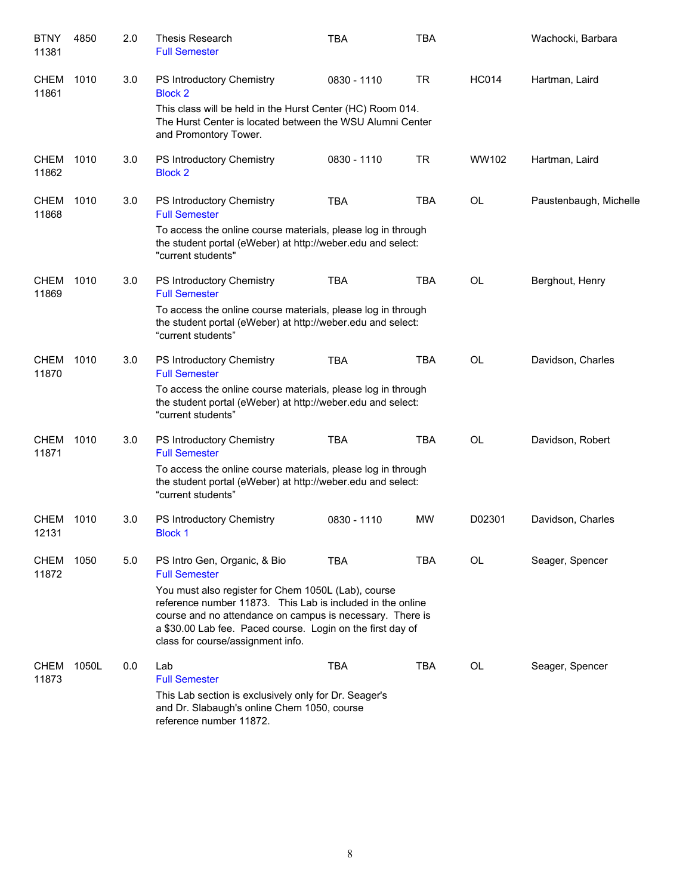| <b>BTNY</b><br>11381 | 4850  | 2.0 | Thesis Research<br><b>Full Semester</b>                                                                                                                                                                                                                                           | <b>TBA</b>  | <b>TBA</b> |              | Wachocki, Barbara      |
|----------------------|-------|-----|-----------------------------------------------------------------------------------------------------------------------------------------------------------------------------------------------------------------------------------------------------------------------------------|-------------|------------|--------------|------------------------|
| <b>CHEM</b><br>11861 | 1010  | 3.0 | PS Introductory Chemistry<br><b>Block 2</b>                                                                                                                                                                                                                                       | 0830 - 1110 | <b>TR</b>  | <b>HC014</b> | Hartman, Laird         |
|                      |       |     | This class will be held in the Hurst Center (HC) Room 014.<br>The Hurst Center is located between the WSU Alumni Center<br>and Promontory Tower.                                                                                                                                  |             |            |              |                        |
| <b>CHEM</b><br>11862 | 1010  | 3.0 | PS Introductory Chemistry<br><b>Block 2</b>                                                                                                                                                                                                                                       | 0830 - 1110 | <b>TR</b>  | WW102        | Hartman, Laird         |
| <b>CHEM</b><br>11868 | 1010  | 3.0 | PS Introductory Chemistry<br><b>Full Semester</b>                                                                                                                                                                                                                                 | <b>TBA</b>  | <b>TBA</b> | <b>OL</b>    | Paustenbaugh, Michelle |
|                      |       |     | To access the online course materials, please log in through<br>the student portal (eWeber) at http://weber.edu and select:<br>"current students"                                                                                                                                 |             |            |              |                        |
| <b>CHEM</b><br>11869 | 1010  | 3.0 | PS Introductory Chemistry<br><b>Full Semester</b>                                                                                                                                                                                                                                 | <b>TBA</b>  | <b>TBA</b> | <b>OL</b>    | Berghout, Henry        |
|                      |       |     | To access the online course materials, please log in through<br>the student portal (eWeber) at http://weber.edu and select:<br>"current students"                                                                                                                                 |             |            |              |                        |
| <b>CHEM</b><br>11870 | 1010  | 3.0 | PS Introductory Chemistry<br><b>Full Semester</b>                                                                                                                                                                                                                                 | <b>TBA</b>  | <b>TBA</b> | <b>OL</b>    | Davidson, Charles      |
|                      |       |     | To access the online course materials, please log in through<br>the student portal (eWeber) at http://weber.edu and select:<br>"current students"                                                                                                                                 |             |            |              |                        |
| <b>CHEM</b><br>11871 | 1010  | 3.0 | PS Introductory Chemistry<br><b>Full Semester</b>                                                                                                                                                                                                                                 | <b>TBA</b>  | <b>TBA</b> | <b>OL</b>    | Davidson, Robert       |
|                      |       |     | To access the online course materials, please log in through<br>the student portal (eWeber) at http://weber.edu and select:<br>"current students"                                                                                                                                 |             |            |              |                        |
| <b>CHEM</b><br>12131 | 1010  | 3.0 | PS Introductory Chemistry<br><b>Block 1</b>                                                                                                                                                                                                                                       | 0830 - 1110 | <b>MW</b>  | D02301       | Davidson, Charles      |
| CHEM<br>11872        | 1050  | 5.0 | PS Intro Gen, Organic, & Bio<br><b>Full Semester</b>                                                                                                                                                                                                                              | <b>TBA</b>  | TBA        | OL           | Seager, Spencer        |
|                      |       |     | You must also register for Chem 1050L (Lab), course<br>reference number 11873. This Lab is included in the online<br>course and no attendance on campus is necessary. There is<br>a \$30.00 Lab fee. Paced course. Login on the first day of<br>class for course/assignment info. |             |            |              |                        |
| <b>CHEM</b><br>11873 | 1050L | 0.0 | Lab<br><b>Full Semester</b>                                                                                                                                                                                                                                                       | <b>TBA</b>  | <b>TBA</b> | <b>OL</b>    | Seager, Spencer        |
|                      |       |     | This Lab section is exclusively only for Dr. Seager's<br>and Dr. Slabaugh's online Chem 1050, course<br>reference number 11872.                                                                                                                                                   |             |            |              |                        |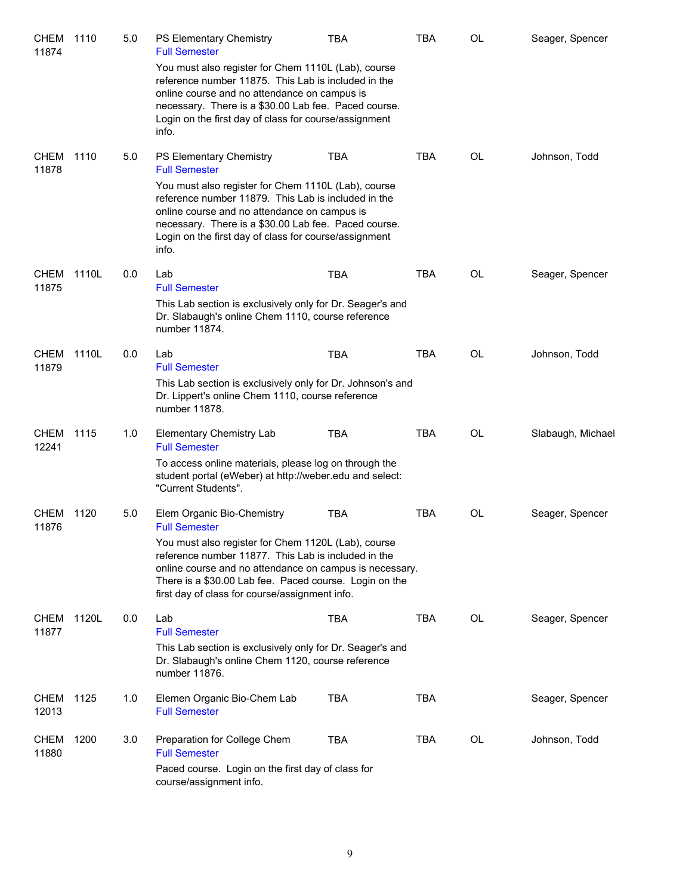| <b>CHEM</b><br>11874 | 1110  | 5.0 | PS Elementary Chemistry<br><b>Full Semester</b><br>You must also register for Chem 1110L (Lab), course<br>reference number 11875. This Lab is included in the<br>online course and no attendance on campus is<br>necessary. There is a \$30.00 Lab fee. Paced course.<br>Login on the first day of class for course/assignment<br>info. | <b>TBA</b> | TBA        | <b>OL</b> | Seager, Spencer   |
|----------------------|-------|-----|-----------------------------------------------------------------------------------------------------------------------------------------------------------------------------------------------------------------------------------------------------------------------------------------------------------------------------------------|------------|------------|-----------|-------------------|
| <b>CHEM</b><br>11878 | 1110  | 5.0 | PS Elementary Chemistry<br><b>Full Semester</b><br>You must also register for Chem 1110L (Lab), course<br>reference number 11879. This Lab is included in the<br>online course and no attendance on campus is<br>necessary. There is a \$30.00 Lab fee. Paced course.<br>Login on the first day of class for course/assignment<br>info. | <b>TBA</b> | <b>TBA</b> | OL        | Johnson, Todd     |
| <b>CHEM</b><br>11875 | 1110L | 0.0 | Lab<br><b>Full Semester</b><br>This Lab section is exclusively only for Dr. Seager's and<br>Dr. Slabaugh's online Chem 1110, course reference<br>number 11874.                                                                                                                                                                          | <b>TBA</b> | <b>TBA</b> | <b>OL</b> | Seager, Spencer   |
| <b>CHEM</b><br>11879 | 1110L | 0.0 | Lab<br><b>Full Semester</b><br>This Lab section is exclusively only for Dr. Johnson's and<br>Dr. Lippert's online Chem 1110, course reference<br>number 11878.                                                                                                                                                                          | <b>TBA</b> | <b>TBA</b> | <b>OL</b> | Johnson, Todd     |
| <b>CHEM</b><br>12241 | 1115  | 1.0 | <b>Elementary Chemistry Lab</b><br><b>Full Semester</b><br>To access online materials, please log on through the<br>student portal (eWeber) at http://weber.edu and select:<br>"Current Students".                                                                                                                                      | <b>TBA</b> | <b>TBA</b> | OL        | Slabaugh, Michael |
| <b>CHEM</b><br>11876 | 1120  | 5.0 | Elem Organic Bio-Chemistry<br><b>Full Semester</b><br>You must also register for Chem 1120L (Lab), course<br>reference number 11877. This Lab is included in the<br>online course and no attendance on campus is necessary.<br>There is a \$30.00 Lab fee. Paced course. Login on the<br>first day of class for course/assignment info. | <b>TBA</b> | <b>TBA</b> | OL        | Seager, Spencer   |
| <b>CHEM</b><br>11877 | 1120L | 0.0 | Lab<br><b>Full Semester</b><br>This Lab section is exclusively only for Dr. Seager's and<br>Dr. Slabaugh's online Chem 1120, course reference<br>number 11876.                                                                                                                                                                          | <b>TBA</b> | <b>TBA</b> | OL        | Seager, Spencer   |
| <b>CHEM</b><br>12013 | 1125  | 1.0 | Elemen Organic Bio-Chem Lab<br><b>Full Semester</b>                                                                                                                                                                                                                                                                                     | <b>TBA</b> | <b>TBA</b> |           | Seager, Spencer   |
| CHEM<br>11880        | 1200  | 3.0 | Preparation for College Chem<br><b>Full Semester</b><br>Paced course. Login on the first day of class for<br>course/assignment info.                                                                                                                                                                                                    | <b>TBA</b> | <b>TBA</b> | OL        | Johnson, Todd     |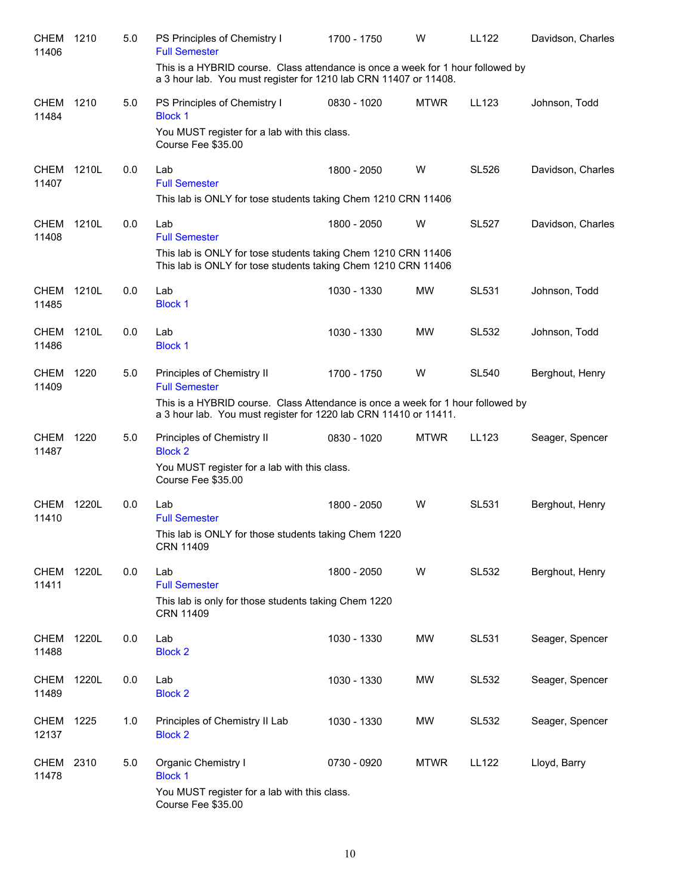| CHEM<br>11406        | 1210  | 5.0 | PS Principles of Chemistry I<br><b>Full Semester</b>                                                                                                          | 1700 - 1750 | W           | LL122        | Davidson, Charles |
|----------------------|-------|-----|---------------------------------------------------------------------------------------------------------------------------------------------------------------|-------------|-------------|--------------|-------------------|
|                      |       |     | This is a HYBRID course. Class attendance is once a week for 1 hour followed by<br>a 3 hour lab. You must register for 1210 lab CRN 11407 or 11408.           |             |             |              |                   |
| <b>CHEM</b><br>11484 | 1210  | 5.0 | PS Principles of Chemistry I<br><b>Block 1</b><br>You MUST register for a lab with this class.                                                                | 0830 - 1020 | <b>MTWR</b> | LL123        | Johnson, Todd     |
|                      |       |     | Course Fee \$35.00                                                                                                                                            |             |             |              |                   |
| <b>CHEM</b><br>11407 | 1210L | 0.0 | Lab<br><b>Full Semester</b><br>This lab is ONLY for tose students taking Chem 1210 CRN 11406                                                                  | 1800 - 2050 | W           | <b>SL526</b> | Davidson, Charles |
| CHEM<br>11408        | 1210L | 0.0 | Lab<br><b>Full Semester</b><br>This lab is ONLY for tose students taking Chem 1210 CRN 11406<br>This lab is ONLY for tose students taking Chem 1210 CRN 11406 | 1800 - 2050 | W           | <b>SL527</b> | Davidson, Charles |
| <b>CHEM</b><br>11485 | 1210L | 0.0 | Lab<br><b>Block 1</b>                                                                                                                                         | 1030 - 1330 | MW          | <b>SL531</b> | Johnson, Todd     |
| CHEM<br>11486        | 1210L | 0.0 | Lab<br><b>Block 1</b>                                                                                                                                         | 1030 - 1330 | MW          | <b>SL532</b> | Johnson, Todd     |
| <b>CHEM</b><br>11409 | 1220  | 5.0 | Principles of Chemistry II<br><b>Full Semester</b><br>This is a HYBRID course. Class Attendance is once a week for 1 hour followed by                         | 1700 - 1750 | W           | <b>SL540</b> | Berghout, Henry   |
|                      |       |     | a 3 hour lab. You must register for 1220 lab CRN 11410 or 11411.                                                                                              |             |             |              |                   |
| <b>CHEM</b><br>11487 | 1220  | 5.0 | Principles of Chemistry II<br><b>Block 2</b><br>You MUST register for a lab with this class.<br>Course Fee \$35.00                                            | 0830 - 1020 | <b>MTWR</b> | LL123        | Seager, Spencer   |
| <b>CHEM</b><br>11410 | 1220L | 0.0 | Lab<br><b>Full Semester</b><br>This lab is ONLY for those students taking Chem 1220<br>CRN 11409                                                              | 1800 - 2050 | W           | <b>SL531</b> | Berghout, Henry   |
| <b>CHEM</b><br>11411 | 1220L | 0.0 | Lab<br><b>Full Semester</b>                                                                                                                                   | 1800 - 2050 | W           | <b>SL532</b> | Berghout, Henry   |
|                      |       |     | This lab is only for those students taking Chem 1220<br><b>CRN 11409</b>                                                                                      |             |             |              |                   |
| <b>CHEM</b><br>11488 | 1220L | 0.0 | Lab<br><b>Block 2</b>                                                                                                                                         | 1030 - 1330 | MW          | <b>SL531</b> | Seager, Spencer   |
| <b>CHEM</b><br>11489 | 1220L | 0.0 | Lab<br><b>Block 2</b>                                                                                                                                         | 1030 - 1330 | MW          | <b>SL532</b> | Seager, Spencer   |
| <b>CHEM</b><br>12137 | 1225  | 1.0 | Principles of Chemistry II Lab<br><b>Block 2</b>                                                                                                              | 1030 - 1330 | MW          | <b>SL532</b> | Seager, Spencer   |
| <b>CHEM</b><br>11478 | 2310  | 5.0 | <b>Organic Chemistry I</b><br><b>Block 1</b><br>You MUST register for a lab with this class.<br>Course Fee \$35.00                                            | 0730 - 0920 | <b>MTWR</b> | <b>LL122</b> | Lloyd, Barry      |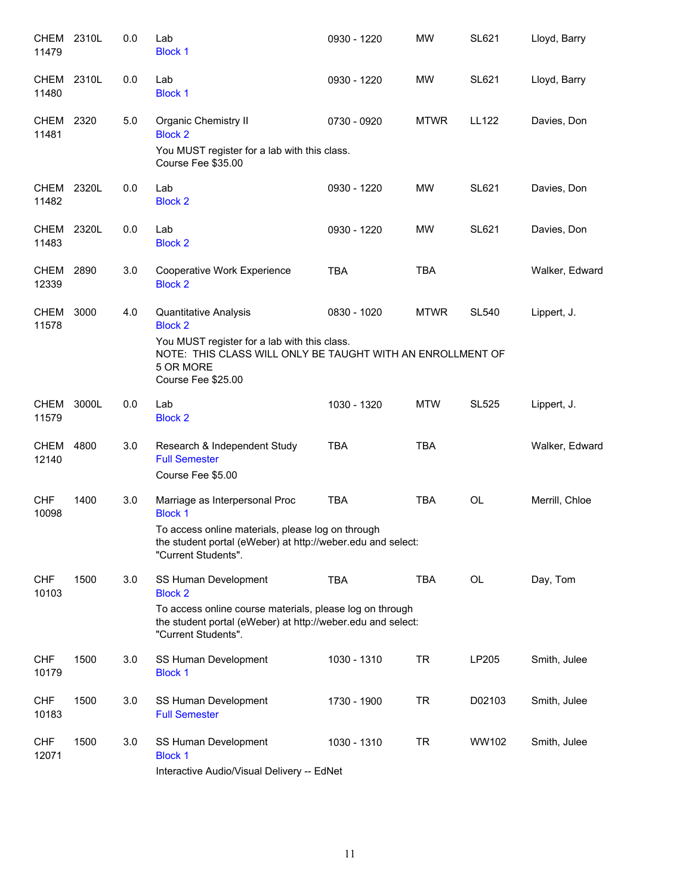| <b>CHEM</b><br>11479 | 2310L | 0.0 | Lab<br><b>Block 1</b>                                                                                                                          | 0930 - 1220 | <b>MW</b>   | <b>SL621</b> | Lloyd, Barry   |
|----------------------|-------|-----|------------------------------------------------------------------------------------------------------------------------------------------------|-------------|-------------|--------------|----------------|
| <b>CHEM</b><br>11480 | 2310L | 0.0 | Lab<br><b>Block 1</b>                                                                                                                          | 0930 - 1220 | MW          | SL621        | Lloyd, Barry   |
| CHEM 2320<br>11481   |       | 5.0 | Organic Chemistry II<br><b>Block 2</b>                                                                                                         | 0730 - 0920 | <b>MTWR</b> | LL122        | Davies, Don    |
|                      |       |     | You MUST register for a lab with this class.<br>Course Fee \$35.00                                                                             |             |             |              |                |
| <b>CHEM</b><br>11482 | 2320L | 0.0 | Lab<br><b>Block 2</b>                                                                                                                          | 0930 - 1220 | <b>MW</b>   | <b>SL621</b> | Davies, Don    |
| CHEM 2320L<br>11483  |       | 0.0 | Lab<br><b>Block 2</b>                                                                                                                          | 0930 - 1220 | MW          | <b>SL621</b> | Davies, Don    |
| CHEM 2890<br>12339   |       | 3.0 | Cooperative Work Experience<br><b>Block 2</b>                                                                                                  | <b>TBA</b>  | <b>TBA</b>  |              | Walker, Edward |
| CHEM<br>11578        | 3000  | 4.0 | Quantitative Analysis<br><b>Block 2</b>                                                                                                        | 0830 - 1020 | <b>MTWR</b> | <b>SL540</b> | Lippert, J.    |
|                      |       |     | You MUST register for a lab with this class.<br>NOTE: THIS CLASS WILL ONLY BE TAUGHT WITH AN ENROLLMENT OF<br>5 OR MORE<br>Course Fee \$25.00  |             |             |              |                |
| <b>CHEM</b><br>11579 | 3000L | 0.0 | Lab<br><b>Block 2</b>                                                                                                                          | 1030 - 1320 | <b>MTW</b>  | <b>SL525</b> | Lippert, J.    |
| <b>CHEM</b><br>12140 | 4800  | 3.0 | Research & Independent Study<br><b>Full Semester</b>                                                                                           | <b>TBA</b>  | <b>TBA</b>  |              | Walker, Edward |
| <b>CHF</b>           | 1400  | 3.0 | Course Fee \$5.00<br>Marriage as Interpersonal Proc                                                                                            | <b>TBA</b>  | <b>TBA</b>  | <b>OL</b>    | Merrill, Chloe |
| 10098                |       |     | <b>Block 1</b><br>To access online materials, please log on through                                                                            |             |             |              |                |
|                      |       |     | the student portal (eWeber) at http://weber.edu and select:<br>"Current Students".                                                             |             |             |              |                |
| <b>CHF</b><br>10103  | 1500  | 3.0 | SS Human Development<br><b>Block 2</b>                                                                                                         | <b>TBA</b>  | <b>TBA</b>  | OL           | Day, Tom       |
|                      |       |     | To access online course materials, please log on through<br>the student portal (eWeber) at http://weber.edu and select:<br>"Current Students". |             |             |              |                |
| <b>CHF</b><br>10179  | 1500  | 3.0 | SS Human Development<br><b>Block 1</b>                                                                                                         | 1030 - 1310 | <b>TR</b>   | LP205        | Smith, Julee   |
| <b>CHF</b><br>10183  | 1500  | 3.0 | SS Human Development<br><b>Full Semester</b>                                                                                                   | 1730 - 1900 | <b>TR</b>   | D02103       | Smith, Julee   |
| <b>CHF</b><br>12071  | 1500  | 3.0 | SS Human Development<br><b>Block 1</b>                                                                                                         | 1030 - 1310 | <b>TR</b>   | WW102        | Smith, Julee   |
|                      |       |     | Interactive Audio/Visual Delivery -- EdNet                                                                                                     |             |             |              |                |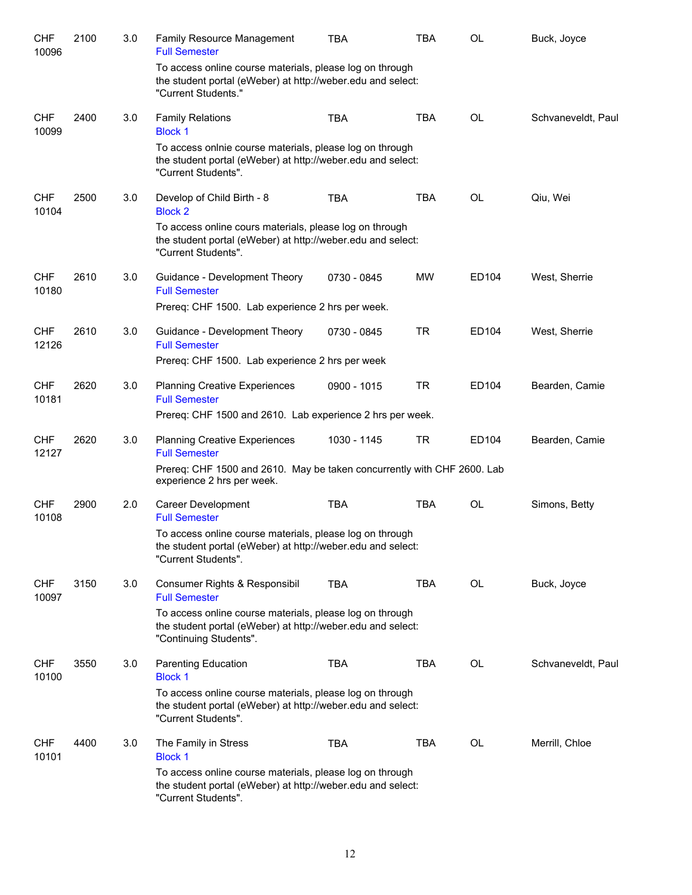| <b>CHF</b><br>10096 | 2100 | 3.0 | Family Resource Management<br><b>Full Semester</b>                                                                                                | <b>TBA</b>  | <b>TBA</b> | <b>OL</b> | Buck, Joyce        |
|---------------------|------|-----|---------------------------------------------------------------------------------------------------------------------------------------------------|-------------|------------|-----------|--------------------|
|                     |      |     | To access online course materials, please log on through<br>the student portal (eWeber) at http://weber.edu and select:<br>"Current Students."    |             |            |           |                    |
| <b>CHF</b><br>10099 | 2400 | 3.0 | <b>Family Relations</b><br><b>Block 1</b>                                                                                                         | <b>TBA</b>  | <b>TBA</b> | <b>OL</b> | Schvaneveldt, Paul |
|                     |      |     | To access onlnie course materials, please log on through<br>the student portal (eWeber) at http://weber.edu and select:<br>"Current Students".    |             |            |           |                    |
| <b>CHF</b><br>10104 | 2500 | 3.0 | Develop of Child Birth - 8<br><b>Block 2</b>                                                                                                      | <b>TBA</b>  | <b>TBA</b> | <b>OL</b> | Qiu, Wei           |
|                     |      |     | To access online cours materials, please log on through<br>the student portal (eWeber) at http://weber.edu and select:<br>"Current Students".     |             |            |           |                    |
| <b>CHF</b><br>10180 | 2610 | 3.0 | Guidance - Development Theory<br><b>Full Semester</b>                                                                                             | 0730 - 0845 | <b>MW</b>  | ED104     | West, Sherrie      |
|                     |      |     | Prereq: CHF 1500. Lab experience 2 hrs per week.                                                                                                  |             |            |           |                    |
| <b>CHF</b><br>12126 | 2610 | 3.0 | Guidance - Development Theory<br><b>Full Semester</b>                                                                                             | 0730 - 0845 | <b>TR</b>  | ED104     | West, Sherrie      |
|                     |      |     | Prereq: CHF 1500. Lab experience 2 hrs per week                                                                                                   |             |            |           |                    |
| <b>CHF</b><br>10181 | 2620 | 3.0 | <b>Planning Creative Experiences</b><br><b>Full Semester</b>                                                                                      | 0900 - 1015 | <b>TR</b>  | ED104     | Bearden, Camie     |
|                     |      |     | Prereq: CHF 1500 and 2610. Lab experience 2 hrs per week.                                                                                         |             |            |           |                    |
| <b>CHF</b><br>12127 | 2620 | 3.0 | <b>Planning Creative Experiences</b><br><b>Full Semester</b>                                                                                      | 1030 - 1145 | <b>TR</b>  | ED104     | Bearden, Camie     |
|                     |      |     | Prereq: CHF 1500 and 2610. May be taken concurrently with CHF 2600. Lab<br>experience 2 hrs per week.                                             |             |            |           |                    |
| <b>CHF</b><br>10108 | 2900 | 2.0 | Career Development<br><b>Full Semester</b>                                                                                                        | <b>TBA</b>  | <b>TBA</b> | OL        | Simons, Betty      |
|                     |      |     | To access online course materials, please log on through<br>the student portal (eWeber) at http://weber.edu and select:<br>"Current Students".    |             |            |           |                    |
| <b>CHF</b><br>10097 | 3150 | 3.0 | Consumer Rights & Responsibil<br><b>Full Semester</b>                                                                                             | <b>TBA</b>  | <b>TBA</b> | <b>OL</b> | Buck, Joyce        |
|                     |      |     | To access online course materials, please log on through<br>the student portal (eWeber) at http://weber.edu and select:<br>"Continuing Students". |             |            |           |                    |
| <b>CHF</b><br>10100 | 3550 | 3.0 | Parenting Education<br><b>Block 1</b>                                                                                                             | TBA         | TBA        | <b>OL</b> | Schvaneveldt, Paul |
|                     |      |     | To access online course materials, please log on through<br>the student portal (eWeber) at http://weber.edu and select:<br>"Current Students".    |             |            |           |                    |
| <b>CHF</b><br>10101 | 4400 | 3.0 | The Family in Stress<br><b>Block 1</b>                                                                                                            | <b>TBA</b>  | <b>TBA</b> | <b>OL</b> | Merrill, Chloe     |
|                     |      |     | To access online course materials, please log on through<br>the student portal (eWeber) at http://weber.edu and select:<br>"Current Students".    |             |            |           |                    |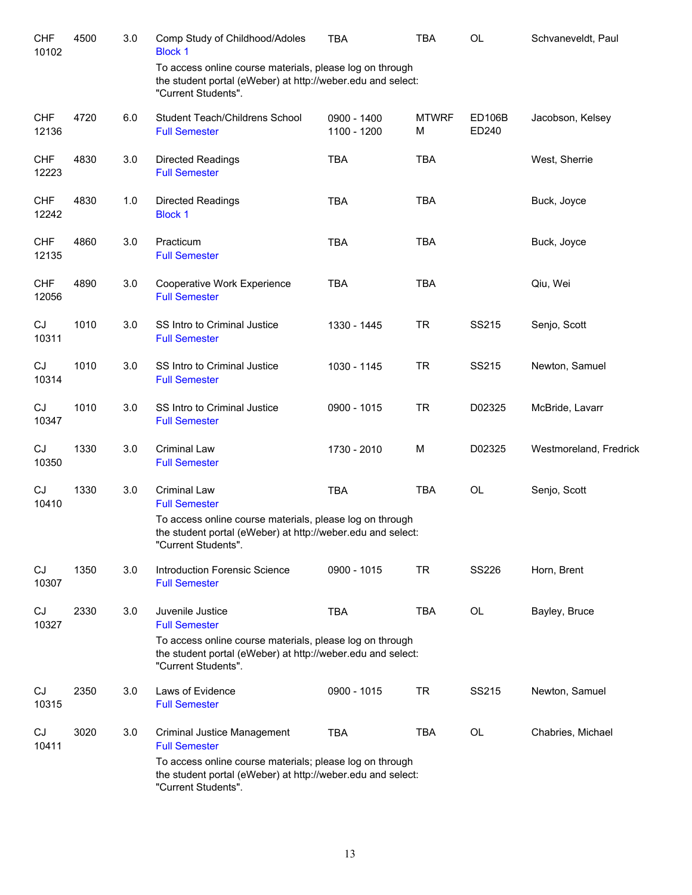| <b>CHF</b><br>10102 | 4500 | 3.0 | Comp Study of Childhood/Adoles<br><b>Block 1</b>                                                                                               | <b>TBA</b>                 | <b>TBA</b>        | OL                     | Schvaneveldt, Paul     |
|---------------------|------|-----|------------------------------------------------------------------------------------------------------------------------------------------------|----------------------------|-------------------|------------------------|------------------------|
|                     |      |     | To access online course materials, please log on through<br>the student portal (eWeber) at http://weber.edu and select:<br>"Current Students". |                            |                   |                        |                        |
| <b>CHF</b><br>12136 | 4720 | 6.0 | Student Teach/Childrens School<br><b>Full Semester</b>                                                                                         | 0900 - 1400<br>1100 - 1200 | <b>MTWRF</b><br>M | <b>ED106B</b><br>ED240 | Jacobson, Kelsey       |
| <b>CHF</b><br>12223 | 4830 | 3.0 | <b>Directed Readings</b><br><b>Full Semester</b>                                                                                               | <b>TBA</b>                 | <b>TBA</b>        |                        | West, Sherrie          |
| <b>CHF</b><br>12242 | 4830 | 1.0 | <b>Directed Readings</b><br><b>Block 1</b>                                                                                                     | <b>TBA</b>                 | <b>TBA</b>        |                        | Buck, Joyce            |
| <b>CHF</b><br>12135 | 4860 | 3.0 | Practicum<br><b>Full Semester</b>                                                                                                              | <b>TBA</b>                 | <b>TBA</b>        |                        | Buck, Joyce            |
| <b>CHF</b><br>12056 | 4890 | 3.0 | Cooperative Work Experience<br><b>Full Semester</b>                                                                                            | <b>TBA</b>                 | <b>TBA</b>        |                        | Qiu, Wei               |
| CJ<br>10311         | 1010 | 3.0 | SS Intro to Criminal Justice<br><b>Full Semester</b>                                                                                           | 1330 - 1445                | <b>TR</b>         | SS215                  | Senjo, Scott           |
| CJ<br>10314         | 1010 | 3.0 | SS Intro to Criminal Justice<br><b>Full Semester</b>                                                                                           | 1030 - 1145                | <b>TR</b>         | SS215                  | Newton, Samuel         |
| CJ<br>10347         | 1010 | 3.0 | SS Intro to Criminal Justice<br><b>Full Semester</b>                                                                                           | 0900 - 1015                | <b>TR</b>         | D02325                 | McBride, Lavarr        |
| CJ<br>10350         | 1330 | 3.0 | <b>Criminal Law</b><br><b>Full Semester</b>                                                                                                    | 1730 - 2010                | M                 | D02325                 | Westmoreland, Fredrick |
| CJ<br>10410         | 1330 | 3.0 | <b>Criminal Law</b><br><b>Full Semester</b>                                                                                                    | <b>TBA</b>                 | <b>TBA</b>        | OL                     | Senjo, Scott           |
|                     |      |     | To access online course materials, please log on through<br>the student portal (eWeber) at http://weber.edu and select:<br>"Current Students". |                            |                   |                        |                        |
| CJ<br>10307         | 1350 | 3.0 | <b>Introduction Forensic Science</b><br><b>Full Semester</b>                                                                                   | 0900 - 1015                | <b>TR</b>         | SS226                  | Horn, Brent            |
| CJ<br>10327         | 2330 | 3.0 | Juvenile Justice<br><b>Full Semester</b>                                                                                                       | <b>TBA</b>                 | <b>TBA</b>        | OL                     | Bayley, Bruce          |
|                     |      |     | To access online course materials, please log on through<br>the student portal (eWeber) at http://weber.edu and select:<br>"Current Students". |                            |                   |                        |                        |
| CJ<br>10315         | 2350 | 3.0 | Laws of Evidence<br><b>Full Semester</b>                                                                                                       | 0900 - 1015                | <b>TR</b>         | SS215                  | Newton, Samuel         |
| CJ<br>10411         | 3020 | 3.0 | <b>Criminal Justice Management</b><br><b>Full Semester</b>                                                                                     | <b>TBA</b>                 | <b>TBA</b>        | OL                     | Chabries, Michael      |
|                     |      |     | To access online course materials; please log on through<br>the student portal (eWeber) at http://weber.edu and select:<br>"Current Students". |                            |                   |                        |                        |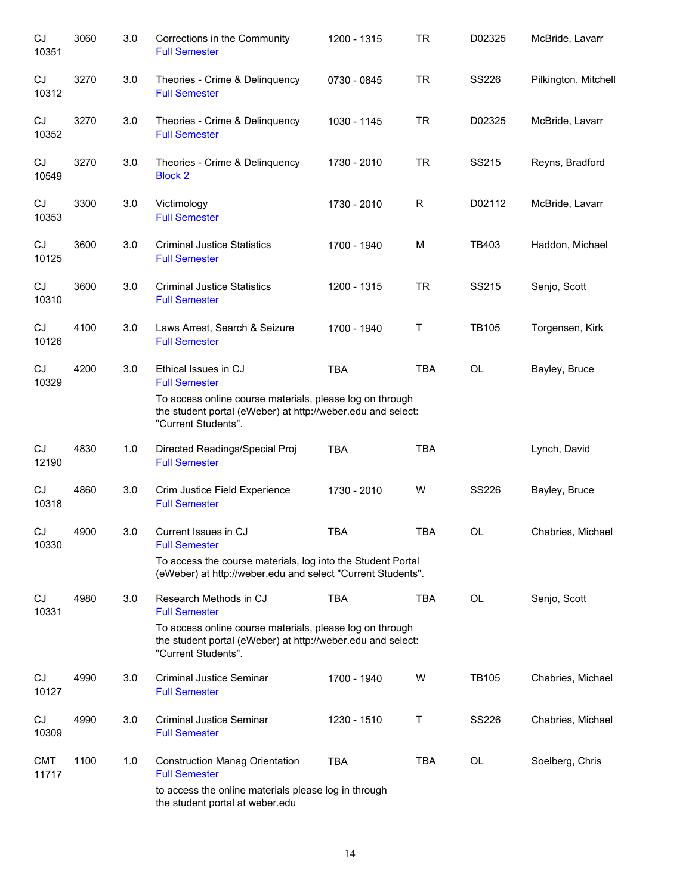| CJ<br>10351         | 3060 | 3.0 | Corrections in the Community<br><b>Full Semester</b>                                                                                                                                             | 1200 - 1315 | <b>TR</b>   | D02325       | McBride, Lavarr      |
|---------------------|------|-----|--------------------------------------------------------------------------------------------------------------------------------------------------------------------------------------------------|-------------|-------------|--------------|----------------------|
| CJ<br>10312         | 3270 | 3.0 | Theories - Crime & Delinquency<br><b>Full Semester</b>                                                                                                                                           | 0730 - 0845 | <b>TR</b>   | <b>SS226</b> | Pilkington, Mitchell |
| CJ<br>10352         | 3270 | 3.0 | Theories - Crime & Delinquency<br><b>Full Semester</b>                                                                                                                                           | 1030 - 1145 | <b>TR</b>   | D02325       | McBride, Lavarr      |
| CJ<br>10549         | 3270 | 3.0 | Theories - Crime & Delinquency<br><b>Block 2</b>                                                                                                                                                 | 1730 - 2010 | <b>TR</b>   | SS215        | Reyns, Bradford      |
| CJ<br>10353         | 3300 | 3.0 | Victimology<br><b>Full Semester</b>                                                                                                                                                              | 1730 - 2010 | R           | D02112       | McBride, Lavarr      |
| CJ<br>10125         | 3600 | 3.0 | <b>Criminal Justice Statistics</b><br><b>Full Semester</b>                                                                                                                                       | 1700 - 1940 | M           | TB403        | Haddon, Michael      |
| CJ<br>10310         | 3600 | 3.0 | <b>Criminal Justice Statistics</b><br><b>Full Semester</b>                                                                                                                                       | 1200 - 1315 | <b>TR</b>   | SS215        | Senjo, Scott         |
| CJ<br>10126         | 4100 | 3.0 | Laws Arrest, Search & Seizure<br><b>Full Semester</b>                                                                                                                                            | 1700 - 1940 | $\mathsf T$ | <b>TB105</b> | Torgensen, Kirk      |
| CJ<br>10329         | 4200 | 3.0 | Ethical Issues in CJ<br><b>Full Semester</b><br>To access online course materials, please log on through<br>the student portal (eWeber) at http://weber.edu and select:<br>"Current Students".   | <b>TBA</b>  | <b>TBA</b>  | <b>OL</b>    | Bayley, Bruce        |
| CJ<br>12190         | 4830 | 1.0 | Directed Readings/Special Proj<br><b>Full Semester</b>                                                                                                                                           | <b>TBA</b>  | <b>TBA</b>  |              | Lynch, David         |
| CJ<br>10318         | 4860 | 3.0 | Crim Justice Field Experience<br><b>Full Semester</b>                                                                                                                                            | 1730 - 2010 | W           | <b>SS226</b> | Bayley, Bruce        |
| CJ<br>10330         | 4900 | 3.0 | Current Issues in CJ<br><b>Full Semester</b><br>To access the course materials, log into the Student Portal<br>(eWeber) at http://weber.edu and select "Current Students".                       | <b>TBA</b>  | <b>TBA</b>  | <b>OL</b>    | Chabries, Michael    |
| CJ<br>10331         | 4980 | 3.0 | Research Methods in CJ<br><b>Full Semester</b><br>To access online course materials, please log on through<br>the student portal (eWeber) at http://weber.edu and select:<br>"Current Students". | <b>TBA</b>  | <b>TBA</b>  | <b>OL</b>    | Senjo, Scott         |
| CJ<br>10127         | 4990 | 3.0 | <b>Criminal Justice Seminar</b><br><b>Full Semester</b>                                                                                                                                          | 1700 - 1940 | W           | <b>TB105</b> | Chabries, Michael    |
| CJ<br>10309         | 4990 | 3.0 | <b>Criminal Justice Seminar</b><br><b>Full Semester</b>                                                                                                                                          | 1230 - 1510 | Τ           | <b>SS226</b> | Chabries, Michael    |
| <b>CMT</b><br>11717 | 1100 | 1.0 | <b>Construction Manag Orientation</b><br><b>Full Semester</b><br>to access the online materials please log in through<br>the student portal at weber.edu                                         | <b>TBA</b>  | <b>TBA</b>  | OL           | Soelberg, Chris      |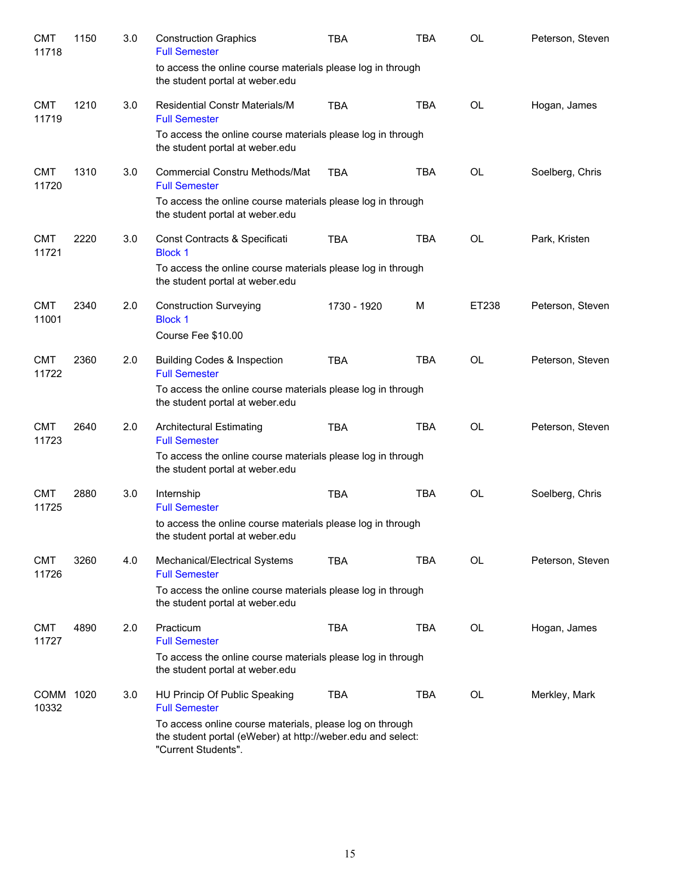| <b>CMT</b><br>11718 | 1150 | 3.0 | <b>Construction Graphics</b><br><b>Full Semester</b>                                                                                           | <b>TBA</b>  | <b>TBA</b> | <b>OL</b> | Peterson, Steven |
|---------------------|------|-----|------------------------------------------------------------------------------------------------------------------------------------------------|-------------|------------|-----------|------------------|
|                     |      |     | to access the online course materials please log in through<br>the student portal at weber.edu                                                 |             |            |           |                  |
| <b>CMT</b><br>11719 | 1210 | 3.0 | <b>Residential Constr Materials/M</b><br><b>Full Semester</b>                                                                                  | <b>TBA</b>  | <b>TBA</b> | <b>OL</b> | Hogan, James     |
|                     |      |     | To access the online course materials please log in through<br>the student portal at weber.edu                                                 |             |            |           |                  |
| <b>CMT</b><br>11720 | 1310 | 3.0 | <b>Commercial Constru Methods/Mat</b><br><b>Full Semester</b>                                                                                  | <b>TBA</b>  | <b>TBA</b> | OL        | Soelberg, Chris  |
|                     |      |     | To access the online course materials please log in through<br>the student portal at weber.edu                                                 |             |            |           |                  |
| <b>CMT</b><br>11721 | 2220 | 3.0 | Const Contracts & Specificati<br><b>Block 1</b>                                                                                                | <b>TBA</b>  | TBA        | <b>OL</b> | Park, Kristen    |
|                     |      |     | To access the online course materials please log in through<br>the student portal at weber.edu                                                 |             |            |           |                  |
| <b>CMT</b><br>11001 | 2340 | 2.0 | <b>Construction Surveying</b><br><b>Block 1</b>                                                                                                | 1730 - 1920 | M          | ET238     | Peterson, Steven |
|                     |      |     | Course Fee \$10.00                                                                                                                             |             |            |           |                  |
| <b>CMT</b><br>11722 | 2360 | 2.0 | <b>Building Codes &amp; Inspection</b><br><b>Full Semester</b>                                                                                 | <b>TBA</b>  | <b>TBA</b> | OL        | Peterson, Steven |
|                     |      |     | To access the online course materials please log in through<br>the student portal at weber.edu                                                 |             |            |           |                  |
| <b>CMT</b><br>11723 | 2640 | 2.0 | <b>Architectural Estimating</b><br><b>Full Semester</b>                                                                                        | <b>TBA</b>  | <b>TBA</b> | <b>OL</b> | Peterson, Steven |
|                     |      |     | To access the online course materials please log in through<br>the student portal at weber.edu                                                 |             |            |           |                  |
| <b>CMT</b><br>11725 | 2880 | 3.0 | Internship<br><b>Full Semester</b>                                                                                                             | <b>TBA</b>  | <b>TBA</b> | OL        | Soelberg, Chris  |
|                     |      |     | to access the online course materials please log in through<br>the student portal at weber.edu                                                 |             |            |           |                  |
| <b>CMT</b><br>11726 | 3260 | 4.0 | Mechanical/Electrical Systems<br><b>Full Semester</b>                                                                                          | <b>TBA</b>  | TBA        | OL        | Peterson, Steven |
|                     |      |     | To access the online course materials please log in through<br>the student portal at weber.edu                                                 |             |            |           |                  |
| <b>CMT</b><br>11727 | 4890 | 2.0 | Practicum<br><b>Full Semester</b>                                                                                                              | <b>TBA</b>  | <b>TBA</b> | <b>OL</b> | Hogan, James     |
|                     |      |     | To access the online course materials please log in through<br>the student portal at weber.edu                                                 |             |            |           |                  |
| COMM 1020<br>10332  |      | 3.0 | HU Princip Of Public Speaking<br><b>Full Semester</b>                                                                                          | <b>TBA</b>  | <b>TBA</b> | OL        | Merkley, Mark    |
|                     |      |     | To access online course materials, please log on through<br>the student portal (eWeber) at http://weber.edu and select:<br>"Current Students". |             |            |           |                  |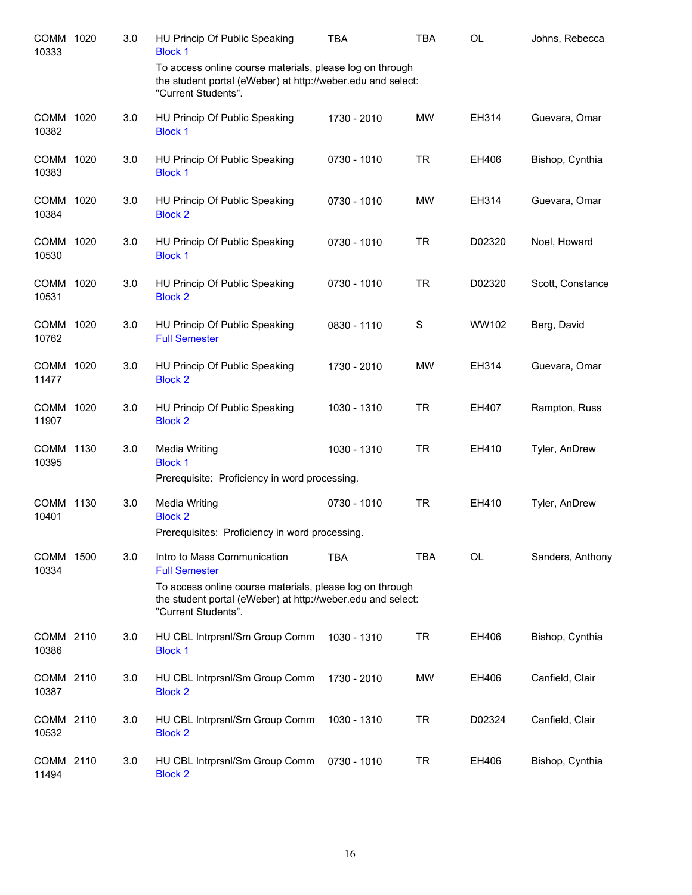| COMM 1020<br>10333 | 3.0 | HU Princip Of Public Speaking<br><b>Block 1</b>                                                                                                                                                       | TBA         | <b>TBA</b> | <b>OL</b> | Johns, Rebecca   |
|--------------------|-----|-------------------------------------------------------------------------------------------------------------------------------------------------------------------------------------------------------|-------------|------------|-----------|------------------|
|                    |     | To access online course materials, please log on through<br>the student portal (eWeber) at http://weber.edu and select:<br>"Current Students".                                                        |             |            |           |                  |
| COMM 1020<br>10382 | 3.0 | HU Princip Of Public Speaking<br><b>Block 1</b>                                                                                                                                                       | 1730 - 2010 | <b>MW</b>  | EH314     | Guevara, Omar    |
| COMM 1020<br>10383 | 3.0 | HU Princip Of Public Speaking<br><b>Block 1</b>                                                                                                                                                       | 0730 - 1010 | <b>TR</b>  | EH406     | Bishop, Cynthia  |
| COMM 1020<br>10384 | 3.0 | HU Princip Of Public Speaking<br><b>Block 2</b>                                                                                                                                                       | 0730 - 1010 | MW         | EH314     | Guevara, Omar    |
| COMM 1020<br>10530 | 3.0 | HU Princip Of Public Speaking<br><b>Block 1</b>                                                                                                                                                       | 0730 - 1010 | <b>TR</b>  | D02320    | Noel, Howard     |
| COMM 1020<br>10531 | 3.0 | HU Princip Of Public Speaking<br><b>Block 2</b>                                                                                                                                                       | 0730 - 1010 | <b>TR</b>  | D02320    | Scott, Constance |
| COMM 1020<br>10762 | 3.0 | HU Princip Of Public Speaking<br><b>Full Semester</b>                                                                                                                                                 | 0830 - 1110 | S          | WW102     | Berg, David      |
| COMM 1020<br>11477 | 3.0 | HU Princip Of Public Speaking<br><b>Block 2</b>                                                                                                                                                       | 1730 - 2010 | <b>MW</b>  | EH314     | Guevara, Omar    |
| COMM 1020<br>11907 | 3.0 | HU Princip Of Public Speaking<br><b>Block 2</b>                                                                                                                                                       | 1030 - 1310 | <b>TR</b>  | EH407     | Rampton, Russ    |
| COMM 1130<br>10395 | 3.0 | <b>Media Writing</b><br><b>Block 1</b><br>Prerequisite: Proficiency in word processing.                                                                                                               | 1030 - 1310 | <b>TR</b>  | EH410     | Tyler, AnDrew    |
| COMM 1130<br>10401 | 3.0 | Media Writing<br><b>Block 2</b><br>Prerequisites: Proficiency in word processing.                                                                                                                     | 0730 - 1010 | <b>TR</b>  | EH410     | Tyler, AnDrew    |
| COMM 1500<br>10334 | 3.0 | Intro to Mass Communication<br><b>Full Semester</b><br>To access online course materials, please log on through<br>the student portal (eWeber) at http://weber.edu and select:<br>"Current Students". | <b>TBA</b>  | <b>TBA</b> | <b>OL</b> | Sanders, Anthony |
| COMM 2110<br>10386 | 3.0 | HU CBL Intrprsnl/Sm Group Comm<br><b>Block 1</b>                                                                                                                                                      | 1030 - 1310 | <b>TR</b>  | EH406     | Bishop, Cynthia  |
| COMM 2110<br>10387 | 3.0 | HU CBL Intrprsnl/Sm Group Comm<br><b>Block 2</b>                                                                                                                                                      | 1730 - 2010 | MW         | EH406     | Canfield, Clair  |
| COMM 2110<br>10532 | 3.0 | HU CBL Intrprsnl/Sm Group Comm<br><b>Block 2</b>                                                                                                                                                      | 1030 - 1310 | <b>TR</b>  | D02324    | Canfield, Clair  |
| COMM 2110<br>11494 | 3.0 | HU CBL Intrprsnl/Sm Group Comm<br><b>Block 2</b>                                                                                                                                                      | 0730 - 1010 | TR         | EH406     | Bishop, Cynthia  |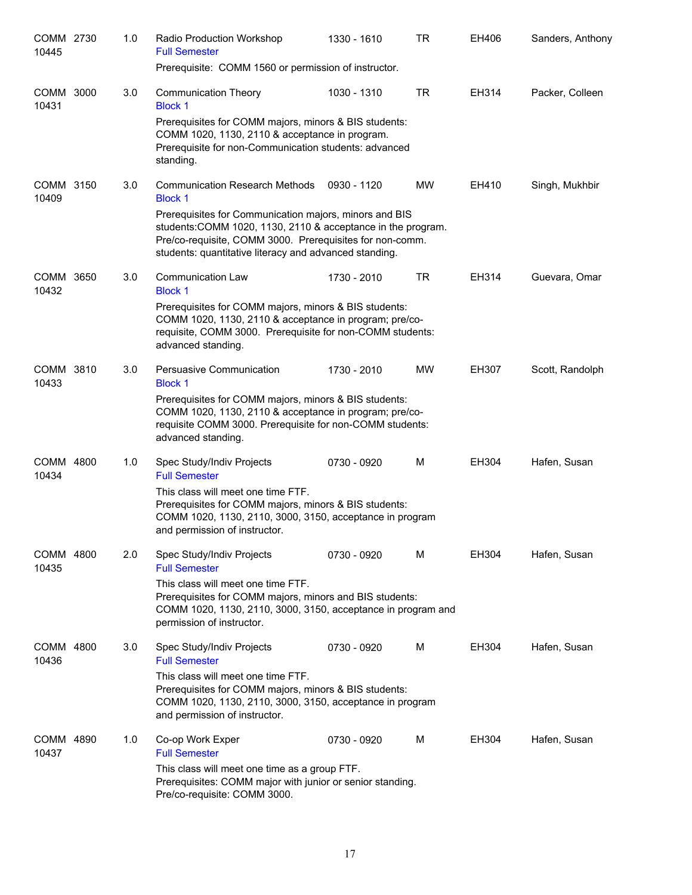| COMM 2730<br>10445 | 1.0 | Radio Production Workshop<br><b>Full Semester</b>                                                                                                                                                                                            | 1330 - 1610 | <b>TR</b> | EH406 | Sanders, Anthony |
|--------------------|-----|----------------------------------------------------------------------------------------------------------------------------------------------------------------------------------------------------------------------------------------------|-------------|-----------|-------|------------------|
|                    |     | Prerequisite: COMM 1560 or permission of instructor.                                                                                                                                                                                         |             |           |       |                  |
| COMM 3000<br>10431 | 3.0 | <b>Communication Theory</b><br><b>Block 1</b>                                                                                                                                                                                                | 1030 - 1310 | <b>TR</b> | EH314 | Packer, Colleen  |
|                    |     | Prerequisites for COMM majors, minors & BIS students:<br>COMM 1020, 1130, 2110 & acceptance in program.<br>Prerequisite for non-Communication students: advanced<br>standing.                                                                |             |           |       |                  |
| COMM 3150<br>10409 | 3.0 | <b>Communication Research Methods</b><br><b>Block 1</b>                                                                                                                                                                                      | 0930 - 1120 | МW        | EH410 | Singh, Mukhbir   |
|                    |     | Prerequisites for Communication majors, minors and BIS<br>students: COMM 1020, 1130, 2110 & acceptance in the program.<br>Pre/co-requisite, COMM 3000. Prerequisites for non-comm.<br>students: quantitative literacy and advanced standing. |             |           |       |                  |
| COMM 3650<br>10432 | 3.0 | <b>Communication Law</b><br><b>Block 1</b>                                                                                                                                                                                                   | 1730 - 2010 | <b>TR</b> | EH314 | Guevara, Omar    |
|                    |     | Prerequisites for COMM majors, minors & BIS students:<br>COMM 1020, 1130, 2110 & acceptance in program; pre/co-<br>requisite, COMM 3000. Prerequisite for non-COMM students:<br>advanced standing.                                           |             |           |       |                  |
| COMM 3810<br>10433 | 3.0 | Persuasive Communication<br><b>Block 1</b>                                                                                                                                                                                                   | 1730 - 2010 | <b>MW</b> | EH307 | Scott, Randolph  |
|                    |     | Prerequisites for COMM majors, minors & BIS students:<br>COMM 1020, 1130, 2110 & acceptance in program; pre/co-<br>requisite COMM 3000. Prerequisite for non-COMM students:<br>advanced standing.                                            |             |           |       |                  |
| COMM 4800<br>10434 | 1.0 | Spec Study/Indiv Projects<br><b>Full Semester</b>                                                                                                                                                                                            | 0730 - 0920 | м         | EH304 | Hafen, Susan     |
|                    |     | This class will meet one time FTF.<br>Prerequisites for COMM majors, minors & BIS students:<br>COMM 1020, 1130, 2110, 3000, 3150, acceptance in program<br>and permission of instructor.                                                     |             |           |       |                  |
| COMM 4800<br>10435 | 2.0 | Spec Study/Indiv Projects<br><b>Full Semester</b>                                                                                                                                                                                            | 0730 - 0920 | м         | EH304 | Hafen, Susan     |
|                    |     | This class will meet one time FTF.<br>Prerequisites for COMM majors, minors and BIS students:<br>COMM 1020, 1130, 2110, 3000, 3150, acceptance in program and<br>permission of instructor.                                                   |             |           |       |                  |
| COMM 4800<br>10436 | 3.0 | Spec Study/Indiv Projects<br><b>Full Semester</b>                                                                                                                                                                                            | 0730 - 0920 | м         | EH304 | Hafen, Susan     |
|                    |     | This class will meet one time FTF.<br>Prerequisites for COMM majors, minors & BIS students:<br>COMM 1020, 1130, 2110, 3000, 3150, acceptance in program<br>and permission of instructor.                                                     |             |           |       |                  |
| COMM 4890<br>10437 | 1.0 | Co-op Work Exper<br><b>Full Semester</b>                                                                                                                                                                                                     | 0730 - 0920 | м         | EH304 | Hafen, Susan     |
|                    |     | This class will meet one time as a group FTF.<br>Prerequisites: COMM major with junior or senior standing.<br>Pre/co-requisite: COMM 3000.                                                                                                   |             |           |       |                  |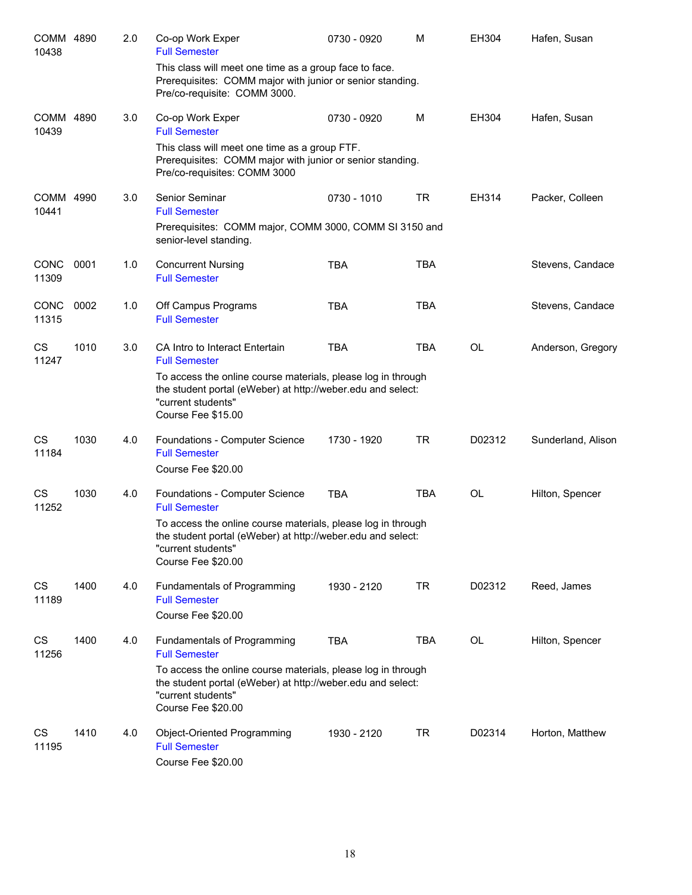| COMM 4890<br>10438   |      | 2.0 | Co-op Work Exper<br><b>Full Semester</b>                                                                                                                                | 0730 - 0920 | M          | EH304     | Hafen, Susan       |
|----------------------|------|-----|-------------------------------------------------------------------------------------------------------------------------------------------------------------------------|-------------|------------|-----------|--------------------|
|                      |      |     | This class will meet one time as a group face to face.<br>Prerequisites: COMM major with junior or senior standing.<br>Pre/co-requisite: COMM 3000.                     |             |            |           |                    |
| COMM 4890<br>10439   |      | 3.0 | Co-op Work Exper<br><b>Full Semester</b>                                                                                                                                | 0730 - 0920 | м          | EH304     | Hafen, Susan       |
|                      |      |     | This class will meet one time as a group FTF.<br>Prerequisites: COMM major with junior or senior standing.<br>Pre/co-requisites: COMM 3000                              |             |            |           |                    |
| COMM 4990<br>10441   |      | 3.0 | Senior Seminar<br><b>Full Semester</b>                                                                                                                                  | 0730 - 1010 | <b>TR</b>  | EH314     | Packer, Colleen    |
|                      |      |     | Prerequisites: COMM major, COMM 3000, COMM SI 3150 and<br>senior-level standing.                                                                                        |             |            |           |                    |
| <b>CONC</b><br>11309 | 0001 | 1.0 | <b>Concurrent Nursing</b><br><b>Full Semester</b>                                                                                                                       | <b>TBA</b>  | <b>TBA</b> |           | Stevens, Candace   |
| CONC<br>11315        | 0002 | 1.0 | Off Campus Programs<br><b>Full Semester</b>                                                                                                                             | TBA         | <b>TBA</b> |           | Stevens, Candace   |
| <b>CS</b><br>11247   | 1010 | 3.0 | CA Intro to Interact Entertain<br><b>Full Semester</b>                                                                                                                  | <b>TBA</b>  | <b>TBA</b> | <b>OL</b> | Anderson, Gregory  |
|                      |      |     | To access the online course materials, please log in through<br>the student portal (eWeber) at http://weber.edu and select:<br>"current students"<br>Course Fee \$15.00 |             |            |           |                    |
| <b>CS</b><br>11184   | 1030 | 4.0 | Foundations - Computer Science<br><b>Full Semester</b><br>Course Fee \$20.00                                                                                            | 1730 - 1920 | <b>TR</b>  | D02312    | Sunderland, Alison |
| CS<br>11252          | 1030 | 4.0 | Foundations - Computer Science<br><b>Full Semester</b>                                                                                                                  | <b>TBA</b>  | <b>TBA</b> | <b>OL</b> | Hilton, Spencer    |
|                      |      |     | To access the online course materials, please log in through<br>the student portal (eWeber) at http://weber.edu and select:<br>"current students"<br>Course Fee \$20.00 |             |            |           |                    |
| CS<br>11189          | 1400 | 4.0 | Fundamentals of Programming<br><b>Full Semester</b><br>Course Fee \$20.00                                                                                               | 1930 - 2120 | <b>TR</b>  | D02312    | Reed, James        |
| CS<br>11256          | 1400 | 4.0 | Fundamentals of Programming<br><b>Full Semester</b>                                                                                                                     | <b>TBA</b>  | <b>TBA</b> | OL        | Hilton, Spencer    |
|                      |      |     | To access the online course materials, please log in through<br>the student portal (eWeber) at http://weber.edu and select:<br>"current students"<br>Course Fee \$20.00 |             |            |           |                    |
| CS<br>11195          | 1410 | 4.0 | Object-Oriented Programming<br><b>Full Semester</b><br>Course Fee \$20.00                                                                                               | 1930 - 2120 | <b>TR</b>  | D02314    | Horton, Matthew    |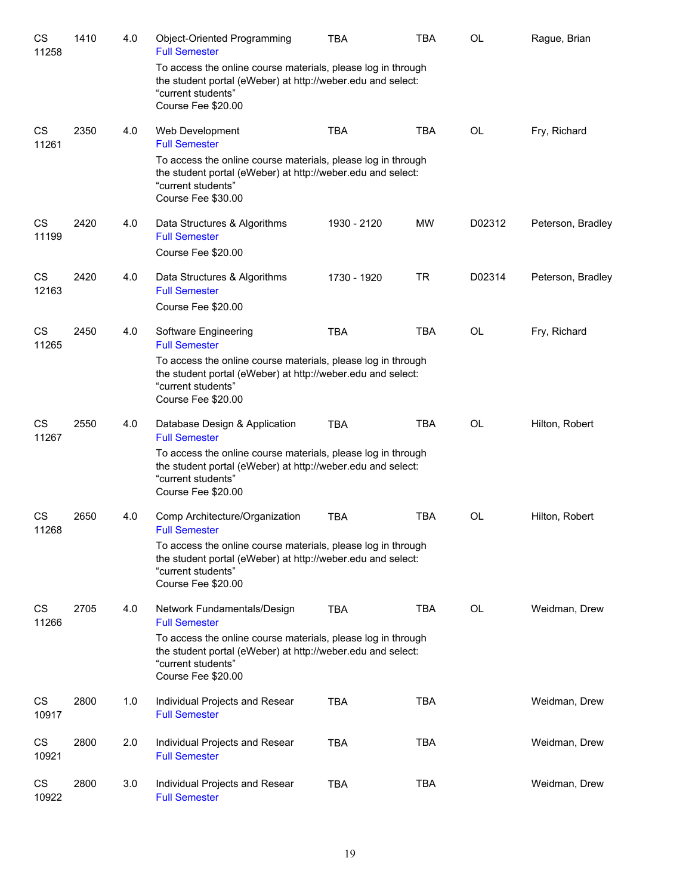| CS<br>11258        | 1410 | 4.0 | Object-Oriented Programming<br><b>Full Semester</b>                                                                                                                     | TBA         | TBA        | <b>OL</b> | Rague, Brian      |
|--------------------|------|-----|-------------------------------------------------------------------------------------------------------------------------------------------------------------------------|-------------|------------|-----------|-------------------|
|                    |      |     | To access the online course materials, please log in through<br>the student portal (eWeber) at http://weber.edu and select:<br>"current students"<br>Course Fee \$20.00 |             |            |           |                   |
| CS<br>11261        | 2350 | 4.0 | Web Development<br><b>Full Semester</b>                                                                                                                                 | <b>TBA</b>  | <b>TBA</b> | <b>OL</b> | Fry, Richard      |
|                    |      |     | To access the online course materials, please log in through<br>the student portal (eWeber) at http://weber.edu and select:<br>"current students"<br>Course Fee \$30.00 |             |            |           |                   |
| CS<br>11199        | 2420 | 4.0 | Data Structures & Algorithms<br><b>Full Semester</b><br>Course Fee \$20.00                                                                                              | 1930 - 2120 | <b>MW</b>  | D02312    | Peterson, Bradley |
| CS<br>12163        | 2420 | 4.0 | Data Structures & Algorithms<br><b>Full Semester</b><br>Course Fee \$20.00                                                                                              | 1730 - 1920 | <b>TR</b>  | D02314    | Peterson, Bradley |
| CS<br>11265        | 2450 | 4.0 | Software Engineering<br><b>Full Semester</b>                                                                                                                            | <b>TBA</b>  | <b>TBA</b> | OL        | Fry, Richard      |
|                    |      |     | To access the online course materials, please log in through<br>the student portal (eWeber) at http://weber.edu and select:<br>"current students"<br>Course Fee \$20.00 |             |            |           |                   |
| <b>CS</b><br>11267 | 2550 | 4.0 | Database Design & Application<br><b>Full Semester</b>                                                                                                                   | <b>TBA</b>  | <b>TBA</b> | <b>OL</b> | Hilton, Robert    |
|                    |      |     | To access the online course materials, please log in through<br>the student portal (eWeber) at http://weber.edu and select:<br>"current students"<br>Course Fee \$20.00 |             |            |           |                   |
| <b>CS</b><br>11268 | 2650 | 4.0 | Comp Architecture/Organization<br><b>Full Semester</b>                                                                                                                  | <b>TBA</b>  | <b>TBA</b> | <b>OL</b> | Hilton, Robert    |
|                    |      |     | To access the online course materials, please log in through<br>the student portal (eWeber) at http://weber.edu and select:<br>"current students"<br>Course Fee \$20.00 |             |            |           |                   |
| CS<br>11266        | 2705 | 4.0 | Network Fundamentals/Design<br><b>Full Semester</b>                                                                                                                     | <b>TBA</b>  | <b>TBA</b> | <b>OL</b> | Weidman, Drew     |
|                    |      |     | To access the online course materials, please log in through<br>the student portal (eWeber) at http://weber.edu and select:<br>"current students"<br>Course Fee \$20.00 |             |            |           |                   |
| CS<br>10917        | 2800 | 1.0 | Individual Projects and Resear<br><b>Full Semester</b>                                                                                                                  | <b>TBA</b>  | <b>TBA</b> |           | Weidman, Drew     |
| CS<br>10921        | 2800 | 2.0 | Individual Projects and Resear<br><b>Full Semester</b>                                                                                                                  | <b>TBA</b>  | <b>TBA</b> |           | Weidman, Drew     |
| CS<br>10922        | 2800 | 3.0 | Individual Projects and Resear<br><b>Full Semester</b>                                                                                                                  | <b>TBA</b>  | <b>TBA</b> |           | Weidman, Drew     |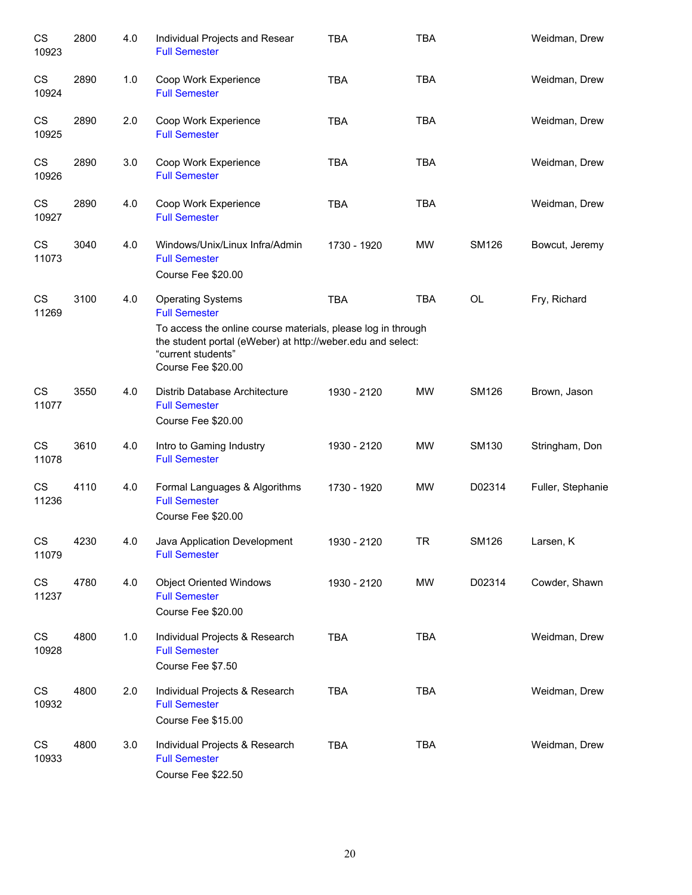| CS<br>10923        | 2800 | 4.0 | Individual Projects and Resear<br><b>Full Semester</b>                                                                                                                  | <b>TBA</b>  | <b>TBA</b> |              | Weidman, Drew     |
|--------------------|------|-----|-------------------------------------------------------------------------------------------------------------------------------------------------------------------------|-------------|------------|--------------|-------------------|
| CS<br>10924        | 2890 | 1.0 | Coop Work Experience<br><b>Full Semester</b>                                                                                                                            | <b>TBA</b>  | <b>TBA</b> |              | Weidman, Drew     |
| CS<br>10925        | 2890 | 2.0 | Coop Work Experience<br><b>Full Semester</b>                                                                                                                            | <b>TBA</b>  | <b>TBA</b> |              | Weidman, Drew     |
| CS<br>10926        | 2890 | 3.0 | Coop Work Experience<br><b>Full Semester</b>                                                                                                                            | <b>TBA</b>  | <b>TBA</b> |              | Weidman, Drew     |
| CS<br>10927        | 2890 | 4.0 | Coop Work Experience<br><b>Full Semester</b>                                                                                                                            | <b>TBA</b>  | <b>TBA</b> |              | Weidman, Drew     |
| CS<br>11073        | 3040 | 4.0 | Windows/Unix/Linux Infra/Admin<br><b>Full Semester</b><br>Course Fee \$20.00                                                                                            | 1730 - 1920 | <b>MW</b>  | <b>SM126</b> | Bowcut, Jeremy    |
| <b>CS</b><br>11269 | 3100 | 4.0 | <b>Operating Systems</b><br><b>Full Semester</b>                                                                                                                        | <b>TBA</b>  | <b>TBA</b> | OL           | Fry, Richard      |
|                    |      |     | To access the online course materials, please log in through<br>the student portal (eWeber) at http://weber.edu and select:<br>"current students"<br>Course Fee \$20.00 |             |            |              |                   |
| CS<br>11077        | 3550 | 4.0 | Distrib Database Architecture<br><b>Full Semester</b><br>Course Fee \$20.00                                                                                             | 1930 - 2120 | <b>MW</b>  | <b>SM126</b> | Brown, Jason      |
| CS<br>11078        | 3610 | 4.0 | Intro to Gaming Industry<br><b>Full Semester</b>                                                                                                                        | 1930 - 2120 | <b>MW</b>  | SM130        | Stringham, Don    |
| CS<br>11236        | 4110 | 4.0 | Formal Languages & Algorithms<br><b>Full Semester</b><br>Course Fee \$20.00                                                                                             | 1730 - 1920 | <b>MW</b>  | D02314       | Fuller, Stephanie |
| CS<br>11079        | 4230 | 4.0 | Java Application Development<br><b>Full Semester</b>                                                                                                                    | 1930 - 2120 | TR         | SM126        | Larsen, K         |
| CS<br>11237        | 4780 | 4.0 | <b>Object Oriented Windows</b><br><b>Full Semester</b><br>Course Fee \$20.00                                                                                            | 1930 - 2120 | MW         | D02314       | Cowder, Shawn     |
| CS<br>10928        | 4800 | 1.0 | Individual Projects & Research<br><b>Full Semester</b><br>Course Fee \$7.50                                                                                             | <b>TBA</b>  | <b>TBA</b> |              | Weidman, Drew     |
| CS<br>10932        | 4800 | 2.0 | Individual Projects & Research<br><b>Full Semester</b><br>Course Fee \$15.00                                                                                            | <b>TBA</b>  | <b>TBA</b> |              | Weidman, Drew     |
| CS<br>10933        | 4800 | 3.0 | Individual Projects & Research<br><b>Full Semester</b><br>Course Fee \$22.50                                                                                            | <b>TBA</b>  | <b>TBA</b> |              | Weidman, Drew     |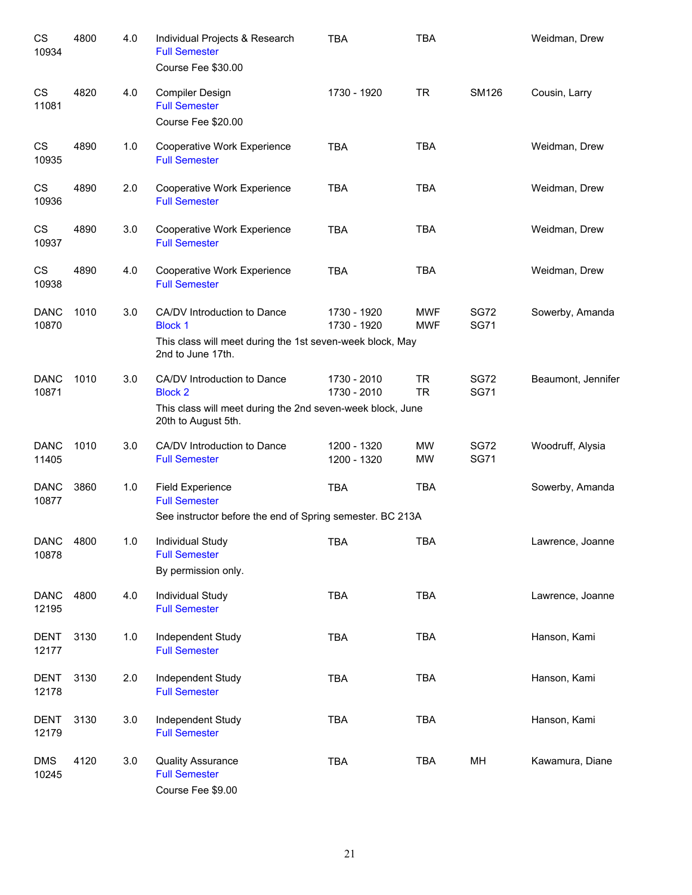| CS<br>10934          | 4800 | 4.0 | Individual Projects & Research<br><b>Full Semester</b><br>Course Fee \$30.00                                                       | <b>TBA</b>                 | <b>TBA</b>               |                            | Weidman, Drew      |
|----------------------|------|-----|------------------------------------------------------------------------------------------------------------------------------------|----------------------------|--------------------------|----------------------------|--------------------|
| CS<br>11081          | 4820 | 4.0 | Compiler Design<br><b>Full Semester</b><br>Course Fee \$20.00                                                                      | 1730 - 1920                | <b>TR</b>                | <b>SM126</b>               | Cousin, Larry      |
| CS<br>10935          | 4890 | 1.0 | Cooperative Work Experience<br><b>Full Semester</b>                                                                                | <b>TBA</b>                 | <b>TBA</b>               |                            | Weidman, Drew      |
| CS<br>10936          | 4890 | 2.0 | Cooperative Work Experience<br><b>Full Semester</b>                                                                                | <b>TBA</b>                 | <b>TBA</b>               |                            | Weidman, Drew      |
| CS<br>10937          | 4890 | 3.0 | Cooperative Work Experience<br><b>Full Semester</b>                                                                                | <b>TBA</b>                 | <b>TBA</b>               |                            | Weidman, Drew      |
| CS<br>10938          | 4890 | 4.0 | Cooperative Work Experience<br><b>Full Semester</b>                                                                                | <b>TBA</b>                 | <b>TBA</b>               |                            | Weidman, Drew      |
| <b>DANC</b><br>10870 | 1010 | 3.0 | CA/DV Introduction to Dance<br><b>Block 1</b><br>This class will meet during the 1st seven-week block, May<br>2nd to June 17th.    | 1730 - 1920<br>1730 - 1920 | <b>MWF</b><br><b>MWF</b> | <b>SG72</b><br><b>SG71</b> | Sowerby, Amanda    |
| <b>DANC</b><br>10871 | 1010 | 3.0 | CA/DV Introduction to Dance<br><b>Block 2</b><br>This class will meet during the 2nd seven-week block, June<br>20th to August 5th. | 1730 - 2010<br>1730 - 2010 | <b>TR</b><br><b>TR</b>   | <b>SG72</b><br><b>SG71</b> | Beaumont, Jennifer |
| <b>DANC</b><br>11405 | 1010 | 3.0 | CA/DV Introduction to Dance<br><b>Full Semester</b>                                                                                | 1200 - 1320<br>1200 - 1320 | MW<br>MW                 | <b>SG72</b><br><b>SG71</b> | Woodruff, Alysia   |
| <b>DANC</b><br>10877 | 3860 | 1.0 | <b>Field Experience</b><br><b>Full Semester</b><br>See instructor before the end of Spring semester. BC 213A                       | <b>TBA</b>                 | <b>TBA</b>               |                            | Sowerby, Amanda    |
| <b>DANC</b><br>10878 | 4800 | 1.0 | Individual Study<br><b>Full Semester</b><br>By permission only.                                                                    | TBA                        | TBA                      |                            | Lawrence, Joanne   |
| <b>DANC</b><br>12195 | 4800 | 4.0 | Individual Study<br><b>Full Semester</b>                                                                                           | <b>TBA</b>                 | <b>TBA</b>               |                            | Lawrence, Joanne   |
| <b>DENT</b><br>12177 | 3130 | 1.0 | Independent Study<br><b>Full Semester</b>                                                                                          | <b>TBA</b>                 | <b>TBA</b>               |                            | Hanson, Kami       |
| <b>DENT</b><br>12178 | 3130 | 2.0 | Independent Study<br><b>Full Semester</b>                                                                                          | <b>TBA</b>                 | <b>TBA</b>               |                            | Hanson, Kami       |
| <b>DENT</b><br>12179 | 3130 | 3.0 | Independent Study<br><b>Full Semester</b>                                                                                          | <b>TBA</b>                 | <b>TBA</b>               |                            | Hanson, Kami       |
| <b>DMS</b><br>10245  | 4120 | 3.0 | <b>Quality Assurance</b><br><b>Full Semester</b><br>Course Fee \$9.00                                                              | TBA                        | <b>TBA</b>               | MH                         | Kawamura, Diane    |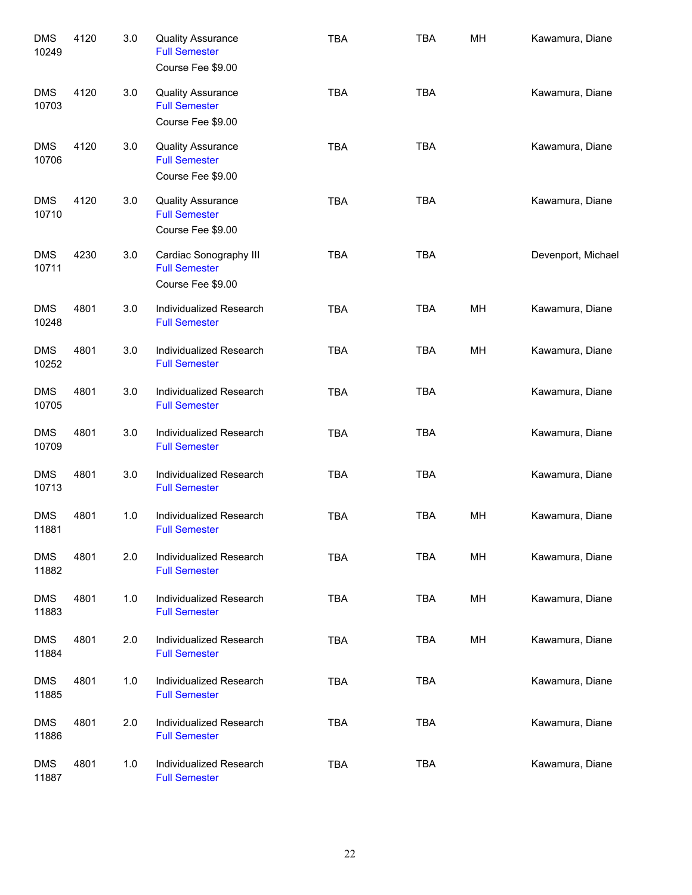| <b>DMS</b><br>10249 | 4120 | 3.0 | <b>Quality Assurance</b><br><b>Full Semester</b><br>Course Fee \$9.00 | <b>TBA</b> | <b>TBA</b> | MH | Kawamura, Diane    |
|---------------------|------|-----|-----------------------------------------------------------------------|------------|------------|----|--------------------|
| <b>DMS</b><br>10703 | 4120 | 3.0 | <b>Quality Assurance</b><br><b>Full Semester</b><br>Course Fee \$9.00 | <b>TBA</b> | <b>TBA</b> |    | Kawamura, Diane    |
| <b>DMS</b><br>10706 | 4120 | 3.0 | <b>Quality Assurance</b><br><b>Full Semester</b><br>Course Fee \$9.00 | <b>TBA</b> | <b>TBA</b> |    | Kawamura, Diane    |
| <b>DMS</b><br>10710 | 4120 | 3.0 | <b>Quality Assurance</b><br><b>Full Semester</b><br>Course Fee \$9.00 | <b>TBA</b> | <b>TBA</b> |    | Kawamura, Diane    |
| <b>DMS</b><br>10711 | 4230 | 3.0 | Cardiac Sonography III<br><b>Full Semester</b><br>Course Fee \$9.00   | <b>TBA</b> | <b>TBA</b> |    | Devenport, Michael |
| <b>DMS</b><br>10248 | 4801 | 3.0 | Individualized Research<br><b>Full Semester</b>                       | <b>TBA</b> | <b>TBA</b> | MH | Kawamura, Diane    |
| <b>DMS</b><br>10252 | 4801 | 3.0 | Individualized Research<br><b>Full Semester</b>                       | <b>TBA</b> | <b>TBA</b> | MH | Kawamura, Diane    |
| <b>DMS</b><br>10705 | 4801 | 3.0 | Individualized Research<br><b>Full Semester</b>                       | <b>TBA</b> | <b>TBA</b> |    | Kawamura, Diane    |
| <b>DMS</b><br>10709 | 4801 | 3.0 | Individualized Research<br><b>Full Semester</b>                       | <b>TBA</b> | <b>TBA</b> |    | Kawamura, Diane    |
| <b>DMS</b><br>10713 | 4801 | 3.0 | Individualized Research<br><b>Full Semester</b>                       | <b>TBA</b> | <b>TBA</b> |    | Kawamura, Diane    |
| <b>DMS</b><br>11881 | 4801 | 1.0 | Individualized Research<br><b>Full Semester</b>                       | <b>TBA</b> | <b>TBA</b> | MH | Kawamura, Diane    |
| <b>DMS</b><br>11882 | 4801 | 2.0 | Individualized Research<br><b>Full Semester</b>                       | <b>TBA</b> | <b>TBA</b> | MH | Kawamura, Diane    |
| <b>DMS</b><br>11883 | 4801 | 1.0 | Individualized Research<br><b>Full Semester</b>                       | <b>TBA</b> | <b>TBA</b> | MH | Kawamura, Diane    |
| <b>DMS</b><br>11884 | 4801 | 2.0 | Individualized Research<br><b>Full Semester</b>                       | <b>TBA</b> | <b>TBA</b> | MН | Kawamura, Diane    |
| <b>DMS</b><br>11885 | 4801 | 1.0 | Individualized Research<br><b>Full Semester</b>                       | <b>TBA</b> | <b>TBA</b> |    | Kawamura, Diane    |
| <b>DMS</b><br>11886 | 4801 | 2.0 | Individualized Research<br><b>Full Semester</b>                       | <b>TBA</b> | <b>TBA</b> |    | Kawamura, Diane    |
| <b>DMS</b><br>11887 | 4801 | 1.0 | Individualized Research<br><b>Full Semester</b>                       | <b>TBA</b> | <b>TBA</b> |    | Kawamura, Diane    |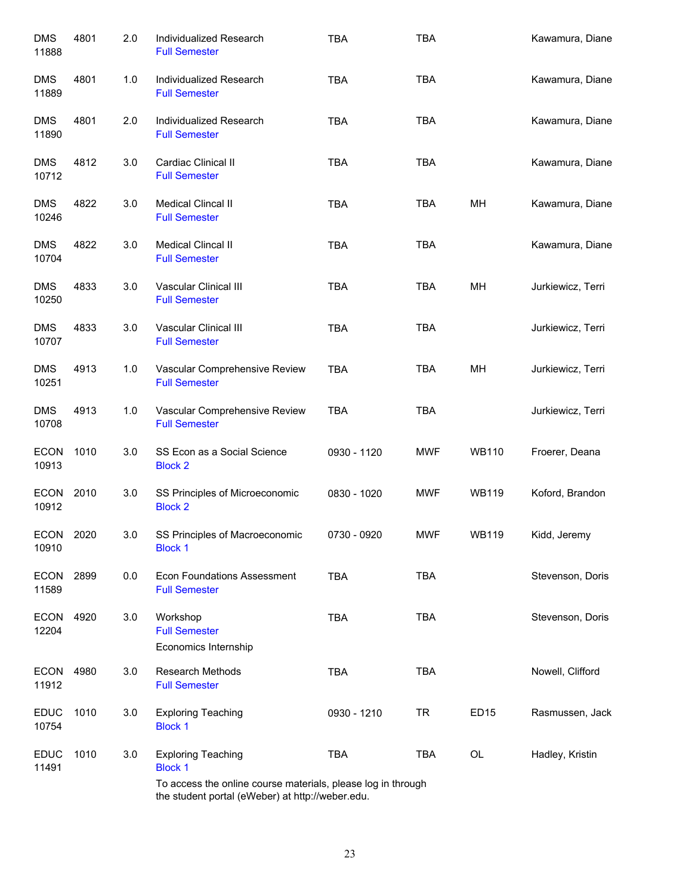| <b>DMS</b><br>11888  | 4801 | 2.0 | Individualized Research<br><b>Full Semester</b>                                                                  | <b>TBA</b>  | <b>TBA</b> |              | Kawamura, Diane   |
|----------------------|------|-----|------------------------------------------------------------------------------------------------------------------|-------------|------------|--------------|-------------------|
| <b>DMS</b><br>11889  | 4801 | 1.0 | Individualized Research<br><b>Full Semester</b>                                                                  | <b>TBA</b>  | <b>TBA</b> |              | Kawamura, Diane   |
| <b>DMS</b><br>11890  | 4801 | 2.0 | Individualized Research<br><b>Full Semester</b>                                                                  | <b>TBA</b>  | <b>TBA</b> |              | Kawamura, Diane   |
| <b>DMS</b><br>10712  | 4812 | 3.0 | Cardiac Clinical II<br><b>Full Semester</b>                                                                      | <b>TBA</b>  | <b>TBA</b> |              | Kawamura, Diane   |
| <b>DMS</b><br>10246  | 4822 | 3.0 | Medical Clincal II<br><b>Full Semester</b>                                                                       | <b>TBA</b>  | <b>TBA</b> | MH           | Kawamura, Diane   |
| <b>DMS</b><br>10704  | 4822 | 3.0 | Medical Clincal II<br><b>Full Semester</b>                                                                       | <b>TBA</b>  | <b>TBA</b> |              | Kawamura, Diane   |
| <b>DMS</b><br>10250  | 4833 | 3.0 | Vascular Clinical III<br><b>Full Semester</b>                                                                    | <b>TBA</b>  | <b>TBA</b> | MН           | Jurkiewicz, Terri |
| <b>DMS</b><br>10707  | 4833 | 3.0 | Vascular Clinical III<br><b>Full Semester</b>                                                                    | <b>TBA</b>  | <b>TBA</b> |              | Jurkiewicz, Terri |
| <b>DMS</b><br>10251  | 4913 | 1.0 | Vascular Comprehensive Review<br><b>Full Semester</b>                                                            | <b>TBA</b>  | <b>TBA</b> | MН           | Jurkiewicz, Terri |
| <b>DMS</b><br>10708  | 4913 | 1.0 | Vascular Comprehensive Review<br><b>Full Semester</b>                                                            | <b>TBA</b>  | <b>TBA</b> |              | Jurkiewicz, Terri |
| <b>ECON</b><br>10913 | 1010 | 3.0 | SS Econ as a Social Science<br><b>Block 2</b>                                                                    | 0930 - 1120 | MWF        | <b>WB110</b> | Froerer, Deana    |
| <b>ECON</b><br>10912 | 2010 | 3.0 | SS Principles of Microeconomic<br><b>Block 2</b>                                                                 | 0830 - 1020 | MWF        | <b>WB119</b> | Koford, Brandon   |
| <b>ECON</b><br>10910 | 2020 | 3.0 | SS Principles of Macroeconomic<br><b>Block 1</b>                                                                 | 0730 - 0920 | <b>MWF</b> | <b>WB119</b> | Kidd, Jeremy      |
| <b>ECON</b><br>11589 | 2899 | 0.0 | <b>Econ Foundations Assessment</b><br><b>Full Semester</b>                                                       | <b>TBA</b>  | <b>TBA</b> |              | Stevenson, Doris  |
| <b>ECON</b><br>12204 | 4920 | 3.0 | Workshop<br><b>Full Semester</b><br>Economics Internship                                                         | <b>TBA</b>  | <b>TBA</b> |              | Stevenson, Doris  |
| <b>ECON</b><br>11912 | 4980 | 3.0 | <b>Research Methods</b><br><b>Full Semester</b>                                                                  | <b>TBA</b>  | <b>TBA</b> |              | Nowell, Clifford  |
| <b>EDUC</b><br>10754 | 1010 | 3.0 | <b>Exploring Teaching</b><br><b>Block 1</b>                                                                      | 0930 - 1210 | <b>TR</b>  | <b>ED15</b>  | Rasmussen, Jack   |
| <b>EDUC</b><br>11491 | 1010 | 3.0 | <b>Exploring Teaching</b><br><b>Block 1</b>                                                                      | <b>TBA</b>  | <b>TBA</b> | OL           | Hadley, Kristin   |
|                      |      |     | To access the online course materials, please log in through<br>the student portal (eWeber) at http://weber.edu. |             |            |              |                   |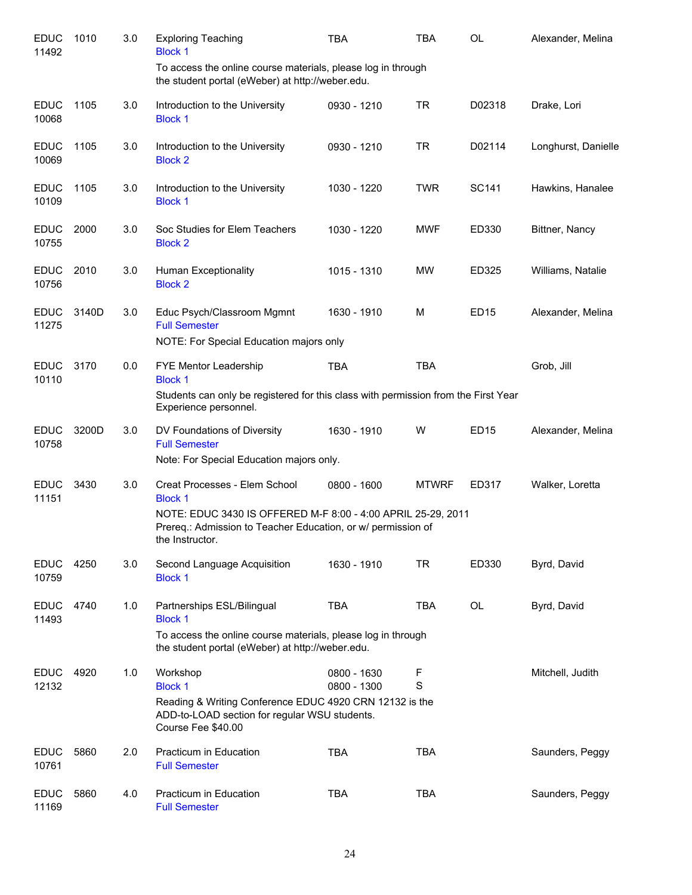| <b>EDUC</b><br>11492 | 1010  | 3.0 | <b>Exploring Teaching</b><br><b>Block 1</b>                                                                                                                                                        | <b>TBA</b>                 | <b>TBA</b>   | OL               | Alexander, Melina   |
|----------------------|-------|-----|----------------------------------------------------------------------------------------------------------------------------------------------------------------------------------------------------|----------------------------|--------------|------------------|---------------------|
|                      |       |     | To access the online course materials, please log in through<br>the student portal (eWeber) at http://weber.edu.                                                                                   |                            |              |                  |                     |
| <b>EDUC</b><br>10068 | 1105  | 3.0 | Introduction to the University<br><b>Block 1</b>                                                                                                                                                   | 0930 - 1210                | <b>TR</b>    | D02318           | Drake, Lori         |
| <b>EDUC</b><br>10069 | 1105  | 3.0 | Introduction to the University<br><b>Block 2</b>                                                                                                                                                   | 0930 - 1210                | <b>TR</b>    | D02114           | Longhurst, Danielle |
| <b>EDUC</b><br>10109 | 1105  | 3.0 | Introduction to the University<br><b>Block 1</b>                                                                                                                                                   | 1030 - 1220                | <b>TWR</b>   | SC141            | Hawkins, Hanalee    |
| <b>EDUC</b><br>10755 | 2000  | 3.0 | Soc Studies for Elem Teachers<br><b>Block 2</b>                                                                                                                                                    | 1030 - 1220                | <b>MWF</b>   | ED330            | Bittner, Nancy      |
| <b>EDUC</b><br>10756 | 2010  | 3.0 | Human Exceptionality<br><b>Block 2</b>                                                                                                                                                             | 1015 - 1310                | <b>MW</b>    | ED325            | Williams, Natalie   |
| <b>EDUC</b><br>11275 | 3140D | 3.0 | Educ Psych/Classroom Mgmnt<br><b>Full Semester</b><br>NOTE: For Special Education majors only                                                                                                      | 1630 - 1910                | м            | ED <sub>15</sub> | Alexander, Melina   |
| <b>EDUC</b><br>10110 | 3170  | 0.0 | FYE Mentor Leadership<br><b>Block 1</b>                                                                                                                                                            | <b>TBA</b>                 | <b>TBA</b>   |                  | Grob, Jill          |
|                      |       |     | Students can only be registered for this class with permission from the First Year<br>Experience personnel.                                                                                        |                            |              |                  |                     |
| <b>EDUC</b><br>10758 | 3200D | 3.0 | DV Foundations of Diversity<br><b>Full Semester</b><br>Note: For Special Education majors only.                                                                                                    | 1630 - 1910                | W            | ED15             | Alexander, Melina   |
| <b>EDUC</b><br>11151 | 3430  | 3.0 | Creat Processes - Elem School<br><b>Block 1</b><br>NOTE: EDUC 3430 IS OFFERED M-F 8:00 - 4:00 APRIL 25-29, 2011<br>Prereq.: Admission to Teacher Education, or w/ permission of<br>the Instructor. | 0800 - 1600                | <b>MTWRF</b> | ED317            | Walker, Loretta     |
| <b>EDUC</b><br>10759 | 4250  | 3.0 | Second Language Acquisition<br><b>Block 1</b>                                                                                                                                                      | 1630 - 1910                | <b>TR</b>    | ED330            | Byrd, David         |
| <b>EDUC</b><br>11493 | 4740  | 1.0 | Partnerships ESL/Bilingual<br><b>Block 1</b><br>To access the online course materials, please log in through<br>the student portal (eWeber) at http://weber.edu.                                   | <b>TBA</b>                 | <b>TBA</b>   | <b>OL</b>        | Byrd, David         |
| <b>EDUC</b><br>12132 | 4920  | 1.0 | Workshop<br><b>Block 1</b><br>Reading & Writing Conference EDUC 4920 CRN 12132 is the<br>ADD-to-LOAD section for regular WSU students.<br>Course Fee \$40.00                                       | 0800 - 1630<br>0800 - 1300 | F<br>S       |                  | Mitchell, Judith    |
| <b>EDUC</b><br>10761 | 5860  | 2.0 | Practicum in Education<br><b>Full Semester</b>                                                                                                                                                     | <b>TBA</b>                 | <b>TBA</b>   |                  | Saunders, Peggy     |
| <b>EDUC</b><br>11169 | 5860  | 4.0 | Practicum in Education<br><b>Full Semester</b>                                                                                                                                                     | <b>TBA</b>                 | <b>TBA</b>   |                  | Saunders, Peggy     |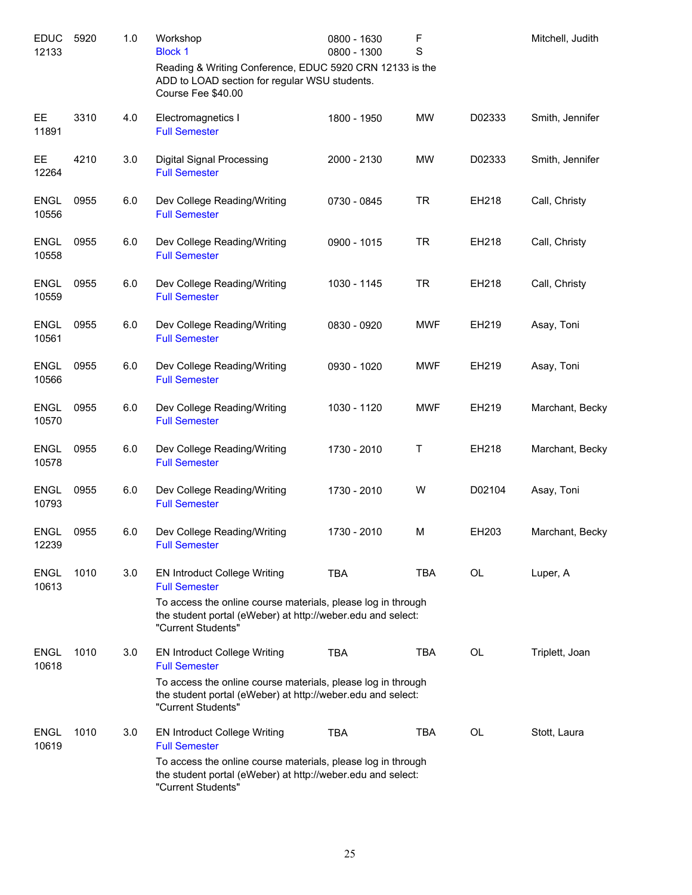| <b>EDUC</b><br>12133 | 5920 | 1.0 | Workshop<br><b>Block 1</b>                                                                                                                        | 0800 - 1630<br>0800 - 1300 | F<br>S     |        | Mitchell, Judith |
|----------------------|------|-----|---------------------------------------------------------------------------------------------------------------------------------------------------|----------------------------|------------|--------|------------------|
|                      |      |     | Reading & Writing Conference, EDUC 5920 CRN 12133 is the<br>ADD to LOAD section for regular WSU students.<br>Course Fee \$40.00                   |                            |            |        |                  |
| EE.<br>11891         | 3310 | 4.0 | Electromagnetics I<br><b>Full Semester</b>                                                                                                        | 1800 - 1950                | <b>MW</b>  | D02333 | Smith, Jennifer  |
| <b>EE</b><br>12264   | 4210 | 3.0 | <b>Digital Signal Processing</b><br><b>Full Semester</b>                                                                                          | 2000 - 2130                | <b>MW</b>  | D02333 | Smith, Jennifer  |
| ENGL<br>10556        | 0955 | 6.0 | Dev College Reading/Writing<br><b>Full Semester</b>                                                                                               | 0730 - 0845                | <b>TR</b>  | EH218  | Call, Christy    |
| <b>ENGL</b><br>10558 | 0955 | 6.0 | Dev College Reading/Writing<br><b>Full Semester</b>                                                                                               | 0900 - 1015                | <b>TR</b>  | EH218  | Call, Christy    |
| <b>ENGL</b><br>10559 | 0955 | 6.0 | Dev College Reading/Writing<br><b>Full Semester</b>                                                                                               | 1030 - 1145                | <b>TR</b>  | EH218  | Call, Christy    |
| <b>ENGL</b><br>10561 | 0955 | 6.0 | Dev College Reading/Writing<br><b>Full Semester</b>                                                                                               | 0830 - 0920                | <b>MWF</b> | EH219  | Asay, Toni       |
| <b>ENGL</b><br>10566 | 0955 | 6.0 | Dev College Reading/Writing<br><b>Full Semester</b>                                                                                               | 0930 - 1020                | <b>MWF</b> | EH219  | Asay, Toni       |
| <b>ENGL</b><br>10570 | 0955 | 6.0 | Dev College Reading/Writing<br><b>Full Semester</b>                                                                                               | 1030 - 1120                | <b>MWF</b> | EH219  | Marchant, Becky  |
| <b>ENGL</b><br>10578 | 0955 | 6.0 | Dev College Reading/Writing<br><b>Full Semester</b>                                                                                               | 1730 - 2010                | Τ          | EH218  | Marchant, Becky  |
| <b>ENGL</b><br>10793 | 0955 | 6.0 | Dev College Reading/Writing<br><b>Full Semester</b>                                                                                               | 1730 - 2010                | W          | D02104 | Asay, Toni       |
| <b>ENGL</b><br>12239 | 0955 | 6.0 | Dev College Reading/Writing<br><b>Full Semester</b>                                                                                               | 1730 - 2010                | M          | EH203  | Marchant, Becky  |
| <b>ENGL</b><br>10613 | 1010 | 3.0 | <b>EN Introduct College Writing</b><br><b>Full Semester</b>                                                                                       | <b>TBA</b>                 | <b>TBA</b> | OL     | Luper, A         |
|                      |      |     | To access the online course materials, please log in through<br>the student portal (eWeber) at http://weber.edu and select:<br>"Current Students" |                            |            |        |                  |
| <b>ENGL</b><br>10618 | 1010 | 3.0 | <b>EN Introduct College Writing</b><br><b>Full Semester</b>                                                                                       | <b>TBA</b>                 | <b>TBA</b> | OL     | Triplett, Joan   |
|                      |      |     | To access the online course materials, please log in through<br>the student portal (eWeber) at http://weber.edu and select:<br>"Current Students" |                            |            |        |                  |
| <b>ENGL</b><br>10619 | 1010 | 3.0 | <b>EN Introduct College Writing</b><br><b>Full Semester</b>                                                                                       | <b>TBA</b>                 | <b>TBA</b> | OL     | Stott, Laura     |
|                      |      |     | To access the online course materials, please log in through<br>the student portal (eWeber) at http://weber.edu and select:<br>"Current Students" |                            |            |        |                  |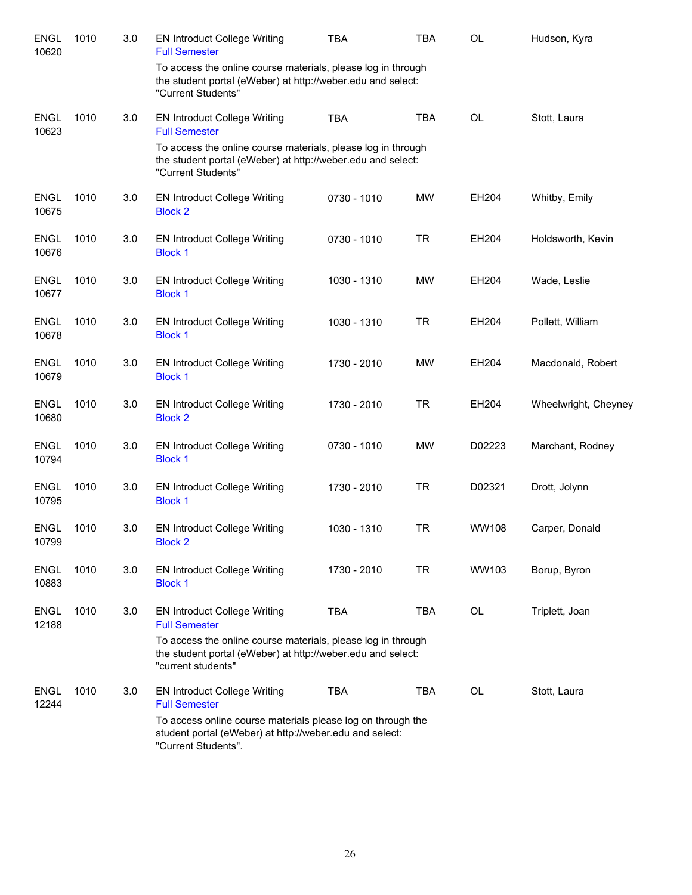| <b>ENGL</b><br>10620 | 1010 | 3.0 | <b>EN Introduct College Writing</b><br><b>Full Semester</b>                                                                                       | <b>TBA</b>  | <b>TBA</b> | OL           | Hudson, Kyra         |
|----------------------|------|-----|---------------------------------------------------------------------------------------------------------------------------------------------------|-------------|------------|--------------|----------------------|
|                      |      |     | To access the online course materials, please log in through<br>the student portal (eWeber) at http://weber.edu and select:<br>"Current Students" |             |            |              |                      |
| <b>ENGL</b><br>10623 | 1010 | 3.0 | <b>EN Introduct College Writing</b><br><b>Full Semester</b>                                                                                       | <b>TBA</b>  | <b>TBA</b> | OL           | Stott, Laura         |
|                      |      |     | To access the online course materials, please log in through<br>the student portal (eWeber) at http://weber.edu and select:<br>"Current Students" |             |            |              |                      |
| <b>ENGL</b><br>10675 | 1010 | 3.0 | <b>EN Introduct College Writing</b><br><b>Block 2</b>                                                                                             | 0730 - 1010 | <b>MW</b>  | EH204        | Whitby, Emily        |
| <b>ENGL</b><br>10676 | 1010 | 3.0 | <b>EN Introduct College Writing</b><br><b>Block 1</b>                                                                                             | 0730 - 1010 | <b>TR</b>  | EH204        | Holdsworth, Kevin    |
| <b>ENGL</b><br>10677 | 1010 | 3.0 | <b>EN Introduct College Writing</b><br><b>Block 1</b>                                                                                             | 1030 - 1310 | <b>MW</b>  | EH204        | Wade, Leslie         |
| <b>ENGL</b><br>10678 | 1010 | 3.0 | <b>EN Introduct College Writing</b><br><b>Block 1</b>                                                                                             | 1030 - 1310 | <b>TR</b>  | EH204        | Pollett, William     |
| <b>ENGL</b><br>10679 | 1010 | 3.0 | <b>EN Introduct College Writing</b><br><b>Block 1</b>                                                                                             | 1730 - 2010 | <b>MW</b>  | EH204        | Macdonald, Robert    |
| <b>ENGL</b><br>10680 | 1010 | 3.0 | <b>EN Introduct College Writing</b><br><b>Block 2</b>                                                                                             | 1730 - 2010 | <b>TR</b>  | EH204        | Wheelwright, Cheyney |
| <b>ENGL</b><br>10794 | 1010 | 3.0 | <b>EN Introduct College Writing</b><br><b>Block 1</b>                                                                                             | 0730 - 1010 | <b>MW</b>  | D02223       | Marchant, Rodney     |
| <b>ENGL</b><br>10795 | 1010 | 3.0 | <b>EN Introduct College Writing</b><br><b>Block 1</b>                                                                                             | 1730 - 2010 | <b>TR</b>  | D02321       | Drott, Jolynn        |
| <b>ENGL</b><br>10799 | 1010 | 3.0 | <b>EN Introduct College Writing</b><br><b>Block 2</b>                                                                                             | 1030 - 1310 | <b>TR</b>  | <b>WW108</b> | Carper, Donald       |
| <b>ENGL</b><br>10883 | 1010 | 3.0 | <b>EN Introduct College Writing</b><br><b>Block 1</b>                                                                                             | 1730 - 2010 | <b>TR</b>  | WW103        | Borup, Byron         |
| <b>ENGL</b><br>12188 | 1010 | 3.0 | <b>EN Introduct College Writing</b><br><b>Full Semester</b>                                                                                       | <b>TBA</b>  | <b>TBA</b> | OL           | Triplett, Joan       |
|                      |      |     | To access the online course materials, please log in through<br>the student portal (eWeber) at http://weber.edu and select:<br>"current students" |             |            |              |                      |
| <b>ENGL</b><br>12244 | 1010 | 3.0 | <b>EN Introduct College Writing</b><br><b>Full Semester</b>                                                                                       | <b>TBA</b>  | <b>TBA</b> | OL           | Stott, Laura         |
|                      |      |     | To access online course materials please log on through the<br>student portal (eWeber) at http://weber.edu and select:<br>"Current Students".     |             |            |              |                      |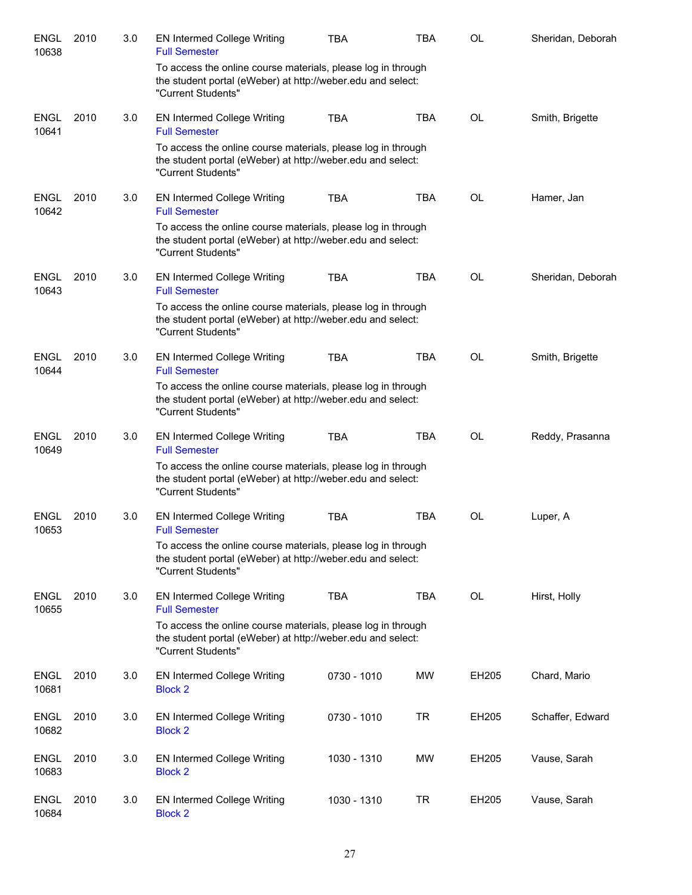| <b>ENGL</b><br>10638 | 2010 | 3.0 | <b>EN Intermed College Writing</b><br><b>Full Semester</b>                                                                                        | <b>TBA</b>  | <b>TBA</b> | OL        | Sheridan, Deborah |
|----------------------|------|-----|---------------------------------------------------------------------------------------------------------------------------------------------------|-------------|------------|-----------|-------------------|
|                      |      |     | To access the online course materials, please log in through<br>the student portal (eWeber) at http://weber.edu and select:<br>"Current Students" |             |            |           |                   |
| <b>ENGL</b><br>10641 | 2010 | 3.0 | <b>EN Intermed College Writing</b><br><b>Full Semester</b>                                                                                        | <b>TBA</b>  | <b>TBA</b> | <b>OL</b> | Smith, Brigette   |
|                      |      |     | To access the online course materials, please log in through<br>the student portal (eWeber) at http://weber.edu and select:<br>"Current Students" |             |            |           |                   |
| <b>ENGL</b><br>10642 | 2010 | 3.0 | <b>EN Intermed College Writing</b><br><b>Full Semester</b>                                                                                        | <b>TBA</b>  | <b>TBA</b> | <b>OL</b> | Hamer, Jan        |
|                      |      |     | To access the online course materials, please log in through<br>the student portal (eWeber) at http://weber.edu and select:<br>"Current Students" |             |            |           |                   |
| <b>ENGL</b><br>10643 | 2010 | 3.0 | <b>EN Intermed College Writing</b><br><b>Full Semester</b>                                                                                        | <b>TBA</b>  | <b>TBA</b> | <b>OL</b> | Sheridan, Deborah |
|                      |      |     | To access the online course materials, please log in through<br>the student portal (eWeber) at http://weber.edu and select:<br>"Current Students" |             |            |           |                   |
| <b>ENGL</b><br>10644 | 2010 | 3.0 | <b>EN Intermed College Writing</b><br><b>Full Semester</b>                                                                                        | <b>TBA</b>  | <b>TBA</b> | <b>OL</b> | Smith, Brigette   |
|                      |      |     | To access the online course materials, please log in through<br>the student portal (eWeber) at http://weber.edu and select:<br>"Current Students" |             |            |           |                   |
| <b>ENGL</b><br>10649 | 2010 | 3.0 | <b>EN Intermed College Writing</b><br><b>Full Semester</b>                                                                                        | <b>TBA</b>  | <b>TBA</b> | <b>OL</b> | Reddy, Prasanna   |
|                      |      |     | To access the online course materials, please log in through<br>the student portal (eWeber) at http://weber.edu and select:<br>"Current Students" |             |            |           |                   |
| ENGL<br>10653        | 2010 | 3.0 | <b>EN Intermed College Writing</b><br><b>Full Semester</b>                                                                                        | <b>TBA</b>  | <b>TBA</b> | OL        | Luper, A          |
|                      |      |     | To access the online course materials, please log in through<br>the student portal (eWeber) at http://weber.edu and select:<br>"Current Students" |             |            |           |                   |
| <b>ENGL</b><br>10655 | 2010 | 3.0 | <b>EN Intermed College Writing</b><br><b>Full Semester</b>                                                                                        | <b>TBA</b>  | <b>TBA</b> | OL        | Hirst, Holly      |
|                      |      |     | To access the online course materials, please log in through<br>the student portal (eWeber) at http://weber.edu and select:<br>"Current Students" |             |            |           |                   |
| <b>ENGL</b><br>10681 | 2010 | 3.0 | <b>EN Intermed College Writing</b><br><b>Block 2</b>                                                                                              | 0730 - 1010 | <b>MW</b>  | EH205     | Chard, Mario      |
| <b>ENGL</b><br>10682 | 2010 | 3.0 | <b>EN Intermed College Writing</b><br><b>Block 2</b>                                                                                              | 0730 - 1010 | <b>TR</b>  | EH205     | Schaffer, Edward  |
| <b>ENGL</b><br>10683 | 2010 | 3.0 | <b>EN Intermed College Writing</b><br><b>Block 2</b>                                                                                              | 1030 - 1310 | MW         | EH205     | Vause, Sarah      |
| <b>ENGL</b><br>10684 | 2010 | 3.0 | <b>EN Intermed College Writing</b><br><b>Block 2</b>                                                                                              | 1030 - 1310 | <b>TR</b>  | EH205     | Vause, Sarah      |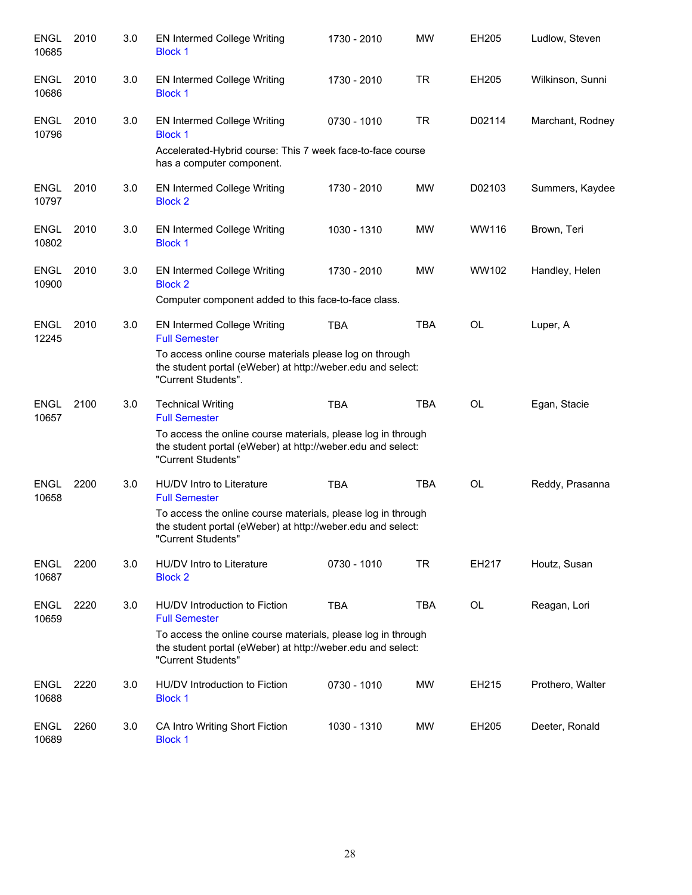| <b>ENGL</b><br>10685 | 2010 | 3.0 | <b>EN Intermed College Writing</b><br><b>Block 1</b>                                                                                              | 1730 - 2010 | <b>MW</b>  | EH205     | Ludlow, Steven   |
|----------------------|------|-----|---------------------------------------------------------------------------------------------------------------------------------------------------|-------------|------------|-----------|------------------|
| <b>ENGL</b><br>10686 | 2010 | 3.0 | <b>EN Intermed College Writing</b><br><b>Block 1</b>                                                                                              | 1730 - 2010 | <b>TR</b>  | EH205     | Wilkinson, Sunni |
| <b>ENGL</b><br>10796 | 2010 | 3.0 | EN Intermed College Writing<br><b>Block 1</b>                                                                                                     | 0730 - 1010 | <b>TR</b>  | D02114    | Marchant, Rodney |
|                      |      |     | Accelerated-Hybrid course: This 7 week face-to-face course<br>has a computer component.                                                           |             |            |           |                  |
| <b>ENGL</b><br>10797 | 2010 | 3.0 | <b>EN Intermed College Writing</b><br><b>Block 2</b>                                                                                              | 1730 - 2010 | MW         | D02103    | Summers, Kaydee  |
| <b>ENGL</b><br>10802 | 2010 | 3.0 | <b>EN Intermed College Writing</b><br><b>Block 1</b>                                                                                              | 1030 - 1310 | <b>MW</b>  | WW116     | Brown, Teri      |
| <b>ENGL</b><br>10900 | 2010 | 3.0 | <b>EN Intermed College Writing</b><br><b>Block 2</b>                                                                                              | 1730 - 2010 | <b>MW</b>  | WW102     | Handley, Helen   |
|                      |      |     | Computer component added to this face-to-face class.                                                                                              |             |            |           |                  |
| <b>ENGL</b><br>12245 | 2010 | 3.0 | <b>EN Intermed College Writing</b><br><b>Full Semester</b>                                                                                        | <b>TBA</b>  | <b>TBA</b> | OL        | Luper, A         |
|                      |      |     | To access online course materials please log on through<br>the student portal (eWeber) at http://weber.edu and select:<br>"Current Students".     |             |            |           |                  |
| <b>ENGL</b><br>10657 | 2100 | 3.0 | <b>Technical Writing</b><br><b>Full Semester</b>                                                                                                  | <b>TBA</b>  | <b>TBA</b> | <b>OL</b> | Egan, Stacie     |
|                      |      |     | To access the online course materials, please log in through<br>the student portal (eWeber) at http://weber.edu and select:<br>"Current Students" |             |            |           |                  |
| <b>ENGL</b><br>10658 | 2200 | 3.0 | HU/DV Intro to Literature<br><b>Full Semester</b>                                                                                                 | <b>TBA</b>  | <b>TBA</b> | OL        | Reddy, Prasanna  |
|                      |      |     | To access the online course materials, please log in through<br>the student portal (eWeber) at http://weber.edu and select:<br>"Current Students" |             |            |           |                  |
| <b>ENGL</b><br>10687 | 2200 | 3.0 | HU/DV Intro to Literature<br><b>Block 2</b>                                                                                                       | 0730 - 1010 | <b>TR</b>  | EH217     | Houtz, Susan     |
| <b>ENGL</b><br>10659 | 2220 | 3.0 | HU/DV Introduction to Fiction<br><b>Full Semester</b>                                                                                             | <b>TBA</b>  | <b>TBA</b> | OL        | Reagan, Lori     |
|                      |      |     | To access the online course materials, please log in through<br>the student portal (eWeber) at http://weber.edu and select:<br>"Current Students" |             |            |           |                  |
| ENGL<br>10688        | 2220 | 3.0 | HU/DV Introduction to Fiction<br><b>Block 1</b>                                                                                                   | 0730 - 1010 | MW         | EH215     | Prothero, Walter |
| <b>ENGL</b><br>10689 | 2260 | 3.0 | CA Intro Writing Short Fiction<br><b>Block 1</b>                                                                                                  | 1030 - 1310 | MW         | EH205     | Deeter, Ronald   |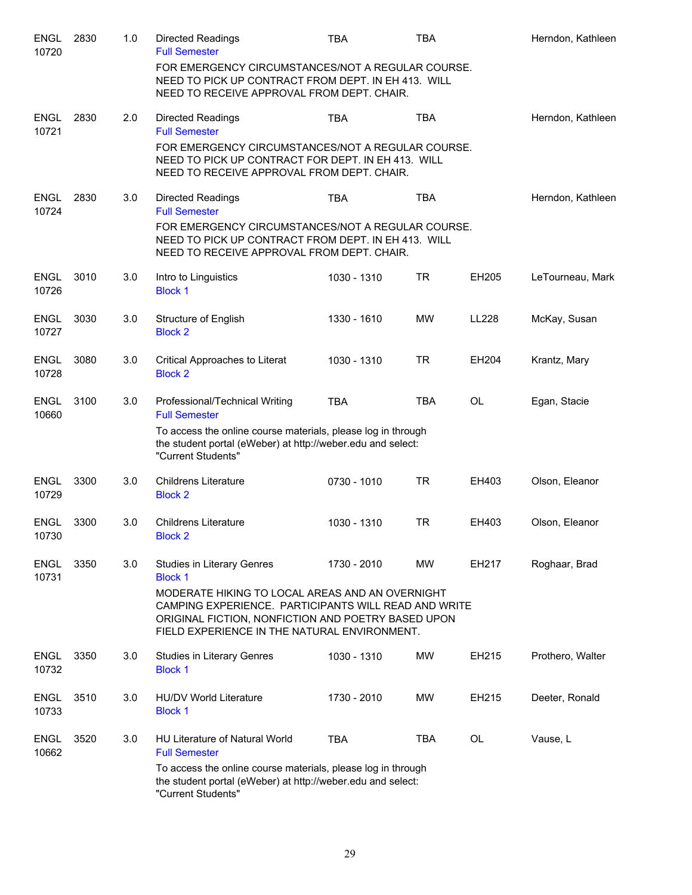| <b>ENGL</b><br>10720 | 2830 | 1.0 | <b>Directed Readings</b><br><b>Full Semester</b>                                                                                                                                                              | TBA         | TBA        |              | Herndon, Kathleen |
|----------------------|------|-----|---------------------------------------------------------------------------------------------------------------------------------------------------------------------------------------------------------------|-------------|------------|--------------|-------------------|
|                      |      |     | FOR EMERGENCY CIRCUMSTANCES/NOT A REGULAR COURSE.<br>NEED TO PICK UP CONTRACT FROM DEPT. IN EH 413. WILL<br>NEED TO RECEIVE APPROVAL FROM DEPT. CHAIR.                                                        |             |            |              |                   |
| <b>ENGL</b><br>10721 | 2830 | 2.0 | <b>Directed Readings</b><br><b>Full Semester</b>                                                                                                                                                              | <b>TBA</b>  | <b>TBA</b> |              | Herndon, Kathleen |
|                      |      |     | FOR EMERGENCY CIRCUMSTANCES/NOT A REGULAR COURSE.<br>NEED TO PICK UP CONTRACT FOR DEPT. IN EH 413. WILL<br>NEED TO RECEIVE APPROVAL FROM DEPT. CHAIR.                                                         |             |            |              |                   |
| <b>ENGL</b><br>10724 | 2830 | 3.0 | <b>Directed Readings</b><br><b>Full Semester</b>                                                                                                                                                              | <b>TBA</b>  | <b>TBA</b> |              | Herndon, Kathleen |
|                      |      |     | FOR EMERGENCY CIRCUMSTANCES/NOT A REGULAR COURSE.<br>NEED TO PICK UP CONTRACT FROM DEPT. IN EH 413. WILL<br>NEED TO RECEIVE APPROVAL FROM DEPT. CHAIR.                                                        |             |            |              |                   |
| <b>ENGL</b><br>10726 | 3010 | 3.0 | Intro to Linguistics<br><b>Block 1</b>                                                                                                                                                                        | 1030 - 1310 | <b>TR</b>  | EH205        | LeTourneau, Mark  |
| <b>ENGL</b><br>10727 | 3030 | 3.0 | <b>Structure of English</b><br><b>Block 2</b>                                                                                                                                                                 | 1330 - 1610 | MW         | <b>LL228</b> | McKay, Susan      |
| <b>ENGL</b><br>10728 | 3080 | 3.0 | Critical Approaches to Literat<br><b>Block 2</b>                                                                                                                                                              | 1030 - 1310 | <b>TR</b>  | EH204        | Krantz, Mary      |
| <b>ENGL</b><br>10660 | 3100 | 3.0 | Professional/Technical Writing<br><b>Full Semester</b>                                                                                                                                                        | <b>TBA</b>  | <b>TBA</b> | <b>OL</b>    | Egan, Stacie      |
|                      |      |     | To access the online course materials, please log in through<br>the student portal (eWeber) at http://weber.edu and select:<br>"Current Students"                                                             |             |            |              |                   |
| <b>ENGL</b><br>10729 | 3300 | 3.0 | <b>Childrens Literature</b><br><b>Block 2</b>                                                                                                                                                                 | 0730 - 1010 | <b>TR</b>  | EH403        | Olson, Eleanor    |
| ENGL<br>10730        | 3300 | 3.0 | <b>Childrens Literature</b><br><b>Block 2</b>                                                                                                                                                                 | 1030 - 1310 | <b>TR</b>  | EH403        | Olson, Eleanor    |
| <b>ENGL</b><br>10731 | 3350 | 3.0 | Studies in Literary Genres<br><b>Block 1</b>                                                                                                                                                                  | 1730 - 2010 | <b>MW</b>  | EH217        | Roghaar, Brad     |
|                      |      |     | MODERATE HIKING TO LOCAL AREAS AND AN OVERNIGHT<br>CAMPING EXPERIENCE. PARTICIPANTS WILL READ AND WRITE<br>ORIGINAL FICTION, NONFICTION AND POETRY BASED UPON<br>FIELD EXPERIENCE IN THE NATURAL ENVIRONMENT. |             |            |              |                   |
| <b>ENGL</b><br>10732 | 3350 | 3.0 | <b>Studies in Literary Genres</b><br><b>Block 1</b>                                                                                                                                                           | 1030 - 1310 | <b>MW</b>  | EH215        | Prothero, Walter  |
| <b>ENGL</b><br>10733 | 3510 | 3.0 | HU/DV World Literature<br><b>Block 1</b>                                                                                                                                                                      | 1730 - 2010 | <b>MW</b>  | EH215        | Deeter, Ronald    |
| <b>ENGL</b><br>10662 | 3520 | 3.0 | <b>HU Literature of Natural World</b><br><b>Full Semester</b>                                                                                                                                                 | <b>TBA</b>  | <b>TBA</b> | <b>OL</b>    | Vause, L          |
|                      |      |     | To access the online course materials, please log in through<br>the student portal (eWeber) at http://weber.edu and select:<br>"Current Students"                                                             |             |            |              |                   |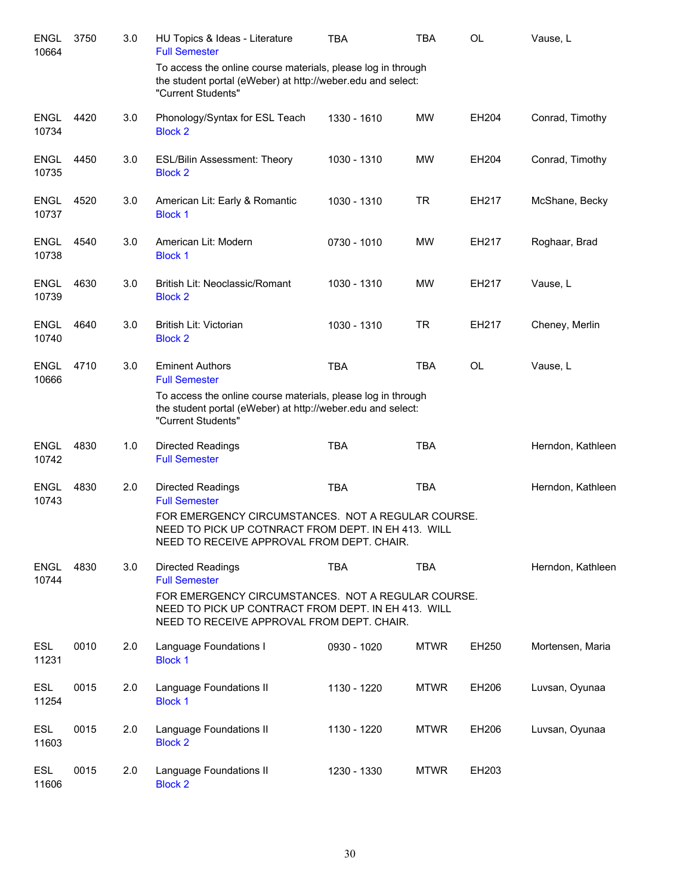| <b>ENGL</b><br>10664 | 3750 | 3.0 | HU Topics & Ideas - Literature<br><b>Full Semester</b>                                                                                                  | <b>TBA</b>  | <b>TBA</b>  | <b>OL</b> | Vause, L          |
|----------------------|------|-----|---------------------------------------------------------------------------------------------------------------------------------------------------------|-------------|-------------|-----------|-------------------|
|                      |      |     | To access the online course materials, please log in through<br>the student portal (eWeber) at http://weber.edu and select:<br>"Current Students"       |             |             |           |                   |
| <b>ENGL</b><br>10734 | 4420 | 3.0 | Phonology/Syntax for ESL Teach<br><b>Block 2</b>                                                                                                        | 1330 - 1610 | MW          | EH204     | Conrad, Timothy   |
| ENGL<br>10735        | 4450 | 3.0 | <b>ESL/Bilin Assessment: Theory</b><br><b>Block 2</b>                                                                                                   | 1030 - 1310 | <b>MW</b>   | EH204     | Conrad, Timothy   |
| <b>ENGL</b><br>10737 | 4520 | 3.0 | American Lit: Early & Romantic<br><b>Block 1</b>                                                                                                        | 1030 - 1310 | <b>TR</b>   | EH217     | McShane, Becky    |
| <b>ENGL</b><br>10738 | 4540 | 3.0 | American Lit: Modern<br><b>Block 1</b>                                                                                                                  | 0730 - 1010 | MW          | EH217     | Roghaar, Brad     |
| <b>ENGL</b><br>10739 | 4630 | 3.0 | British Lit: Neoclassic/Romant<br><b>Block 2</b>                                                                                                        | 1030 - 1310 | MW          | EH217     | Vause, L          |
| <b>ENGL</b><br>10740 | 4640 | 3.0 | British Lit: Victorian<br><b>Block 2</b>                                                                                                                | 1030 - 1310 | <b>TR</b>   | EH217     | Cheney, Merlin    |
| <b>ENGL</b><br>10666 | 4710 | 3.0 | <b>Eminent Authors</b><br><b>Full Semester</b>                                                                                                          | <b>TBA</b>  | <b>TBA</b>  | <b>OL</b> | Vause, L          |
|                      |      |     | To access the online course materials, please log in through<br>the student portal (eWeber) at http://weber.edu and select:<br>"Current Students"       |             |             |           |                   |
| <b>ENGL</b><br>10742 | 4830 | 1.0 | <b>Directed Readings</b><br><b>Full Semester</b>                                                                                                        | <b>TBA</b>  | <b>TBA</b>  |           | Herndon, Kathleen |
| <b>ENGL</b><br>10743 | 4830 | 2.0 | <b>Directed Readings</b><br><b>Full Semester</b>                                                                                                        | <b>TBA</b>  | <b>TBA</b>  |           | Herndon, Kathleen |
|                      |      |     | FOR EMERGENCY CIRCUMSTANCES. NOT A REGULAR COURSE.<br>NEED TO PICK UP COTNRACT FROM DEPT. IN EH 413. WILL<br>NEED TO RECEIVE APPROVAL FROM DEPT. CHAIR. |             |             |           |                   |
| <b>ENGL</b><br>10744 | 4830 | 3.0 | <b>Directed Readings</b><br><b>Full Semester</b>                                                                                                        | <b>TBA</b>  | <b>TBA</b>  |           | Herndon, Kathleen |
|                      |      |     | FOR EMERGENCY CIRCUMSTANCES. NOT A REGULAR COURSE.<br>NEED TO PICK UP CONTRACT FROM DEPT. IN EH 413. WILL<br>NEED TO RECEIVE APPROVAL FROM DEPT. CHAIR. |             |             |           |                   |
| ESL<br>11231         | 0010 | 2.0 | Language Foundations I<br><b>Block 1</b>                                                                                                                | 0930 - 1020 | <b>MTWR</b> | EH250     | Mortensen, Maria  |
| <b>ESL</b><br>11254  | 0015 | 2.0 | Language Foundations II<br><b>Block 1</b>                                                                                                               | 1130 - 1220 | <b>MTWR</b> | EH206     | Luvsan, Oyunaa    |
| <b>ESL</b><br>11603  | 0015 | 2.0 | Language Foundations II<br><b>Block 2</b>                                                                                                               | 1130 - 1220 | <b>MTWR</b> | EH206     | Luvsan, Oyunaa    |
| <b>ESL</b><br>11606  | 0015 | 2.0 | Language Foundations II<br><b>Block 2</b>                                                                                                               | 1230 - 1330 | <b>MTWR</b> | EH203     |                   |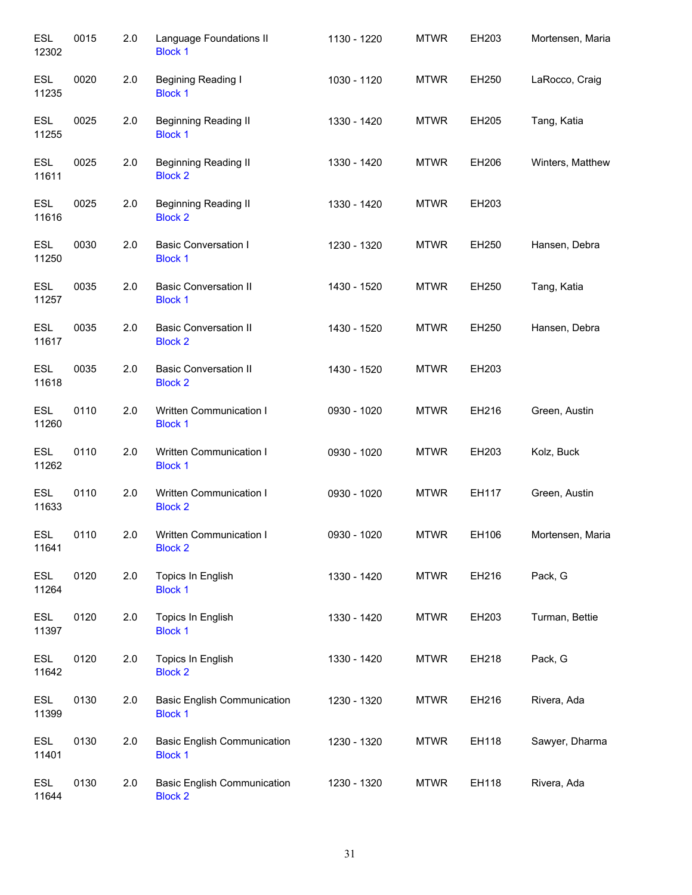| <b>ESL</b><br>12302 | 0015 | 2.0 | Language Foundations II<br><b>Block 1</b>            | 1130 - 1220 | <b>MTWR</b> | EH203 | Mortensen, Maria |
|---------------------|------|-----|------------------------------------------------------|-------------|-------------|-------|------------------|
| <b>ESL</b><br>11235 | 0020 | 2.0 | Begining Reading I<br><b>Block 1</b>                 | 1030 - 1120 | <b>MTWR</b> | EH250 | LaRocco, Craig   |
| <b>ESL</b><br>11255 | 0025 | 2.0 | <b>Beginning Reading II</b><br><b>Block 1</b>        | 1330 - 1420 | <b>MTWR</b> | EH205 | Tang, Katia      |
| <b>ESL</b><br>11611 | 0025 | 2.0 | <b>Beginning Reading II</b><br><b>Block 2</b>        | 1330 - 1420 | <b>MTWR</b> | EH206 | Winters, Matthew |
| <b>ESL</b><br>11616 | 0025 | 2.0 | <b>Beginning Reading II</b><br><b>Block 2</b>        | 1330 - 1420 | <b>MTWR</b> | EH203 |                  |
| <b>ESL</b><br>11250 | 0030 | 2.0 | <b>Basic Conversation I</b><br><b>Block 1</b>        | 1230 - 1320 | <b>MTWR</b> | EH250 | Hansen, Debra    |
| <b>ESL</b><br>11257 | 0035 | 2.0 | <b>Basic Conversation II</b><br><b>Block 1</b>       | 1430 - 1520 | <b>MTWR</b> | EH250 | Tang, Katia      |
| <b>ESL</b><br>11617 | 0035 | 2.0 | <b>Basic Conversation II</b><br><b>Block 2</b>       | 1430 - 1520 | <b>MTWR</b> | EH250 | Hansen, Debra    |
| <b>ESL</b><br>11618 | 0035 | 2.0 | <b>Basic Conversation II</b><br><b>Block 2</b>       | 1430 - 1520 | <b>MTWR</b> | EH203 |                  |
| <b>ESL</b><br>11260 | 0110 | 2.0 | Written Communication I<br><b>Block 1</b>            | 0930 - 1020 | <b>MTWR</b> | EH216 | Green, Austin    |
| <b>ESL</b><br>11262 | 0110 | 2.0 | Written Communication I<br><b>Block 1</b>            | 0930 - 1020 | <b>MTWR</b> | EH203 | Kolz, Buck       |
| <b>ESL</b><br>11633 | 0110 | 2.0 | Written Communication I<br><b>Block 2</b>            | 0930 - 1020 | <b>MTWR</b> | EH117 | Green, Austin    |
| <b>ESL</b><br>11641 | 0110 | 2.0 | Written Communication I<br><b>Block 2</b>            | 0930 - 1020 | <b>MTWR</b> | EH106 | Mortensen, Maria |
| <b>ESL</b><br>11264 | 0120 | 2.0 | Topics In English<br><b>Block 1</b>                  | 1330 - 1420 | <b>MTWR</b> | EH216 | Pack, G          |
| <b>ESL</b><br>11397 | 0120 | 2.0 | Topics In English<br><b>Block 1</b>                  | 1330 - 1420 | <b>MTWR</b> | EH203 | Turman, Bettie   |
| <b>ESL</b><br>11642 | 0120 | 2.0 | Topics In English<br><b>Block 2</b>                  | 1330 - 1420 | <b>MTWR</b> | EH218 | Pack, G          |
| <b>ESL</b><br>11399 | 0130 | 2.0 | <b>Basic English Communication</b><br><b>Block 1</b> | 1230 - 1320 | <b>MTWR</b> | EH216 | Rivera, Ada      |
| <b>ESL</b><br>11401 | 0130 | 2.0 | <b>Basic English Communication</b><br><b>Block 1</b> | 1230 - 1320 | <b>MTWR</b> | EH118 | Sawyer, Dharma   |
| <b>ESL</b><br>11644 | 0130 | 2.0 | <b>Basic English Communication</b><br><b>Block 2</b> | 1230 - 1320 | <b>MTWR</b> | EH118 | Rivera, Ada      |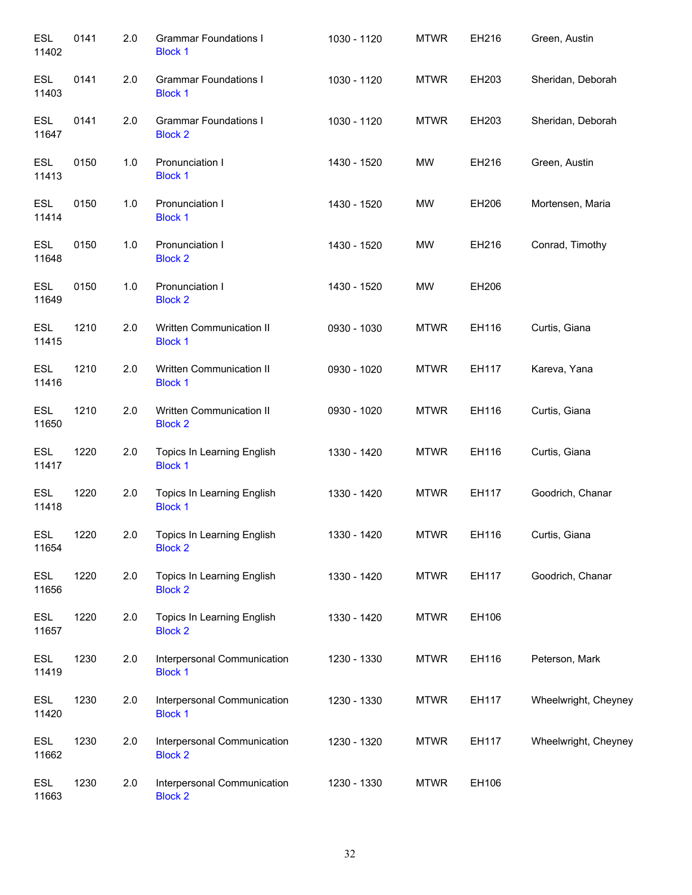| <b>ESL</b><br>11402 | 0141 | 2.0 | <b>Grammar Foundations I</b><br><b>Block 1</b> | 1030 - 1120 | <b>MTWR</b> | EH216 | Green, Austin        |
|---------------------|------|-----|------------------------------------------------|-------------|-------------|-------|----------------------|
| <b>ESL</b><br>11403 | 0141 | 2.0 | <b>Grammar Foundations I</b><br><b>Block 1</b> | 1030 - 1120 | <b>MTWR</b> | EH203 | Sheridan, Deborah    |
| <b>ESL</b><br>11647 | 0141 | 2.0 | <b>Grammar Foundations I</b><br><b>Block 2</b> | 1030 - 1120 | <b>MTWR</b> | EH203 | Sheridan, Deborah    |
| <b>ESL</b><br>11413 | 0150 | 1.0 | Pronunciation I<br><b>Block 1</b>              | 1430 - 1520 | MW          | EH216 | Green, Austin        |
| <b>ESL</b><br>11414 | 0150 | 1.0 | Pronunciation I<br><b>Block 1</b>              | 1430 - 1520 | MW          | EH206 | Mortensen, Maria     |
| <b>ESL</b><br>11648 | 0150 | 1.0 | Pronunciation I<br><b>Block 2</b>              | 1430 - 1520 | <b>MW</b>   | EH216 | Conrad, Timothy      |
| <b>ESL</b><br>11649 | 0150 | 1.0 | Pronunciation I<br><b>Block 2</b>              | 1430 - 1520 | <b>MW</b>   | EH206 |                      |
| <b>ESL</b><br>11415 | 1210 | 2.0 | Written Communication II<br><b>Block 1</b>     | 0930 - 1030 | <b>MTWR</b> | EH116 | Curtis, Giana        |
| <b>ESL</b><br>11416 | 1210 | 2.0 | Written Communication II<br><b>Block 1</b>     | 0930 - 1020 | <b>MTWR</b> | EH117 | Kareva, Yana         |
| <b>ESL</b><br>11650 | 1210 | 2.0 | Written Communication II<br><b>Block 2</b>     | 0930 - 1020 | <b>MTWR</b> | EH116 | Curtis, Giana        |
| <b>ESL</b><br>11417 | 1220 | 2.0 | Topics In Learning English<br><b>Block 1</b>   | 1330 - 1420 | <b>MTWR</b> | EH116 | Curtis, Giana        |
| <b>ESL</b><br>11418 | 1220 | 2.0 | Topics In Learning English<br><b>Block 1</b>   | 1330 - 1420 | <b>MTWR</b> | EH117 | Goodrich, Chanar     |
| <b>ESL</b><br>11654 | 1220 | 2.0 | Topics In Learning English<br><b>Block 2</b>   | 1330 - 1420 | <b>MTWR</b> | EH116 | Curtis, Giana        |
| <b>ESL</b><br>11656 | 1220 | 2.0 | Topics In Learning English<br><b>Block 2</b>   | 1330 - 1420 | <b>MTWR</b> | EH117 | Goodrich, Chanar     |
| <b>ESL</b><br>11657 | 1220 | 2.0 | Topics In Learning English<br><b>Block 2</b>   | 1330 - 1420 | <b>MTWR</b> | EH106 |                      |
| <b>ESL</b><br>11419 | 1230 | 2.0 | Interpersonal Communication<br><b>Block 1</b>  | 1230 - 1330 | <b>MTWR</b> | EH116 | Peterson, Mark       |
| <b>ESL</b><br>11420 | 1230 | 2.0 | Interpersonal Communication<br><b>Block 1</b>  | 1230 - 1330 | <b>MTWR</b> | EH117 | Wheelwright, Cheyney |
| <b>ESL</b><br>11662 | 1230 | 2.0 | Interpersonal Communication<br><b>Block 2</b>  | 1230 - 1320 | <b>MTWR</b> | EH117 | Wheelwright, Cheyney |
| <b>ESL</b><br>11663 | 1230 | 2.0 | Interpersonal Communication<br><b>Block 2</b>  | 1230 - 1330 | <b>MTWR</b> | EH106 |                      |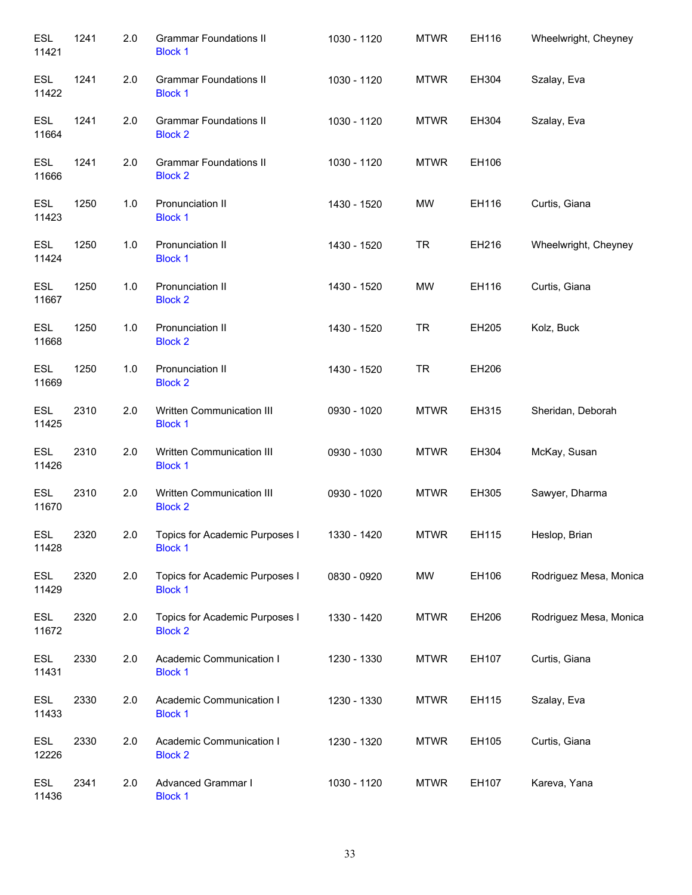| <b>ESL</b><br>11421 | 1241 | 2.0 | <b>Grammar Foundations II</b><br><b>Block 1</b>  | 1030 - 1120 | <b>MTWR</b> | EH116 | Wheelwright, Cheyney   |
|---------------------|------|-----|--------------------------------------------------|-------------|-------------|-------|------------------------|
| ESL<br>11422        | 1241 | 2.0 | <b>Grammar Foundations II</b><br><b>Block 1</b>  | 1030 - 1120 | <b>MTWR</b> | EH304 | Szalay, Eva            |
| <b>ESL</b><br>11664 | 1241 | 2.0 | <b>Grammar Foundations II</b><br><b>Block 2</b>  | 1030 - 1120 | <b>MTWR</b> | EH304 | Szalay, Eva            |
| <b>ESL</b><br>11666 | 1241 | 2.0 | <b>Grammar Foundations II</b><br><b>Block 2</b>  | 1030 - 1120 | <b>MTWR</b> | EH106 |                        |
| <b>ESL</b><br>11423 | 1250 | 1.0 | Pronunciation II<br><b>Block 1</b>               | 1430 - 1520 | MW          | EH116 | Curtis, Giana          |
| <b>ESL</b><br>11424 | 1250 | 1.0 | Pronunciation II<br><b>Block 1</b>               | 1430 - 1520 | <b>TR</b>   | EH216 | Wheelwright, Cheyney   |
| <b>ESL</b><br>11667 | 1250 | 1.0 | Pronunciation II<br><b>Block 2</b>               | 1430 - 1520 | MW          | EH116 | Curtis, Giana          |
| <b>ESL</b><br>11668 | 1250 | 1.0 | Pronunciation II<br><b>Block 2</b>               | 1430 - 1520 | <b>TR</b>   | EH205 | Kolz, Buck             |
| <b>ESL</b><br>11669 | 1250 | 1.0 | Pronunciation II<br><b>Block 2</b>               | 1430 - 1520 | <b>TR</b>   | EH206 |                        |
| <b>ESL</b><br>11425 | 2310 | 2.0 | Written Communication III<br><b>Block 1</b>      | 0930 - 1020 | <b>MTWR</b> | EH315 | Sheridan, Deborah      |
| <b>ESL</b><br>11426 | 2310 | 2.0 | Written Communication III<br><b>Block 1</b>      | 0930 - 1030 | <b>MTWR</b> | EH304 | McKay, Susan           |
| ESL<br>11670        | 2310 | 2.0 | Written Communication III<br><b>Block 2</b>      | 0930 - 1020 | <b>MTWR</b> | EH305 | Sawyer, Dharma         |
| <b>ESL</b><br>11428 | 2320 | 2.0 | Topics for Academic Purposes I<br><b>Block 1</b> | 1330 - 1420 | <b>MTWR</b> | EH115 | Heslop, Brian          |
| <b>ESL</b><br>11429 | 2320 | 2.0 | Topics for Academic Purposes I<br><b>Block 1</b> | 0830 - 0920 | <b>MW</b>   | EH106 | Rodriguez Mesa, Monica |
| <b>ESL</b><br>11672 | 2320 | 2.0 | Topics for Academic Purposes I<br><b>Block 2</b> | 1330 - 1420 | <b>MTWR</b> | EH206 | Rodriguez Mesa, Monica |
| <b>ESL</b><br>11431 | 2330 | 2.0 | Academic Communication I<br><b>Block 1</b>       | 1230 - 1330 | <b>MTWR</b> | EH107 | Curtis, Giana          |
| ESL<br>11433        | 2330 | 2.0 | Academic Communication I<br><b>Block 1</b>       | 1230 - 1330 | <b>MTWR</b> | EH115 | Szalay, Eva            |
| ESL<br>12226        | 2330 | 2.0 | Academic Communication I<br><b>Block 2</b>       | 1230 - 1320 | <b>MTWR</b> | EH105 | Curtis, Giana          |
| <b>ESL</b><br>11436 | 2341 | 2.0 | Advanced Grammar I<br><b>Block 1</b>             | 1030 - 1120 | <b>MTWR</b> | EH107 | Kareva, Yana           |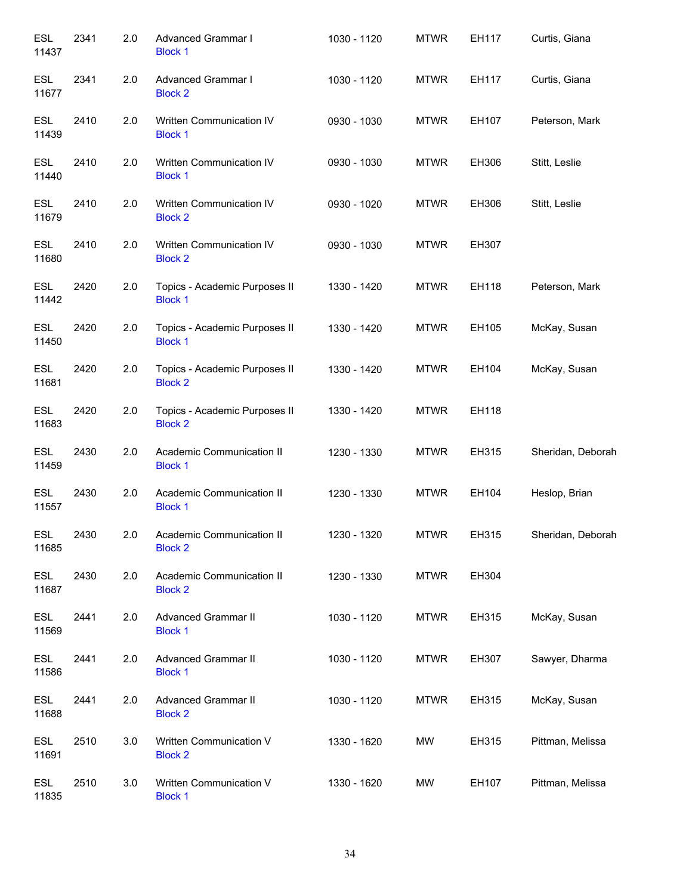| <b>ESL</b><br>11437 | 2341 | 2.0 | <b>Advanced Grammar I</b><br><b>Block 1</b>     | 1030 - 1120 | <b>MTWR</b> | EH117 | Curtis, Giana     |
|---------------------|------|-----|-------------------------------------------------|-------------|-------------|-------|-------------------|
| <b>ESL</b><br>11677 | 2341 | 2.0 | Advanced Grammar I<br><b>Block 2</b>            | 1030 - 1120 | <b>MTWR</b> | EH117 | Curtis, Giana     |
| <b>ESL</b><br>11439 | 2410 | 2.0 | Written Communication IV<br><b>Block 1</b>      | 0930 - 1030 | <b>MTWR</b> | EH107 | Peterson, Mark    |
| ESL<br>11440        | 2410 | 2.0 | Written Communication IV<br><b>Block 1</b>      | 0930 - 1030 | <b>MTWR</b> | EH306 | Stitt, Leslie     |
| <b>ESL</b><br>11679 | 2410 | 2.0 | Written Communication IV<br><b>Block 2</b>      | 0930 - 1020 | <b>MTWR</b> | EH306 | Stitt, Leslie     |
| <b>ESL</b><br>11680 | 2410 | 2.0 | Written Communication IV<br><b>Block 2</b>      | 0930 - 1030 | <b>MTWR</b> | EH307 |                   |
| <b>ESL</b><br>11442 | 2420 | 2.0 | Topics - Academic Purposes II<br><b>Block 1</b> | 1330 - 1420 | <b>MTWR</b> | EH118 | Peterson, Mark    |
| <b>ESL</b><br>11450 | 2420 | 2.0 | Topics - Academic Purposes II<br><b>Block 1</b> | 1330 - 1420 | <b>MTWR</b> | EH105 | McKay, Susan      |
| <b>ESL</b><br>11681 | 2420 | 2.0 | Topics - Academic Purposes II<br><b>Block 2</b> | 1330 - 1420 | <b>MTWR</b> | EH104 | McKay, Susan      |
| <b>ESL</b><br>11683 | 2420 | 2.0 | Topics - Academic Purposes II<br><b>Block 2</b> | 1330 - 1420 | <b>MTWR</b> | EH118 |                   |
| ESL<br>11459        | 2430 | 2.0 | Academic Communication II<br><b>Block 1</b>     | 1230 - 1330 | <b>MTWR</b> | EH315 | Sheridan, Deborah |
| <b>ESL</b><br>11557 | 2430 | 2.0 | Academic Communication II<br><b>Block 1</b>     | 1230 - 1330 | <b>MTWR</b> | EH104 | Heslop, Brian     |
| ESL<br>11685        | 2430 | 2.0 | Academic Communication II<br><b>Block 2</b>     | 1230 - 1320 | <b>MTWR</b> | EH315 | Sheridan, Deborah |
| <b>ESL</b><br>11687 | 2430 | 2.0 | Academic Communication II<br><b>Block 2</b>     | 1230 - 1330 | <b>MTWR</b> | EH304 |                   |
| <b>ESL</b><br>11569 | 2441 | 2.0 | Advanced Grammar II<br><b>Block 1</b>           | 1030 - 1120 | <b>MTWR</b> | EH315 | McKay, Susan      |
| <b>ESL</b><br>11586 | 2441 | 2.0 | Advanced Grammar II<br><b>Block 1</b>           | 1030 - 1120 | <b>MTWR</b> | EH307 | Sawyer, Dharma    |
| <b>ESL</b><br>11688 | 2441 | 2.0 | Advanced Grammar II<br><b>Block 2</b>           | 1030 - 1120 | <b>MTWR</b> | EH315 | McKay, Susan      |
| <b>ESL</b><br>11691 | 2510 | 3.0 | Written Communication V<br><b>Block 2</b>       | 1330 - 1620 | MW          | EH315 | Pittman, Melissa  |
| <b>ESL</b><br>11835 | 2510 | 3.0 | Written Communication V<br><b>Block 1</b>       | 1330 - 1620 | MW          | EH107 | Pittman, Melissa  |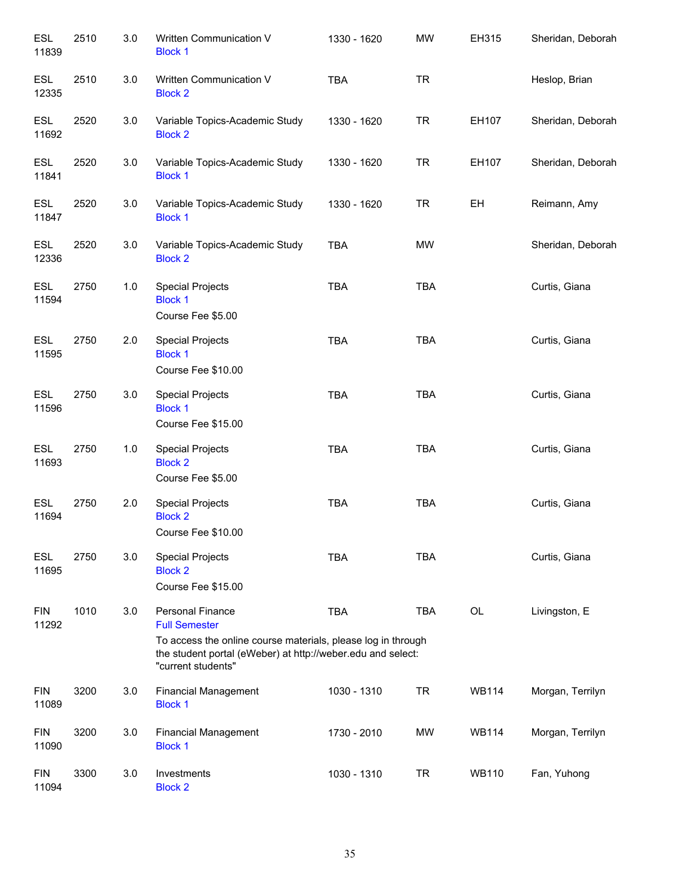| <b>ESL</b><br>11839 | 2510 | 3.0   | Written Communication V<br><b>Block 1</b>                                                                                                                                                            | 1330 - 1620 | <b>MW</b>  | EH315        | Sheridan, Deborah |
|---------------------|------|-------|------------------------------------------------------------------------------------------------------------------------------------------------------------------------------------------------------|-------------|------------|--------------|-------------------|
| <b>ESL</b><br>12335 | 2510 | 3.0   | Written Communication V<br><b>Block 2</b>                                                                                                                                                            | <b>TBA</b>  | <b>TR</b>  |              | Heslop, Brian     |
| <b>ESL</b><br>11692 | 2520 | 3.0   | Variable Topics-Academic Study<br><b>Block 2</b>                                                                                                                                                     | 1330 - 1620 | <b>TR</b>  | EH107        | Sheridan, Deborah |
| <b>ESL</b><br>11841 | 2520 | 3.0   | Variable Topics-Academic Study<br><b>Block 1</b>                                                                                                                                                     | 1330 - 1620 | <b>TR</b>  | EH107        | Sheridan, Deborah |
| ESL<br>11847        | 2520 | 3.0   | Variable Topics-Academic Study<br><b>Block 1</b>                                                                                                                                                     | 1330 - 1620 | <b>TR</b>  | EH           | Reimann, Amy      |
| <b>ESL</b><br>12336 | 2520 | 3.0   | Variable Topics-Academic Study<br><b>Block 2</b>                                                                                                                                                     | TBA         | MW         |              | Sheridan, Deborah |
| <b>ESL</b><br>11594 | 2750 | $1.0$ | <b>Special Projects</b><br><b>Block 1</b><br>Course Fee \$5.00                                                                                                                                       | <b>TBA</b>  | <b>TBA</b> |              | Curtis, Giana     |
| <b>ESL</b><br>11595 | 2750 | 2.0   | <b>Special Projects</b><br><b>Block 1</b><br>Course Fee \$10.00                                                                                                                                      | <b>TBA</b>  | <b>TBA</b> |              | Curtis, Giana     |
| <b>ESL</b><br>11596 | 2750 | 3.0   | <b>Special Projects</b><br><b>Block 1</b><br>Course Fee \$15.00                                                                                                                                      | <b>TBA</b>  | <b>TBA</b> |              | Curtis, Giana     |
| <b>ESL</b><br>11693 | 2750 | 1.0   | <b>Special Projects</b><br><b>Block 2</b><br>Course Fee \$5.00                                                                                                                                       | <b>TBA</b>  | <b>TBA</b> |              | Curtis, Giana     |
| <b>ESL</b><br>11694 | 2750 | 2.0   | <b>Special Projects</b><br><b>Block 2</b><br>Course Fee \$10.00                                                                                                                                      | <b>TBA</b>  | <b>TBA</b> |              | Curtis, Giana     |
| <b>ESL</b><br>11695 | 2750 | 3.0   | <b>Special Projects</b><br><b>Block 2</b><br>Course Fee \$15.00                                                                                                                                      | <b>TBA</b>  | <b>TBA</b> |              | Curtis, Giana     |
| <b>FIN</b><br>11292 | 1010 | 3.0   | <b>Personal Finance</b><br><b>Full Semester</b><br>To access the online course materials, please log in through<br>the student portal (eWeber) at http://weber.edu and select:<br>"current students" | <b>TBA</b>  | <b>TBA</b> | OL           | Livingston, E     |
| <b>FIN</b><br>11089 | 3200 | 3.0   | <b>Financial Management</b><br><b>Block 1</b>                                                                                                                                                        | 1030 - 1310 | <b>TR</b>  | <b>WB114</b> | Morgan, Terrilyn  |
| <b>FIN</b><br>11090 | 3200 | 3.0   | <b>Financial Management</b><br><b>Block 1</b>                                                                                                                                                        | 1730 - 2010 | MW         | <b>WB114</b> | Morgan, Terrilyn  |
| <b>FIN</b><br>11094 | 3300 | 3.0   | Investments<br><b>Block 2</b>                                                                                                                                                                        | 1030 - 1310 | <b>TR</b>  | <b>WB110</b> | Fan, Yuhong       |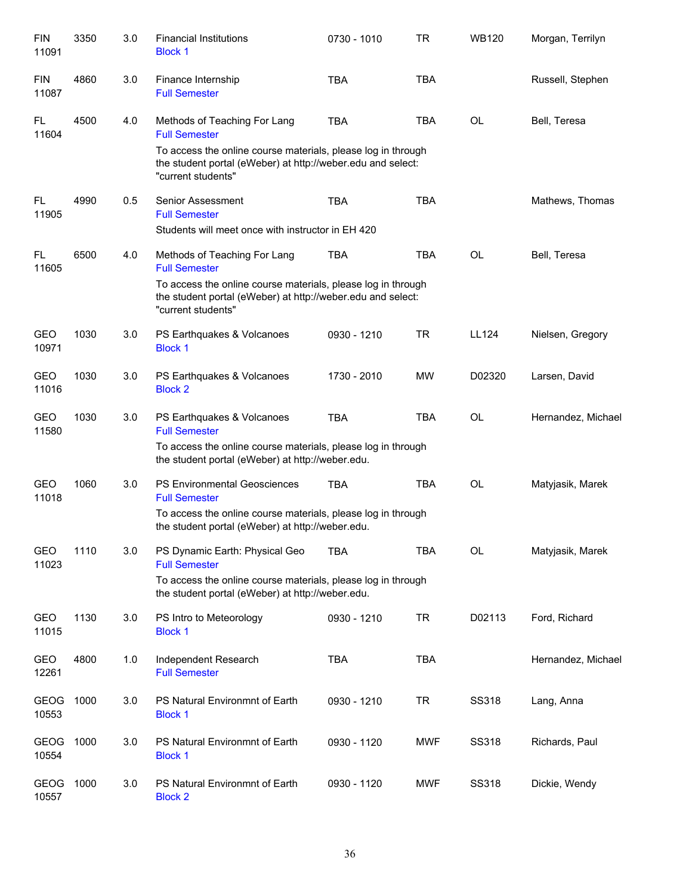| <b>FIN</b><br>11091  | 3350 | 3.0 | <b>Financial Institutions</b><br><b>Block 1</b>                                                                                                                                                                                     | 0730 - 1010 | TR         | <b>WB120</b> | Morgan, Terrilyn   |
|----------------------|------|-----|-------------------------------------------------------------------------------------------------------------------------------------------------------------------------------------------------------------------------------------|-------------|------------|--------------|--------------------|
| <b>FIN</b><br>11087  | 4860 | 3.0 | Finance Internship<br><b>Full Semester</b>                                                                                                                                                                                          | <b>TBA</b>  | <b>TBA</b> |              | Russell, Stephen   |
| FL.<br>11604         | 4500 | 4.0 | Methods of Teaching For Lang<br><b>Full Semester</b><br>To access the online course materials, please log in through<br>the student portal (eWeber) at http://weber.edu and select:<br>"current students"                           | <b>TBA</b>  | <b>TBA</b> | <b>OL</b>    | Bell, Teresa       |
| FL<br>11905          | 4990 | 0.5 | Senior Assessment<br><b>Full Semester</b><br>Students will meet once with instructor in EH 420                                                                                                                                      | <b>TBA</b>  | <b>TBA</b> |              | Mathews, Thomas    |
| FL.<br>11605         | 6500 | 4.0 | Methods of Teaching For Lang<br><b>Full Semester</b><br>To access the online course materials, please log in through<br>the student portal (eWeber) at http://weber.edu and select:<br>"current students"                           | <b>TBA</b>  | <b>TBA</b> | <b>OL</b>    | Bell, Teresa       |
| GEO<br>10971         | 1030 | 3.0 | PS Earthquakes & Volcanoes<br><b>Block 1</b>                                                                                                                                                                                        | 0930 - 1210 | <b>TR</b>  | LL124        | Nielsen, Gregory   |
| GEO<br>11016         | 1030 | 3.0 | PS Earthquakes & Volcanoes<br><b>Block 2</b>                                                                                                                                                                                        | 1730 - 2010 | <b>MW</b>  | D02320       | Larsen, David      |
| <b>GEO</b><br>11580  | 1030 | 3.0 | PS Earthquakes & Volcanoes<br><b>Full Semester</b><br>To access the online course materials, please log in through                                                                                                                  | <b>TBA</b>  | <b>TBA</b> | <b>OL</b>    | Hernandez, Michael |
| GEO<br>11018         | 1060 | 3.0 | the student portal (eWeber) at http://weber.edu.<br><b>PS Environmental Geosciences</b><br><b>Full Semester</b><br>To access the online course materials, please log in through<br>the student portal (eWeber) at http://weber.edu. | <b>TBA</b>  | <b>TBA</b> | OL           | Matyjasik, Marek   |
| GEO<br>11023         | 1110 | 3.0 | PS Dynamic Earth: Physical Geo<br><b>Full Semester</b><br>To access the online course materials, please log in through<br>the student portal (eWeber) at http://weber.edu.                                                          | <b>TBA</b>  | <b>TBA</b> | OL           | Matyjasik, Marek   |
| GEO<br>11015         | 1130 | 3.0 | PS Intro to Meteorology<br><b>Block 1</b>                                                                                                                                                                                           | 0930 - 1210 | <b>TR</b>  | D02113       | Ford, Richard      |
| GEO<br>12261         | 4800 | 1.0 | Independent Research<br><b>Full Semester</b>                                                                                                                                                                                        | <b>TBA</b>  | <b>TBA</b> |              | Hernandez, Michael |
| <b>GEOG</b><br>10553 | 1000 | 3.0 | PS Natural Environmnt of Earth<br><b>Block 1</b>                                                                                                                                                                                    | 0930 - 1210 | <b>TR</b>  | SS318        | Lang, Anna         |
| <b>GEOG</b><br>10554 | 1000 | 3.0 | PS Natural Environmnt of Earth<br><b>Block 1</b>                                                                                                                                                                                    | 0930 - 1120 | <b>MWF</b> | SS318        | Richards, Paul     |
| <b>GEOG</b><br>10557 | 1000 | 3.0 | PS Natural Environmnt of Earth<br><b>Block 2</b>                                                                                                                                                                                    | 0930 - 1120 | <b>MWF</b> | SS318        | Dickie, Wendy      |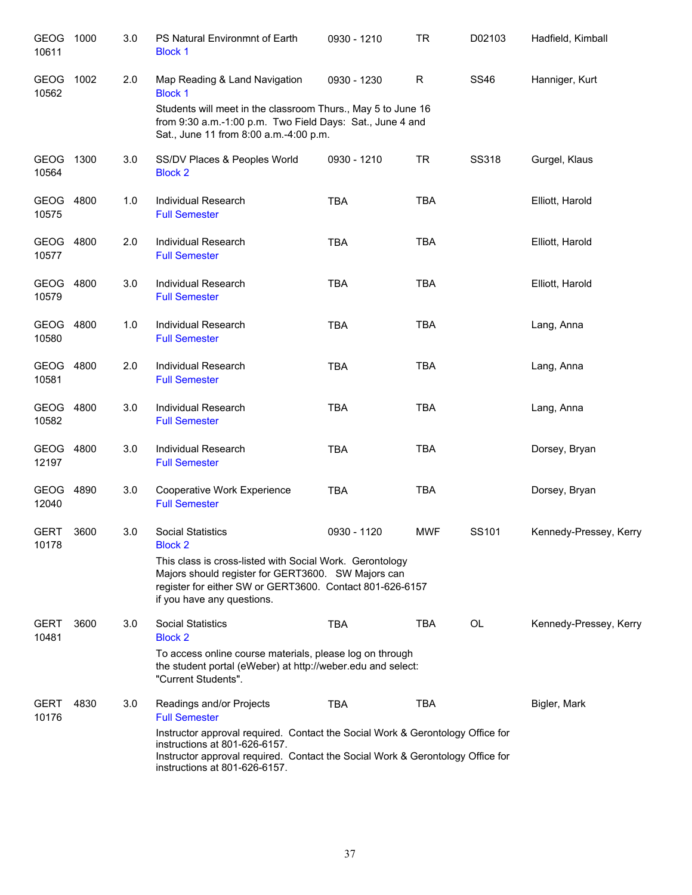| <b>GEOG</b><br>10611 | 1000 | 3.0 | PS Natural Environmnt of Earth<br><b>Block 1</b>                                                                                                                                                                                   | 0930 - 1210 | <b>TR</b>    | D02103       | Hadfield, Kimball      |
|----------------------|------|-----|------------------------------------------------------------------------------------------------------------------------------------------------------------------------------------------------------------------------------------|-------------|--------------|--------------|------------------------|
| GEOG<br>10562        | 1002 | 2.0 | Map Reading & Land Navigation<br><b>Block 1</b>                                                                                                                                                                                    | 0930 - 1230 | $\mathsf{R}$ | <b>SS46</b>  | Hanniger, Kurt         |
|                      |      |     | Students will meet in the classroom Thurs., May 5 to June 16<br>from 9:30 a.m.-1:00 p.m. Two Field Days: Sat., June 4 and<br>Sat., June 11 from 8:00 a.m.-4:00 p.m.                                                                |             |              |              |                        |
| <b>GEOG</b><br>10564 | 1300 | 3.0 | SS/DV Places & Peoples World<br><b>Block 2</b>                                                                                                                                                                                     | 0930 - 1210 | <b>TR</b>    | <b>SS318</b> | Gurgel, Klaus          |
| GEOG 4800<br>10575   |      | 1.0 | <b>Individual Research</b><br><b>Full Semester</b>                                                                                                                                                                                 | <b>TBA</b>  | <b>TBA</b>   |              | Elliott, Harold        |
| GEOG<br>10577        | 4800 | 2.0 | <b>Individual Research</b><br><b>Full Semester</b>                                                                                                                                                                                 | <b>TBA</b>  | <b>TBA</b>   |              | Elliott, Harold        |
| GEOG<br>10579        | 4800 | 3.0 | Individual Research<br><b>Full Semester</b>                                                                                                                                                                                        | <b>TBA</b>  | <b>TBA</b>   |              | Elliott, Harold        |
| GEOG<br>10580        | 4800 | 1.0 | Individual Research<br><b>Full Semester</b>                                                                                                                                                                                        | <b>TBA</b>  | <b>TBA</b>   |              | Lang, Anna             |
| GEOG<br>10581        | 4800 | 2.0 | Individual Research<br><b>Full Semester</b>                                                                                                                                                                                        | <b>TBA</b>  | <b>TBA</b>   |              | Lang, Anna             |
| GEOG 4800<br>10582   |      | 3.0 | Individual Research<br><b>Full Semester</b>                                                                                                                                                                                        | <b>TBA</b>  | <b>TBA</b>   |              | Lang, Anna             |
| GEOG<br>12197        | 4800 | 3.0 | Individual Research<br><b>Full Semester</b>                                                                                                                                                                                        | <b>TBA</b>  | <b>TBA</b>   |              | Dorsey, Bryan          |
| <b>GEOG</b><br>12040 | 4890 | 3.0 | Cooperative Work Experience<br><b>Full Semester</b>                                                                                                                                                                                | <b>TBA</b>  | <b>TBA</b>   |              | Dorsey, Bryan          |
| <b>GERT</b><br>10178 | 3600 | 3.0 | <b>Social Statistics</b><br><b>Block 2</b>                                                                                                                                                                                         | 0930 - 1120 | <b>MWF</b>   | SS101        | Kennedy-Pressey, Kerry |
|                      |      |     | This class is cross-listed with Social Work. Gerontology<br>Majors should register for GERT3600. SW Majors can<br>register for either SW or GERT3600. Contact 801-626-6157<br>if you have any questions.                           |             |              |              |                        |
| <b>GERT</b><br>10481 | 3600 | 3.0 | <b>Social Statistics</b><br><b>Block 2</b>                                                                                                                                                                                         | <b>TBA</b>  | <b>TBA</b>   | OL           | Kennedy-Pressey, Kerry |
|                      |      |     | To access online course materials, please log on through<br>the student portal (eWeber) at http://weber.edu and select:<br>"Current Students".                                                                                     |             |              |              |                        |
| <b>GERT</b><br>10176 | 4830 | 3.0 | Readings and/or Projects<br><b>Full Semester</b>                                                                                                                                                                                   | TBA         | TBA          |              | Bigler, Mark           |
|                      |      |     | Instructor approval required. Contact the Social Work & Gerontology Office for<br>instructions at 801-626-6157.<br>Instructor approval required. Contact the Social Work & Gerontology Office for<br>instructions at 801-626-6157. |             |              |              |                        |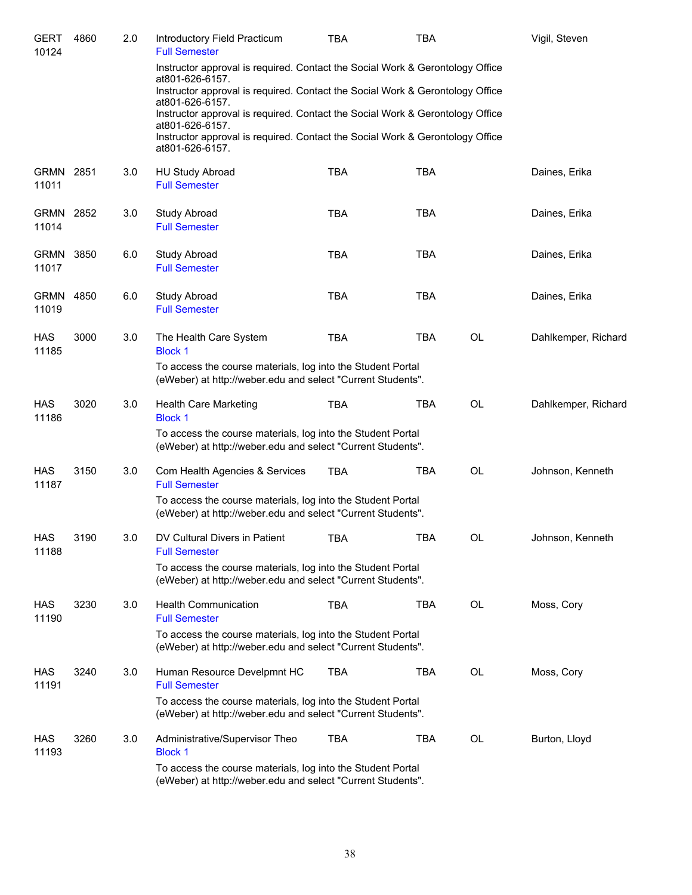| <b>GERT</b><br>10124 | 4860 | 2.0 | Introductory Field Practicum<br><b>Full Semester</b>                                                                       | TBA        | TBA        |    | Vigil, Steven       |
|----------------------|------|-----|----------------------------------------------------------------------------------------------------------------------------|------------|------------|----|---------------------|
|                      |      |     | Instructor approval is required. Contact the Social Work & Gerontology Office<br>at801-626-6157.                           |            |            |    |                     |
|                      |      |     | Instructor approval is required. Contact the Social Work & Gerontology Office<br>at801-626-6157.                           |            |            |    |                     |
|                      |      |     | Instructor approval is required. Contact the Social Work & Gerontology Office<br>at801-626-6157.                           |            |            |    |                     |
|                      |      |     | Instructor approval is required. Contact the Social Work & Gerontology Office<br>at801-626-6157.                           |            |            |    |                     |
| GRMN<br>11011        | 2851 | 3.0 | <b>HU Study Abroad</b><br><b>Full Semester</b>                                                                             | <b>TBA</b> | <b>TBA</b> |    | Daines, Erika       |
| <b>GRMN</b><br>11014 | 2852 | 3.0 | <b>Study Abroad</b><br><b>Full Semester</b>                                                                                | <b>TBA</b> | <b>TBA</b> |    | Daines, Erika       |
| <b>GRMN</b><br>11017 | 3850 | 6.0 | <b>Study Abroad</b><br><b>Full Semester</b>                                                                                | <b>TBA</b> | <b>TBA</b> |    | Daines, Erika       |
| <b>GRMN</b><br>11019 | 4850 | 6.0 | <b>Study Abroad</b><br><b>Full Semester</b>                                                                                | <b>TBA</b> | <b>TBA</b> |    | Daines, Erika       |
| <b>HAS</b><br>11185  | 3000 | 3.0 | The Health Care System<br><b>Block 1</b>                                                                                   | <b>TBA</b> | <b>TBA</b> | OL | Dahlkemper, Richard |
|                      |      |     | To access the course materials, log into the Student Portal<br>(eWeber) at http://weber.edu and select "Current Students". |            |            |    |                     |
| <b>HAS</b><br>11186  | 3020 | 3.0 | <b>Health Care Marketing</b><br><b>Block 1</b>                                                                             | TBA        | <b>TBA</b> | OL | Dahlkemper, Richard |
|                      |      |     | To access the course materials, log into the Student Portal<br>(eWeber) at http://weber.edu and select "Current Students". |            |            |    |                     |
| <b>HAS</b><br>11187  | 3150 | 3.0 | Com Health Agencies & Services<br><b>Full Semester</b>                                                                     | <b>TBA</b> | <b>TBA</b> | OL | Johnson, Kenneth    |
|                      |      |     | To access the course materials, log into the Student Portal<br>(eWeber) at http://weber.edu and select "Current Students". |            |            |    |                     |
| <b>HAS</b><br>11188  | 3190 | 3.0 | DV Cultural Divers in Patient<br><b>Full Semester</b>                                                                      | TBA        | <b>TBA</b> | OL | Johnson, Kenneth    |
|                      |      |     | To access the course materials, log into the Student Portal<br>(eWeber) at http://weber.edu and select "Current Students". |            |            |    |                     |
| HAS<br>11190         | 3230 | 3.0 | <b>Health Communication</b><br><b>Full Semester</b>                                                                        | <b>TBA</b> | TBA        | OL | Moss, Cory          |
|                      |      |     | To access the course materials, log into the Student Portal<br>(eWeber) at http://weber.edu and select "Current Students". |            |            |    |                     |
| HAS<br>11191         | 3240 | 3.0 | Human Resource Develpmnt HC<br><b>Full Semester</b>                                                                        | <b>TBA</b> | TBA        | OL | Moss, Cory          |
|                      |      |     | To access the course materials, log into the Student Portal<br>(eWeber) at http://weber.edu and select "Current Students". |            |            |    |                     |
| HAS<br>11193         | 3260 | 3.0 | Administrative/Supervisor Theo<br><b>Block 1</b>                                                                           | <b>TBA</b> | TBA        | OL | Burton, Lloyd       |
|                      |      |     | To access the course materials, log into the Student Portal<br>(eWeber) at http://weber.edu and select "Current Students". |            |            |    |                     |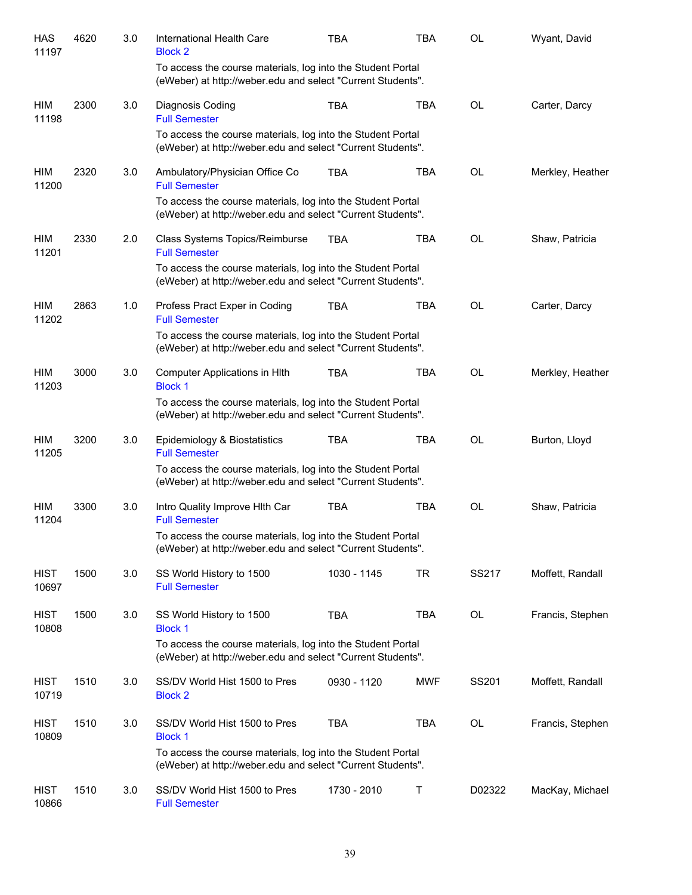| <b>HAS</b><br>11197  | 4620 | 3.0 | International Health Care<br><b>Block 2</b>                                                                                | <b>TBA</b>  | <b>TBA</b> | <b>OL</b> | Wyant, David     |
|----------------------|------|-----|----------------------------------------------------------------------------------------------------------------------------|-------------|------------|-----------|------------------|
|                      |      |     | To access the course materials, log into the Student Portal<br>(eWeber) at http://weber.edu and select "Current Students". |             |            |           |                  |
| HIM<br>11198         | 2300 | 3.0 | Diagnosis Coding<br><b>Full Semester</b>                                                                                   | <b>TBA</b>  | <b>TBA</b> | <b>OL</b> | Carter, Darcy    |
|                      |      |     | To access the course materials, log into the Student Portal<br>(eWeber) at http://weber.edu and select "Current Students". |             |            |           |                  |
| HIM<br>11200         | 2320 | 3.0 | Ambulatory/Physician Office Co<br><b>Full Semester</b>                                                                     | <b>TBA</b>  | <b>TBA</b> | OL        | Merkley, Heather |
|                      |      |     | To access the course materials, log into the Student Portal<br>(eWeber) at http://weber.edu and select "Current Students". |             |            |           |                  |
| HIM<br>11201         | 2330 | 2.0 | Class Systems Topics/Reimburse<br><b>Full Semester</b>                                                                     | <b>TBA</b>  | <b>TBA</b> | <b>OL</b> | Shaw, Patricia   |
|                      |      |     | To access the course materials, log into the Student Portal<br>(eWeber) at http://weber.edu and select "Current Students". |             |            |           |                  |
| HIM<br>11202         | 2863 | 1.0 | Profess Pract Exper in Coding<br><b>Full Semester</b>                                                                      | <b>TBA</b>  | <b>TBA</b> | <b>OL</b> | Carter, Darcy    |
|                      |      |     | To access the course materials, log into the Student Portal<br>(eWeber) at http://weber.edu and select "Current Students". |             |            |           |                  |
| HIM<br>11203         | 3000 | 3.0 | Computer Applications in HIth<br><b>Block 1</b>                                                                            | <b>TBA</b>  | <b>TBA</b> | <b>OL</b> | Merkley, Heather |
|                      |      |     | To access the course materials, log into the Student Portal<br>(eWeber) at http://weber.edu and select "Current Students". |             |            |           |                  |
| <b>HIM</b><br>11205  | 3200 | 3.0 | Epidemiology & Biostatistics<br><b>Full Semester</b>                                                                       | <b>TBA</b>  | <b>TBA</b> | <b>OL</b> | Burton, Lloyd    |
|                      |      |     | To access the course materials, log into the Student Portal<br>(eWeber) at http://weber.edu and select "Current Students". |             |            |           |                  |
| HIM<br>11204         | 3300 | 3.0 | Intro Quality Improve Hith Car<br><b>Full Semester</b>                                                                     | <b>TBA</b>  | <b>TBA</b> | <b>OL</b> | Shaw, Patricia   |
|                      |      |     | To access the course materials, log into the Student Portal<br>(eWeber) at http://weber.edu and select "Current Students". |             |            |           |                  |
| <b>HIST</b><br>10697 | 1500 | 3.0 | SS World History to 1500<br><b>Full Semester</b>                                                                           | 1030 - 1145 | TR         | SS217     | Moffett, Randall |
| <b>HIST</b><br>10808 | 1500 | 3.0 | SS World History to 1500<br><b>Block 1</b>                                                                                 | <b>TBA</b>  | <b>TBA</b> | OL        | Francis, Stephen |
|                      |      |     | To access the course materials, log into the Student Portal<br>(eWeber) at http://weber.edu and select "Current Students". |             |            |           |                  |
| <b>HIST</b><br>10719 | 1510 | 3.0 | SS/DV World Hist 1500 to Pres<br><b>Block 2</b>                                                                            | 0930 - 1120 | <b>MWF</b> | SS201     | Moffett, Randall |
| <b>HIST</b><br>10809 | 1510 | 3.0 | SS/DV World Hist 1500 to Pres<br><b>Block 1</b>                                                                            | <b>TBA</b>  | <b>TBA</b> | OL        | Francis, Stephen |
|                      |      |     | To access the course materials, log into the Student Portal<br>(eWeber) at http://weber.edu and select "Current Students". |             |            |           |                  |
| HIST<br>10866        | 1510 | 3.0 | SS/DV World Hist 1500 to Pres<br><b>Full Semester</b>                                                                      | 1730 - 2010 | Т          | D02322    | MacKay, Michael  |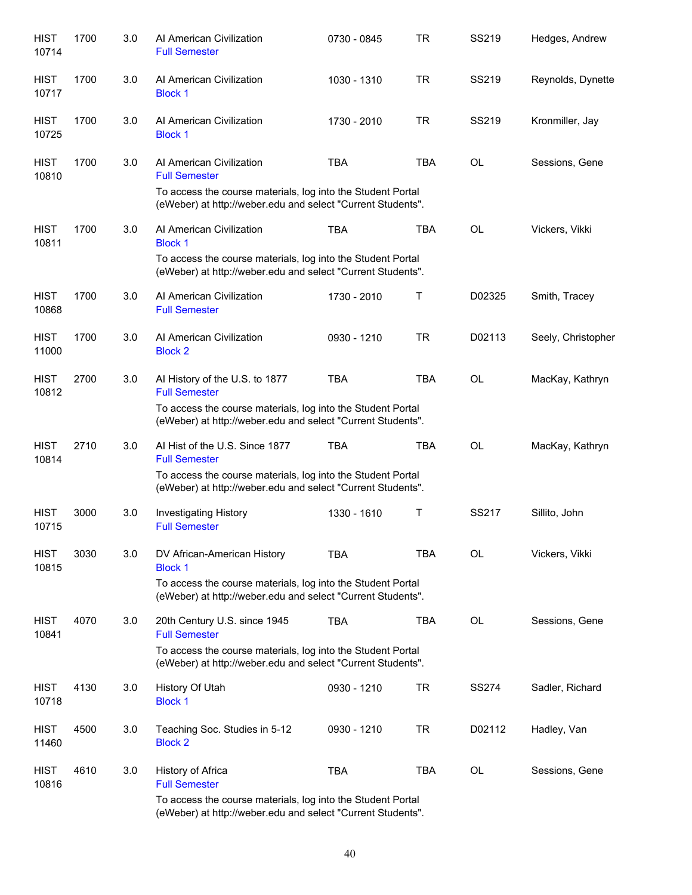| <b>HIST</b><br>10714 | 1700 | 3.0 | Al American Civilization<br><b>Full Semester</b>                                                                           | 0730 - 0845 | <b>TR</b>  | SS219        | Hedges, Andrew     |
|----------------------|------|-----|----------------------------------------------------------------------------------------------------------------------------|-------------|------------|--------------|--------------------|
| <b>HIST</b><br>10717 | 1700 | 3.0 | Al American Civilization<br><b>Block 1</b>                                                                                 | 1030 - 1310 | <b>TR</b>  | SS219        | Reynolds, Dynette  |
| <b>HIST</b><br>10725 | 1700 | 3.0 | Al American Civilization<br><b>Block 1</b>                                                                                 | 1730 - 2010 | <b>TR</b>  | SS219        | Kronmiller, Jay    |
| <b>HIST</b><br>10810 | 1700 | 3.0 | Al American Civilization<br><b>Full Semester</b>                                                                           | <b>TBA</b>  | <b>TBA</b> | <b>OL</b>    | Sessions, Gene     |
|                      |      |     | To access the course materials, log into the Student Portal<br>(eWeber) at http://weber.edu and select "Current Students". |             |            |              |                    |
| <b>HIST</b><br>10811 | 1700 | 3.0 | Al American Civilization<br><b>Block 1</b>                                                                                 | <b>TBA</b>  | <b>TBA</b> | <b>OL</b>    | Vickers, Vikki     |
|                      |      |     | To access the course materials, log into the Student Portal<br>(eWeber) at http://weber.edu and select "Current Students". |             |            |              |                    |
| <b>HIST</b><br>10868 | 1700 | 3.0 | Al American Civilization<br><b>Full Semester</b>                                                                           | 1730 - 2010 | Т          | D02325       | Smith, Tracey      |
| <b>HIST</b><br>11000 | 1700 | 3.0 | Al American Civilization<br><b>Block 2</b>                                                                                 | 0930 - 1210 | <b>TR</b>  | D02113       | Seely, Christopher |
| <b>HIST</b><br>10812 | 2700 | 3.0 | Al History of the U.S. to 1877<br><b>Full Semester</b>                                                                     | <b>TBA</b>  | <b>TBA</b> | <b>OL</b>    | MacKay, Kathryn    |
|                      |      |     | To access the course materials, log into the Student Portal<br>(eWeber) at http://weber.edu and select "Current Students". |             |            |              |                    |
| <b>HIST</b><br>10814 | 2710 | 3.0 | AI Hist of the U.S. Since 1877<br><b>Full Semester</b>                                                                     | <b>TBA</b>  | <b>TBA</b> | OL           | MacKay, Kathryn    |
|                      |      |     | To access the course materials, log into the Student Portal<br>(eWeber) at http://weber.edu and select "Current Students". |             |            |              |                    |
| <b>HIST</b><br>10715 | 3000 | 3.0 | Investigating History<br><b>Full Semester</b>                                                                              | 1330 - 1610 | Τ          | SS217        | Sillito, John      |
| <b>HIST</b><br>10815 | 3030 | 3.0 | DV African-American History<br><b>Block 1</b>                                                                              | <b>TBA</b>  | <b>TBA</b> | OL           | Vickers, Vikki     |
|                      |      |     | To access the course materials, log into the Student Portal<br>(eWeber) at http://weber.edu and select "Current Students". |             |            |              |                    |
| <b>HIST</b><br>10841 | 4070 | 3.0 | 20th Century U.S. since 1945<br><b>Full Semester</b>                                                                       | <b>TBA</b>  | <b>TBA</b> | OL           | Sessions, Gene     |
|                      |      |     | To access the course materials, log into the Student Portal<br>(eWeber) at http://weber.edu and select "Current Students". |             |            |              |                    |
| HIST<br>10718        | 4130 | 3.0 | History Of Utah<br><b>Block 1</b>                                                                                          | 0930 - 1210 | <b>TR</b>  | <b>SS274</b> | Sadler, Richard    |
| <b>HIST</b><br>11460 | 4500 | 3.0 | Teaching Soc. Studies in 5-12<br><b>Block 2</b>                                                                            | 0930 - 1210 | <b>TR</b>  | D02112       | Hadley, Van        |
| <b>HIST</b><br>10816 | 4610 | 3.0 | History of Africa<br><b>Full Semester</b>                                                                                  | <b>TBA</b>  | <b>TBA</b> | OL           | Sessions, Gene     |
|                      |      |     | To access the course materials, log into the Student Portal<br>(eWeber) at http://weber.edu and select "Current Students". |             |            |              |                    |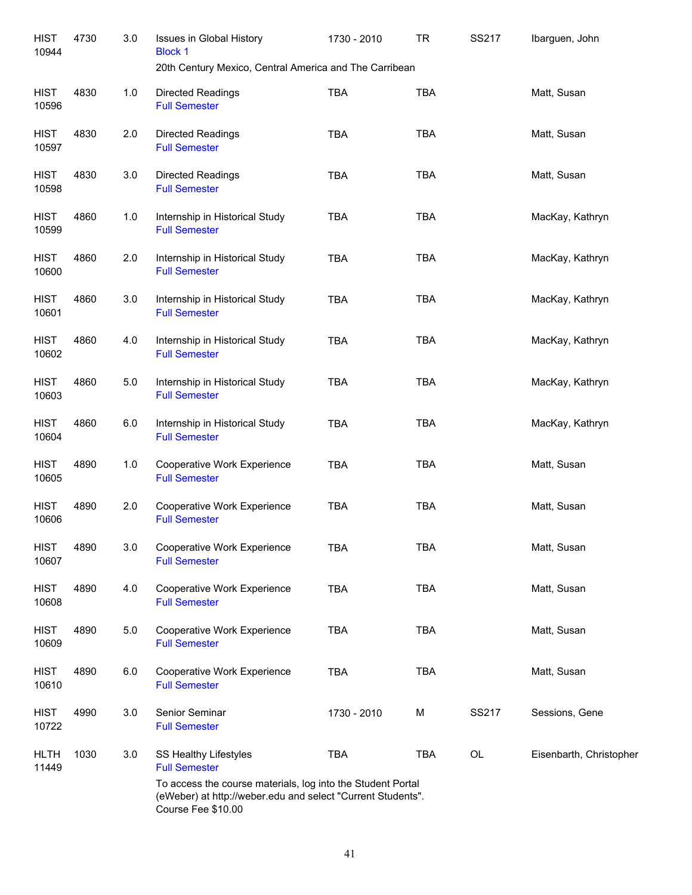| <b>HIST</b><br>10944 | 4730 | 3.0 | <b>Issues in Global History</b><br><b>Block 1</b><br>20th Century Mexico, Central America and The Carribean                                      | 1730 - 2010 | <b>TR</b>  | SS217 | Ibarguen, John          |
|----------------------|------|-----|--------------------------------------------------------------------------------------------------------------------------------------------------|-------------|------------|-------|-------------------------|
| <b>HIST</b><br>10596 | 4830 | 1.0 | Directed Readings<br><b>Full Semester</b>                                                                                                        | <b>TBA</b>  | <b>TBA</b> |       | Matt, Susan             |
| <b>HIST</b><br>10597 | 4830 | 2.0 | Directed Readings<br><b>Full Semester</b>                                                                                                        | <b>TBA</b>  | <b>TBA</b> |       | Matt, Susan             |
| <b>HIST</b><br>10598 | 4830 | 3.0 | Directed Readings<br><b>Full Semester</b>                                                                                                        | <b>TBA</b>  | <b>TBA</b> |       | Matt, Susan             |
| <b>HIST</b><br>10599 | 4860 | 1.0 | Internship in Historical Study<br><b>Full Semester</b>                                                                                           | <b>TBA</b>  | <b>TBA</b> |       | MacKay, Kathryn         |
| <b>HIST</b><br>10600 | 4860 | 2.0 | Internship in Historical Study<br><b>Full Semester</b>                                                                                           | <b>TBA</b>  | <b>TBA</b> |       | MacKay, Kathryn         |
| <b>HIST</b><br>10601 | 4860 | 3.0 | Internship in Historical Study<br><b>Full Semester</b>                                                                                           | <b>TBA</b>  | <b>TBA</b> |       | MacKay, Kathryn         |
| <b>HIST</b><br>10602 | 4860 | 4.0 | Internship in Historical Study<br><b>Full Semester</b>                                                                                           | <b>TBA</b>  | <b>TBA</b> |       | MacKay, Kathryn         |
| <b>HIST</b><br>10603 | 4860 | 5.0 | Internship in Historical Study<br><b>Full Semester</b>                                                                                           | <b>TBA</b>  | <b>TBA</b> |       | MacKay, Kathryn         |
| <b>HIST</b><br>10604 | 4860 | 6.0 | Internship in Historical Study<br><b>Full Semester</b>                                                                                           | <b>TBA</b>  | <b>TBA</b> |       | MacKay, Kathryn         |
| <b>HIST</b><br>10605 | 4890 | 1.0 | Cooperative Work Experience<br><b>Full Semester</b>                                                                                              | <b>TBA</b>  | <b>TBA</b> |       | Matt, Susan             |
| <b>HIST</b><br>10606 | 4890 | 2.0 | Cooperative Work Experience<br><b>Full Semester</b>                                                                                              | <b>TBA</b>  | <b>TBA</b> |       | Matt, Susan             |
| <b>HIST</b><br>10607 | 4890 | 3.0 | Cooperative Work Experience<br><b>Full Semester</b>                                                                                              | <b>TBA</b>  | <b>TBA</b> |       | Matt, Susan             |
| <b>HIST</b><br>10608 | 4890 | 4.0 | Cooperative Work Experience<br><b>Full Semester</b>                                                                                              | <b>TBA</b>  | <b>TBA</b> |       | Matt, Susan             |
| <b>HIST</b><br>10609 | 4890 | 5.0 | Cooperative Work Experience<br><b>Full Semester</b>                                                                                              | <b>TBA</b>  | <b>TBA</b> |       | Matt, Susan             |
| <b>HIST</b><br>10610 | 4890 | 6.0 | Cooperative Work Experience<br><b>Full Semester</b>                                                                                              | <b>TBA</b>  | <b>TBA</b> |       | Matt, Susan             |
| <b>HIST</b><br>10722 | 4990 | 3.0 | Senior Seminar<br><b>Full Semester</b>                                                                                                           | 1730 - 2010 | M          | SS217 | Sessions, Gene          |
| <b>HLTH</b><br>11449 | 1030 | 3.0 | SS Healthy Lifestyles<br><b>Full Semester</b>                                                                                                    | <b>TBA</b>  | <b>TBA</b> | OL    | Eisenbarth, Christopher |
|                      |      |     | To access the course materials, log into the Student Portal<br>(eWeber) at http://weber.edu and select "Current Students".<br>Course Fee \$10.00 |             |            |       |                         |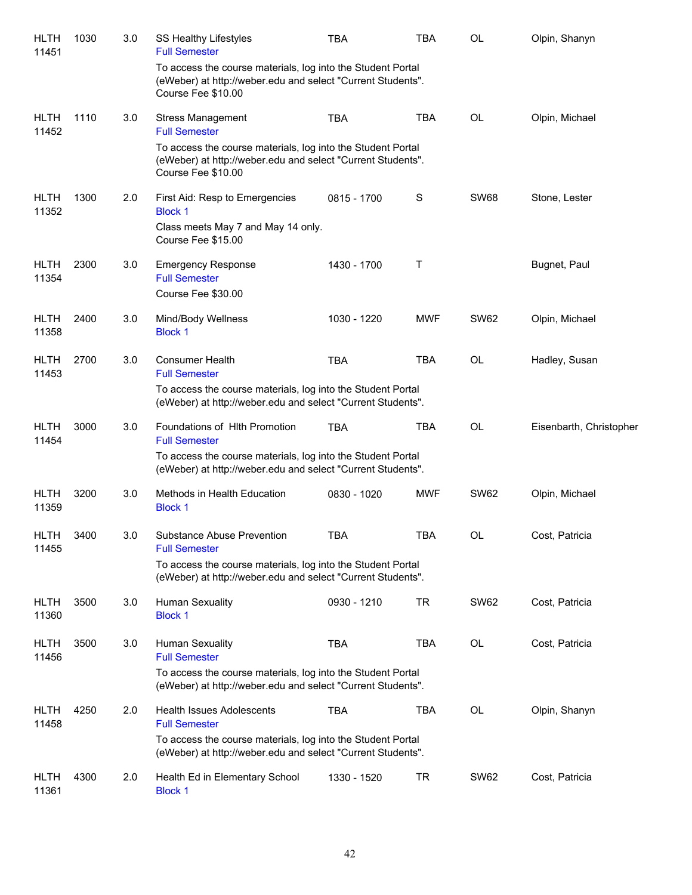| <b>HLTH</b><br>11451 | 1030 | 3.0 | SS Healthy Lifestyles<br><b>Full Semester</b>                                                                                                    | <b>TBA</b>  | <b>TBA</b> | OL          | Olpin, Shanyn           |
|----------------------|------|-----|--------------------------------------------------------------------------------------------------------------------------------------------------|-------------|------------|-------------|-------------------------|
|                      |      |     | To access the course materials, log into the Student Portal<br>(eWeber) at http://weber.edu and select "Current Students".<br>Course Fee \$10.00 |             |            |             |                         |
| <b>HLTH</b><br>11452 | 1110 | 3.0 | <b>Stress Management</b><br><b>Full Semester</b>                                                                                                 | <b>TBA</b>  | <b>TBA</b> | OL          | Olpin, Michael          |
|                      |      |     | To access the course materials, log into the Student Portal<br>(eWeber) at http://weber.edu and select "Current Students".<br>Course Fee \$10.00 |             |            |             |                         |
| <b>HLTH</b><br>11352 | 1300 | 2.0 | First Aid: Resp to Emergencies<br><b>Block 1</b><br>Class meets May 7 and May 14 only.<br>Course Fee \$15.00                                     | 0815 - 1700 | S          | <b>SW68</b> | Stone, Lester           |
| <b>HLTH</b><br>11354 | 2300 | 3.0 | <b>Emergency Response</b><br><b>Full Semester</b><br>Course Fee \$30.00                                                                          | 1430 - 1700 | Τ          |             | Bugnet, Paul            |
| <b>HLTH</b><br>11358 | 2400 | 3.0 | Mind/Body Wellness<br><b>Block 1</b>                                                                                                             | 1030 - 1220 | <b>MWF</b> | <b>SW62</b> | Olpin, Michael          |
| <b>HLTH</b><br>11453 | 2700 | 3.0 | <b>Consumer Health</b><br><b>Full Semester</b><br>To access the course materials, log into the Student Portal                                    | <b>TBA</b>  | <b>TBA</b> | <b>OL</b>   | Hadley, Susan           |
|                      |      |     | (eWeber) at http://weber.edu and select "Current Students".                                                                                      |             |            |             |                         |
| <b>HLTH</b><br>11454 | 3000 | 3.0 | Foundations of Hith Promotion<br><b>Full Semester</b>                                                                                            | <b>TBA</b>  | <b>TBA</b> | <b>OL</b>   | Eisenbarth, Christopher |
|                      |      |     | To access the course materials, log into the Student Portal<br>(eWeber) at http://weber.edu and select "Current Students".                       |             |            |             |                         |
| <b>HLTH</b><br>11359 | 3200 | 3.0 | Methods in Health Education<br><b>Block 1</b>                                                                                                    | 0830 - 1020 | <b>MWF</b> | <b>SW62</b> | Olpin, Michael          |
| HLTH<br>11455        | 3400 | 3.0 | Substance Abuse Prevention<br><b>Full Semester</b>                                                                                               | TBA         | <b>TBA</b> | OL          | Cost, Patricia          |
|                      |      |     | To access the course materials, log into the Student Portal<br>(eWeber) at http://weber.edu and select "Current Students".                       |             |            |             |                         |
| <b>HLTH</b><br>11360 | 3500 | 3.0 | Human Sexuality<br><b>Block 1</b>                                                                                                                | 0930 - 1210 | TR         | <b>SW62</b> | Cost, Patricia          |
| <b>HLTH</b><br>11456 | 3500 | 3.0 | Human Sexuality<br><b>Full Semester</b>                                                                                                          | <b>TBA</b>  | <b>TBA</b> | OL          | Cost, Patricia          |
|                      |      |     | To access the course materials, log into the Student Portal<br>(eWeber) at http://weber.edu and select "Current Students".                       |             |            |             |                         |
| <b>HLTH</b><br>11458 | 4250 | 2.0 | <b>Health Issues Adolescents</b><br><b>Full Semester</b>                                                                                         | <b>TBA</b>  | <b>TBA</b> | OL          | Olpin, Shanyn           |
|                      |      |     | To access the course materials, log into the Student Portal<br>(eWeber) at http://weber.edu and select "Current Students".                       |             |            |             |                         |
| <b>HLTH</b><br>11361 | 4300 | 2.0 | Health Ed in Elementary School<br><b>Block 1</b>                                                                                                 | 1330 - 1520 | TR         | <b>SW62</b> | Cost, Patricia          |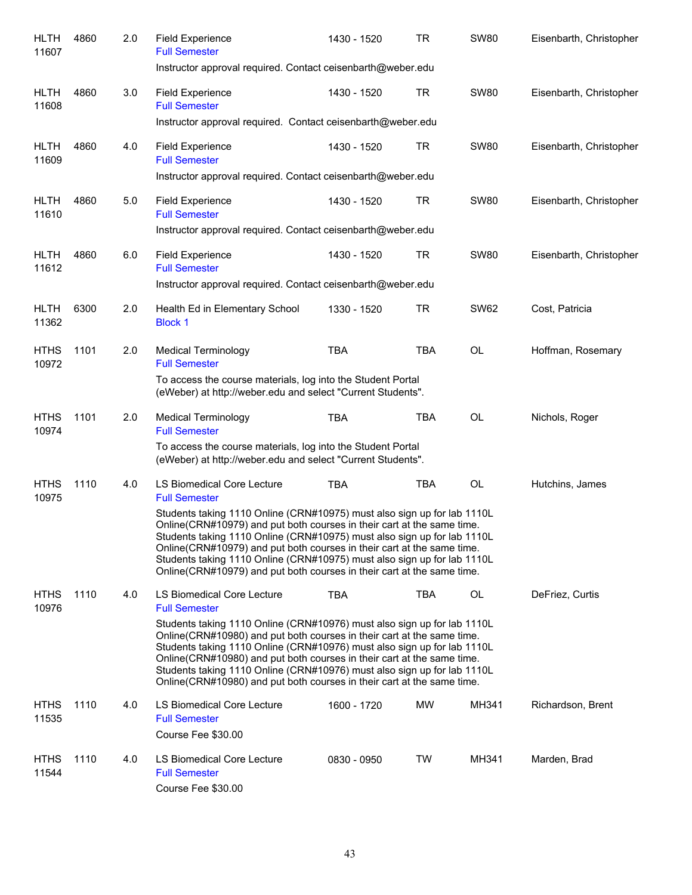| <b>HLTH</b><br>11607 | 4860 | 2.0 | <b>Field Experience</b><br><b>Full Semester</b>                                                                                                                                                                                                                                                                                                                                                                                                                | 1430 - 1520 | <b>TR</b>  | <b>SW80</b> | Eisenbarth, Christopher |
|----------------------|------|-----|----------------------------------------------------------------------------------------------------------------------------------------------------------------------------------------------------------------------------------------------------------------------------------------------------------------------------------------------------------------------------------------------------------------------------------------------------------------|-------------|------------|-------------|-------------------------|
|                      |      |     | Instructor approval required. Contact ceisenbarth@weber.edu                                                                                                                                                                                                                                                                                                                                                                                                    |             |            |             |                         |
| <b>HLTH</b><br>11608 | 4860 | 3.0 | <b>Field Experience</b><br><b>Full Semester</b>                                                                                                                                                                                                                                                                                                                                                                                                                | 1430 - 1520 | <b>TR</b>  | <b>SW80</b> | Eisenbarth, Christopher |
|                      |      |     | Instructor approval required. Contact ceisenbarth@weber.edu                                                                                                                                                                                                                                                                                                                                                                                                    |             |            |             |                         |
| <b>HLTH</b><br>11609 | 4860 | 4.0 | <b>Field Experience</b><br><b>Full Semester</b>                                                                                                                                                                                                                                                                                                                                                                                                                | 1430 - 1520 | <b>TR</b>  | <b>SW80</b> | Eisenbarth, Christopher |
|                      |      |     | Instructor approval required. Contact ceisenbarth@weber.edu                                                                                                                                                                                                                                                                                                                                                                                                    |             |            |             |                         |
| <b>HLTH</b><br>11610 | 4860 | 5.0 | <b>Field Experience</b><br><b>Full Semester</b>                                                                                                                                                                                                                                                                                                                                                                                                                | 1430 - 1520 | TR         | <b>SW80</b> | Eisenbarth, Christopher |
|                      |      |     | Instructor approval required. Contact ceisenbarth@weber.edu                                                                                                                                                                                                                                                                                                                                                                                                    |             |            |             |                         |
| <b>HLTH</b><br>11612 | 4860 | 6.0 | <b>Field Experience</b><br><b>Full Semester</b>                                                                                                                                                                                                                                                                                                                                                                                                                | 1430 - 1520 | TR         | <b>SW80</b> | Eisenbarth, Christopher |
|                      |      |     | Instructor approval required. Contact ceisenbarth@weber.edu                                                                                                                                                                                                                                                                                                                                                                                                    |             |            |             |                         |
| <b>HLTH</b><br>11362 | 6300 | 2.0 | Health Ed in Elementary School<br><b>Block 1</b>                                                                                                                                                                                                                                                                                                                                                                                                               | 1330 - 1520 | TR         | <b>SW62</b> | Cost, Patricia          |
| <b>HTHS</b><br>10972 | 1101 | 2.0 | <b>Medical Terminology</b><br><b>Full Semester</b>                                                                                                                                                                                                                                                                                                                                                                                                             | <b>TBA</b>  | <b>TBA</b> | OL          | Hoffman, Rosemary       |
|                      |      |     | To access the course materials, log into the Student Portal<br>(eWeber) at http://weber.edu and select "Current Students".                                                                                                                                                                                                                                                                                                                                     |             |            |             |                         |
| <b>HTHS</b><br>10974 | 1101 | 2.0 | <b>Medical Terminology</b><br><b>Full Semester</b>                                                                                                                                                                                                                                                                                                                                                                                                             | <b>TBA</b>  | <b>TBA</b> | OL          | Nichols, Roger          |
|                      |      |     | To access the course materials, log into the Student Portal<br>(eWeber) at http://weber.edu and select "Current Students".                                                                                                                                                                                                                                                                                                                                     |             |            |             |                         |
| <b>HTHS</b><br>10975 | 1110 | 4.0 | LS Biomedical Core Lecture<br><b>Full Semester</b>                                                                                                                                                                                                                                                                                                                                                                                                             | <b>TBA</b>  | <b>TBA</b> | <b>OL</b>   | Hutchins, James         |
|                      |      |     | Students taking 1110 Online (CRN#10975) must also sign up for lab 1110L<br>Online(CRN#10979) and put both courses in their cart at the same time.<br>Students taking 1110 Online (CRN#10975) must also sign up for lab 1110L<br>Online(CRN#10979) and put both courses in their cart at the same time.<br>Students taking 1110 Online (CRN#10975) must also sign up for lab 1110L<br>Online (CRN#10979) and put both courses in their cart at the same time.   |             |            |             |                         |
| <b>HTHS</b><br>10976 | 1110 | 4.0 | LS Biomedical Core Lecture<br><b>Full Semester</b>                                                                                                                                                                                                                                                                                                                                                                                                             | <b>TBA</b>  | <b>TBA</b> | OL          | DeFriez, Curtis         |
|                      |      |     | Students taking 1110 Online (CRN#10976) must also sign up for lab 1110L<br>Online (CRN#10980) and put both courses in their cart at the same time.<br>Students taking 1110 Online (CRN#10976) must also sign up for lab 1110L<br>Online (CRN#10980) and put both courses in their cart at the same time.<br>Students taking 1110 Online (CRN#10976) must also sign up for lab 1110L<br>Online (CRN#10980) and put both courses in their cart at the same time. |             |            |             |                         |
| <b>HTHS</b><br>11535 | 1110 | 4.0 | LS Biomedical Core Lecture<br><b>Full Semester</b>                                                                                                                                                                                                                                                                                                                                                                                                             | 1600 - 1720 | MW         | MH341       | Richardson, Brent       |
|                      |      |     | Course Fee \$30.00                                                                                                                                                                                                                                                                                                                                                                                                                                             |             |            |             |                         |
| <b>HTHS</b><br>11544 | 1110 | 4.0 | LS Biomedical Core Lecture<br><b>Full Semester</b><br>Course Fee \$30.00                                                                                                                                                                                                                                                                                                                                                                                       | 0830 - 0950 | TW         | MH341       | Marden, Brad            |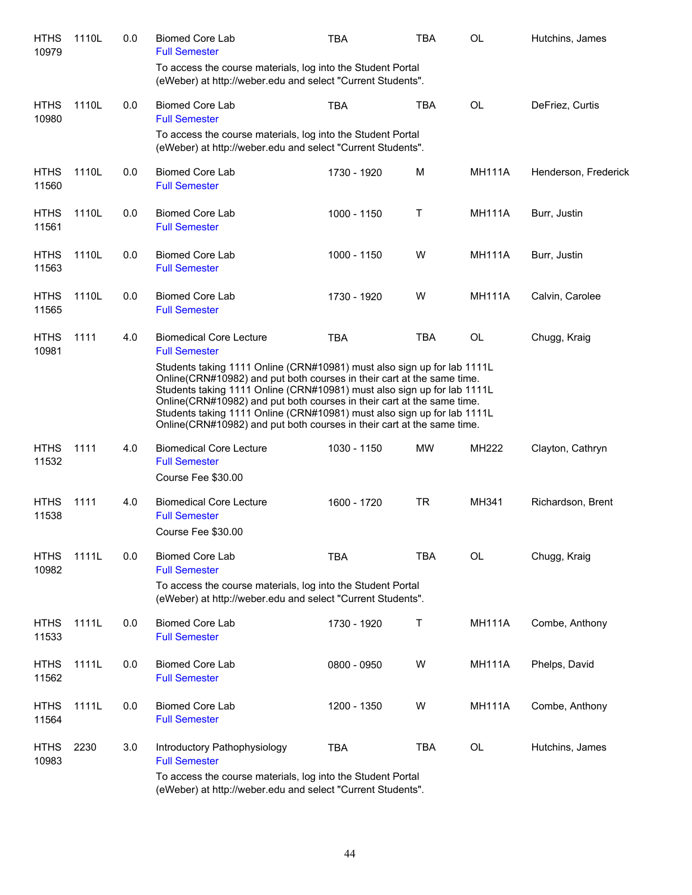| <b>HTHS</b><br>10979 | 1110L | 0.0 | <b>Biomed Core Lab</b><br><b>Full Semester</b>                                                                                                                                                                                                                                                                                                                                                                                                              | <b>TBA</b>    | TBA        | OL            | Hutchins, James      |
|----------------------|-------|-----|-------------------------------------------------------------------------------------------------------------------------------------------------------------------------------------------------------------------------------------------------------------------------------------------------------------------------------------------------------------------------------------------------------------------------------------------------------------|---------------|------------|---------------|----------------------|
|                      |       |     | To access the course materials, log into the Student Portal<br>(eWeber) at http://weber.edu and select "Current Students".                                                                                                                                                                                                                                                                                                                                  |               |            |               |                      |
| <b>HTHS</b><br>10980 | 1110L | 0.0 | <b>Biomed Core Lab</b><br><b>Full Semester</b>                                                                                                                                                                                                                                                                                                                                                                                                              | <b>TBA</b>    | <b>TBA</b> | <b>OL</b>     | DeFriez, Curtis      |
|                      |       |     | To access the course materials, log into the Student Portal<br>(eWeber) at http://weber.edu and select "Current Students".                                                                                                                                                                                                                                                                                                                                  |               |            |               |                      |
| <b>HTHS</b><br>11560 | 1110L | 0.0 | <b>Biomed Core Lab</b><br><b>Full Semester</b>                                                                                                                                                                                                                                                                                                                                                                                                              | 1730 - 1920   | м          | <b>MH111A</b> | Henderson, Frederick |
| <b>HTHS</b><br>11561 | 1110L | 0.0 | <b>Biomed Core Lab</b><br><b>Full Semester</b>                                                                                                                                                                                                                                                                                                                                                                                                              | 1000 - 1150   | Τ          | <b>MH111A</b> | Burr, Justin         |
| <b>HTHS</b><br>11563 | 1110L | 0.0 | <b>Biomed Core Lab</b><br><b>Full Semester</b>                                                                                                                                                                                                                                                                                                                                                                                                              | $1000 - 1150$ | W          | <b>MH111A</b> | Burr, Justin         |
| <b>HTHS</b><br>11565 | 1110L | 0.0 | <b>Biomed Core Lab</b><br><b>Full Semester</b>                                                                                                                                                                                                                                                                                                                                                                                                              | 1730 - 1920   | W          | <b>MH111A</b> | Calvin, Carolee      |
| <b>HTHS</b><br>10981 | 1111  | 4.0 | <b>Biomedical Core Lecture</b><br><b>Full Semester</b>                                                                                                                                                                                                                                                                                                                                                                                                      | <b>TBA</b>    | <b>TBA</b> | <b>OL</b>     | Chugg, Kraig         |
|                      |       |     | Students taking 1111 Online (CRN#10981) must also sign up for lab 1111L<br>Online(CRN#10982) and put both courses in their cart at the same time.<br>Students taking 1111 Online (CRN#10981) must also sign up for lab 1111L<br>Online(CRN#10982) and put both courses in their cart at the same time.<br>Students taking 1111 Online (CRN#10981) must also sign up for lab 1111L<br>Online(CRN#10982) and put both courses in their cart at the same time. |               |            |               |                      |
| <b>HTHS</b><br>11532 | 1111  | 4.0 | <b>Biomedical Core Lecture</b><br><b>Full Semester</b><br>Course Fee \$30.00                                                                                                                                                                                                                                                                                                                                                                                | 1030 - 1150   | <b>MW</b>  | MH222         | Clayton, Cathryn     |
| <b>HTHS</b><br>11538 | 1111  | 4.0 | <b>Biomedical Core Lecture</b><br><b>Full Semester</b><br>Course Fee \$30.00                                                                                                                                                                                                                                                                                                                                                                                | 1600 - 1720   | <b>TR</b>  | MH341         | Richardson, Brent    |
| <b>HTHS</b><br>10982 | 1111L | 0.0 | <b>Biomed Core Lab</b><br><b>Full Semester</b>                                                                                                                                                                                                                                                                                                                                                                                                              | <b>TBA</b>    | <b>TBA</b> | OL            | Chugg, Kraig         |
|                      |       |     | To access the course materials, log into the Student Portal<br>(eWeber) at http://weber.edu and select "Current Students".                                                                                                                                                                                                                                                                                                                                  |               |            |               |                      |
| <b>HTHS</b><br>11533 | 1111L | 0.0 | <b>Biomed Core Lab</b><br><b>Full Semester</b>                                                                                                                                                                                                                                                                                                                                                                                                              | 1730 - 1920   | T          | <b>MH111A</b> | Combe, Anthony       |
| <b>HTHS</b><br>11562 | 1111L | 0.0 | <b>Biomed Core Lab</b><br><b>Full Semester</b>                                                                                                                                                                                                                                                                                                                                                                                                              | 0800 - 0950   | W          | <b>MH111A</b> | Phelps, David        |
| <b>HTHS</b><br>11564 | 1111L | 0.0 | <b>Biomed Core Lab</b><br><b>Full Semester</b>                                                                                                                                                                                                                                                                                                                                                                                                              | 1200 - 1350   | W          | <b>MH111A</b> | Combe, Anthony       |
| <b>HTHS</b><br>10983 | 2230  | 3.0 | Introductory Pathophysiology<br><b>Full Semester</b><br>To access the course materials, log into the Student Portal                                                                                                                                                                                                                                                                                                                                         | <b>TBA</b>    | <b>TBA</b> | OL            | Hutchins, James      |
|                      |       |     | (eWeber) at http://weber.edu and select "Current Students".                                                                                                                                                                                                                                                                                                                                                                                                 |               |            |               |                      |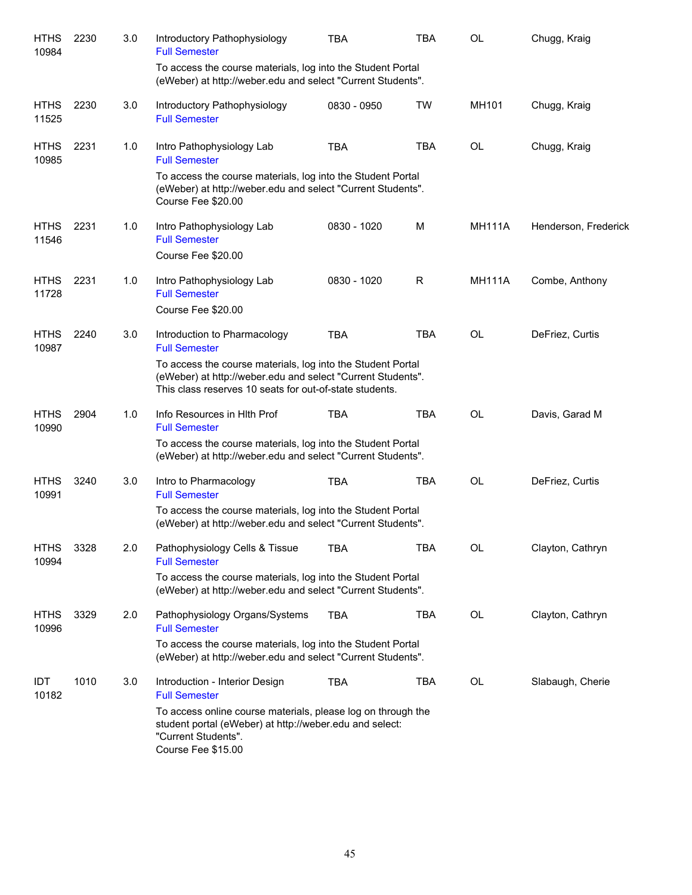| <b>HTHS</b><br>10984 | 2230 | 3.0 | Introductory Pathophysiology<br><b>Full Semester</b>                                                                                                                                  | <b>TBA</b>  | <b>TBA</b>  | <b>OL</b>     | Chugg, Kraig         |
|----------------------|------|-----|---------------------------------------------------------------------------------------------------------------------------------------------------------------------------------------|-------------|-------------|---------------|----------------------|
|                      |      |     | To access the course materials, log into the Student Portal<br>(eWeber) at http://weber.edu and select "Current Students".                                                            |             |             |               |                      |
| <b>HTHS</b><br>11525 | 2230 | 3.0 | Introductory Pathophysiology<br><b>Full Semester</b>                                                                                                                                  | 0830 - 0950 | TW          | MH101         | Chugg, Kraig         |
| <b>HTHS</b><br>10985 | 2231 | 1.0 | Intro Pathophysiology Lab<br><b>Full Semester</b>                                                                                                                                     | <b>TBA</b>  | <b>TBA</b>  | OL            | Chugg, Kraig         |
|                      |      |     | To access the course materials, log into the Student Portal<br>(eWeber) at http://weber.edu and select "Current Students".<br>Course Fee \$20.00                                      |             |             |               |                      |
| <b>HTHS</b><br>11546 | 2231 | 1.0 | Intro Pathophysiology Lab<br><b>Full Semester</b>                                                                                                                                     | 0830 - 1020 | M           | <b>MH111A</b> | Henderson, Frederick |
|                      |      |     | Course Fee \$20.00                                                                                                                                                                    |             |             |               |                      |
| <b>HTHS</b><br>11728 | 2231 | 1.0 | Intro Pathophysiology Lab<br><b>Full Semester</b>                                                                                                                                     | 0830 - 1020 | $\mathsf R$ | <b>MH111A</b> | Combe, Anthony       |
|                      |      |     | Course Fee \$20.00                                                                                                                                                                    |             |             |               |                      |
| <b>HTHS</b><br>10987 | 2240 | 3.0 | Introduction to Pharmacology<br><b>Full Semester</b>                                                                                                                                  | <b>TBA</b>  | <b>TBA</b>  | <b>OL</b>     | DeFriez, Curtis      |
|                      |      |     | To access the course materials, log into the Student Portal<br>(eWeber) at http://weber.edu and select "Current Students".<br>This class reserves 10 seats for out-of-state students. |             |             |               |                      |
| <b>HTHS</b><br>10990 | 2904 | 1.0 | Info Resources in Hith Prof<br><b>Full Semester</b>                                                                                                                                   | <b>TBA</b>  | <b>TBA</b>  | <b>OL</b>     | Davis, Garad M       |
|                      |      |     | To access the course materials, log into the Student Portal<br>(eWeber) at http://weber.edu and select "Current Students".                                                            |             |             |               |                      |
| <b>HTHS</b><br>10991 | 3240 | 3.0 | Intro to Pharmacology<br><b>Full Semester</b>                                                                                                                                         | <b>TBA</b>  | <b>TBA</b>  | <b>OL</b>     | DeFriez, Curtis      |
|                      |      |     | To access the course materials, log into the Student Portal<br>(eWeber) at http://weber.edu and select "Current Students".                                                            |             |             |               |                      |
| <b>HTHS</b><br>10994 | 3328 | 2.0 | Pathophysiology Cells & Tissue<br><b>Full Semester</b>                                                                                                                                | <b>TBA</b>  | <b>TBA</b>  | OL            | Clayton, Cathryn     |
|                      |      |     | To access the course materials, log into the Student Portal<br>(eWeber) at http://weber.edu and select "Current Students".                                                            |             |             |               |                      |
| <b>HTHS</b><br>10996 | 3329 | 2.0 | Pathophysiology Organs/Systems<br><b>Full Semester</b>                                                                                                                                | <b>TBA</b>  | TBA         | OL            | Clayton, Cathryn     |
|                      |      |     | To access the course materials, log into the Student Portal<br>(eWeber) at http://weber.edu and select "Current Students".                                                            |             |             |               |                      |
| IDT<br>10182         | 1010 | 3.0 | Introduction - Interior Design<br><b>Full Semester</b>                                                                                                                                | <b>TBA</b>  | TBA         | OL            | Slabaugh, Cherie     |
|                      |      |     | To access online course materials, please log on through the<br>student portal (eWeber) at http://weber.edu and select:<br>"Current Students".<br>Course Fee \$15.00                  |             |             |               |                      |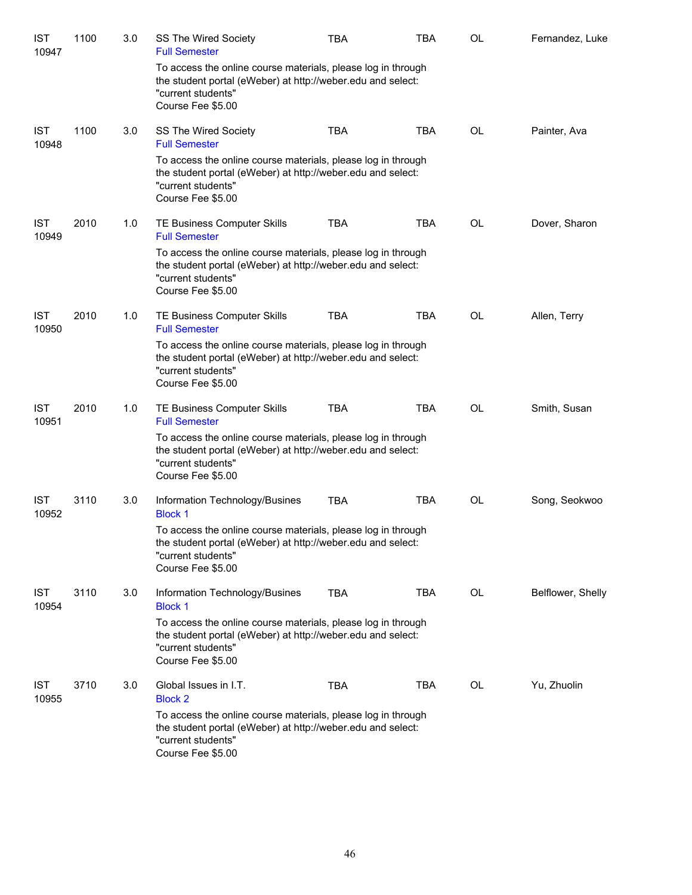| <b>IST</b><br>10947 | 1100 | 3.0 | SS The Wired Society<br><b>Full Semester</b>                                                                                                                           | <b>TBA</b> | <b>TBA</b> | OL        | Fernandez, Luke   |
|---------------------|------|-----|------------------------------------------------------------------------------------------------------------------------------------------------------------------------|------------|------------|-----------|-------------------|
|                     |      |     | To access the online course materials, please log in through<br>the student portal (eWeber) at http://weber.edu and select:<br>"current students"<br>Course Fee \$5.00 |            |            |           |                   |
| <b>IST</b><br>10948 | 1100 | 3.0 | SS The Wired Society<br><b>Full Semester</b>                                                                                                                           | <b>TBA</b> | <b>TBA</b> | <b>OL</b> | Painter, Ava      |
|                     |      |     | To access the online course materials, please log in through<br>the student portal (eWeber) at http://weber.edu and select:<br>"current students"<br>Course Fee \$5.00 |            |            |           |                   |
| <b>IST</b><br>10949 | 2010 | 1.0 | TE Business Computer Skills<br><b>Full Semester</b>                                                                                                                    | <b>TBA</b> | <b>TBA</b> | OL        | Dover, Sharon     |
|                     |      |     | To access the online course materials, please log in through<br>the student portal (eWeber) at http://weber.edu and select:<br>"current students"<br>Course Fee \$5.00 |            |            |           |                   |
| <b>IST</b><br>10950 | 2010 | 1.0 | TE Business Computer Skills<br><b>Full Semester</b>                                                                                                                    | <b>TBA</b> | <b>TBA</b> | <b>OL</b> | Allen, Terry      |
|                     |      |     | To access the online course materials, please log in through<br>the student portal (eWeber) at http://weber.edu and select:<br>"current students"<br>Course Fee \$5.00 |            |            |           |                   |
| <b>IST</b><br>10951 | 2010 | 1.0 | TE Business Computer Skills<br><b>Full Semester</b>                                                                                                                    | <b>TBA</b> | <b>TBA</b> | <b>OL</b> | Smith, Susan      |
|                     |      |     | To access the online course materials, please log in through<br>the student portal (eWeber) at http://weber.edu and select:<br>"current students"<br>Course Fee \$5.00 |            |            |           |                   |
| <b>IST</b><br>10952 | 3110 | 3.0 | Information Technology/Busines<br><b>Block 1</b>                                                                                                                       | <b>TBA</b> | <b>TBA</b> | OL        | Song, Seokwoo     |
|                     |      |     | To access the online course materials, please log in through<br>the student portal (eWeber) at http://weber.edu and select:<br>"current students"<br>Course Fee \$5.00 |            |            |           |                   |
| <b>IST</b><br>10954 | 3110 | 3.0 | Information Technology/Busines<br><b>Block 1</b>                                                                                                                       | <b>TBA</b> | TBA        | <b>OL</b> | Belflower, Shelly |
|                     |      |     | To access the online course materials, please log in through<br>the student portal (eWeber) at http://weber.edu and select:<br>"current students"<br>Course Fee \$5.00 |            |            |           |                   |
| <b>IST</b><br>10955 | 3710 | 3.0 | Global Issues in I.T.<br><b>Block 2</b>                                                                                                                                | <b>TBA</b> | TBA        | OL        | Yu, Zhuolin       |
|                     |      |     | To access the online course materials, please log in through<br>the student portal (eWeber) at http://weber.edu and select:<br>"current students"<br>Course Fee \$5.00 |            |            |           |                   |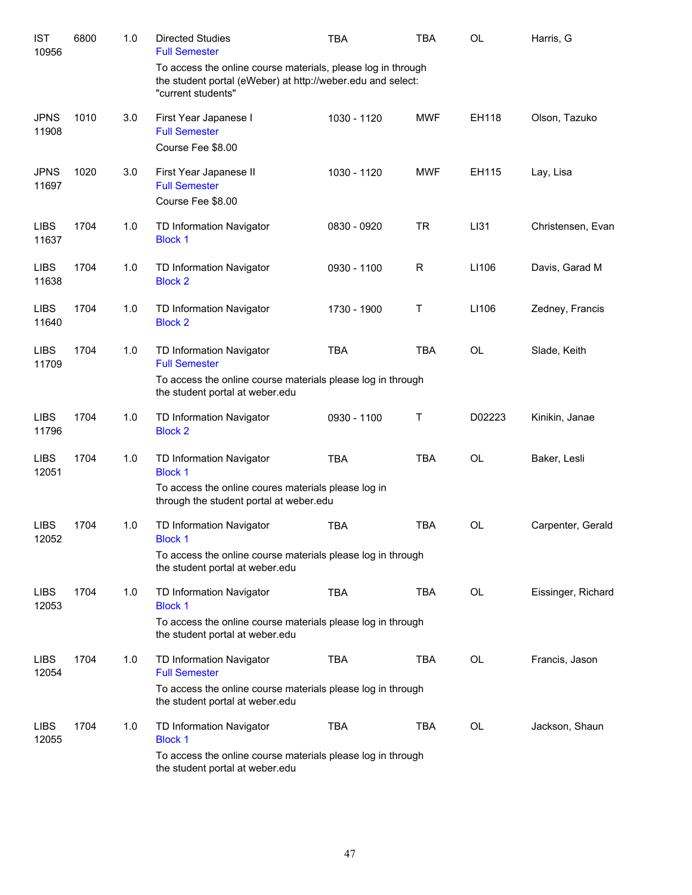| <b>IST</b><br>10956  | 6800 | 1.0 | <b>Directed Studies</b><br><b>Full Semester</b>                                                                                                   | <b>TBA</b>  | <b>TBA</b> | <b>OL</b> | Harris, G          |
|----------------------|------|-----|---------------------------------------------------------------------------------------------------------------------------------------------------|-------------|------------|-----------|--------------------|
|                      |      |     | To access the online course materials, please log in through<br>the student portal (eWeber) at http://weber.edu and select:<br>"current students" |             |            |           |                    |
| <b>JPNS</b><br>11908 | 1010 | 3.0 | First Year Japanese I<br><b>Full Semester</b><br>Course Fee \$8.00                                                                                | 1030 - 1120 | <b>MWF</b> | EH118     | Olson, Tazuko      |
| <b>JPNS</b><br>11697 | 1020 | 3.0 | First Year Japanese II<br><b>Full Semester</b><br>Course Fee \$8.00                                                                               | 1030 - 1120 | <b>MWF</b> | EH115     | Lay, Lisa          |
| <b>LIBS</b><br>11637 | 1704 | 1.0 | TD Information Navigator<br><b>Block 1</b>                                                                                                        | 0830 - 0920 | <b>TR</b>  | LI31      | Christensen, Evan  |
| <b>LIBS</b><br>11638 | 1704 | 1.0 | TD Information Navigator<br><b>Block 2</b>                                                                                                        | 0930 - 1100 | R          | LI106     | Davis, Garad M     |
| <b>LIBS</b><br>11640 | 1704 | 1.0 | TD Information Navigator<br><b>Block 2</b>                                                                                                        | 1730 - 1900 | T          | LI106     | Zedney, Francis    |
| <b>LIBS</b><br>11709 | 1704 | 1.0 | TD Information Navigator<br><b>Full Semester</b><br>To access the online course materials please log in through                                   | <b>TBA</b>  | <b>TBA</b> | <b>OL</b> | Slade, Keith       |
|                      |      |     | the student portal at weber.edu                                                                                                                   |             |            |           |                    |
| <b>LIBS</b><br>11796 | 1704 | 1.0 | TD Information Navigator<br><b>Block 2</b>                                                                                                        | 0930 - 1100 | Τ          | D02223    | Kinikin, Janae     |
| <b>LIBS</b><br>12051 | 1704 | 1.0 | TD Information Navigator<br><b>Block 1</b>                                                                                                        | <b>TBA</b>  | <b>TBA</b> | <b>OL</b> | Baker, Lesli       |
|                      |      |     | To access the online coures materials please log in<br>through the student portal at weber.edu                                                    |             |            |           |                    |
| <b>LIBS</b><br>12052 | 1704 | 1.0 | TD Information Navigator<br><b>Block 1</b>                                                                                                        | <b>TBA</b>  | <b>TBA</b> | <b>OL</b> | Carpenter, Gerald  |
|                      |      |     | To access the online course materials please log in through<br>the student portal at weber.edu                                                    |             |            |           |                    |
| <b>LIBS</b><br>12053 | 1704 | 1.0 | TD Information Navigator<br><b>Block 1</b>                                                                                                        | <b>TBA</b>  | <b>TBA</b> | OL        | Eissinger, Richard |
|                      |      |     | To access the online course materials please log in through<br>the student portal at weber.edu                                                    |             |            |           |                    |
| <b>LIBS</b><br>12054 | 1704 | 1.0 | TD Information Navigator<br><b>Full Semester</b>                                                                                                  | <b>TBA</b>  | <b>TBA</b> | OL        | Francis, Jason     |
|                      |      |     | To access the online course materials please log in through<br>the student portal at weber.edu                                                    |             |            |           |                    |
| <b>LIBS</b><br>12055 | 1704 | 1.0 | TD Information Navigator<br><b>Block 1</b>                                                                                                        | TBA         | TBA        | OL        | Jackson, Shaun     |
|                      |      |     | To access the online course materials please log in through<br>the student portal at weber.edu                                                    |             |            |           |                    |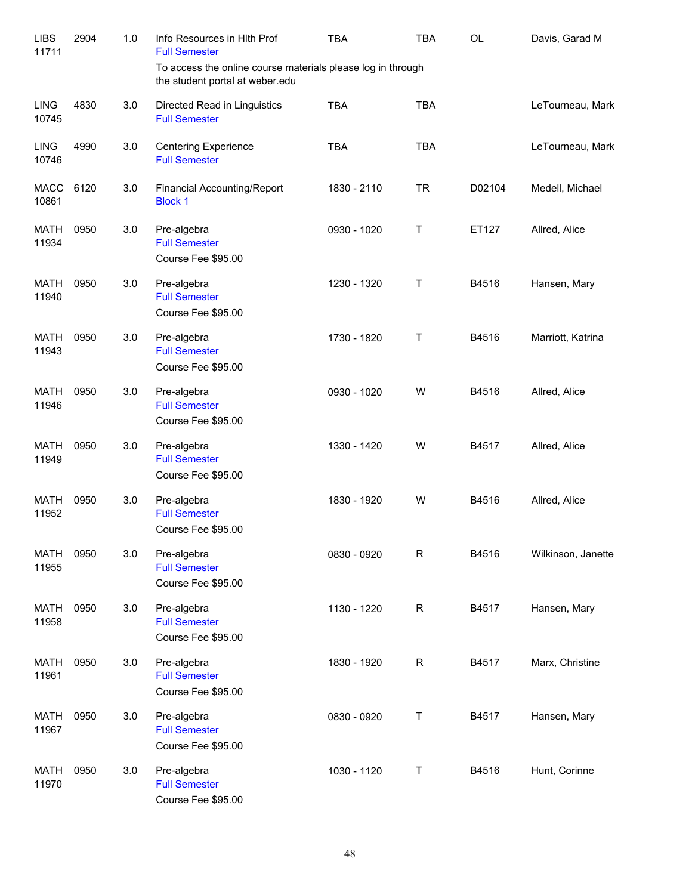| <b>LIBS</b><br>11711 | 2904 | 1.0 | Info Resources in HIth Prof<br><b>Full Semester</b>                                            | <b>TBA</b>  | <b>TBA</b>  | <b>OL</b> | Davis, Garad M     |
|----------------------|------|-----|------------------------------------------------------------------------------------------------|-------------|-------------|-----------|--------------------|
|                      |      |     | To access the online course materials please log in through<br>the student portal at weber.edu |             |             |           |                    |
| <b>LING</b><br>10745 | 4830 | 3.0 | Directed Read in Linguistics<br><b>Full Semester</b>                                           | <b>TBA</b>  | <b>TBA</b>  |           | LeTourneau, Mark   |
| <b>LING</b><br>10746 | 4990 | 3.0 | <b>Centering Experience</b><br><b>Full Semester</b>                                            | <b>TBA</b>  | <b>TBA</b>  |           | LeTourneau, Mark   |
| <b>MACC</b><br>10861 | 6120 | 3.0 | Financial Accounting/Report<br><b>Block 1</b>                                                  | 1830 - 2110 | <b>TR</b>   | D02104    | Medell, Michael    |
| <b>MATH</b><br>11934 | 0950 | 3.0 | Pre-algebra<br><b>Full Semester</b><br>Course Fee \$95.00                                      | 0930 - 1020 | T           | ET127     | Allred, Alice      |
| MATH<br>11940        | 0950 | 3.0 | Pre-algebra<br><b>Full Semester</b><br>Course Fee \$95.00                                      | 1230 - 1320 | Τ           | B4516     | Hansen, Mary       |
| <b>MATH</b><br>11943 | 0950 | 3.0 | Pre-algebra<br><b>Full Semester</b><br>Course Fee \$95.00                                      | 1730 - 1820 | Τ           | B4516     | Marriott, Katrina  |
| MATH<br>11946        | 0950 | 3.0 | Pre-algebra<br><b>Full Semester</b><br>Course Fee \$95.00                                      | 0930 - 1020 | W           | B4516     | Allred, Alice      |
| MATH<br>11949        | 0950 | 3.0 | Pre-algebra<br><b>Full Semester</b><br>Course Fee \$95.00                                      | 1330 - 1420 | W           | B4517     | Allred, Alice      |
| MATH<br>11952        | 0950 | 3.0 | Pre-algebra<br><b>Full Semester</b><br>Course Fee \$95.00                                      | 1830 - 1920 | W           | B4516     | Allred, Alice      |
| <b>MATH</b><br>11955 | 0950 | 3.0 | Pre-algebra<br><b>Full Semester</b><br>Course Fee \$95.00                                      | 0830 - 0920 | $\mathsf R$ | B4516     | Wilkinson, Janette |
| <b>MATH</b><br>11958 | 0950 | 3.0 | Pre-algebra<br><b>Full Semester</b><br>Course Fee \$95.00                                      | 1130 - 1220 | $\mathsf R$ | B4517     | Hansen, Mary       |
| <b>MATH</b><br>11961 | 0950 | 3.0 | Pre-algebra<br><b>Full Semester</b><br>Course Fee \$95.00                                      | 1830 - 1920 | $\mathsf R$ | B4517     | Marx, Christine    |
| <b>MATH</b><br>11967 | 0950 | 3.0 | Pre-algebra<br><b>Full Semester</b><br>Course Fee \$95.00                                      | 0830 - 0920 | Τ           | B4517     | Hansen, Mary       |
| <b>MATH</b><br>11970 | 0950 | 3.0 | Pre-algebra<br><b>Full Semester</b><br>Course Fee \$95.00                                      | 1030 - 1120 | Τ           | B4516     | Hunt, Corinne      |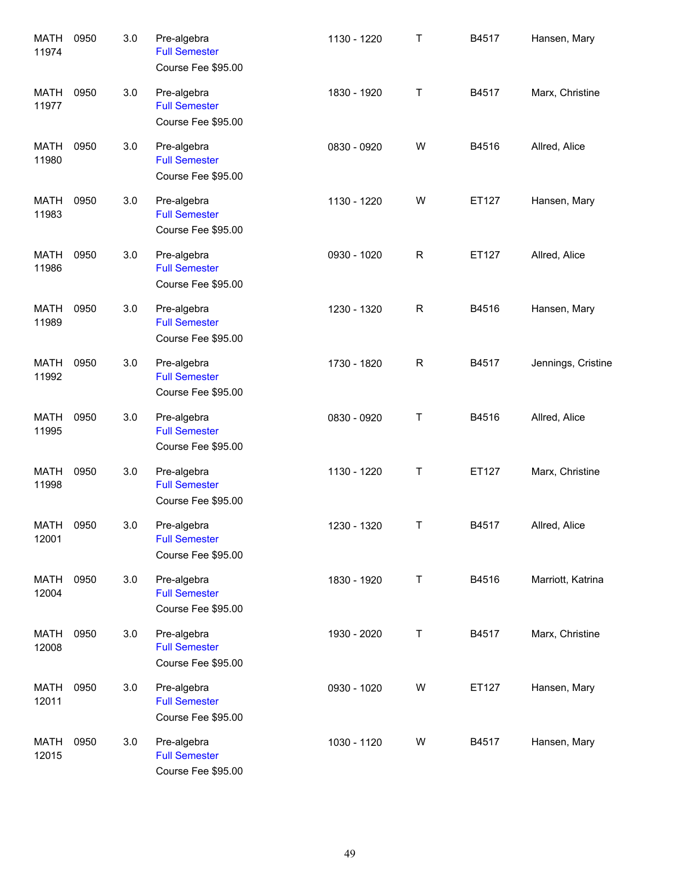| <b>MATH</b><br>11974 | 0950 | 3.0 | Pre-algebra<br><b>Full Semester</b><br>Course Fee \$95.00 | 1130 - 1220 | Τ           | B4517 | Hansen, Mary       |
|----------------------|------|-----|-----------------------------------------------------------|-------------|-------------|-------|--------------------|
| <b>MATH</b><br>11977 | 0950 | 3.0 | Pre-algebra<br><b>Full Semester</b><br>Course Fee \$95.00 | 1830 - 1920 | Τ           | B4517 | Marx, Christine    |
| <b>MATH</b><br>11980 | 0950 | 3.0 | Pre-algebra<br><b>Full Semester</b><br>Course Fee \$95.00 | 0830 - 0920 | W           | B4516 | Allred, Alice      |
| <b>MATH</b><br>11983 | 0950 | 3.0 | Pre-algebra<br><b>Full Semester</b><br>Course Fee \$95.00 | 1130 - 1220 | W           | ET127 | Hansen, Mary       |
| <b>MATH</b><br>11986 | 0950 | 3.0 | Pre-algebra<br><b>Full Semester</b><br>Course Fee \$95.00 | 0930 - 1020 | $\mathsf R$ | ET127 | Allred, Alice      |
| <b>MATH</b><br>11989 | 0950 | 3.0 | Pre-algebra<br><b>Full Semester</b><br>Course Fee \$95.00 | 1230 - 1320 | $\mathsf R$ | B4516 | Hansen, Mary       |
| <b>MATH</b><br>11992 | 0950 | 3.0 | Pre-algebra<br><b>Full Semester</b><br>Course Fee \$95.00 | 1730 - 1820 | $\mathsf R$ | B4517 | Jennings, Cristine |
| <b>MATH</b><br>11995 | 0950 | 3.0 | Pre-algebra<br><b>Full Semester</b><br>Course Fee \$95.00 | 0830 - 0920 | Τ           | B4516 | Allred, Alice      |
| <b>MATH</b><br>11998 | 0950 | 3.0 | Pre-algebra<br><b>Full Semester</b><br>Course Fee \$95.00 | 1130 - 1220 | Τ           | ET127 | Marx, Christine    |
| MATH<br>12001        | 0950 | 3.0 | Pre-algebra<br><b>Full Semester</b><br>Course Fee \$95.00 | 1230 - 1320 | Τ           | B4517 | Allred, Alice      |
| <b>MATH</b><br>12004 | 0950 | 3.0 | Pre-algebra<br><b>Full Semester</b><br>Course Fee \$95.00 | 1830 - 1920 | T           | B4516 | Marriott, Katrina  |
| MATH<br>12008        | 0950 | 3.0 | Pre-algebra<br><b>Full Semester</b><br>Course Fee \$95.00 | 1930 - 2020 | T           | B4517 | Marx, Christine    |
| MATH<br>12011        | 0950 | 3.0 | Pre-algebra<br><b>Full Semester</b><br>Course Fee \$95.00 | 0930 - 1020 | W           | ET127 | Hansen, Mary       |
| MATH<br>12015        | 0950 | 3.0 | Pre-algebra<br><b>Full Semester</b><br>Course Fee \$95.00 | 1030 - 1120 | W           | B4517 | Hansen, Mary       |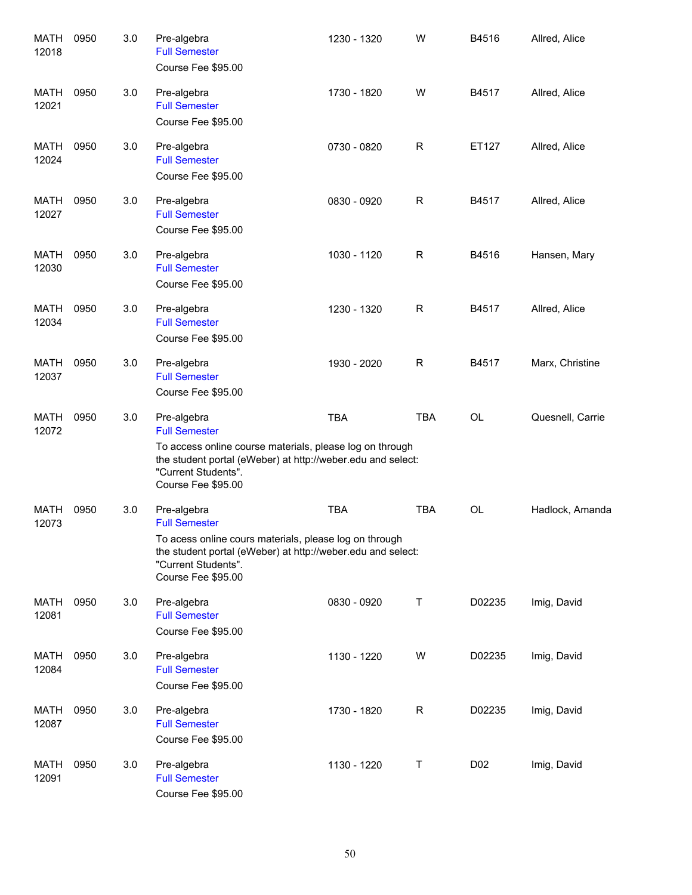| <b>MATH</b><br>12018 | 0950 | 3.0 | Pre-algebra<br><b>Full Semester</b><br>Course Fee \$95.00                                                                                                                                                   | 1230 - 1320 | W            | B4516           | Allred, Alice    |
|----------------------|------|-----|-------------------------------------------------------------------------------------------------------------------------------------------------------------------------------------------------------------|-------------|--------------|-----------------|------------------|
| MATH<br>12021        | 0950 | 3.0 | Pre-algebra<br><b>Full Semester</b><br>Course Fee \$95.00                                                                                                                                                   | 1730 - 1820 | W            | B4517           | Allred, Alice    |
| MATH<br>12024        | 0950 | 3.0 | Pre-algebra<br><b>Full Semester</b><br>Course Fee \$95.00                                                                                                                                                   | 0730 - 0820 | R            | ET127           | Allred, Alice    |
| MATH<br>12027        | 0950 | 3.0 | Pre-algebra<br><b>Full Semester</b><br>Course Fee \$95.00                                                                                                                                                   | 0830 - 0920 | $\mathsf{R}$ | B4517           | Allred, Alice    |
| <b>MATH</b><br>12030 | 0950 | 3.0 | Pre-algebra<br><b>Full Semester</b><br>Course Fee \$95.00                                                                                                                                                   | 1030 - 1120 | $\mathsf{R}$ | B4516           | Hansen, Mary     |
| MATH<br>12034        | 0950 | 3.0 | Pre-algebra<br><b>Full Semester</b><br>Course Fee \$95.00                                                                                                                                                   | 1230 - 1320 | $\mathsf{R}$ | B4517           | Allred, Alice    |
| MATH<br>12037        | 0950 | 3.0 | Pre-algebra<br><b>Full Semester</b><br>Course Fee \$95.00                                                                                                                                                   | 1930 - 2020 | $\mathsf R$  | B4517           | Marx, Christine  |
| MATH<br>12072        | 0950 | 3.0 | Pre-algebra<br><b>Full Semester</b><br>To access online course materials, please log on through<br>the student portal (eWeber) at http://weber.edu and select:<br>"Current Students".<br>Course Fee \$95.00 | <b>TBA</b>  | <b>TBA</b>   | <b>OL</b>       | Quesnell, Carrie |
| <b>MATH</b><br>12073 | 0950 | 3.0 | Pre-algebra<br><b>Full Semester</b><br>To acess online cours materials, please log on through<br>the student portal (eWeber) at http://weber.edu and select:<br>"Current Students".<br>Course Fee \$95.00   | <b>TBA</b>  | <b>TBA</b>   | OL              | Hadlock, Amanda  |
| MATH<br>12081        | 0950 | 3.0 | Pre-algebra<br><b>Full Semester</b><br>Course Fee \$95.00                                                                                                                                                   | 0830 - 0920 | Τ            | D02235          | Imig, David      |
| MATH<br>12084        | 0950 | 3.0 | Pre-algebra<br><b>Full Semester</b><br>Course Fee \$95.00                                                                                                                                                   | 1130 - 1220 | W            | D02235          | Imig, David      |
| MATH<br>12087        | 0950 | 3.0 | Pre-algebra<br><b>Full Semester</b><br>Course Fee \$95.00                                                                                                                                                   | 1730 - 1820 | R            | D02235          | Imig, David      |
| MATH<br>12091        | 0950 | 3.0 | Pre-algebra<br><b>Full Semester</b><br>Course Fee \$95.00                                                                                                                                                   | 1130 - 1220 | Т            | D <sub>02</sub> | Imig, David      |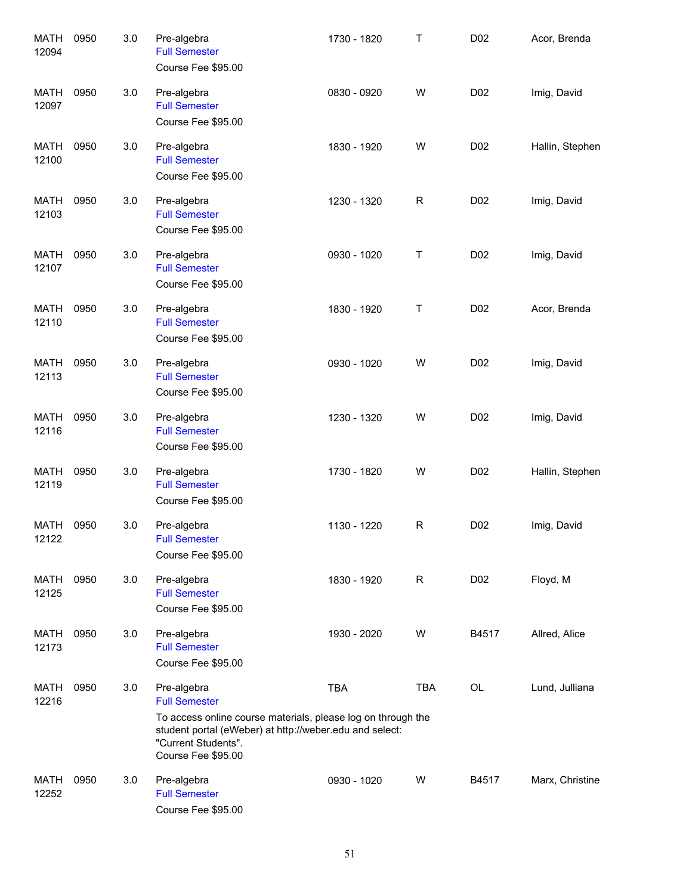| <b>MATH</b><br>12094 | 0950 | 3.0 | Pre-algebra<br><b>Full Semester</b><br>Course Fee \$95.00                                                                                                                                                   | 1730 - 1820 | Τ            | D02              | Acor, Brenda    |
|----------------------|------|-----|-------------------------------------------------------------------------------------------------------------------------------------------------------------------------------------------------------------|-------------|--------------|------------------|-----------------|
| <b>MATH</b><br>12097 | 0950 | 3.0 | Pre-algebra<br><b>Full Semester</b><br>Course Fee \$95.00                                                                                                                                                   | 0830 - 0920 | W            | D <sub>0</sub> 2 | Imig, David     |
| <b>MATH</b><br>12100 | 0950 | 3.0 | Pre-algebra<br><b>Full Semester</b><br>Course Fee \$95.00                                                                                                                                                   | 1830 - 1920 | W            | D <sub>0</sub> 2 | Hallin, Stephen |
| <b>MATH</b><br>12103 | 0950 | 3.0 | Pre-algebra<br><b>Full Semester</b><br>Course Fee \$95.00                                                                                                                                                   | 1230 - 1320 | $\mathsf{R}$ | D <sub>0</sub> 2 | Imig, David     |
| <b>MATH</b><br>12107 | 0950 | 3.0 | Pre-algebra<br><b>Full Semester</b><br>Course Fee \$95.00                                                                                                                                                   | 0930 - 1020 | Τ            | D <sub>0</sub> 2 | Imig, David     |
| <b>MATH</b><br>12110 | 0950 | 3.0 | Pre-algebra<br><b>Full Semester</b><br>Course Fee \$95.00                                                                                                                                                   | 1830 - 1920 | Τ            | D <sub>0</sub> 2 | Acor, Brenda    |
| <b>MATH</b><br>12113 | 0950 | 3.0 | Pre-algebra<br><b>Full Semester</b><br>Course Fee \$95.00                                                                                                                                                   | 0930 - 1020 | W            | D <sub>0</sub> 2 | Imig, David     |
| <b>MATH</b><br>12116 | 0950 | 3.0 | Pre-algebra<br><b>Full Semester</b><br>Course Fee \$95.00                                                                                                                                                   | 1230 - 1320 | W            | D <sub>0</sub> 2 | Imig, David     |
| <b>MATH</b><br>12119 | 0950 | 3.0 | Pre-algebra<br><b>Full Semester</b><br>Course Fee \$95.00                                                                                                                                                   | 1730 - 1820 | W            | D <sub>02</sub>  | Hallin, Stephen |
| MATH<br>12122        | 0950 | 3.0 | Pre-algebra<br><b>Full Semester</b><br>Course Fee \$95.00                                                                                                                                                   | 1130 - 1220 | R            | D <sub>0</sub> 2 | Imig, David     |
| MATH<br>12125        | 0950 | 3.0 | Pre-algebra<br><b>Full Semester</b><br>Course Fee \$95.00                                                                                                                                                   | 1830 - 1920 | R            | D02              | Floyd, M        |
| MATH<br>12173        | 0950 | 3.0 | Pre-algebra<br><b>Full Semester</b><br>Course Fee \$95.00                                                                                                                                                   | 1930 - 2020 | W            | B4517            | Allred, Alice   |
| MATH<br>12216        | 0950 | 3.0 | Pre-algebra<br><b>Full Semester</b><br>To access online course materials, please log on through the<br>student portal (eWeber) at http://weber.edu and select:<br>"Current Students".<br>Course Fee \$95.00 | <b>TBA</b>  | <b>TBA</b>   | OL               | Lund, Julliana  |
| MATH<br>12252        | 0950 | 3.0 | Pre-algebra<br><b>Full Semester</b><br>Course Fee \$95.00                                                                                                                                                   | 0930 - 1020 | W            | B4517            | Marx, Christine |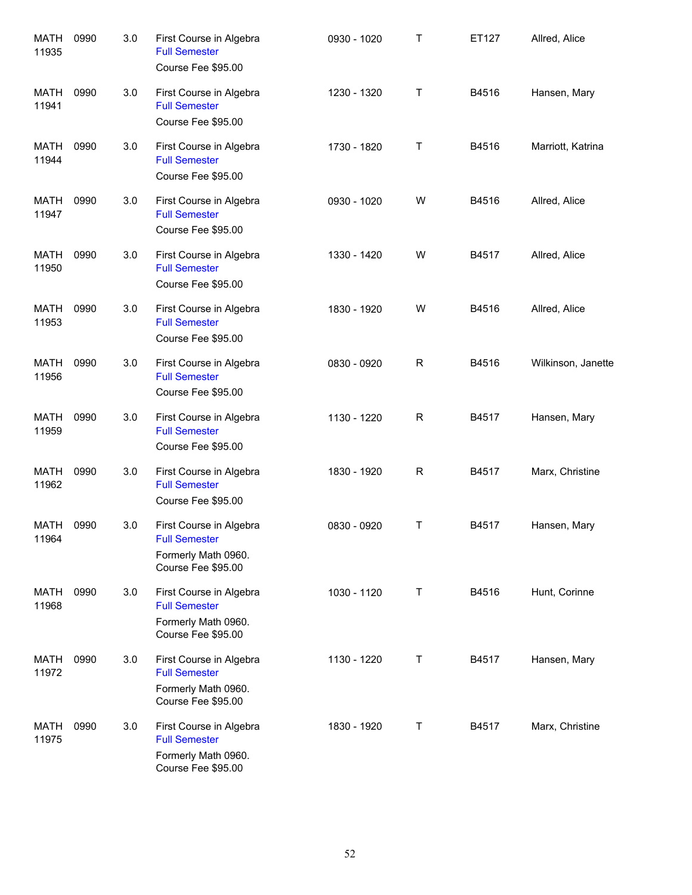| <b>MATH</b><br>11935 | 0990 | 3.0 | First Course in Algebra<br><b>Full Semester</b><br>Course Fee \$95.00                        | 0930 - 1020 | Τ           | ET127 | Allred, Alice      |
|----------------------|------|-----|----------------------------------------------------------------------------------------------|-------------|-------------|-------|--------------------|
| MATH<br>11941        | 0990 | 3.0 | First Course in Algebra<br><b>Full Semester</b><br>Course Fee \$95.00                        | 1230 - 1320 | Т           | B4516 | Hansen, Mary       |
| MATH<br>11944        | 0990 | 3.0 | First Course in Algebra<br><b>Full Semester</b><br>Course Fee \$95.00                        | 1730 - 1820 | Τ           | B4516 | Marriott, Katrina  |
| MATH<br>11947        | 0990 | 3.0 | First Course in Algebra<br><b>Full Semester</b><br>Course Fee \$95.00                        | 0930 - 1020 | W           | B4516 | Allred, Alice      |
| MATH<br>11950        | 0990 | 3.0 | First Course in Algebra<br><b>Full Semester</b><br>Course Fee \$95.00                        | 1330 - 1420 | W           | B4517 | Allred, Alice      |
| MATH<br>11953        | 0990 | 3.0 | First Course in Algebra<br><b>Full Semester</b><br>Course Fee \$95.00                        | 1830 - 1920 | W           | B4516 | Allred, Alice      |
| MATH<br>11956        | 0990 | 3.0 | First Course in Algebra<br><b>Full Semester</b><br>Course Fee \$95.00                        | 0830 - 0920 | $\mathsf R$ | B4516 | Wilkinson, Janette |
| <b>MATH</b><br>11959 | 0990 | 3.0 | First Course in Algebra<br><b>Full Semester</b><br>Course Fee \$95.00                        | 1130 - 1220 | R           | B4517 | Hansen, Mary       |
| <b>MATH</b><br>11962 | 0990 | 3.0 | First Course in Algebra<br><b>Full Semester</b><br>Course Fee \$95.00                        | 1830 - 1920 | $\mathsf R$ | B4517 | Marx, Christine    |
| MATH<br>11964        | 0990 | 3.0 | First Course in Algebra<br><b>Full Semester</b><br>Formerly Math 0960.<br>Course Fee \$95.00 | 0830 - 0920 | Т           | B4517 | Hansen, Mary       |
| MATH<br>11968        | 0990 | 3.0 | First Course in Algebra<br><b>Full Semester</b><br>Formerly Math 0960.<br>Course Fee \$95.00 | 1030 - 1120 | Τ           | B4516 | Hunt, Corinne      |
| MATH<br>11972        | 0990 | 3.0 | First Course in Algebra<br><b>Full Semester</b><br>Formerly Math 0960.<br>Course Fee \$95.00 | 1130 - 1220 | Т           | B4517 | Hansen, Mary       |
| MATH<br>11975        | 0990 | 3.0 | First Course in Algebra<br><b>Full Semester</b><br>Formerly Math 0960.<br>Course Fee \$95.00 | 1830 - 1920 | Τ           | B4517 | Marx, Christine    |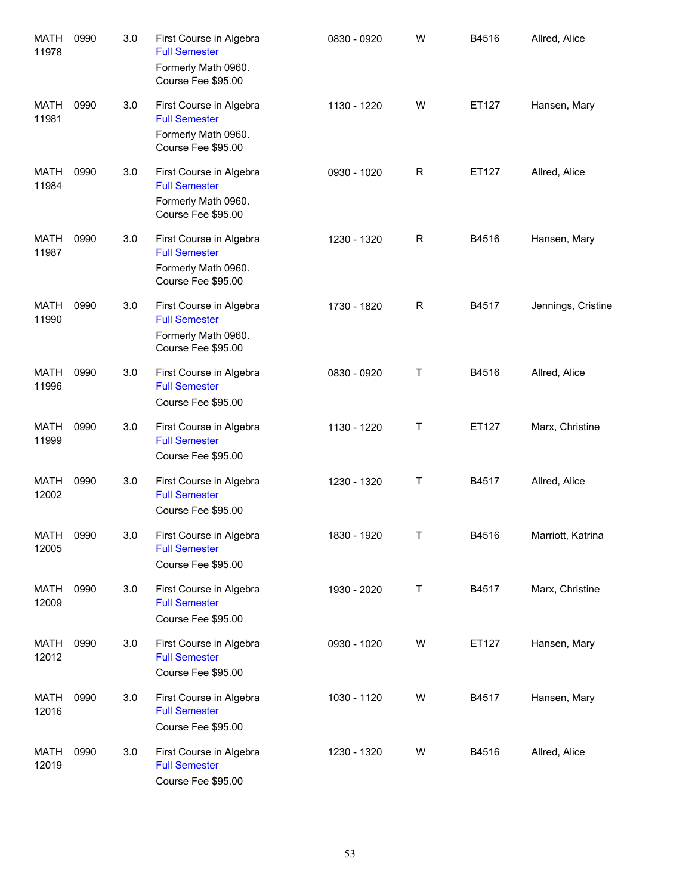| <b>MATH</b><br>11978 | 0990 | 3.0 | First Course in Algebra<br><b>Full Semester</b><br>Formerly Math 0960.<br>Course Fee \$95.00 | 0830 - 0920 | W            | B4516 | Allred, Alice      |
|----------------------|------|-----|----------------------------------------------------------------------------------------------|-------------|--------------|-------|--------------------|
| <b>MATH</b><br>11981 | 0990 | 3.0 | First Course in Algebra<br><b>Full Semester</b><br>Formerly Math 0960.<br>Course Fee \$95.00 | 1130 - 1220 | W            | ET127 | Hansen, Mary       |
| <b>MATH</b><br>11984 | 0990 | 3.0 | First Course in Algebra<br><b>Full Semester</b><br>Formerly Math 0960.<br>Course Fee \$95.00 | 0930 - 1020 | $\mathsf R$  | ET127 | Allred, Alice      |
| <b>MATH</b><br>11987 | 0990 | 3.0 | First Course in Algebra<br><b>Full Semester</b><br>Formerly Math 0960.<br>Course Fee \$95.00 | 1230 - 1320 | $\mathsf{R}$ | B4516 | Hansen, Mary       |
| <b>MATH</b><br>11990 | 0990 | 3.0 | First Course in Algebra<br><b>Full Semester</b><br>Formerly Math 0960.<br>Course Fee \$95.00 | 1730 - 1820 | $\mathsf R$  | B4517 | Jennings, Cristine |
| <b>MATH</b><br>11996 | 0990 | 3.0 | First Course in Algebra<br><b>Full Semester</b><br>Course Fee \$95.00                        | 0830 - 0920 | $\mathsf T$  | B4516 | Allred, Alice      |
| <b>MATH</b><br>11999 | 0990 | 3.0 | First Course in Algebra<br><b>Full Semester</b><br>Course Fee \$95.00                        | 1130 - 1220 | $\mathsf T$  | ET127 | Marx, Christine    |
| <b>MATH</b><br>12002 | 0990 | 3.0 | First Course in Algebra<br><b>Full Semester</b><br>Course Fee \$95.00                        | 1230 - 1320 | $\mathsf T$  | B4517 | Allred, Alice      |
| <b>MATH</b><br>12005 | 0990 | 3.0 | First Course in Algebra<br><b>Full Semester</b><br>Course Fee \$95.00                        | 1830 - 1920 | Τ            | B4516 | Marriott, Katrina  |
| <b>MATH</b><br>12009 | 0990 | 3.0 | First Course in Algebra<br><b>Full Semester</b><br>Course Fee \$95.00                        | 1930 - 2020 | Т            | B4517 | Marx, Christine    |
| MATH<br>12012        | 0990 | 3.0 | First Course in Algebra<br><b>Full Semester</b><br>Course Fee \$95.00                        | 0930 - 1020 | W            | ET127 | Hansen, Mary       |
| MATH<br>12016        | 0990 | 3.0 | First Course in Algebra<br><b>Full Semester</b><br>Course Fee \$95.00                        | 1030 - 1120 | W            | B4517 | Hansen, Mary       |
| MATH<br>12019        | 0990 | 3.0 | First Course in Algebra<br><b>Full Semester</b><br>Course Fee \$95.00                        | 1230 - 1320 | W            | B4516 | Allred, Alice      |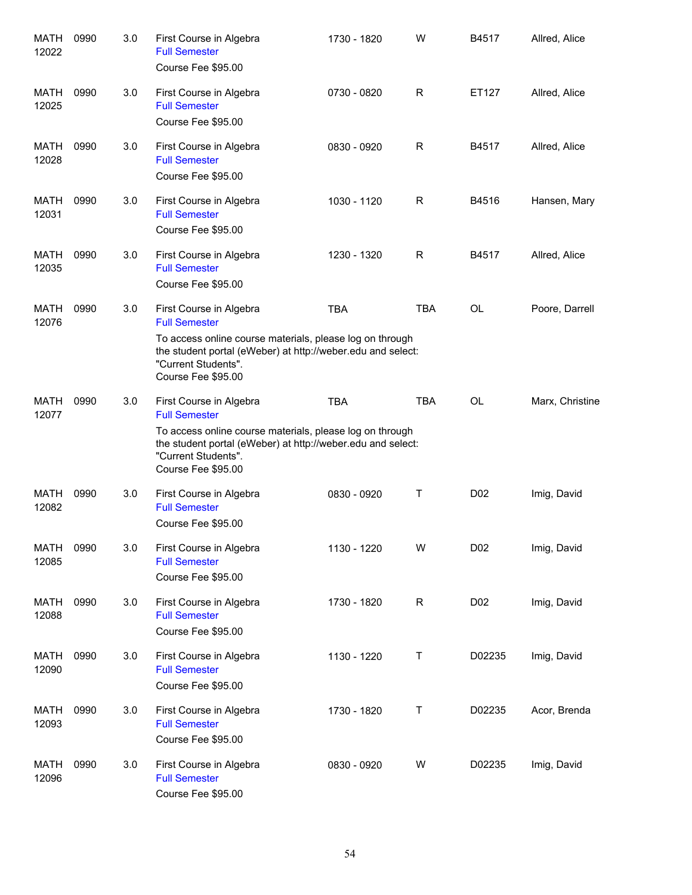| <b>MATH</b><br>12022 | 0990 | 3.0 | First Course in Algebra<br><b>Full Semester</b><br>Course Fee \$95.00                                                                                                | 1730 - 1820 | W          | B4517            | Allred, Alice   |
|----------------------|------|-----|----------------------------------------------------------------------------------------------------------------------------------------------------------------------|-------------|------------|------------------|-----------------|
| MATH<br>12025        | 0990 | 3.0 | First Course in Algebra<br><b>Full Semester</b><br>Course Fee \$95.00                                                                                                | 0730 - 0820 | R          | ET127            | Allred, Alice   |
| MATH<br>12028        | 0990 | 3.0 | First Course in Algebra<br><b>Full Semester</b><br>Course Fee \$95.00                                                                                                | 0830 - 0920 | R          | B4517            | Allred, Alice   |
| <b>MATH</b><br>12031 | 0990 | 3.0 | First Course in Algebra<br><b>Full Semester</b><br>Course Fee \$95.00                                                                                                | 1030 - 1120 | R          | B4516            | Hansen, Mary    |
| <b>MATH</b><br>12035 | 0990 | 3.0 | First Course in Algebra<br><b>Full Semester</b><br>Course Fee \$95.00                                                                                                | 1230 - 1320 | R          | B4517            | Allred, Alice   |
| MATH<br>12076        | 0990 | 3.0 | First Course in Algebra<br><b>Full Semester</b>                                                                                                                      | <b>TBA</b>  | <b>TBA</b> | <b>OL</b>        | Poore, Darrell  |
|                      |      |     | To access online course materials, please log on through<br>the student portal (eWeber) at http://weber.edu and select:<br>"Current Students".<br>Course Fee \$95.00 |             |            |                  |                 |
| <b>MATH</b><br>12077 | 0990 | 3.0 | First Course in Algebra<br><b>Full Semester</b>                                                                                                                      | <b>TBA</b>  | <b>TBA</b> | <b>OL</b>        | Marx, Christine |
|                      |      |     | To access online course materials, please log on through<br>the student portal (eWeber) at http://weber.edu and select:<br>"Current Students".<br>Course Fee \$95.00 |             |            |                  |                 |
| <b>MATH</b><br>12082 | 0990 | 3.0 | First Course in Algebra<br><b>Full Semester</b><br>Course Fee \$95.00                                                                                                | 0830 - 0920 | Т          | D <sub>0</sub> 2 | Imig, David     |
| <b>MATH</b><br>12085 | 0990 | 3.0 | First Course in Algebra<br><b>Full Semester</b><br>Course Fee \$95.00                                                                                                | 1130 - 1220 | W          | D <sub>0</sub> 2 | Imig, David     |
| <b>MATH</b><br>12088 | 0990 | 3.0 | First Course in Algebra<br><b>Full Semester</b><br>Course Fee \$95.00                                                                                                | 1730 - 1820 | R          | D <sub>02</sub>  | Imig, David     |
| <b>MATH</b><br>12090 | 0990 | 3.0 | First Course in Algebra<br><b>Full Semester</b><br>Course Fee \$95.00                                                                                                | 1130 - 1220 | Τ          | D02235           | Imig, David     |
| <b>MATH</b><br>12093 | 0990 | 3.0 | First Course in Algebra<br><b>Full Semester</b><br>Course Fee \$95.00                                                                                                | 1730 - 1820 | Τ          | D02235           | Acor, Brenda    |
| <b>MATH</b><br>12096 | 0990 | 3.0 | First Course in Algebra<br><b>Full Semester</b><br>Course Fee \$95.00                                                                                                | 0830 - 0920 | W          | D02235           | Imig, David     |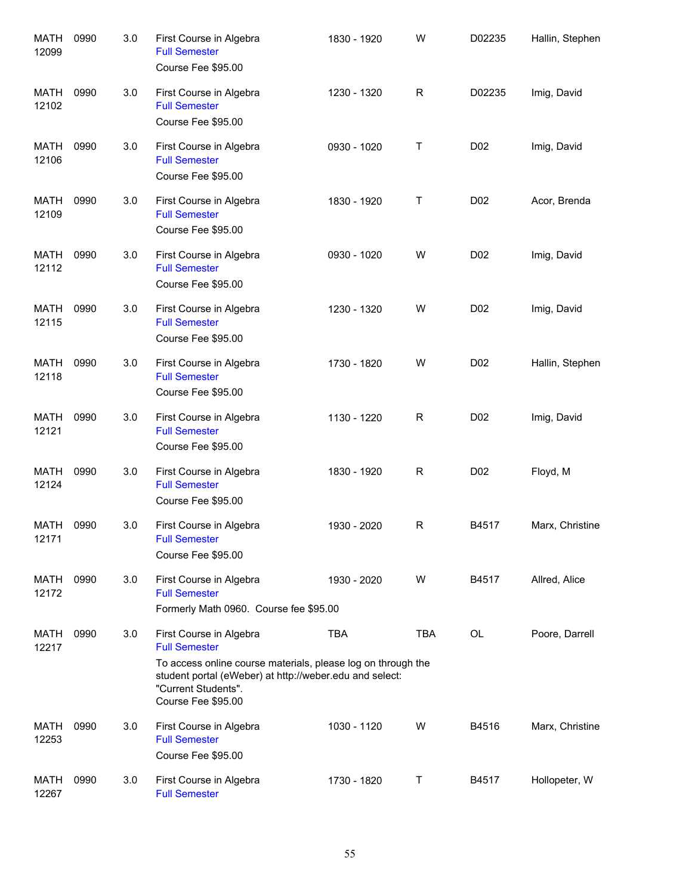| <b>MATH</b><br>12099 | 0990 | 3.0 | First Course in Algebra<br><b>Full Semester</b><br>Course Fee \$95.00                                                                                                                                                   | 1830 - 1920 | W           | D02235           | Hallin, Stephen |
|----------------------|------|-----|-------------------------------------------------------------------------------------------------------------------------------------------------------------------------------------------------------------------------|-------------|-------------|------------------|-----------------|
| MATH<br>12102        | 0990 | 3.0 | First Course in Algebra<br><b>Full Semester</b><br>Course Fee \$95.00                                                                                                                                                   | 1230 - 1320 | $\mathsf R$ | D02235           | Imig, David     |
| MATH<br>12106        | 0990 | 3.0 | First Course in Algebra<br><b>Full Semester</b><br>Course Fee \$95.00                                                                                                                                                   | 0930 - 1020 | Т           | D <sub>02</sub>  | Imig, David     |
| MATH<br>12109        | 0990 | 3.0 | First Course in Algebra<br><b>Full Semester</b><br>Course Fee \$95.00                                                                                                                                                   | 1830 - 1920 | Т           | D <sub>0</sub> 2 | Acor, Brenda    |
| MATH<br>12112        | 0990 | 3.0 | First Course in Algebra<br><b>Full Semester</b><br>Course Fee \$95.00                                                                                                                                                   | 0930 - 1020 | W           | D <sub>0</sub> 2 | Imig, David     |
| MATH<br>12115        | 0990 | 3.0 | First Course in Algebra<br><b>Full Semester</b><br>Course Fee \$95.00                                                                                                                                                   | 1230 - 1320 | W           | D <sub>0</sub> 2 | Imig, David     |
| MATH<br>12118        | 0990 | 3.0 | First Course in Algebra<br><b>Full Semester</b><br>Course Fee \$95.00                                                                                                                                                   | 1730 - 1820 | W           | D <sub>0</sub> 2 | Hallin, Stephen |
| MATH<br>12121        | 0990 | 3.0 | First Course in Algebra<br><b>Full Semester</b><br>Course Fee \$95.00                                                                                                                                                   | 1130 - 1220 | R           | D <sub>0</sub> 2 | Imig, David     |
| MATH<br>12124        | 0990 | 3.0 | First Course in Algebra<br><b>Full Semester</b><br>Course Fee \$95.00                                                                                                                                                   | 1830 - 1920 | R           | D <sub>0</sub> 2 | Floyd, M        |
| MATH<br>12171        | 0990 | 3.0 | First Course in Algebra<br><b>Full Semester</b><br>Course Fee \$95.00                                                                                                                                                   | 1930 - 2020 | R           | B4517            | Marx, Christine |
| MATH<br>12172        | 0990 | 3.0 | First Course in Algebra<br><b>Full Semester</b><br>Formerly Math 0960. Course fee \$95.00                                                                                                                               | 1930 - 2020 | W           | B4517            | Allred, Alice   |
| MATH<br>12217        | 0990 | 3.0 | First Course in Algebra<br><b>Full Semester</b><br>To access online course materials, please log on through the<br>student portal (eWeber) at http://weber.edu and select:<br>"Current Students".<br>Course Fee \$95.00 | <b>TBA</b>  | <b>TBA</b>  | <b>OL</b>        | Poore, Darrell  |
| <b>MATH</b><br>12253 | 0990 | 3.0 | First Course in Algebra<br><b>Full Semester</b><br>Course Fee \$95.00                                                                                                                                                   | 1030 - 1120 | W           | B4516            | Marx, Christine |
| <b>MATH</b><br>12267 | 0990 | 3.0 | First Course in Algebra<br><b>Full Semester</b>                                                                                                                                                                         | 1730 - 1820 | Т           | B4517            | Hollopeter, W   |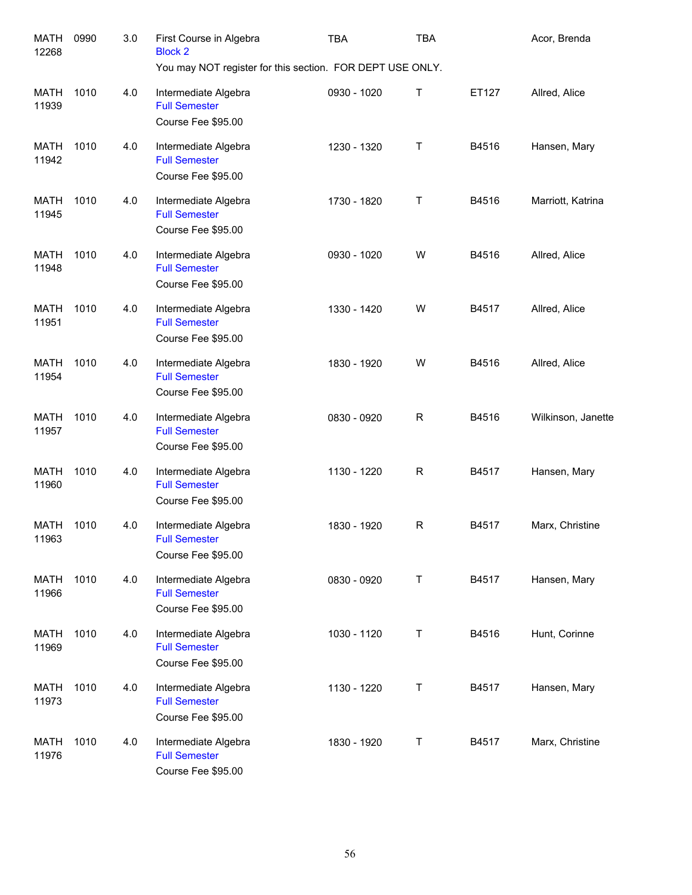| <b>MATH</b><br>12268 | 0990 | 3.0 | First Course in Algebra<br><b>Block 2</b>                          | <b>TBA</b>  | <b>TBA</b>  |       | Acor, Brenda       |
|----------------------|------|-----|--------------------------------------------------------------------|-------------|-------------|-------|--------------------|
|                      |      |     | You may NOT register for this section. FOR DEPT USE ONLY.          |             |             |       |                    |
| MATH<br>11939        | 1010 | 4.0 | Intermediate Algebra<br><b>Full Semester</b><br>Course Fee \$95.00 | 0930 - 1020 | Т           | ET127 | Allred, Alice      |
|                      |      |     |                                                                    |             |             |       |                    |
| MATH<br>11942        | 1010 | 4.0 | Intermediate Algebra<br><b>Full Semester</b><br>Course Fee \$95.00 | 1230 - 1320 | Τ           | B4516 | Hansen, Mary       |
|                      |      |     |                                                                    |             |             |       |                    |
| <b>MATH</b><br>11945 | 1010 | 4.0 | Intermediate Algebra<br><b>Full Semester</b><br>Course Fee \$95.00 | 1730 - 1820 | Т           | B4516 | Marriott, Katrina  |
| MATH<br>11948        | 1010 | 4.0 | Intermediate Algebra<br><b>Full Semester</b><br>Course Fee \$95.00 | 0930 - 1020 | W           | B4516 | Allred, Alice      |
| <b>MATH</b><br>11951 | 1010 | 4.0 | Intermediate Algebra<br><b>Full Semester</b>                       | 1330 - 1420 | W           | B4517 | Allred, Alice      |
|                      |      |     | Course Fee \$95.00                                                 |             |             |       |                    |
| MATH<br>11954        | 1010 | 4.0 | Intermediate Algebra<br><b>Full Semester</b><br>Course Fee \$95.00 | 1830 - 1920 | W           | B4516 | Allred, Alice      |
| MATH<br>11957        | 1010 | 4.0 | Intermediate Algebra<br><b>Full Semester</b><br>Course Fee \$95.00 | 0830 - 0920 | $\mathsf R$ | B4516 | Wilkinson, Janette |
| MATH<br>11960        | 1010 | 4.0 | Intermediate Algebra<br><b>Full Semester</b><br>Course Fee \$95.00 | 1130 - 1220 | $\mathsf R$ | B4517 | Hansen, Mary       |
| MATH<br>11963        | 1010 | 4.0 | Intermediate Algebra<br><b>Full Semester</b><br>Course Fee \$95.00 | 1830 - 1920 | $\mathsf R$ | B4517 | Marx, Christine    |
| <b>MATH</b><br>11966 | 1010 | 4.0 | Intermediate Algebra<br><b>Full Semester</b><br>Course Fee \$95.00 | 0830 - 0920 | T           | B4517 | Hansen, Mary       |
| MATH<br>11969        | 1010 | 4.0 | Intermediate Algebra<br><b>Full Semester</b><br>Course Fee \$95.00 | 1030 - 1120 | T           | B4516 | Hunt, Corinne      |
| MATH<br>11973        | 1010 | 4.0 | Intermediate Algebra<br><b>Full Semester</b><br>Course Fee \$95.00 | 1130 - 1220 | T           | B4517 | Hansen, Mary       |
| MATH<br>11976        | 1010 | 4.0 | Intermediate Algebra<br><b>Full Semester</b><br>Course Fee \$95.00 | 1830 - 1920 | Т           | B4517 | Marx, Christine    |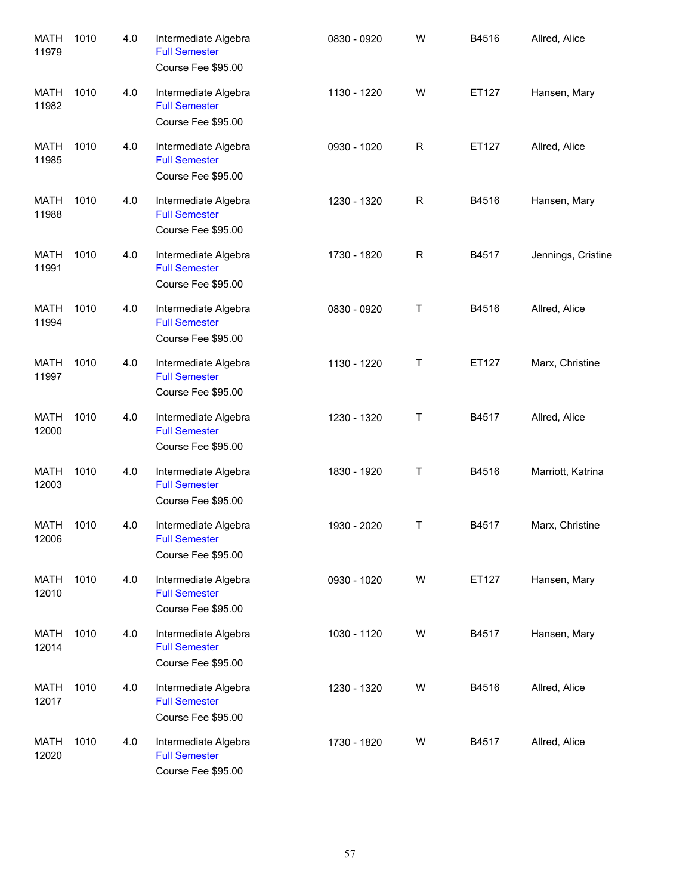| <b>MATH</b><br>11979 | 1010 | 4.0 | Intermediate Algebra<br><b>Full Semester</b><br>Course Fee \$95.00 | 0830 - 0920 | W | B4516 | Allred, Alice      |
|----------------------|------|-----|--------------------------------------------------------------------|-------------|---|-------|--------------------|
| <b>MATH</b><br>11982 | 1010 | 4.0 | Intermediate Algebra<br><b>Full Semester</b><br>Course Fee \$95.00 | 1130 - 1220 | W | ET127 | Hansen, Mary       |
| <b>MATH</b><br>11985 | 1010 | 4.0 | Intermediate Algebra<br><b>Full Semester</b><br>Course Fee \$95.00 | 0930 - 1020 | R | ET127 | Allred, Alice      |
| <b>MATH</b><br>11988 | 1010 | 4.0 | Intermediate Algebra<br><b>Full Semester</b><br>Course Fee \$95.00 | 1230 - 1320 | R | B4516 | Hansen, Mary       |
| <b>MATH</b><br>11991 | 1010 | 4.0 | Intermediate Algebra<br><b>Full Semester</b><br>Course Fee \$95.00 | 1730 - 1820 | R | B4517 | Jennings, Cristine |
| <b>MATH</b><br>11994 | 1010 | 4.0 | Intermediate Algebra<br><b>Full Semester</b><br>Course Fee \$95.00 | 0830 - 0920 | Τ | B4516 | Allred, Alice      |
| MATH<br>11997        | 1010 | 4.0 | Intermediate Algebra<br><b>Full Semester</b><br>Course Fee \$95.00 | 1130 - 1220 | Τ | ET127 | Marx, Christine    |
| <b>MATH</b><br>12000 | 1010 | 4.0 | Intermediate Algebra<br><b>Full Semester</b><br>Course Fee \$95.00 | 1230 - 1320 | Τ | B4517 | Allred, Alice      |
| <b>MATH</b><br>12003 | 1010 | 4.0 | Intermediate Algebra<br><b>Full Semester</b><br>Course Fee \$95.00 | 1830 - 1920 | Τ | B4516 | Marriott, Katrina  |
| <b>MATH</b><br>12006 | 1010 | 4.0 | Intermediate Algebra<br><b>Full Semester</b><br>Course Fee \$95.00 | 1930 - 2020 | Τ | B4517 | Marx, Christine    |
| MATH<br>12010        | 1010 | 4.0 | Intermediate Algebra<br><b>Full Semester</b><br>Course Fee \$95.00 | 0930 - 1020 | W | ET127 | Hansen, Mary       |
| MATH<br>12014        | 1010 | 4.0 | Intermediate Algebra<br><b>Full Semester</b><br>Course Fee \$95.00 | 1030 - 1120 | W | B4517 | Hansen, Mary       |
| MATH<br>12017        | 1010 | 4.0 | Intermediate Algebra<br><b>Full Semester</b><br>Course Fee \$95.00 | 1230 - 1320 | W | B4516 | Allred, Alice      |
| <b>MATH</b><br>12020 | 1010 | 4.0 | Intermediate Algebra<br><b>Full Semester</b><br>Course Fee \$95.00 | 1730 - 1820 | W | B4517 | Allred, Alice      |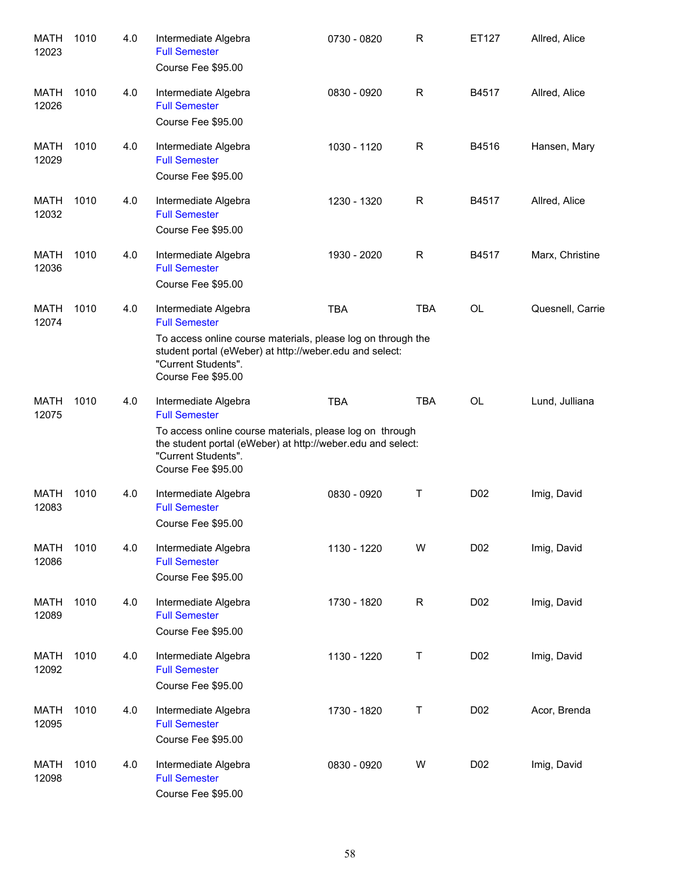| <b>MATH</b><br>12023 | 1010 | 4.0 | Intermediate Algebra<br><b>Full Semester</b><br>Course Fee \$95.00                                                                                                                                                   | 0730 - 0820 | R           | ET127            | Allred, Alice    |
|----------------------|------|-----|----------------------------------------------------------------------------------------------------------------------------------------------------------------------------------------------------------------------|-------------|-------------|------------------|------------------|
| MATH<br>12026        | 1010 | 4.0 | Intermediate Algebra<br><b>Full Semester</b><br>Course Fee \$95.00                                                                                                                                                   | 0830 - 0920 | R           | B4517            | Allred, Alice    |
| MATH<br>12029        | 1010 | 4.0 | Intermediate Algebra<br><b>Full Semester</b><br>Course Fee \$95.00                                                                                                                                                   | 1030 - 1120 | R           | B4516            | Hansen, Mary     |
| MATH<br>12032        | 1010 | 4.0 | Intermediate Algebra<br><b>Full Semester</b><br>Course Fee \$95.00                                                                                                                                                   | 1230 - 1320 | R           | B4517            | Allred, Alice    |
| MATH<br>12036        | 1010 | 4.0 | Intermediate Algebra<br><b>Full Semester</b><br>Course Fee \$95.00                                                                                                                                                   | 1930 - 2020 | R           | B4517            | Marx, Christine  |
| MATH<br>12074        | 1010 | 4.0 | Intermediate Algebra<br><b>Full Semester</b><br>To access online course materials, please log on through the<br>student portal (eWeber) at http://weber.edu and select:<br>"Current Students".<br>Course Fee \$95.00 | <b>TBA</b>  | <b>TBA</b>  | OL               | Quesnell, Carrie |
| <b>MATH</b><br>12075 | 1010 | 4.0 | Intermediate Algebra<br><b>Full Semester</b><br>To access online course materials, please log on through<br>the student portal (eWeber) at http://weber.edu and select:<br>"Current Students".<br>Course Fee \$95.00 | <b>TBA</b>  | <b>TBA</b>  | <b>OL</b>        | Lund, Julliana   |
| <b>MATH</b><br>12083 | 1010 | 4.0 | Intermediate Algebra<br><b>Full Semester</b><br>Course Fee \$95.00                                                                                                                                                   | 0830 - 0920 | Τ           | D <sub>0</sub> 2 | Imig, David      |
| <b>MATH</b><br>12086 | 1010 | 4.0 | Intermediate Algebra<br><b>Full Semester</b><br>Course Fee \$95.00                                                                                                                                                   | 1130 - 1220 | W           | D <sub>0</sub> 2 | Imig, David      |
| <b>MATH</b><br>12089 | 1010 | 4.0 | Intermediate Algebra<br><b>Full Semester</b><br>Course Fee \$95.00                                                                                                                                                   | 1730 - 1820 | $\mathsf R$ | D <sub>0</sub> 2 | Imig, David      |
| <b>MATH</b><br>12092 | 1010 | 4.0 | Intermediate Algebra<br><b>Full Semester</b><br>Course Fee \$95.00                                                                                                                                                   | 1130 - 1220 | Τ           | D <sub>0</sub> 2 | Imig, David      |
| <b>MATH</b><br>12095 | 1010 | 4.0 | Intermediate Algebra<br><b>Full Semester</b><br>Course Fee \$95.00                                                                                                                                                   | 1730 - 1820 | Τ           | D <sub>0</sub> 2 | Acor, Brenda     |
| <b>MATH</b><br>12098 | 1010 | 4.0 | Intermediate Algebra<br><b>Full Semester</b><br>Course Fee \$95.00                                                                                                                                                   | 0830 - 0920 | W           | D <sub>0</sub> 2 | Imig, David      |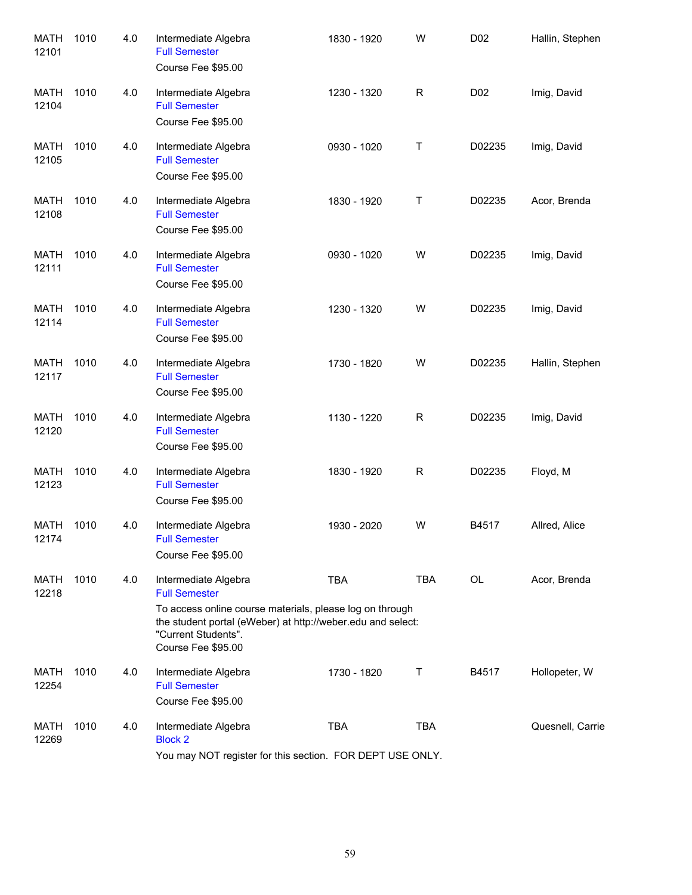| <b>MATH</b><br>12101 | 1010 | 4.0 | Intermediate Algebra<br><b>Full Semester</b><br>Course Fee \$95.00                                                                                                   | 1830 - 1920 | W           | D <sub>0</sub> 2 | Hallin, Stephen  |
|----------------------|------|-----|----------------------------------------------------------------------------------------------------------------------------------------------------------------------|-------------|-------------|------------------|------------------|
| MATH<br>12104        | 1010 | 4.0 | Intermediate Algebra<br><b>Full Semester</b><br>Course Fee \$95.00                                                                                                   | 1230 - 1320 | $\mathsf R$ | D <sub>02</sub>  | Imig, David      |
| MATH<br>12105        | 1010 | 4.0 | Intermediate Algebra<br><b>Full Semester</b><br>Course Fee \$95.00                                                                                                   | 0930 - 1020 | Τ           | D02235           | Imig, David      |
| MATH<br>12108        | 1010 | 4.0 | Intermediate Algebra<br><b>Full Semester</b><br>Course Fee \$95.00                                                                                                   | 1830 - 1920 | Τ           | D02235           | Acor, Brenda     |
| MATH<br>12111        | 1010 | 4.0 | Intermediate Algebra<br><b>Full Semester</b><br>Course Fee \$95.00                                                                                                   | 0930 - 1020 | W           | D02235           | Imig, David      |
| MATH<br>12114        | 1010 | 4.0 | Intermediate Algebra<br><b>Full Semester</b><br>Course Fee \$95.00                                                                                                   | 1230 - 1320 | W           | D02235           | Imig, David      |
| MATH<br>12117        | 1010 | 4.0 | Intermediate Algebra<br><b>Full Semester</b><br>Course Fee \$95.00                                                                                                   | 1730 - 1820 | W           | D02235           | Hallin, Stephen  |
| MATH<br>12120        | 1010 | 4.0 | Intermediate Algebra<br><b>Full Semester</b><br>Course Fee \$95.00                                                                                                   | 1130 - 1220 | R           | D02235           | Imig, David      |
| <b>MATH</b><br>12123 | 1010 | 4.0 | Intermediate Algebra<br><b>Full Semester</b><br>Course Fee \$95.00                                                                                                   | 1830 - 1920 | $\mathsf R$ | D02235           | Floyd, M         |
| MATH<br>12174        | 1010 | 4.0 | Intermediate Algebra<br><b>Full Semester</b><br>Course Fee \$95.00                                                                                                   | 1930 - 2020 | W           | B4517            | Allred, Alice    |
| MATH<br>12218        | 1010 | 4.0 | Intermediate Algebra<br><b>Full Semester</b>                                                                                                                         | <b>TBA</b>  | TBA         | <b>OL</b>        | Acor, Brenda     |
|                      |      |     | To access online course materials, please log on through<br>the student portal (eWeber) at http://weber.edu and select:<br>"Current Students".<br>Course Fee \$95.00 |             |             |                  |                  |
| MATH<br>12254        | 1010 | 4.0 | Intermediate Algebra<br><b>Full Semester</b><br>Course Fee \$95.00                                                                                                   | 1730 - 1820 | Т           | B4517            | Hollopeter, W    |
| MATH<br>12269        | 1010 | 4.0 | Intermediate Algebra<br><b>Block 2</b>                                                                                                                               | <b>TBA</b>  | <b>TBA</b>  |                  | Quesnell, Carrie |
|                      |      |     | You may NOT register for this section. FOR DEPT USE ONLY.                                                                                                            |             |             |                  |                  |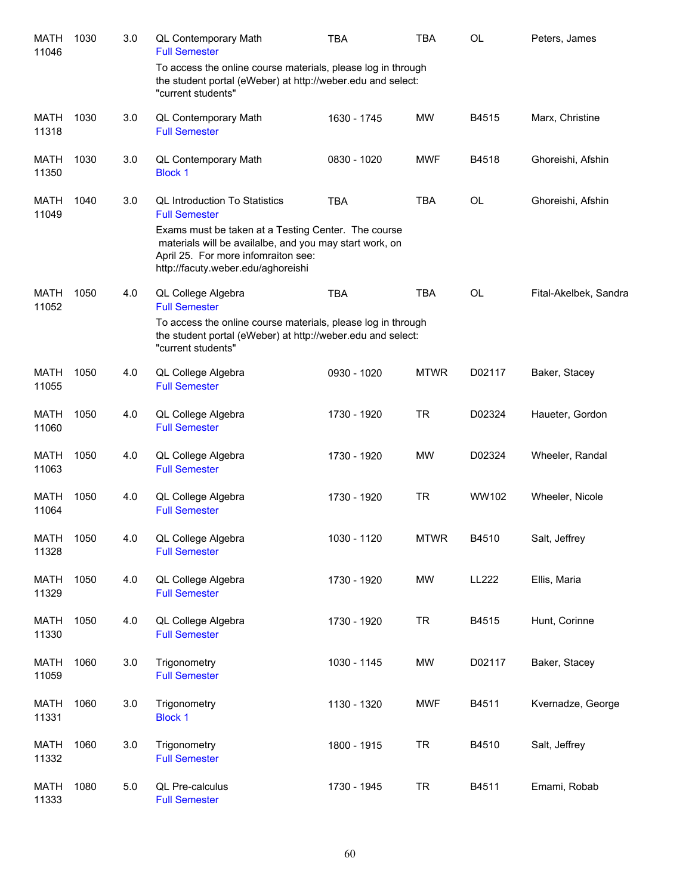| <b>MATH</b><br>11046 | 1030 | 3.0 | QL Contemporary Math<br><b>Full Semester</b>                                                                                                                                                | <b>TBA</b>  | TBA         | <b>OL</b>    | Peters, James         |
|----------------------|------|-----|---------------------------------------------------------------------------------------------------------------------------------------------------------------------------------------------|-------------|-------------|--------------|-----------------------|
|                      |      |     | To access the online course materials, please log in through<br>the student portal (eWeber) at http://weber.edu and select:<br>"current students"                                           |             |             |              |                       |
| <b>MATH</b><br>11318 | 1030 | 3.0 | QL Contemporary Math<br><b>Full Semester</b>                                                                                                                                                | 1630 - 1745 | <b>MW</b>   | B4515        | Marx, Christine       |
| <b>MATH</b><br>11350 | 1030 | 3.0 | QL Contemporary Math<br><b>Block 1</b>                                                                                                                                                      | 0830 - 1020 | <b>MWF</b>  | B4518        | Ghoreishi, Afshin     |
| <b>MATH</b><br>11049 | 1040 | 3.0 | <b>QL Introduction To Statistics</b><br><b>Full Semester</b>                                                                                                                                | <b>TBA</b>  | <b>TBA</b>  | <b>OL</b>    | Ghoreishi, Afshin     |
|                      |      |     | Exams must be taken at a Testing Center. The course<br>materials will be availalbe, and you may start work, on<br>April 25. For more infomraiton see:<br>http://facuty.weber.edu/aghoreishi |             |             |              |                       |
| <b>MATH</b><br>11052 | 1050 | 4.0 | QL College Algebra<br><b>Full Semester</b>                                                                                                                                                  | <b>TBA</b>  | <b>TBA</b>  | <b>OL</b>    | Fital-Akelbek, Sandra |
|                      |      |     | To access the online course materials, please log in through<br>the student portal (eWeber) at http://weber.edu and select:<br>"current students"                                           |             |             |              |                       |
| <b>MATH</b><br>11055 | 1050 | 4.0 | QL College Algebra<br><b>Full Semester</b>                                                                                                                                                  | 0930 - 1020 | <b>MTWR</b> | D02117       | Baker, Stacey         |
| <b>MATH</b><br>11060 | 1050 | 4.0 | QL College Algebra<br><b>Full Semester</b>                                                                                                                                                  | 1730 - 1920 | <b>TR</b>   | D02324       | Haueter, Gordon       |
| <b>MATH</b><br>11063 | 1050 | 4.0 | QL College Algebra<br><b>Full Semester</b>                                                                                                                                                  | 1730 - 1920 | <b>MW</b>   | D02324       | Wheeler, Randal       |
| <b>MATH</b><br>11064 | 1050 | 4.0 | QL College Algebra<br><b>Full Semester</b>                                                                                                                                                  | 1730 - 1920 | <b>TR</b>   | WW102        | Wheeler, Nicole       |
| <b>MATH</b><br>11328 | 1050 | 4.0 | QL College Algebra<br><b>Full Semester</b>                                                                                                                                                  | 1030 - 1120 | <b>MTWR</b> | B4510        | Salt, Jeffrey         |
| <b>MATH</b><br>11329 | 1050 | 4.0 | QL College Algebra<br><b>Full Semester</b>                                                                                                                                                  | 1730 - 1920 | <b>MW</b>   | <b>LL222</b> | Ellis, Maria          |
| <b>MATH</b><br>11330 | 1050 | 4.0 | QL College Algebra<br><b>Full Semester</b>                                                                                                                                                  | 1730 - 1920 | <b>TR</b>   | B4515        | Hunt, Corinne         |
| <b>MATH</b><br>11059 | 1060 | 3.0 | Trigonometry<br><b>Full Semester</b>                                                                                                                                                        | 1030 - 1145 | <b>MW</b>   | D02117       | Baker, Stacey         |
| <b>MATH</b><br>11331 | 1060 | 3.0 | Trigonometry<br><b>Block 1</b>                                                                                                                                                              | 1130 - 1320 | <b>MWF</b>  | B4511        | Kvernadze, George     |
| <b>MATH</b><br>11332 | 1060 | 3.0 | Trigonometry<br><b>Full Semester</b>                                                                                                                                                        | 1800 - 1915 | <b>TR</b>   | B4510        | Salt, Jeffrey         |
| <b>MATH</b><br>11333 | 1080 | 5.0 | QL Pre-calculus<br><b>Full Semester</b>                                                                                                                                                     | 1730 - 1945 | <b>TR</b>   | B4511        | Emami, Robab          |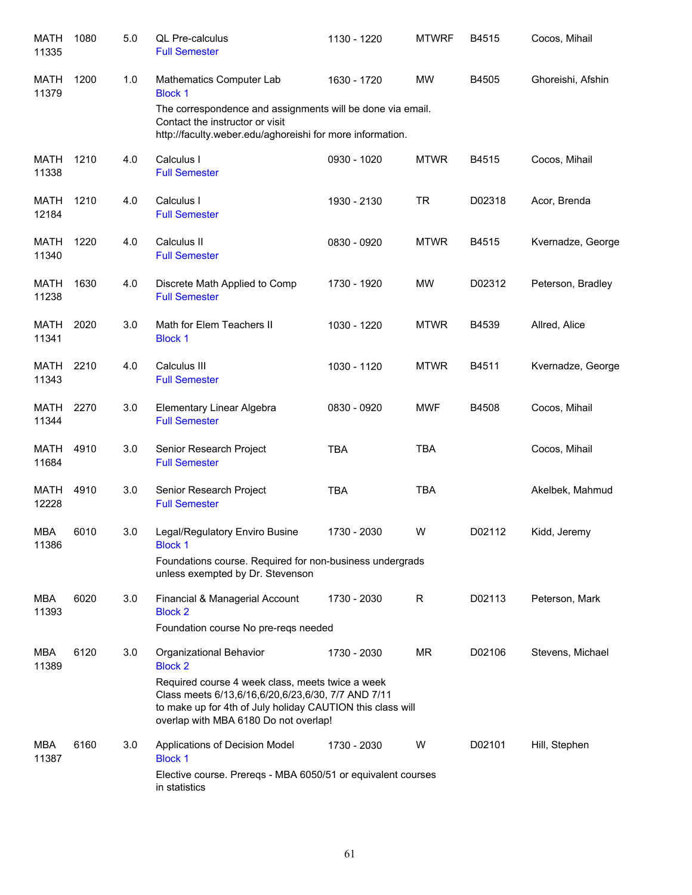| <b>MATH</b><br>11335 | 1080 | 5.0 | QL Pre-calculus<br><b>Full Semester</b>                                                                                                                                                                       | 1130 - 1220 | <b>MTWRF</b> | B4515  | Cocos, Mihail     |
|----------------------|------|-----|---------------------------------------------------------------------------------------------------------------------------------------------------------------------------------------------------------------|-------------|--------------|--------|-------------------|
| MATH<br>11379        | 1200 | 1.0 | Mathematics Computer Lab<br><b>Block 1</b>                                                                                                                                                                    | 1630 - 1720 | <b>MW</b>    | B4505  | Ghoreishi, Afshin |
|                      |      |     | The correspondence and assignments will be done via email.<br>Contact the instructor or visit<br>http://faculty.weber.edu/aghoreishi for more information.                                                    |             |              |        |                   |
| <b>MATH</b><br>11338 | 1210 | 4.0 | Calculus I<br><b>Full Semester</b>                                                                                                                                                                            | 0930 - 1020 | <b>MTWR</b>  | B4515  | Cocos, Mihail     |
| MATH<br>12184        | 1210 | 4.0 | Calculus I<br><b>Full Semester</b>                                                                                                                                                                            | 1930 - 2130 | <b>TR</b>    | D02318 | Acor, Brenda      |
| <b>MATH</b><br>11340 | 1220 | 4.0 | Calculus II<br><b>Full Semester</b>                                                                                                                                                                           | 0830 - 0920 | <b>MTWR</b>  | B4515  | Kvernadze, George |
| <b>MATH</b><br>11238 | 1630 | 4.0 | Discrete Math Applied to Comp<br><b>Full Semester</b>                                                                                                                                                         | 1730 - 1920 | MW           | D02312 | Peterson, Bradley |
| MATH<br>11341        | 2020 | 3.0 | Math for Elem Teachers II<br><b>Block 1</b>                                                                                                                                                                   | 1030 - 1220 | <b>MTWR</b>  | B4539  | Allred, Alice     |
| MATH<br>11343        | 2210 | 4.0 | Calculus III<br><b>Full Semester</b>                                                                                                                                                                          | 1030 - 1120 | <b>MTWR</b>  | B4511  | Kvernadze, George |
| MATH<br>11344        | 2270 | 3.0 | Elementary Linear Algebra<br><b>Full Semester</b>                                                                                                                                                             | 0830 - 0920 | <b>MWF</b>   | B4508  | Cocos, Mihail     |
| <b>MATH</b><br>11684 | 4910 | 3.0 | Senior Research Project<br><b>Full Semester</b>                                                                                                                                                               | <b>TBA</b>  | <b>TBA</b>   |        | Cocos, Mihail     |
| <b>MATH</b><br>12228 | 4910 | 3.0 | Senior Research Project<br><b>Full Semester</b>                                                                                                                                                               | <b>TBA</b>  | <b>TBA</b>   |        | Akelbek, Mahmud   |
| MBA<br>11386         | 6010 | 3.0 | Legal/Regulatory Enviro Busine<br><b>Block 1</b>                                                                                                                                                              | 1730 - 2030 | W            | D02112 | Kidd, Jeremy      |
|                      |      |     | Foundations course. Required for non-business undergrads<br>unless exempted by Dr. Stevenson                                                                                                                  |             |              |        |                   |
| MBA<br>11393         | 6020 | 3.0 | Financial & Managerial Account<br><b>Block 2</b>                                                                                                                                                              | 1730 - 2030 | R            | D02113 | Peterson, Mark    |
|                      |      |     | Foundation course No pre-regs needed                                                                                                                                                                          |             |              |        |                   |
| MBA<br>11389         | 6120 | 3.0 | Organizational Behavior<br><b>Block 2</b>                                                                                                                                                                     | 1730 - 2030 | <b>MR</b>    | D02106 | Stevens, Michael  |
|                      |      |     | Required course 4 week class, meets twice a week<br>Class meets 6/13,6/16,6/20,6/23,6/30, 7/7 AND 7/11<br>to make up for 4th of July holiday CAUTION this class will<br>overlap with MBA 6180 Do not overlap! |             |              |        |                   |
| MBA<br>11387         | 6160 | 3.0 | Applications of Decision Model<br><b>Block 1</b>                                                                                                                                                              | 1730 - 2030 | W            | D02101 | Hill, Stephen     |
|                      |      |     | Elective course. Prereqs - MBA 6050/51 or equivalent courses<br>in statistics                                                                                                                                 |             |              |        |                   |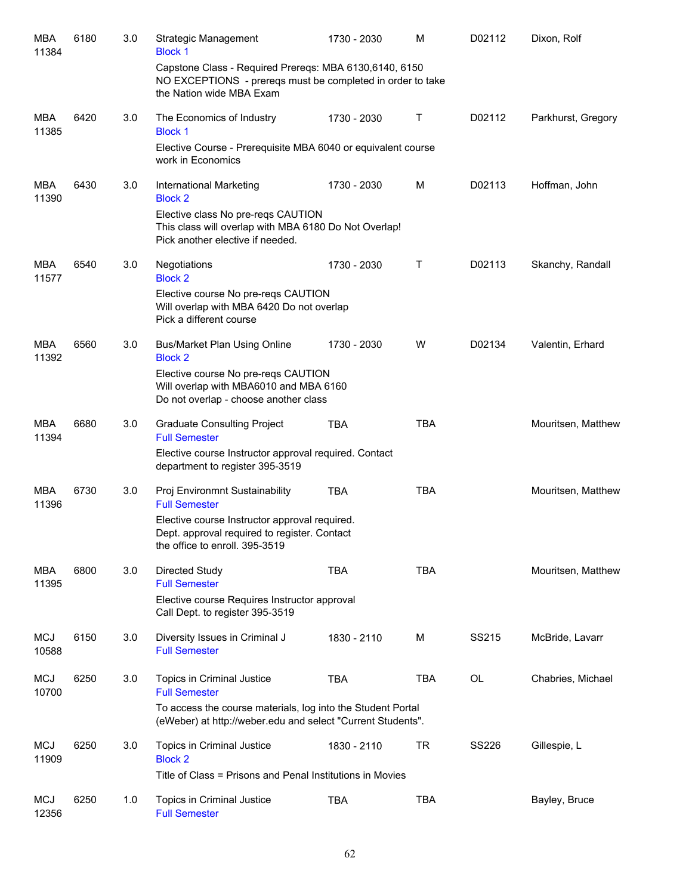| <b>MBA</b><br>11384 | 6180 | 3.0 | <b>Strategic Management</b><br><b>Block 1</b>                                                                                                    | 1730 - 2030 | M          | D02112 | Dixon, Rolf        |
|---------------------|------|-----|--------------------------------------------------------------------------------------------------------------------------------------------------|-------------|------------|--------|--------------------|
|                     |      |     | Capstone Class - Required Prereqs: MBA 6130,6140, 6150<br>NO EXCEPTIONS - prereqs must be completed in order to take<br>the Nation wide MBA Exam |             |            |        |                    |
| MBA<br>11385        | 6420 | 3.0 | The Economics of Industry<br><b>Block 1</b>                                                                                                      | 1730 - 2030 | Τ          | D02112 | Parkhurst, Gregory |
|                     |      |     | Elective Course - Prerequisite MBA 6040 or equivalent course<br>work in Economics                                                                |             |            |        |                    |
| MBA<br>11390        | 6430 | 3.0 | International Marketing<br><b>Block 2</b>                                                                                                        | 1730 - 2030 | M          | D02113 | Hoffman, John      |
|                     |      |     | Elective class No pre-reqs CAUTION<br>This class will overlap with MBA 6180 Do Not Overlap!<br>Pick another elective if needed.                  |             |            |        |                    |
| <b>MBA</b><br>11577 | 6540 | 3.0 | Negotiations<br><b>Block 2</b>                                                                                                                   | 1730 - 2030 | Т          | D02113 | Skanchy, Randall   |
|                     |      |     | Elective course No pre-reqs CAUTION<br>Will overlap with MBA 6420 Do not overlap<br>Pick a different course                                      |             |            |        |                    |
| MBA<br>11392        | 6560 | 3.0 | <b>Bus/Market Plan Using Online</b><br><b>Block 2</b>                                                                                            | 1730 - 2030 | W          | D02134 | Valentin, Erhard   |
|                     |      |     | Elective course No pre-reqs CAUTION<br>Will overlap with MBA6010 and MBA 6160<br>Do not overlap - choose another class                           |             |            |        |                    |
| MBA<br>11394        | 6680 | 3.0 | <b>Graduate Consulting Project</b><br><b>Full Semester</b>                                                                                       | <b>TBA</b>  | <b>TBA</b> |        | Mouritsen, Matthew |
|                     |      |     | Elective course Instructor approval required. Contact<br>department to register 395-3519                                                         |             |            |        |                    |
| <b>MBA</b><br>11396 | 6730 | 3.0 | Proj Environmnt Sustainability<br><b>Full Semester</b>                                                                                           | <b>TBA</b>  | <b>TBA</b> |        | Mouritsen, Matthew |
|                     |      |     | Elective course Instructor approval required.<br>Dept. approval required to register. Contact<br>the office to enroll. 395-3519                  |             |            |        |                    |
| <b>MBA</b><br>11395 | 6800 | 3.0 | Directed Study<br><b>Full Semester</b>                                                                                                           | <b>TBA</b>  | <b>TBA</b> |        | Mouritsen, Matthew |
|                     |      |     | Elective course Requires Instructor approval<br>Call Dept. to register 395-3519                                                                  |             |            |        |                    |
| <b>MCJ</b><br>10588 | 6150 | 3.0 | Diversity Issues in Criminal J<br><b>Full Semester</b>                                                                                           | 1830 - 2110 | M          | SS215  | McBride, Lavarr    |
| <b>MCJ</b><br>10700 | 6250 | 3.0 | Topics in Criminal Justice<br><b>Full Semester</b>                                                                                               | <b>TBA</b>  | <b>TBA</b> | OL     | Chabries, Michael  |
|                     |      |     | To access the course materials, log into the Student Portal<br>(eWeber) at http://weber.edu and select "Current Students".                       |             |            |        |                    |
| <b>MCJ</b><br>11909 | 6250 | 3.0 | Topics in Criminal Justice<br><b>Block 2</b>                                                                                                     | 1830 - 2110 | TR         | SS226  | Gillespie, L       |
|                     |      |     | Title of Class = Prisons and Penal Institutions in Movies                                                                                        |             |            |        |                    |
| <b>MCJ</b><br>12356 | 6250 | 1.0 | Topics in Criminal Justice<br><b>Full Semester</b>                                                                                               | <b>TBA</b>  | <b>TBA</b> |        | Bayley, Bruce      |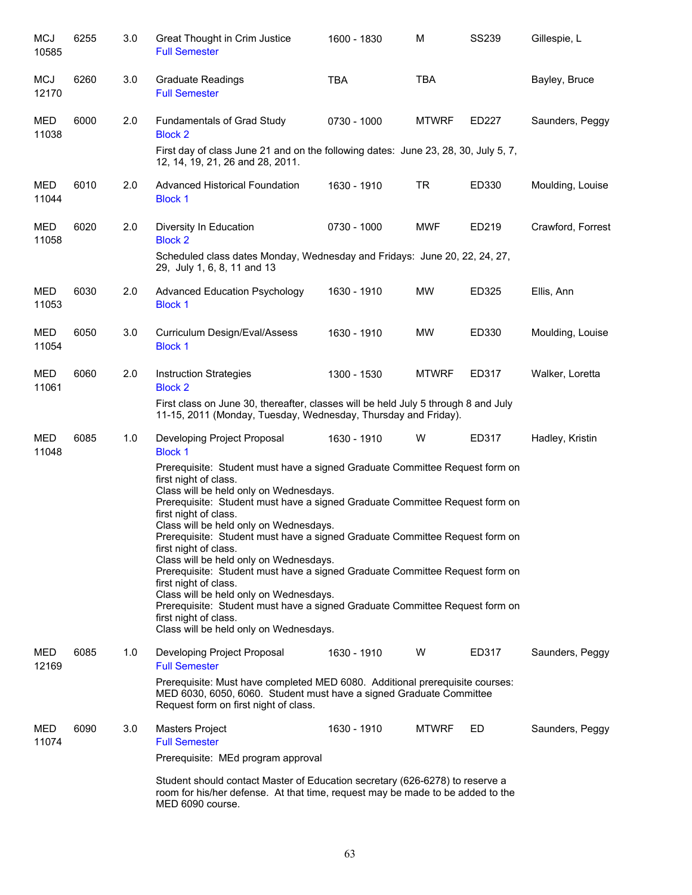| <b>MCJ</b><br>10585 | 6255 | 3.0 | Great Thought in Crim Justice<br><b>Full Semester</b>                                                                                                                                                                                                                                                                                                                                                                                                                                                                                                                                                                                                                                                                                                  | 1600 - 1830 | M            | <b>SS239</b> | Gillespie, L      |
|---------------------|------|-----|--------------------------------------------------------------------------------------------------------------------------------------------------------------------------------------------------------------------------------------------------------------------------------------------------------------------------------------------------------------------------------------------------------------------------------------------------------------------------------------------------------------------------------------------------------------------------------------------------------------------------------------------------------------------------------------------------------------------------------------------------------|-------------|--------------|--------------|-------------------|
| MCJ<br>12170        | 6260 | 3.0 | <b>Graduate Readings</b><br><b>Full Semester</b>                                                                                                                                                                                                                                                                                                                                                                                                                                                                                                                                                                                                                                                                                                       | <b>TBA</b>  | <b>TBA</b>   |              | Bayley, Bruce     |
| MED<br>11038        | 6000 | 2.0 | <b>Fundamentals of Grad Study</b><br><b>Block 2</b>                                                                                                                                                                                                                                                                                                                                                                                                                                                                                                                                                                                                                                                                                                    | 0730 - 1000 | <b>MTWRF</b> | ED227        | Saunders, Peggy   |
|                     |      |     | First day of class June 21 and on the following dates: June 23, 28, 30, July 5, 7,<br>12, 14, 19, 21, 26 and 28, 2011.                                                                                                                                                                                                                                                                                                                                                                                                                                                                                                                                                                                                                                 |             |              |              |                   |
| MED<br>11044        | 6010 | 2.0 | <b>Advanced Historical Foundation</b><br><b>Block 1</b>                                                                                                                                                                                                                                                                                                                                                                                                                                                                                                                                                                                                                                                                                                | 1630 - 1910 | <b>TR</b>    | ED330        | Moulding, Louise  |
| <b>MED</b><br>11058 | 6020 | 2.0 | Diversity In Education<br><b>Block 2</b>                                                                                                                                                                                                                                                                                                                                                                                                                                                                                                                                                                                                                                                                                                               | 0730 - 1000 | <b>MWF</b>   | ED219        | Crawford, Forrest |
|                     |      |     | Scheduled class dates Monday, Wednesday and Fridays: June 20, 22, 24, 27,<br>29, July 1, 6, 8, 11 and 13                                                                                                                                                                                                                                                                                                                                                                                                                                                                                                                                                                                                                                               |             |              |              |                   |
| <b>MED</b><br>11053 | 6030 | 2.0 | <b>Advanced Education Psychology</b><br><b>Block 1</b>                                                                                                                                                                                                                                                                                                                                                                                                                                                                                                                                                                                                                                                                                                 | 1630 - 1910 | MW           | ED325        | Ellis, Ann        |
| MED<br>11054        | 6050 | 3.0 | Curriculum Design/Eval/Assess<br><b>Block 1</b>                                                                                                                                                                                                                                                                                                                                                                                                                                                                                                                                                                                                                                                                                                        | 1630 - 1910 | MW           | ED330        | Moulding, Louise  |
| MED<br>11061        | 6060 | 2.0 | <b>Instruction Strategies</b><br><b>Block 2</b>                                                                                                                                                                                                                                                                                                                                                                                                                                                                                                                                                                                                                                                                                                        | 1300 - 1530 | <b>MTWRF</b> | ED317        | Walker, Loretta   |
|                     |      |     | First class on June 30, thereafter, classes will be held July 5 through 8 and July<br>11-15, 2011 (Monday, Tuesday, Wednesday, Thursday and Friday).                                                                                                                                                                                                                                                                                                                                                                                                                                                                                                                                                                                                   |             |              |              |                   |
| MED<br>11048        | 6085 | 1.0 | Developing Project Proposal<br><b>Block 1</b>                                                                                                                                                                                                                                                                                                                                                                                                                                                                                                                                                                                                                                                                                                          | 1630 - 1910 | W            | ED317        | Hadley, Kristin   |
|                     |      |     | Prerequisite: Student must have a signed Graduate Committee Request form on<br>first night of class.<br>Class will be held only on Wednesdays.<br>Prerequisite: Student must have a signed Graduate Committee Request form on<br>first night of class.<br>Class will be held only on Wednesdays.<br>Prerequisite: Student must have a signed Graduate Committee Request form on<br>first night of class.<br>Class will be held only on Wednesdays.<br>Prerequisite: Student must have a signed Graduate Committee Request form on<br>first night of class.<br>Class will be held only on Wednesdays.<br>Prerequisite: Student must have a signed Graduate Committee Request form on<br>first night of class.<br>Class will be held only on Wednesdays. |             |              |              |                   |
| MED<br>12169        | 6085 | 1.0 | Developing Project Proposal<br><b>Full Semester</b>                                                                                                                                                                                                                                                                                                                                                                                                                                                                                                                                                                                                                                                                                                    | 1630 - 1910 | W            | ED317        | Saunders, Peggy   |
|                     |      |     | Prerequisite: Must have completed MED 6080. Additional prerequisite courses:<br>MED 6030, 6050, 6060. Student must have a signed Graduate Committee<br>Request form on first night of class.                                                                                                                                                                                                                                                                                                                                                                                                                                                                                                                                                           |             |              |              |                   |
| MED<br>11074        | 6090 | 3.0 | <b>Masters Project</b><br><b>Full Semester</b>                                                                                                                                                                                                                                                                                                                                                                                                                                                                                                                                                                                                                                                                                                         | 1630 - 1910 | <b>MTWRF</b> | ED.          | Saunders, Peggy   |
|                     |      |     | Prerequisite: MEd program approval                                                                                                                                                                                                                                                                                                                                                                                                                                                                                                                                                                                                                                                                                                                     |             |              |              |                   |
|                     |      |     | Student should contact Master of Education secretary (626-6278) to reserve a<br>room for his/her defense. At that time, request may be made to be added to the<br>MED 6090 course.                                                                                                                                                                                                                                                                                                                                                                                                                                                                                                                                                                     |             |              |              |                   |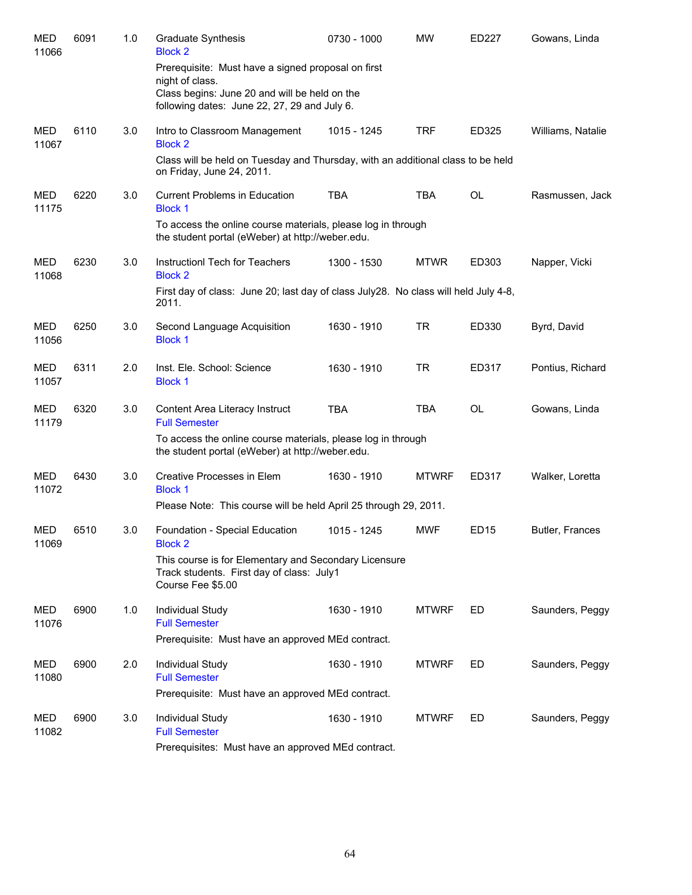| <b>MED</b><br>11066 | 6091 | 1.0 | <b>Graduate Synthesis</b><br><b>Block 2</b>                                                                             | 0730 - 1000 | <b>MW</b>    | ED227     | Gowans, Linda     |
|---------------------|------|-----|-------------------------------------------------------------------------------------------------------------------------|-------------|--------------|-----------|-------------------|
|                     |      |     | Prerequisite: Must have a signed proposal on first<br>night of class.                                                   |             |              |           |                   |
|                     |      |     | Class begins: June 20 and will be held on the<br>following dates: June 22, 27, 29 and July 6.                           |             |              |           |                   |
| MED<br>11067        | 6110 | 3.0 | Intro to Classroom Management<br><b>Block 2</b>                                                                         | 1015 - 1245 | <b>TRF</b>   | ED325     | Williams, Natalie |
|                     |      |     | Class will be held on Tuesday and Thursday, with an additional class to be held<br>on Friday, June 24, 2011.            |             |              |           |                   |
| MED<br>11175        | 6220 | 3.0 | <b>Current Problems in Education</b><br><b>Block 1</b>                                                                  | <b>TBA</b>  | TBA          | <b>OL</b> | Rasmussen, Jack   |
|                     |      |     | To access the online course materials, please log in through<br>the student portal (eWeber) at http://weber.edu.        |             |              |           |                   |
| MED<br>11068        | 6230 | 3.0 | Instruction Tech for Teachers<br><b>Block 2</b>                                                                         | 1300 - 1530 | <b>MTWR</b>  | ED303     | Napper, Vicki     |
|                     |      |     | First day of class: June 20; last day of class July 28. No class will held July 4-8,<br>2011.                           |             |              |           |                   |
| MED<br>11056        | 6250 | 3.0 | Second Language Acquisition<br><b>Block 1</b>                                                                           | 1630 - 1910 | <b>TR</b>    | ED330     | Byrd, David       |
| MED<br>11057        | 6311 | 2.0 | Inst. Ele. School: Science<br><b>Block 1</b>                                                                            | 1630 - 1910 | <b>TR</b>    | ED317     | Pontius, Richard  |
| MED<br>11179        | 6320 | 3.0 | Content Area Literacy Instruct<br><b>Full Semester</b>                                                                  | <b>TBA</b>  | <b>TBA</b>   | <b>OL</b> | Gowans, Linda     |
|                     |      |     | To access the online course materials, please log in through<br>the student portal (eWeber) at http://weber.edu.        |             |              |           |                   |
| MED<br>11072        | 6430 | 3.0 | Creative Processes in Elem<br><b>Block 1</b>                                                                            | 1630 - 1910 | <b>MTWRF</b> | ED317     | Walker, Loretta   |
|                     |      |     | Please Note: This course will be held April 25 through 29, 2011.                                                        |             |              |           |                   |
| <b>MED</b><br>11069 | 6510 | 3.0 | Foundation - Special Education<br><b>Block 2</b>                                                                        | 1015 - 1245 | <b>MWF</b>   | ED15      | Butler, Frances   |
|                     |      |     | This course is for Elementary and Secondary Licensure<br>Track students. First day of class: July1<br>Course Fee \$5.00 |             |              |           |                   |
| MED<br>11076        | 6900 | 1.0 | <b>Individual Study</b><br><b>Full Semester</b>                                                                         | 1630 - 1910 | <b>MTWRF</b> | ED        | Saunders, Peggy   |
|                     |      |     | Prerequisite: Must have an approved MEd contract.                                                                       |             |              |           |                   |
| MED<br>11080        | 6900 | 2.0 | Individual Study<br><b>Full Semester</b>                                                                                | 1630 - 1910 | <b>MTWRF</b> | ED.       | Saunders, Peggy   |
|                     |      |     | Prerequisite: Must have an approved MEd contract.                                                                       |             |              |           |                   |
| MED<br>11082        | 6900 | 3.0 | Individual Study<br><b>Full Semester</b>                                                                                | 1630 - 1910 | <b>MTWRF</b> | ED.       | Saunders, Peggy   |
|                     |      |     | Prerequisites: Must have an approved MEd contract.                                                                      |             |              |           |                   |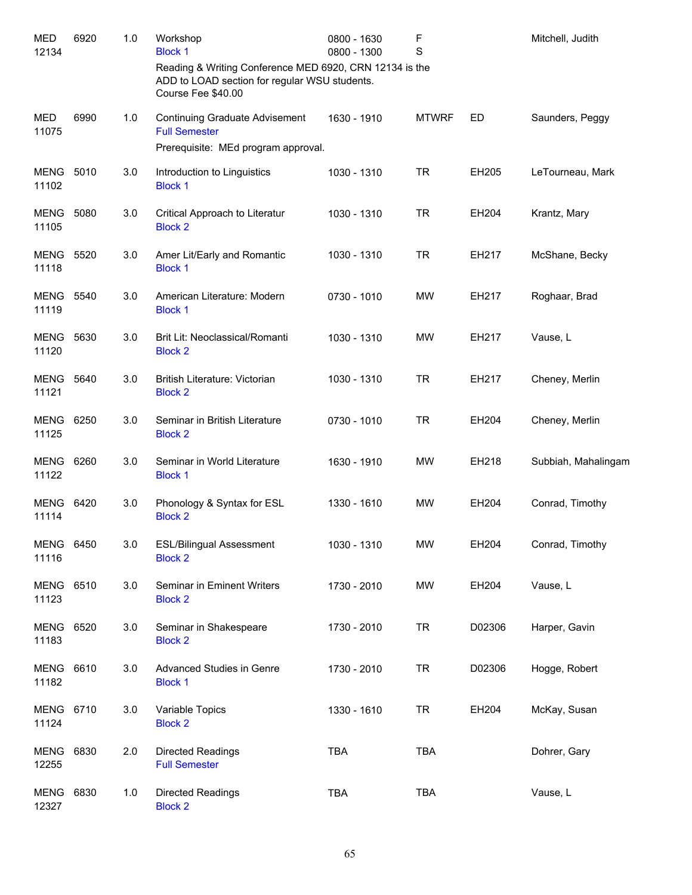| <b>MED</b><br>12134       | 6920 | 1.0 | Workshop<br><b>Block 1</b>                                                                                                     | 0800 - 1630<br>0800 - 1300 | F<br>S       |        | Mitchell, Judith    |
|---------------------------|------|-----|--------------------------------------------------------------------------------------------------------------------------------|----------------------------|--------------|--------|---------------------|
|                           |      |     | Reading & Writing Conference MED 6920, CRN 12134 is the<br>ADD to LOAD section for regular WSU students.<br>Course Fee \$40.00 |                            |              |        |                     |
| <b>MED</b><br>11075       | 6990 | 1.0 | <b>Continuing Graduate Advisement</b><br><b>Full Semester</b>                                                                  | 1630 - 1910                | <b>MTWRF</b> | ED     | Saunders, Peggy     |
|                           |      |     | Prerequisite: MEd program approval.                                                                                            |                            |              |        |                     |
| MENG<br>11102             | 5010 | 3.0 | Introduction to Linguistics<br><b>Block 1</b>                                                                                  | 1030 - 1310                | <b>TR</b>    | EH205  | LeTourneau, Mark    |
| <b>MENG</b><br>11105      | 5080 | 3.0 | Critical Approach to Literatur<br><b>Block 2</b>                                                                               | 1030 - 1310                | <b>TR</b>    | EH204  | Krantz, Mary        |
| MENG<br>11118             | 5520 | 3.0 | Amer Lit/Early and Romantic<br><b>Block 1</b>                                                                                  | 1030 - 1310                | <b>TR</b>    | EH217  | McShane, Becky      |
| <b>MENG 5540</b><br>11119 |      | 3.0 | American Literature: Modern<br><b>Block 1</b>                                                                                  | 0730 - 1010                | <b>MW</b>    | EH217  | Roghaar, Brad       |
| MENG<br>11120             | 5630 | 3.0 | Brit Lit: Neoclassical/Romanti<br><b>Block 2</b>                                                                               | 1030 - 1310                | <b>MW</b>    | EH217  | Vause, L            |
| MENG<br>11121             | 5640 | 3.0 | British Literature: Victorian<br><b>Block 2</b>                                                                                | 1030 - 1310                | <b>TR</b>    | EH217  | Cheney, Merlin      |
| MENG 6250<br>11125        |      | 3.0 | Seminar in British Literature<br><b>Block 2</b>                                                                                | 0730 - 1010                | <b>TR</b>    | EH204  | Cheney, Merlin      |
| MENG 6260<br>11122        |      | 3.0 | Seminar in World Literature<br><b>Block 1</b>                                                                                  | 1630 - 1910                | <b>MW</b>    | EH218  | Subbiah, Mahalingam |
| MENG<br>11114             | 6420 | 3.0 | Phonology & Syntax for ESL<br><b>Block 2</b>                                                                                   | 1330 - 1610                | <b>MW</b>    | EH204  | Conrad, Timothy     |
| <b>MENG 6450</b><br>11116 |      | 3.0 | <b>ESL/Bilingual Assessment</b><br><b>Block 2</b>                                                                              | 1030 - 1310                | MW           | EH204  | Conrad, Timothy     |
| <b>MENG</b><br>11123      | 6510 | 3.0 | Seminar in Eminent Writers<br><b>Block 2</b>                                                                                   | 1730 - 2010                | <b>MW</b>    | EH204  | Vause, L            |
| <b>MENG</b><br>11183      | 6520 | 3.0 | Seminar in Shakespeare<br><b>Block 2</b>                                                                                       | 1730 - 2010                | <b>TR</b>    | D02306 | Harper, Gavin       |
| <b>MENG</b><br>11182      | 6610 | 3.0 | Advanced Studies in Genre<br><b>Block 1</b>                                                                                    | 1730 - 2010                | <b>TR</b>    | D02306 | Hogge, Robert       |
| MENG 6710<br>11124        |      | 3.0 | Variable Topics<br><b>Block 2</b>                                                                                              | 1330 - 1610                | <b>TR</b>    | EH204  | McKay, Susan        |
| MENG<br>12255             | 6830 | 2.0 | <b>Directed Readings</b><br><b>Full Semester</b>                                                                               | <b>TBA</b>                 | <b>TBA</b>   |        | Dohrer, Gary        |
| MENG<br>12327             | 6830 | 1.0 | <b>Directed Readings</b><br><b>Block 2</b>                                                                                     | <b>TBA</b>                 | <b>TBA</b>   |        | Vause, L            |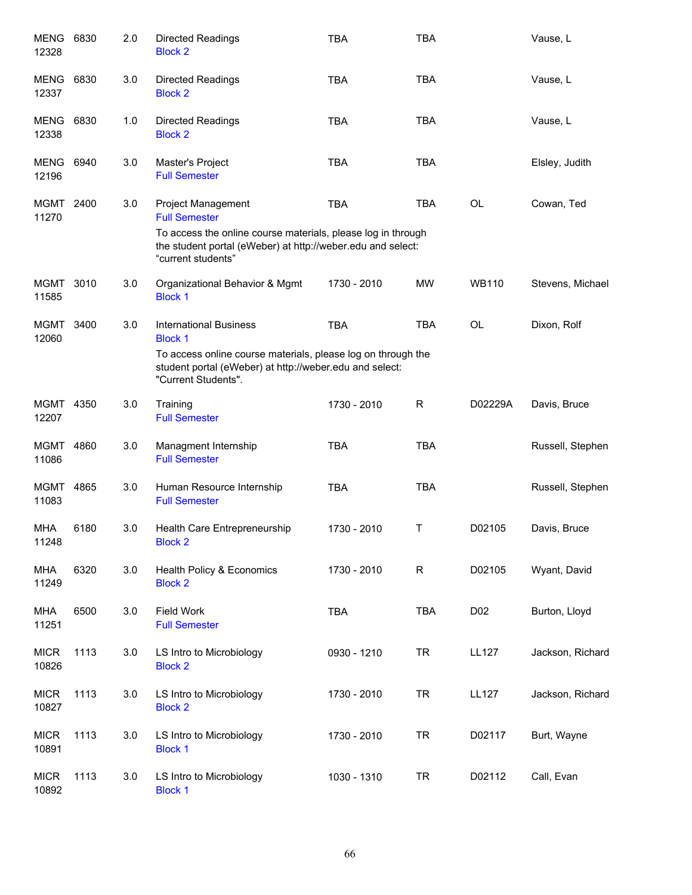| MENG<br>12328        | 6830 | 2.0 | <b>Directed Readings</b><br><b>Block 2</b>                                                                                                        | <b>TBA</b>  | <b>TBA</b>  |                 | Vause, L         |
|----------------------|------|-----|---------------------------------------------------------------------------------------------------------------------------------------------------|-------------|-------------|-----------------|------------------|
| MENG<br>12337        | 6830 | 3.0 | <b>Directed Readings</b><br><b>Block 2</b>                                                                                                        | <b>TBA</b>  | <b>TBA</b>  |                 | Vause, L         |
| MENG<br>12338        | 6830 | 1.0 | <b>Directed Readings</b><br><b>Block 2</b>                                                                                                        | <b>TBA</b>  | <b>TBA</b>  |                 | Vause, L         |
| MENG 6940<br>12196   |      | 3.0 | Master's Project<br><b>Full Semester</b>                                                                                                          | <b>TBA</b>  | <b>TBA</b>  |                 | Elsley, Judith   |
| MGMT 2400<br>11270   |      | 3.0 | <b>Project Management</b><br><b>Full Semester</b>                                                                                                 | <b>TBA</b>  | <b>TBA</b>  | <b>OL</b>       | Cowan, Ted       |
|                      |      |     | To access the online course materials, please log in through<br>the student portal (eWeber) at http://weber.edu and select:<br>"current students" |             |             |                 |                  |
| MGMT 3010<br>11585   |      | 3.0 | Organizational Behavior & Mgmt<br><b>Block 1</b>                                                                                                  | 1730 - 2010 | MW          | <b>WB110</b>    | Stevens, Michael |
| <b>MGMT</b><br>12060 | 3400 | 3.0 | <b>International Business</b><br><b>Block 1</b>                                                                                                   | <b>TBA</b>  | <b>TBA</b>  | <b>OL</b>       | Dixon, Rolf      |
|                      |      |     | To access online course materials, please log on through the<br>student portal (eWeber) at http://weber.edu and select:<br>"Current Students".    |             |             |                 |                  |
| MGMT 4350<br>12207   |      | 3.0 | Training<br><b>Full Semester</b>                                                                                                                  | 1730 - 2010 | $\mathsf R$ | D02229A         | Davis, Bruce     |
| MGMT 4860<br>11086   |      | 3.0 | Managment Internship<br><b>Full Semester</b>                                                                                                      | <b>TBA</b>  | <b>TBA</b>  |                 | Russell, Stephen |
| MGMT 4865<br>11083   |      | 3.0 | Human Resource Internship<br><b>Full Semester</b>                                                                                                 | <b>TBA</b>  | <b>TBA</b>  |                 | Russell, Stephen |
| <b>MHA</b><br>11248  | 6180 | 3.0 | Health Care Entrepreneurship<br><b>Block 2</b>                                                                                                    | 1730 - 2010 | Τ           | D02105          | Davis, Bruce     |
| <b>MHA</b><br>11249  | 6320 | 3.0 | <b>Health Policy &amp; Economics</b><br><b>Block 2</b>                                                                                            | 1730 - 2010 | R           | D02105          | Wyant, David     |
| <b>MHA</b><br>11251  | 6500 | 3.0 | Field Work<br><b>Full Semester</b>                                                                                                                | TBA         | <b>TBA</b>  | D <sub>02</sub> | Burton, Lloyd    |
| <b>MICR</b><br>10826 | 1113 | 3.0 | LS Intro to Microbiology<br><b>Block 2</b>                                                                                                        | 0930 - 1210 | <b>TR</b>   | <b>LL127</b>    | Jackson, Richard |
| <b>MICR</b><br>10827 | 1113 | 3.0 | LS Intro to Microbiology<br><b>Block 2</b>                                                                                                        | 1730 - 2010 | <b>TR</b>   | <b>LL127</b>    | Jackson, Richard |
| <b>MICR</b><br>10891 | 1113 | 3.0 | LS Intro to Microbiology<br><b>Block 1</b>                                                                                                        | 1730 - 2010 | <b>TR</b>   | D02117          | Burt, Wayne      |
| <b>MICR</b><br>10892 | 1113 | 3.0 | LS Intro to Microbiology<br><b>Block 1</b>                                                                                                        | 1030 - 1310 | <b>TR</b>   | D02112          | Call, Evan       |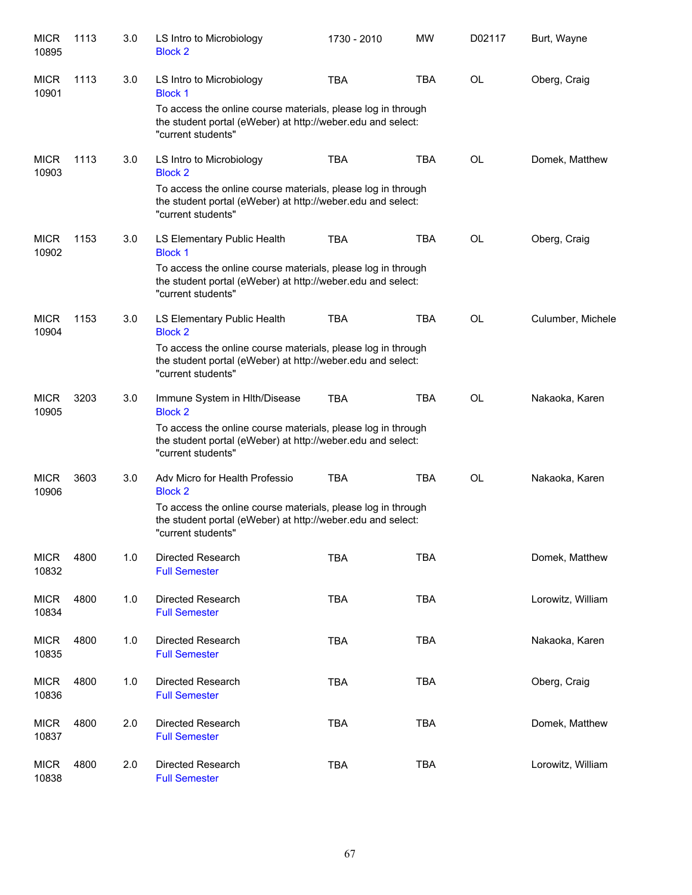| <b>MICR</b><br>10895 | 1113 | 3.0 | LS Intro to Microbiology<br><b>Block 2</b>                                                                                                        | 1730 - 2010 | <b>MW</b>  | D02117    | Burt, Wayne       |
|----------------------|------|-----|---------------------------------------------------------------------------------------------------------------------------------------------------|-------------|------------|-----------|-------------------|
| <b>MICR</b><br>10901 | 1113 | 3.0 | LS Intro to Microbiology<br><b>Block 1</b>                                                                                                        | <b>TBA</b>  | <b>TBA</b> | <b>OL</b> | Oberg, Craig      |
|                      |      |     | To access the online course materials, please log in through<br>the student portal (eWeber) at http://weber.edu and select:<br>"current students" |             |            |           |                   |
| <b>MICR</b><br>10903 | 1113 | 3.0 | LS Intro to Microbiology<br><b>Block 2</b>                                                                                                        | <b>TBA</b>  | <b>TBA</b> | <b>OL</b> | Domek, Matthew    |
|                      |      |     | To access the online course materials, please log in through<br>the student portal (eWeber) at http://weber.edu and select:<br>"current students" |             |            |           |                   |
| <b>MICR</b><br>10902 | 1153 | 3.0 | LS Elementary Public Health<br><b>Block 1</b>                                                                                                     | <b>TBA</b>  | <b>TBA</b> | <b>OL</b> | Oberg, Craig      |
|                      |      |     | To access the online course materials, please log in through<br>the student portal (eWeber) at http://weber.edu and select:<br>"current students" |             |            |           |                   |
| <b>MICR</b><br>10904 | 1153 | 3.0 | LS Elementary Public Health<br><b>Block 2</b>                                                                                                     | <b>TBA</b>  | <b>TBA</b> | <b>OL</b> | Culumber, Michele |
|                      |      |     | To access the online course materials, please log in through<br>the student portal (eWeber) at http://weber.edu and select:<br>"current students" |             |            |           |                   |
| <b>MICR</b><br>10905 | 3203 | 3.0 | Immune System in Hith/Disease<br><b>Block 2</b>                                                                                                   | <b>TBA</b>  | <b>TBA</b> | <b>OL</b> | Nakaoka, Karen    |
|                      |      |     | To access the online course materials, please log in through<br>the student portal (eWeber) at http://weber.edu and select:<br>"current students" |             |            |           |                   |
| <b>MICR</b><br>10906 | 3603 | 3.0 | Adv Micro for Health Professio<br><b>Block 2</b>                                                                                                  | <b>TBA</b>  | <b>TBA</b> | OL        | Nakaoka, Karen    |
|                      |      |     | To access the online course materials, please log in through<br>the student portal (eWeber) at http://weber.edu and select:<br>"current students" |             |            |           |                   |
| <b>MICR</b><br>10832 | 4800 | 1.0 | Directed Research<br><b>Full Semester</b>                                                                                                         | <b>TBA</b>  | <b>TBA</b> |           | Domek, Matthew    |
| <b>MICR</b><br>10834 | 4800 | 1.0 | <b>Directed Research</b><br><b>Full Semester</b>                                                                                                  | <b>TBA</b>  | <b>TBA</b> |           | Lorowitz, William |
| <b>MICR</b><br>10835 | 4800 | 1.0 | Directed Research<br><b>Full Semester</b>                                                                                                         | <b>TBA</b>  | <b>TBA</b> |           | Nakaoka, Karen    |
| <b>MICR</b><br>10836 | 4800 | 1.0 | Directed Research<br><b>Full Semester</b>                                                                                                         | <b>TBA</b>  | <b>TBA</b> |           | Oberg, Craig      |
| <b>MICR</b><br>10837 | 4800 | 2.0 | Directed Research<br><b>Full Semester</b>                                                                                                         | <b>TBA</b>  | <b>TBA</b> |           | Domek, Matthew    |
| <b>MICR</b><br>10838 | 4800 | 2.0 | Directed Research<br><b>Full Semester</b>                                                                                                         | <b>TBA</b>  | <b>TBA</b> |           | Lorowitz, William |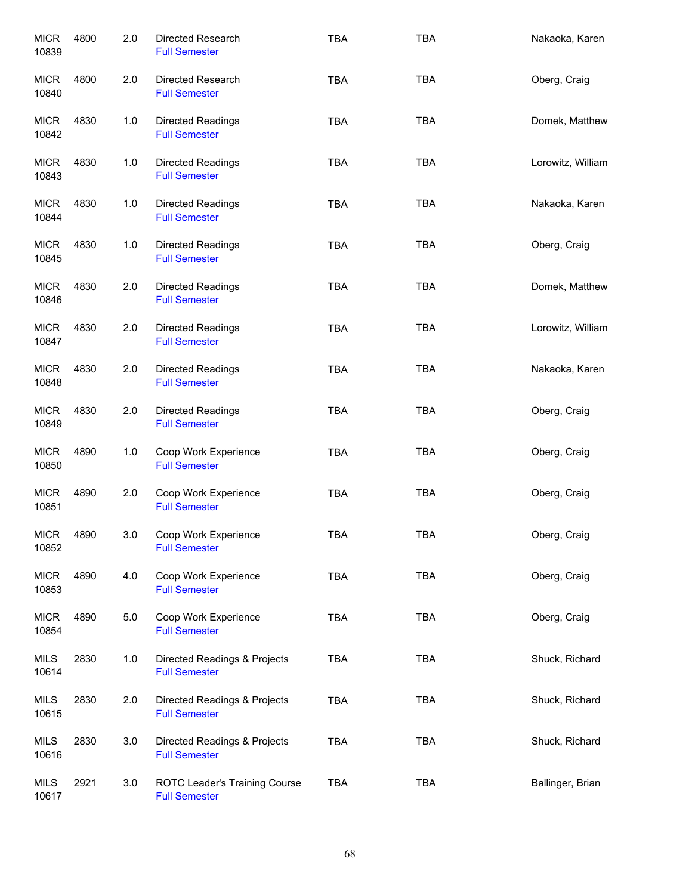| <b>MICR</b><br>10839 | 4800 | 2.0   | Directed Research<br><b>Full Semester</b>             | <b>TBA</b> | <b>TBA</b> | Nakaoka, Karen    |
|----------------------|------|-------|-------------------------------------------------------|------------|------------|-------------------|
| <b>MICR</b><br>10840 | 4800 | 2.0   | Directed Research<br><b>Full Semester</b>             | <b>TBA</b> | <b>TBA</b> | Oberg, Craig      |
| <b>MICR</b><br>10842 | 4830 | 1.0   | Directed Readings<br><b>Full Semester</b>             | <b>TBA</b> | <b>TBA</b> | Domek, Matthew    |
| <b>MICR</b><br>10843 | 4830 | 1.0   | Directed Readings<br><b>Full Semester</b>             | <b>TBA</b> | <b>TBA</b> | Lorowitz, William |
| <b>MICR</b><br>10844 | 4830 | 1.0   | Directed Readings<br><b>Full Semester</b>             | <b>TBA</b> | <b>TBA</b> | Nakaoka, Karen    |
| <b>MICR</b><br>10845 | 4830 | 1.0   | Directed Readings<br><b>Full Semester</b>             | <b>TBA</b> | <b>TBA</b> | Oberg, Craig      |
| <b>MICR</b><br>10846 | 4830 | 2.0   | <b>Directed Readings</b><br><b>Full Semester</b>      | <b>TBA</b> | <b>TBA</b> | Domek, Matthew    |
| <b>MICR</b><br>10847 | 4830 | 2.0   | Directed Readings<br><b>Full Semester</b>             | <b>TBA</b> | <b>TBA</b> | Lorowitz, William |
| <b>MICR</b><br>10848 | 4830 | 2.0   | Directed Readings<br><b>Full Semester</b>             | <b>TBA</b> | <b>TBA</b> | Nakaoka, Karen    |
| <b>MICR</b><br>10849 | 4830 | 2.0   | Directed Readings<br><b>Full Semester</b>             | <b>TBA</b> | <b>TBA</b> | Oberg, Craig      |
| <b>MICR</b><br>10850 | 4890 | 1.0   | Coop Work Experience<br><b>Full Semester</b>          | <b>TBA</b> | <b>TBA</b> | Oberg, Craig      |
| <b>MICR</b><br>10851 | 4890 | 2.0   | Coop Work Experience<br><b>Full Semester</b>          | <b>TBA</b> | <b>TBA</b> | Oberg, Craig      |
| <b>MICR</b><br>10852 | 4890 | 3.0   | Coop Work Experience<br><b>Full Semester</b>          | TBA        | TBA        | Oberg, Craig      |
| <b>MICR</b><br>10853 | 4890 | 4.0   | Coop Work Experience<br><b>Full Semester</b>          | <b>TBA</b> | <b>TBA</b> | Oberg, Craig      |
| <b>MICR</b><br>10854 | 4890 | $5.0$ | Coop Work Experience<br><b>Full Semester</b>          | <b>TBA</b> | <b>TBA</b> | Oberg, Craig      |
| <b>MILS</b><br>10614 | 2830 | 1.0   | Directed Readings & Projects<br><b>Full Semester</b>  | <b>TBA</b> | <b>TBA</b> | Shuck, Richard    |
| <b>MILS</b><br>10615 | 2830 | 2.0   | Directed Readings & Projects<br><b>Full Semester</b>  | <b>TBA</b> | <b>TBA</b> | Shuck, Richard    |
| <b>MILS</b><br>10616 | 2830 | 3.0   | Directed Readings & Projects<br><b>Full Semester</b>  | <b>TBA</b> | <b>TBA</b> | Shuck, Richard    |
| <b>MILS</b><br>10617 | 2921 | 3.0   | ROTC Leader's Training Course<br><b>Full Semester</b> | <b>TBA</b> | <b>TBA</b> | Ballinger, Brian  |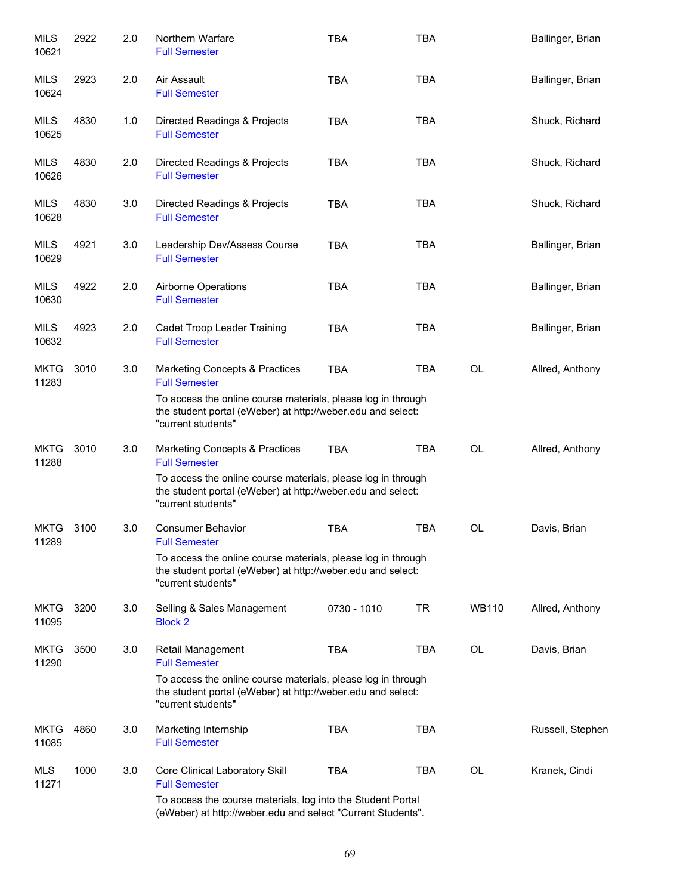| MILS<br>10621        | 2922 | 2.0 | Northern Warfare<br><b>Full Semester</b>                                                                                                                                                                    | <b>TBA</b>  | <b>TBA</b> |              | Ballinger, Brian |
|----------------------|------|-----|-------------------------------------------------------------------------------------------------------------------------------------------------------------------------------------------------------------|-------------|------------|--------------|------------------|
| MILS<br>10624        | 2923 | 2.0 | Air Assault<br><b>Full Semester</b>                                                                                                                                                                         | <b>TBA</b>  | <b>TBA</b> |              | Ballinger, Brian |
| MILS<br>10625        | 4830 | 1.0 | Directed Readings & Projects<br><b>Full Semester</b>                                                                                                                                                        | <b>TBA</b>  | <b>TBA</b> |              | Shuck, Richard   |
| MILS<br>10626        | 4830 | 2.0 | Directed Readings & Projects<br><b>Full Semester</b>                                                                                                                                                        | <b>TBA</b>  | <b>TBA</b> |              | Shuck, Richard   |
| MILS<br>10628        | 4830 | 3.0 | Directed Readings & Projects<br><b>Full Semester</b>                                                                                                                                                        | <b>TBA</b>  | <b>TBA</b> |              | Shuck, Richard   |
| <b>MILS</b><br>10629 | 4921 | 3.0 | Leadership Dev/Assess Course<br><b>Full Semester</b>                                                                                                                                                        | <b>TBA</b>  | <b>TBA</b> |              | Ballinger, Brian |
| MILS<br>10630        | 4922 | 2.0 | <b>Airborne Operations</b><br><b>Full Semester</b>                                                                                                                                                          | <b>TBA</b>  | <b>TBA</b> |              | Ballinger, Brian |
| <b>MILS</b><br>10632 | 4923 | 2.0 | Cadet Troop Leader Training<br><b>Full Semester</b>                                                                                                                                                         | <b>TBA</b>  | <b>TBA</b> |              | Ballinger, Brian |
| <b>MKTG</b><br>11283 | 3010 | 3.0 | Marketing Concepts & Practices<br><b>Full Semester</b><br>To access the online course materials, please log in through<br>the student portal (eWeber) at http://weber.edu and select:<br>"current students" | <b>TBA</b>  | <b>TBA</b> | <b>OL</b>    | Allred, Anthony  |
| <b>MKTG</b><br>11288 | 3010 | 3.0 | Marketing Concepts & Practices<br><b>Full Semester</b><br>To access the online course materials, please log in through<br>the student portal (eWeber) at http://weber.edu and select:<br>"current students" | <b>TBA</b>  | <b>TBA</b> | <b>OL</b>    | Allred, Anthony  |
| <b>MKTG</b><br>11289 | 3100 | 3.0 | <b>Consumer Behavior</b><br><b>Full Semester</b><br>To access the online course materials, please log in through<br>the student portal (eWeber) at http://weber.edu and select:<br>"current students"       | <b>TBA</b>  | <b>TBA</b> | OL           | Davis, Brian     |
| <b>MKTG</b><br>11095 | 3200 | 3.0 | Selling & Sales Management<br><b>Block 2</b>                                                                                                                                                                | 0730 - 1010 | TR         | <b>WB110</b> | Allred, Anthony  |
| <b>MKTG</b><br>11290 | 3500 | 3.0 | <b>Retail Management</b><br><b>Full Semester</b><br>To access the online course materials, please log in through<br>the student portal (eWeber) at http://weber.edu and select:<br>"current students"       | <b>TBA</b>  | <b>TBA</b> | OL           | Davis, Brian     |
| <b>MKTG</b><br>11085 | 4860 | 3.0 | Marketing Internship<br><b>Full Semester</b>                                                                                                                                                                | <b>TBA</b>  | <b>TBA</b> |              | Russell, Stephen |
| <b>MLS</b><br>11271  | 1000 | 3.0 | Core Clinical Laboratory Skill<br><b>Full Semester</b><br>To access the course materials, log into the Student Portal<br>(eWeber) at http://weber.edu and select "Current Students".                        | <b>TBA</b>  | TBA        | <b>OL</b>    | Kranek, Cindi    |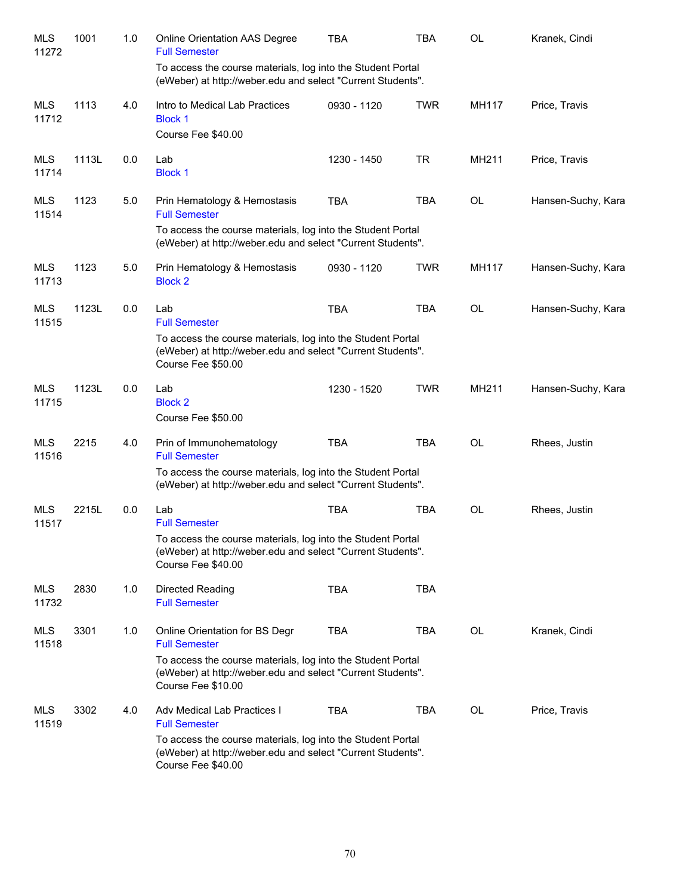| <b>MLS</b><br>11272 | 1001  | 1.0 | <b>Online Orientation AAS Degree</b><br><b>Full Semester</b>                                                                                     | <b>TBA</b>  | TBA        | OL        | Kranek, Cindi      |
|---------------------|-------|-----|--------------------------------------------------------------------------------------------------------------------------------------------------|-------------|------------|-----------|--------------------|
|                     |       |     | To access the course materials, log into the Student Portal<br>(eWeber) at http://weber.edu and select "Current Students".                       |             |            |           |                    |
| <b>MLS</b><br>11712 | 1113  | 4.0 | Intro to Medical Lab Practices<br><b>Block 1</b>                                                                                                 | 0930 - 1120 | <b>TWR</b> | MH117     | Price, Travis      |
|                     |       |     | Course Fee \$40.00                                                                                                                               |             |            |           |                    |
| <b>MLS</b><br>11714 | 1113L | 0.0 | Lab<br><b>Block 1</b>                                                                                                                            | 1230 - 1450 | <b>TR</b>  | MH211     | Price, Travis      |
| <b>MLS</b><br>11514 | 1123  | 5.0 | Prin Hematology & Hemostasis<br><b>Full Semester</b>                                                                                             | <b>TBA</b>  | <b>TBA</b> | OL        | Hansen-Suchy, Kara |
|                     |       |     | To access the course materials, log into the Student Portal<br>(eWeber) at http://weber.edu and select "Current Students".                       |             |            |           |                    |
| <b>MLS</b><br>11713 | 1123  | 5.0 | Prin Hematology & Hemostasis<br><b>Block 2</b>                                                                                                   | 0930 - 1120 | <b>TWR</b> | MH117     | Hansen-Suchy, Kara |
| <b>MLS</b><br>11515 | 1123L | 0.0 | Lab<br><b>Full Semester</b>                                                                                                                      | <b>TBA</b>  | <b>TBA</b> | OL        | Hansen-Suchy, Kara |
|                     |       |     | To access the course materials, log into the Student Portal<br>(eWeber) at http://weber.edu and select "Current Students".<br>Course Fee \$50.00 |             |            |           |                    |
| <b>MLS</b><br>11715 | 1123L | 0.0 | Lab<br><b>Block 2</b><br>Course Fee \$50.00                                                                                                      | 1230 - 1520 | <b>TWR</b> | MH211     | Hansen-Suchy, Kara |
| <b>MLS</b><br>11516 | 2215  | 4.0 | Prin of Immunohematology<br><b>Full Semester</b>                                                                                                 | <b>TBA</b>  | <b>TBA</b> | <b>OL</b> | Rhees, Justin      |
|                     |       |     | To access the course materials, log into the Student Portal<br>(eWeber) at http://weber.edu and select "Current Students".                       |             |            |           |                    |
| <b>MLS</b><br>11517 | 2215L | 0.0 | Lab<br><b>Full Semester</b>                                                                                                                      | <b>TBA</b>  | <b>TBA</b> | OL        | Rhees, Justin      |
|                     |       |     | To access the course materials, log into the Student Portal<br>(eWeber) at http://weber.edu and select "Current Students".<br>Course Fee \$40.00 |             |            |           |                    |
| MLS<br>11732        | 2830  | 1.0 | Directed Reading<br><b>Full Semester</b>                                                                                                         | <b>TBA</b>  | <b>TBA</b> |           |                    |
| MLS<br>11518        | 3301  | 1.0 | Online Orientation for BS Degr<br><b>Full Semester</b>                                                                                           | <b>TBA</b>  | <b>TBA</b> | OL        | Kranek, Cindi      |
|                     |       |     | To access the course materials, log into the Student Portal<br>(eWeber) at http://weber.edu and select "Current Students".<br>Course Fee \$10.00 |             |            |           |                    |
| MLS<br>11519        | 3302  | 4.0 | Adv Medical Lab Practices I<br><b>Full Semester</b>                                                                                              | <b>TBA</b>  | <b>TBA</b> | OL        | Price, Travis      |
|                     |       |     | To access the course materials, log into the Student Portal<br>(eWeber) at http://weber.edu and select "Current Students".<br>Course Fee \$40.00 |             |            |           |                    |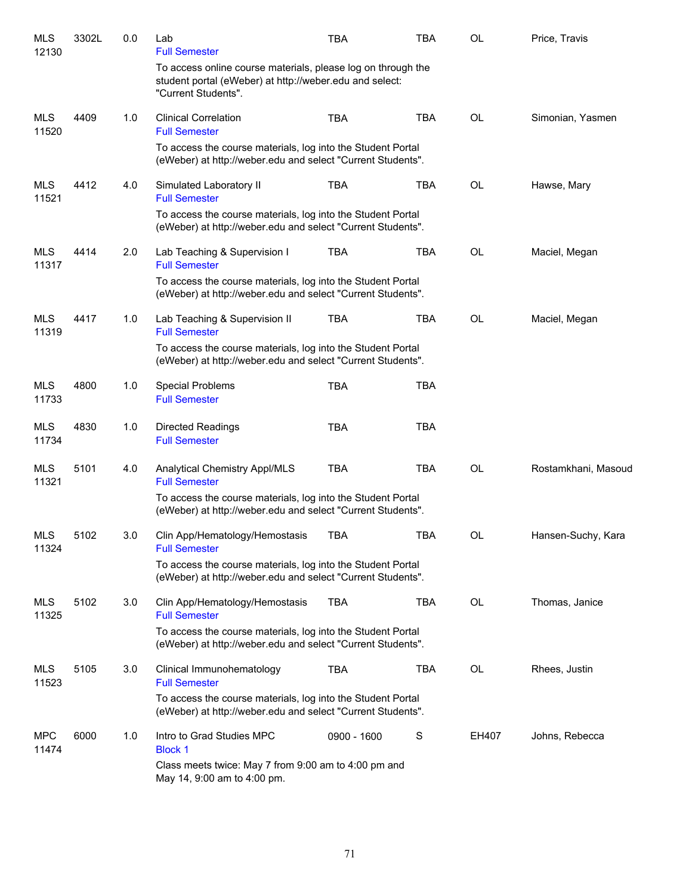| MLS<br>12130        | 3302L | 0.0 | Lab<br><b>Full Semester</b>                                                                                                                    | <b>TBA</b>  | <b>TBA</b> | OL        | Price, Travis       |
|---------------------|-------|-----|------------------------------------------------------------------------------------------------------------------------------------------------|-------------|------------|-----------|---------------------|
|                     |       |     | To access online course materials, please log on through the<br>student portal (eWeber) at http://weber.edu and select:<br>"Current Students". |             |            |           |                     |
| <b>MLS</b><br>11520 | 4409  | 1.0 | <b>Clinical Correlation</b><br><b>Full Semester</b>                                                                                            | <b>TBA</b>  | <b>TBA</b> | OL        | Simonian, Yasmen    |
|                     |       |     | To access the course materials, log into the Student Portal<br>(eWeber) at http://weber.edu and select "Current Students".                     |             |            |           |                     |
| MLS<br>11521        | 4412  | 4.0 | Simulated Laboratory II<br><b>Full Semester</b>                                                                                                | <b>TBA</b>  | <b>TBA</b> | <b>OL</b> | Hawse, Mary         |
|                     |       |     | To access the course materials, log into the Student Portal<br>(eWeber) at http://weber.edu and select "Current Students".                     |             |            |           |                     |
| <b>MLS</b><br>11317 | 4414  | 2.0 | Lab Teaching & Supervision I<br><b>Full Semester</b>                                                                                           | <b>TBA</b>  | <b>TBA</b> | OL        | Maciel, Megan       |
|                     |       |     | To access the course materials, log into the Student Portal<br>(eWeber) at http://weber.edu and select "Current Students".                     |             |            |           |                     |
| MLS<br>11319        | 4417  | 1.0 | Lab Teaching & Supervision II<br><b>Full Semester</b>                                                                                          | <b>TBA</b>  | <b>TBA</b> | OL        | Maciel, Megan       |
|                     |       |     | To access the course materials, log into the Student Portal<br>(eWeber) at http://weber.edu and select "Current Students".                     |             |            |           |                     |
| MLS<br>11733        | 4800  | 1.0 | <b>Special Problems</b><br><b>Full Semester</b>                                                                                                | <b>TBA</b>  | <b>TBA</b> |           |                     |
| MLS<br>11734        | 4830  | 1.0 | <b>Directed Readings</b><br><b>Full Semester</b>                                                                                               | <b>TBA</b>  | <b>TBA</b> |           |                     |
| MLS<br>11321        | 5101  | 4.0 | Analytical Chemistry Appl/MLS<br><b>Full Semester</b>                                                                                          | <b>TBA</b>  | <b>TBA</b> | <b>OL</b> | Rostamkhani, Masoud |
|                     |       |     | To access the course materials, log into the Student Portal<br>(eWeber) at http://weber.edu and select "Current Students".                     |             |            |           |                     |
| <b>MLS</b><br>11324 | 5102  | 3.0 | Clin App/Hematology/Hemostasis<br><b>Full Semester</b>                                                                                         | <b>TBA</b>  | <b>TBA</b> | OL        | Hansen-Suchy, Kara  |
|                     |       |     | To access the course materials, log into the Student Portal<br>(eWeber) at http://weber.edu and select "Current Students".                     |             |            |           |                     |
| MLS<br>11325        | 5102  | 3.0 | Clin App/Hematology/Hemostasis<br><b>Full Semester</b>                                                                                         | <b>TBA</b>  | <b>TBA</b> | OL        | Thomas, Janice      |
|                     |       |     | To access the course materials, log into the Student Portal<br>(eWeber) at http://weber.edu and select "Current Students".                     |             |            |           |                     |
| MLS<br>11523        | 5105  | 3.0 | Clinical Immunohematology<br><b>Full Semester</b>                                                                                              | <b>TBA</b>  | TBA        | OL        | Rhees, Justin       |
|                     |       |     | To access the course materials, log into the Student Portal<br>(eWeber) at http://weber.edu and select "Current Students".                     |             |            |           |                     |
| <b>MPC</b><br>11474 | 6000  | 1.0 | Intro to Grad Studies MPC<br><b>Block 1</b>                                                                                                    | 0900 - 1600 | S          | EH407     | Johns, Rebecca      |
|                     |       |     | Class meets twice: May 7 from 9:00 am to 4:00 pm and<br>May 14, 9:00 am to 4:00 pm.                                                            |             |            |           |                     |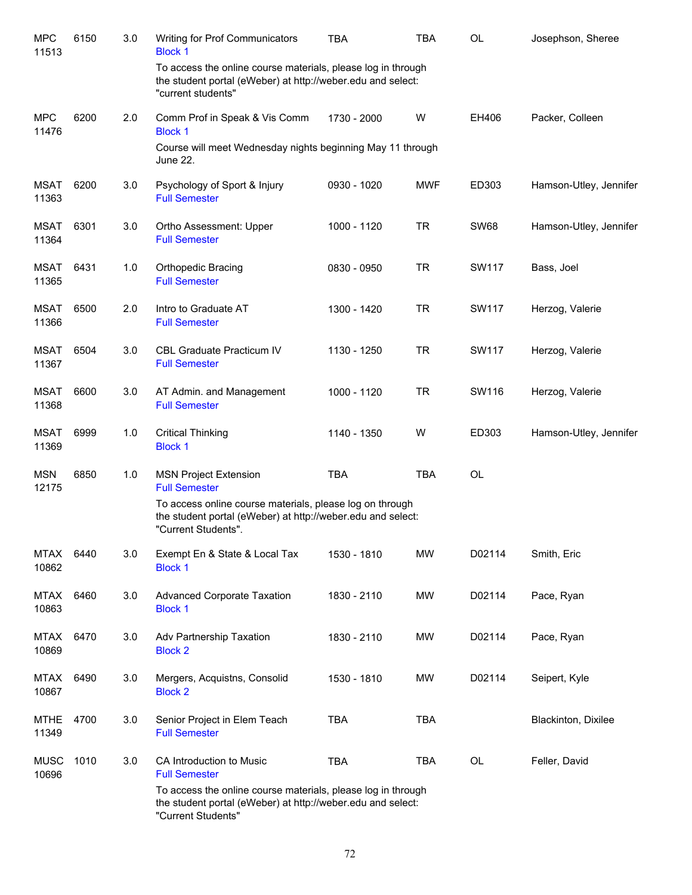| <b>MPC</b><br>11513  | 6150 | 3.0 | Writing for Prof Communicators<br><b>Block 1</b>                                                                                                  | <b>TBA</b>  | <b>TBA</b> | <b>OL</b>   | Josephson, Sheree      |
|----------------------|------|-----|---------------------------------------------------------------------------------------------------------------------------------------------------|-------------|------------|-------------|------------------------|
|                      |      |     | To access the online course materials, please log in through<br>the student portal (eWeber) at http://weber.edu and select:<br>"current students" |             |            |             |                        |
| <b>MPC</b><br>11476  | 6200 | 2.0 | Comm Prof in Speak & Vis Comm<br><b>Block 1</b>                                                                                                   | 1730 - 2000 | W          | EH406       | Packer, Colleen        |
|                      |      |     | Course will meet Wednesday nights beginning May 11 through<br>June 22.                                                                            |             |            |             |                        |
| <b>MSAT</b><br>11363 | 6200 | 3.0 | Psychology of Sport & Injury<br><b>Full Semester</b>                                                                                              | 0930 - 1020 | <b>MWF</b> | ED303       | Hamson-Utley, Jennifer |
| <b>MSAT</b><br>11364 | 6301 | 3.0 | Ortho Assessment: Upper<br><b>Full Semester</b>                                                                                                   | 1000 - 1120 | <b>TR</b>  | <b>SW68</b> | Hamson-Utley, Jennifer |
| <b>MSAT</b><br>11365 | 6431 | 1.0 | <b>Orthopedic Bracing</b><br><b>Full Semester</b>                                                                                                 | 0830 - 0950 | <b>TR</b>  | SW117       | Bass, Joel             |
| <b>MSAT</b><br>11366 | 6500 | 2.0 | Intro to Graduate AT<br><b>Full Semester</b>                                                                                                      | 1300 - 1420 | <b>TR</b>  | SW117       | Herzog, Valerie        |
| MSAT<br>11367        | 6504 | 3.0 | <b>CBL Graduate Practicum IV</b><br><b>Full Semester</b>                                                                                          | 1130 - 1250 | <b>TR</b>  | SW117       | Herzog, Valerie        |
| <b>MSAT</b><br>11368 | 6600 | 3.0 | AT Admin. and Management<br><b>Full Semester</b>                                                                                                  | 1000 - 1120 | <b>TR</b>  | SW116       | Herzog, Valerie        |
| <b>MSAT</b><br>11369 | 6999 | 1.0 | <b>Critical Thinking</b><br><b>Block 1</b>                                                                                                        | 1140 - 1350 | W          | ED303       | Hamson-Utley, Jennifer |
| <b>MSN</b><br>12175  | 6850 | 1.0 | <b>MSN Project Extension</b><br><b>Full Semester</b>                                                                                              | <b>TBA</b>  | <b>TBA</b> | <b>OL</b>   |                        |
|                      |      |     | To access online course materials, please log on through<br>the student portal (eWeber) at http://weber.edu and select:<br>"Current Students".    |             |            |             |                        |
| MTAX<br>10862        | 6440 | 3.0 | Exempt En & State & Local Tax<br><b>Block 1</b>                                                                                                   | 1530 - 1810 | <b>MW</b>  | D02114      | Smith, Eric            |
| <b>MTAX</b><br>10863 | 6460 | 3.0 | <b>Advanced Corporate Taxation</b><br><b>Block 1</b>                                                                                              | 1830 - 2110 | MW         | D02114      | Pace, Ryan             |
| <b>MTAX</b><br>10869 | 6470 | 3.0 | Adv Partnership Taxation<br><b>Block 2</b>                                                                                                        | 1830 - 2110 | MW         | D02114      | Pace, Ryan             |
| <b>MTAX</b><br>10867 | 6490 | 3.0 | Mergers, Acquistns, Consolid<br><b>Block 2</b>                                                                                                    | 1530 - 1810 | MW         | D02114      | Seipert, Kyle          |
| <b>MTHE</b><br>11349 | 4700 | 3.0 | Senior Project in Elem Teach<br><b>Full Semester</b>                                                                                              | <b>TBA</b>  | <b>TBA</b> |             | Blackinton, Dixilee    |
| <b>MUSC</b><br>10696 | 1010 | 3.0 | CA Introduction to Music<br><b>Full Semester</b>                                                                                                  | <b>TBA</b>  | <b>TBA</b> | OL          | Feller, David          |
|                      |      |     | To access the online course materials, please log in through<br>the student portal (eWeber) at http://weber.edu and select:<br>"Current Students" |             |            |             |                        |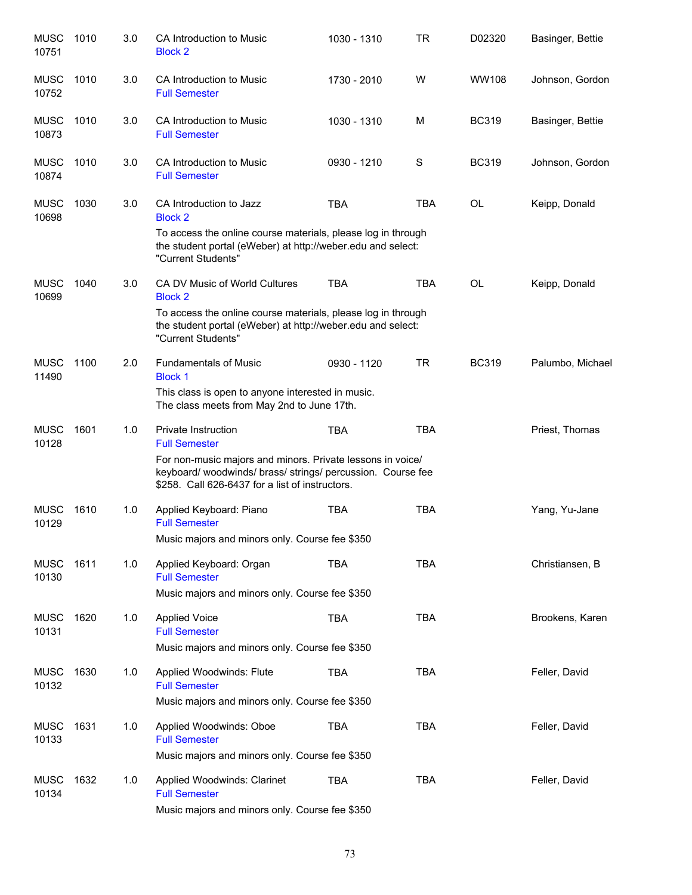| <b>MUSC</b><br>10751 | 1010 | 3.0 | CA Introduction to Music<br><b>Block 2</b>                                                                                                                                   | 1030 - 1310 | <b>TR</b>  | D02320       | Basinger, Bettie |
|----------------------|------|-----|------------------------------------------------------------------------------------------------------------------------------------------------------------------------------|-------------|------------|--------------|------------------|
| <b>MUSC</b><br>10752 | 1010 | 3.0 | CA Introduction to Music<br><b>Full Semester</b>                                                                                                                             | 1730 - 2010 | W          | <b>WW108</b> | Johnson, Gordon  |
| <b>MUSC</b><br>10873 | 1010 | 3.0 | CA Introduction to Music<br><b>Full Semester</b>                                                                                                                             | 1030 - 1310 | м          | <b>BC319</b> | Basinger, Bettie |
| <b>MUSC</b><br>10874 | 1010 | 3.0 | CA Introduction to Music<br><b>Full Semester</b>                                                                                                                             | 0930 - 1210 | S          | <b>BC319</b> | Johnson, Gordon  |
| <b>MUSC</b><br>10698 | 1030 | 3.0 | CA Introduction to Jazz<br><b>Block 2</b>                                                                                                                                    | <b>TBA</b>  | TBA        | OL           | Keipp, Donald    |
|                      |      |     | To access the online course materials, please log in through<br>the student portal (eWeber) at http://weber.edu and select:<br>"Current Students"                            |             |            |              |                  |
| <b>MUSC</b><br>10699 | 1040 | 3.0 | CA DV Music of World Cultures<br><b>Block 2</b>                                                                                                                              | <b>TBA</b>  | <b>TBA</b> | OL           | Keipp, Donald    |
|                      |      |     | To access the online course materials, please log in through<br>the student portal (eWeber) at http://weber.edu and select:<br>"Current Students"                            |             |            |              |                  |
| <b>MUSC</b><br>11490 | 1100 | 2.0 | <b>Fundamentals of Music</b><br><b>Block 1</b>                                                                                                                               | 0930 - 1120 | <b>TR</b>  | <b>BC319</b> | Palumbo, Michael |
|                      |      |     | This class is open to anyone interested in music.<br>The class meets from May 2nd to June 17th.                                                                              |             |            |              |                  |
| <b>MUSC</b><br>10128 | 1601 | 1.0 | <b>Private Instruction</b><br><b>Full Semester</b>                                                                                                                           | <b>TBA</b>  | <b>TBA</b> |              | Priest, Thomas   |
|                      |      |     | For non-music majors and minors. Private lessons in voice/<br>keyboard/ woodwinds/ brass/ strings/ percussion. Course fee<br>\$258. Call 626-6437 for a list of instructors. |             |            |              |                  |
| <b>MUSC</b><br>10129 | 1610 | 1.0 | Applied Keyboard: Piano<br><b>Full Semester</b>                                                                                                                              | <b>TBA</b>  | <b>TBA</b> |              | Yang, Yu-Jane    |
|                      |      |     | Music majors and minors only. Course fee \$350                                                                                                                               |             |            |              |                  |
| <b>MUSC</b><br>10130 | 1611 | 1.0 | Applied Keyboard: Organ<br><b>Full Semester</b>                                                                                                                              | <b>TBA</b>  | <b>TBA</b> |              | Christiansen, B  |
|                      |      |     | Music majors and minors only. Course fee \$350                                                                                                                               |             |            |              |                  |
| <b>MUSC</b><br>10131 | 1620 | 1.0 | <b>Applied Voice</b><br><b>Full Semester</b>                                                                                                                                 | <b>TBA</b>  | <b>TBA</b> |              | Brookens, Karen  |
|                      |      |     | Music majors and minors only. Course fee \$350                                                                                                                               |             |            |              |                  |
| <b>MUSC</b><br>10132 | 1630 | 1.0 | Applied Woodwinds: Flute<br><b>Full Semester</b>                                                                                                                             | <b>TBA</b>  | <b>TBA</b> |              | Feller, David    |
|                      |      |     | Music majors and minors only. Course fee \$350                                                                                                                               |             |            |              |                  |
| <b>MUSC</b><br>10133 | 1631 | 1.0 | Applied Woodwinds: Oboe<br><b>Full Semester</b>                                                                                                                              | <b>TBA</b>  | <b>TBA</b> |              | Feller, David    |
|                      |      |     | Music majors and minors only. Course fee \$350                                                                                                                               |             |            |              |                  |
| <b>MUSC</b><br>10134 | 1632 | 1.0 | Applied Woodwinds: Clarinet<br><b>Full Semester</b>                                                                                                                          | <b>TBA</b>  | TBA        |              | Feller, David    |
|                      |      |     | Music majors and minors only. Course fee \$350                                                                                                                               |             |            |              |                  |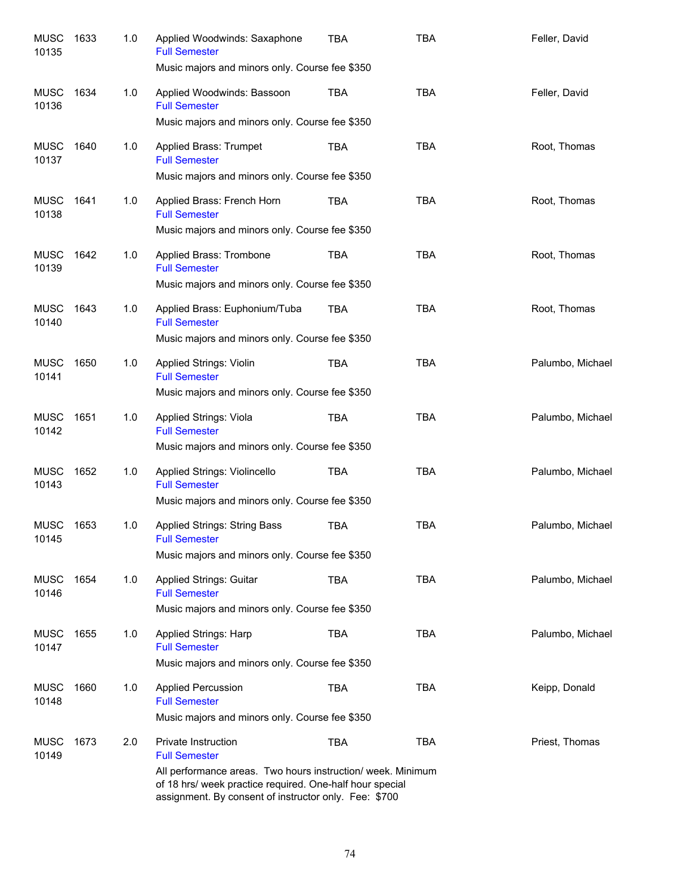| <b>MUSC</b><br>10135 | 1633 | 1.0 | Applied Woodwinds: Saxaphone<br><b>Full Semester</b><br>Music majors and minors only. Course fee \$350                                                                                                                          | <b>TBA</b> | <b>TBA</b> | Feller, David    |
|----------------------|------|-----|---------------------------------------------------------------------------------------------------------------------------------------------------------------------------------------------------------------------------------|------------|------------|------------------|
| <b>MUSC</b><br>10136 | 1634 | 1.0 | Applied Woodwinds: Bassoon<br><b>Full Semester</b><br>Music majors and minors only. Course fee \$350                                                                                                                            | TBA        | <b>TBA</b> | Feller, David    |
| MUSC<br>10137        | 1640 | 1.0 | Applied Brass: Trumpet<br><b>Full Semester</b><br>Music majors and minors only. Course fee \$350                                                                                                                                | <b>TBA</b> | <b>TBA</b> | Root, Thomas     |
| MUSC<br>10138        | 1641 | 1.0 | Applied Brass: French Horn<br><b>Full Semester</b><br>Music majors and minors only. Course fee \$350                                                                                                                            | TBA        | <b>TBA</b> | Root, Thomas     |
| MUSC<br>10139        | 1642 | 1.0 | Applied Brass: Trombone<br><b>Full Semester</b><br>Music majors and minors only. Course fee \$350                                                                                                                               | TBA        | <b>TBA</b> | Root, Thomas     |
| <b>MUSC</b><br>10140 | 1643 | 1.0 | Applied Brass: Euphonium/Tuba<br><b>Full Semester</b><br>Music majors and minors only. Course fee \$350                                                                                                                         | TBA        | <b>TBA</b> | Root, Thomas     |
| MUSC<br>10141        | 1650 | 1.0 | Applied Strings: Violin<br><b>Full Semester</b><br>Music majors and minors only. Course fee \$350                                                                                                                               | TBA        | <b>TBA</b> | Palumbo, Michael |
| MUSC<br>10142        | 1651 | 1.0 | Applied Strings: Viola<br><b>Full Semester</b><br>Music majors and minors only. Course fee \$350                                                                                                                                | TBA        | <b>TBA</b> | Palumbo, Michael |
| MUSC<br>10143        | 1652 | 1.0 | Applied Strings: Violincello<br><b>Full Semester</b><br>Music majors and minors only. Course fee \$350                                                                                                                          | TBA        | <b>TBA</b> | Palumbo, Michael |
| <b>MUSC</b><br>10145 | 1653 | 1.0 | <b>Applied Strings: String Bass</b><br><b>Full Semester</b><br>Music majors and minors only. Course fee \$350                                                                                                                   | <b>TBA</b> | <b>TBA</b> | Palumbo, Michael |
| MUSC<br>10146        | 1654 | 1.0 | Applied Strings: Guitar<br><b>Full Semester</b><br>Music majors and minors only. Course fee \$350                                                                                                                               | TBA        | <b>TBA</b> | Palumbo, Michael |
| MUSC<br>10147        | 1655 | 1.0 | Applied Strings: Harp<br><b>Full Semester</b><br>Music majors and minors only. Course fee \$350                                                                                                                                 | TBA        | <b>TBA</b> | Palumbo, Michael |
| <b>MUSC</b><br>10148 | 1660 | 1.0 | <b>Applied Percussion</b><br><b>Full Semester</b><br>Music majors and minors only. Course fee \$350                                                                                                                             | TBA        | <b>TBA</b> | Keipp, Donald    |
| <b>MUSC</b><br>10149 | 1673 | 2.0 | Private Instruction<br><b>Full Semester</b><br>All performance areas. Two hours instruction/ week. Minimum<br>of 18 hrs/ week practice required. One-half hour special<br>assignment. By consent of instructor only. Fee: \$700 | <b>TBA</b> | <b>TBA</b> | Priest, Thomas   |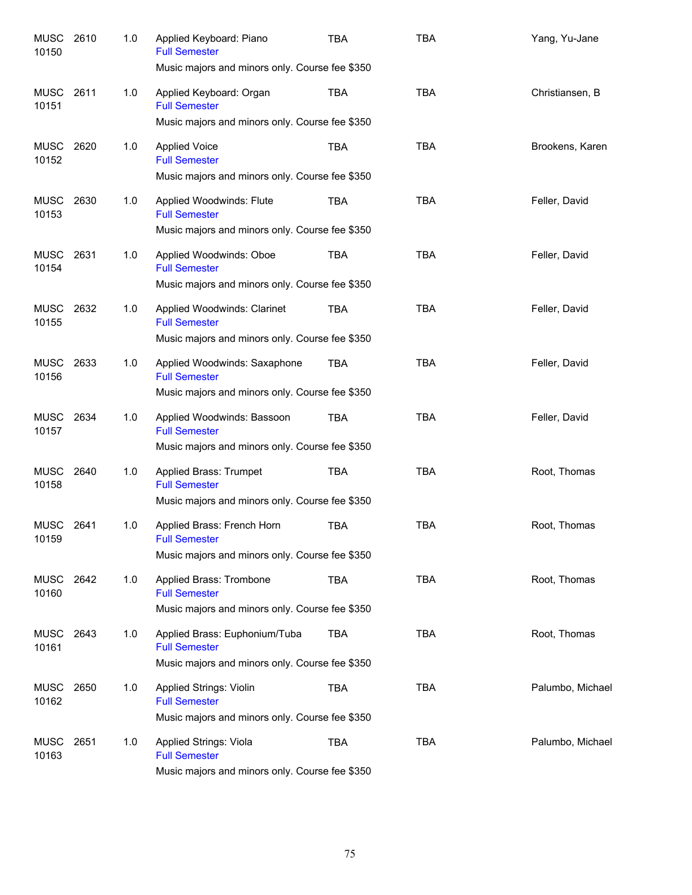| <b>MUSC</b><br>10150 | 2610 | 1.0 | Applied Keyboard: Piano<br><b>Full Semester</b><br>Music majors and minors only. Course fee \$350       | TBA        | <b>TBA</b> | Yang, Yu-Jane    |
|----------------------|------|-----|---------------------------------------------------------------------------------------------------------|------------|------------|------------------|
| MUSC<br>10151        | 2611 | 1.0 | Applied Keyboard: Organ<br><b>Full Semester</b><br>Music majors and minors only. Course fee \$350       | TBA        | <b>TBA</b> | Christiansen, B  |
| MUSC<br>10152        | 2620 | 1.0 | <b>Applied Voice</b><br><b>Full Semester</b><br>Music majors and minors only. Course fee \$350          | <b>TBA</b> | <b>TBA</b> | Brookens, Karen  |
| MUSC<br>10153        | 2630 | 1.0 | Applied Woodwinds: Flute<br><b>Full Semester</b><br>Music majors and minors only. Course fee \$350      | <b>TBA</b> | <b>TBA</b> | Feller, David    |
| MUSC<br>10154        | 2631 | 1.0 | Applied Woodwinds: Oboe<br><b>Full Semester</b><br>Music majors and minors only. Course fee \$350       | <b>TBA</b> | <b>TBA</b> | Feller, David    |
| MUSC<br>10155        | 2632 | 1.0 | Applied Woodwinds: Clarinet<br><b>Full Semester</b><br>Music majors and minors only. Course fee \$350   | TBA        | <b>TBA</b> | Feller, David    |
| MUSC<br>10156        | 2633 | 1.0 | Applied Woodwinds: Saxaphone<br><b>Full Semester</b><br>Music majors and minors only. Course fee \$350  | TBA        | <b>TBA</b> | Feller, David    |
| MUSC<br>10157        | 2634 | 1.0 | Applied Woodwinds: Bassoon<br><b>Full Semester</b><br>Music majors and minors only. Course fee \$350    | <b>TBA</b> | <b>TBA</b> | Feller, David    |
| <b>MUSC</b><br>10158 | 2640 | 1.0 | Applied Brass: Trumpet<br><b>Full Semester</b><br>Music majors and minors only. Course fee \$350        | <b>TBA</b> | <b>TBA</b> | Root, Thomas     |
| <b>MUSC</b><br>10159 | 2641 | 1.0 | Applied Brass: French Horn<br><b>Full Semester</b><br>Music majors and minors only. Course fee \$350    | TBA        | <b>TBA</b> | Root, Thomas     |
| MUSC<br>10160        | 2642 | 1.0 | Applied Brass: Trombone<br><b>Full Semester</b><br>Music majors and minors only. Course fee \$350       | TBA        | <b>TBA</b> | Root, Thomas     |
| MUSC<br>10161        | 2643 | 1.0 | Applied Brass: Euphonium/Tuba<br><b>Full Semester</b><br>Music majors and minors only. Course fee \$350 | <b>TBA</b> | <b>TBA</b> | Root, Thomas     |
| MUSC<br>10162        | 2650 | 1.0 | Applied Strings: Violin<br><b>Full Semester</b><br>Music majors and minors only. Course fee \$350       | TBA        | <b>TBA</b> | Palumbo, Michael |
| <b>MUSC</b><br>10163 | 2651 | 1.0 | Applied Strings: Viola<br><b>Full Semester</b><br>Music majors and minors only. Course fee \$350        | TBA        | <b>TBA</b> | Palumbo, Michael |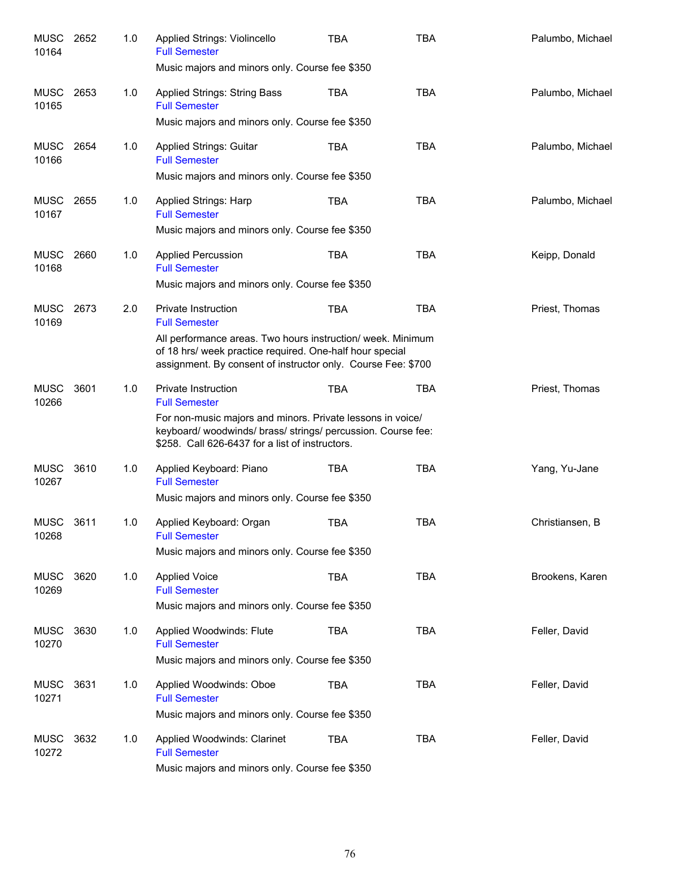| MUSC<br>10164        | 2652 | 1.0 | Applied Strings: Violincello<br><b>Full Semester</b>                                                                                                                                    | <b>TBA</b> | <b>TBA</b> | Palumbo, Michael |
|----------------------|------|-----|-----------------------------------------------------------------------------------------------------------------------------------------------------------------------------------------|------------|------------|------------------|
|                      |      |     | Music majors and minors only. Course fee \$350                                                                                                                                          |            |            |                  |
| MUSC<br>10165        | 2653 | 1.0 | <b>Applied Strings: String Bass</b><br><b>Full Semester</b>                                                                                                                             | TBA        | <b>TBA</b> | Palumbo, Michael |
|                      |      |     | Music majors and minors only. Course fee \$350                                                                                                                                          |            |            |                  |
| MUSC<br>10166        | 2654 | 1.0 | <b>Applied Strings: Guitar</b><br><b>Full Semester</b>                                                                                                                                  | TBA        | <b>TBA</b> | Palumbo, Michael |
|                      |      |     | Music majors and minors only. Course fee \$350                                                                                                                                          |            |            |                  |
| <b>MUSC</b><br>10167 | 2655 | 1.0 | <b>Applied Strings: Harp</b><br><b>Full Semester</b>                                                                                                                                    | TBA        | <b>TBA</b> | Palumbo, Michael |
|                      |      |     | Music majors and minors only. Course fee \$350                                                                                                                                          |            |            |                  |
| MUSC<br>10168        | 2660 | 1.0 | <b>Applied Percussion</b><br><b>Full Semester</b>                                                                                                                                       | <b>TBA</b> | <b>TBA</b> | Keipp, Donald    |
|                      |      |     | Music majors and minors only. Course fee \$350                                                                                                                                          |            |            |                  |
| MUSC<br>10169        | 2673 | 2.0 | <b>Private Instruction</b><br><b>Full Semester</b>                                                                                                                                      | <b>TBA</b> | <b>TBA</b> | Priest, Thomas   |
|                      |      |     | All performance areas. Two hours instruction/ week. Minimum<br>of 18 hrs/ week practice required. One-half hour special<br>assignment. By consent of instructor only. Course Fee: \$700 |            |            |                  |
| <b>MUSC</b><br>10266 | 3601 | 1.0 | <b>Private Instruction</b><br><b>Full Semester</b>                                                                                                                                      | <b>TBA</b> | <b>TBA</b> | Priest, Thomas   |
|                      |      |     | For non-music majors and minors. Private lessons in voice/<br>keyboard/ woodwinds/ brass/ strings/ percussion. Course fee:<br>\$258. Call 626-6437 for a list of instructors.           |            |            |                  |
| <b>MUSC</b><br>10267 | 3610 | 1.0 | Applied Keyboard: Piano<br><b>Full Semester</b>                                                                                                                                         | TBA        | <b>TBA</b> | Yang, Yu-Jane    |
|                      |      |     | Music majors and minors only. Course fee \$350                                                                                                                                          |            |            |                  |
| <b>MUSC</b><br>10268 | 3611 | 1.0 | Applied Keyboard: Organ<br><b>Full Semester</b>                                                                                                                                         | <b>TBA</b> | <b>TBA</b> | Christiansen, B  |
|                      |      |     | Music majors and minors only. Course fee \$350                                                                                                                                          |            |            |                  |
| <b>MUSC</b><br>10269 | 3620 | 1.0 | <b>Applied Voice</b><br><b>Full Semester</b>                                                                                                                                            | <b>TBA</b> | <b>TBA</b> | Brookens, Karen  |
|                      |      |     | Music majors and minors only. Course fee \$350                                                                                                                                          |            |            |                  |
| <b>MUSC</b><br>10270 | 3630 | 1.0 | Applied Woodwinds: Flute<br><b>Full Semester</b>                                                                                                                                        | <b>TBA</b> | <b>TBA</b> | Feller, David    |
|                      |      |     | Music majors and minors only. Course fee \$350                                                                                                                                          |            |            |                  |
| <b>MUSC</b><br>10271 | 3631 | 1.0 | Applied Woodwinds: Oboe<br><b>Full Semester</b>                                                                                                                                         | <b>TBA</b> | <b>TBA</b> | Feller, David    |
|                      |      |     | Music majors and minors only. Course fee \$350                                                                                                                                          |            |            |                  |
| <b>MUSC</b><br>10272 | 3632 | 1.0 | Applied Woodwinds: Clarinet<br><b>Full Semester</b>                                                                                                                                     | <b>TBA</b> | <b>TBA</b> | Feller, David    |
|                      |      |     | Music majors and minors only. Course fee \$350                                                                                                                                          |            |            |                  |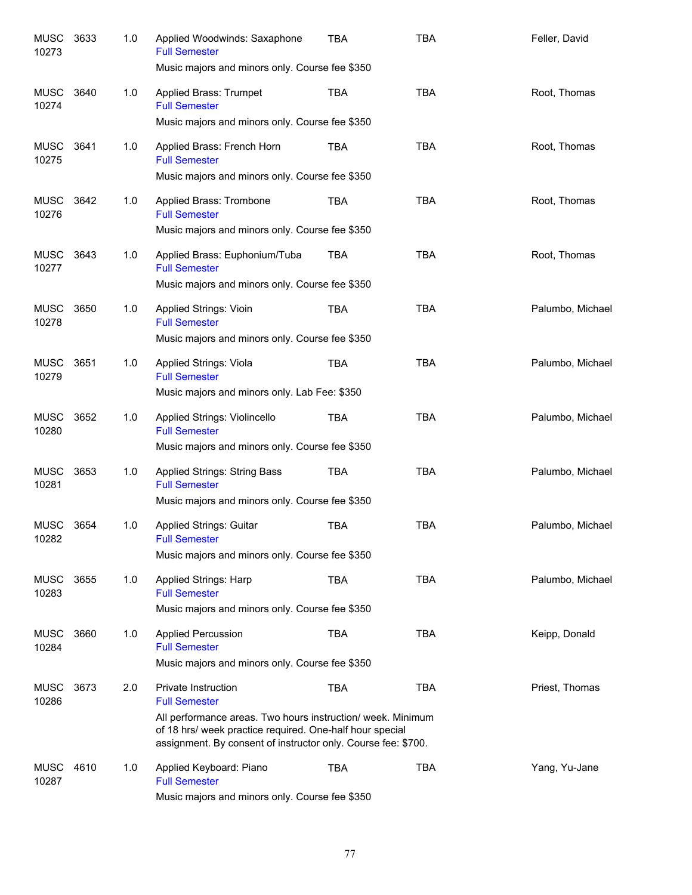| <b>MUSC</b><br>10273 | 3633 | 1.0 | Applied Woodwinds: Saxaphone<br><b>Full Semester</b><br>Music majors and minors only. Course fee \$350                                                                                                                                  | <b>TBA</b> | <b>TBA</b> | Feller, David    |
|----------------------|------|-----|-----------------------------------------------------------------------------------------------------------------------------------------------------------------------------------------------------------------------------------------|------------|------------|------------------|
| MUSC<br>10274        | 3640 | 1.0 | Applied Brass: Trumpet<br><b>Full Semester</b><br>Music majors and minors only. Course fee \$350                                                                                                                                        | <b>TBA</b> | <b>TBA</b> | Root, Thomas     |
| MUSC<br>10275        | 3641 | 1.0 | Applied Brass: French Horn<br><b>Full Semester</b><br>Music majors and minors only. Course fee \$350                                                                                                                                    | <b>TBA</b> | <b>TBA</b> | Root, Thomas     |
| MUSC<br>10276        | 3642 | 1.0 | Applied Brass: Trombone<br><b>Full Semester</b><br>Music majors and minors only. Course fee \$350                                                                                                                                       | TBA        | <b>TBA</b> | Root, Thomas     |
| MUSC<br>10277        | 3643 | 1.0 | Applied Brass: Euphonium/Tuba<br><b>Full Semester</b><br>Music majors and minors only. Course fee \$350                                                                                                                                 | TBA        | <b>TBA</b> | Root, Thomas     |
| MUSC<br>10278        | 3650 | 1.0 | Applied Strings: Vioin<br><b>Full Semester</b><br>Music majors and minors only. Course fee \$350                                                                                                                                        | TBA        | <b>TBA</b> | Palumbo, Michael |
| MUSC<br>10279        | 3651 | 1.0 | Applied Strings: Viola<br><b>Full Semester</b><br>Music majors and minors only. Lab Fee: \$350                                                                                                                                          | TBA        | <b>TBA</b> | Palumbo, Michael |
| MUSC<br>10280        | 3652 | 1.0 | Applied Strings: Violincello<br><b>Full Semester</b><br>Music majors and minors only. Course fee \$350                                                                                                                                  | TBA        | <b>TBA</b> | Palumbo, Michael |
| MUSC<br>10281        | 3653 | 1.0 | Applied Strings: String Bass<br><b>Full Semester</b><br>Music majors and minors only. Course fee \$350                                                                                                                                  | TBA        | <b>TBA</b> | Palumbo, Michael |
| MUSC<br>10282        | 3654 | 1.0 | Applied Strings: Guitar<br><b>Full Semester</b><br>Music majors and minors only. Course fee \$350                                                                                                                                       | <b>TBA</b> | <b>TBA</b> | Palumbo, Michael |
| MUSC<br>10283        | 3655 | 1.0 | Applied Strings: Harp<br><b>Full Semester</b><br>Music majors and minors only. Course fee \$350                                                                                                                                         | TBA        | <b>TBA</b> | Palumbo, Michael |
| MUSC<br>10284        | 3660 | 1.0 | <b>Applied Percussion</b><br><b>Full Semester</b><br>Music majors and minors only. Course fee \$350                                                                                                                                     | TBA        | <b>TBA</b> | Keipp, Donald    |
| MUSC<br>10286        | 3673 | 2.0 | Private Instruction<br><b>Full Semester</b><br>All performance areas. Two hours instruction/ week. Minimum<br>of 18 hrs/ week practice required. One-half hour special<br>assignment. By consent of instructor only. Course fee: \$700. | <b>TBA</b> | <b>TBA</b> | Priest, Thomas   |
| MUSC<br>10287        | 4610 | 1.0 | Applied Keyboard: Piano<br><b>Full Semester</b><br>Music majors and minors only. Course fee \$350                                                                                                                                       | TBA        | <b>TBA</b> | Yang, Yu-Jane    |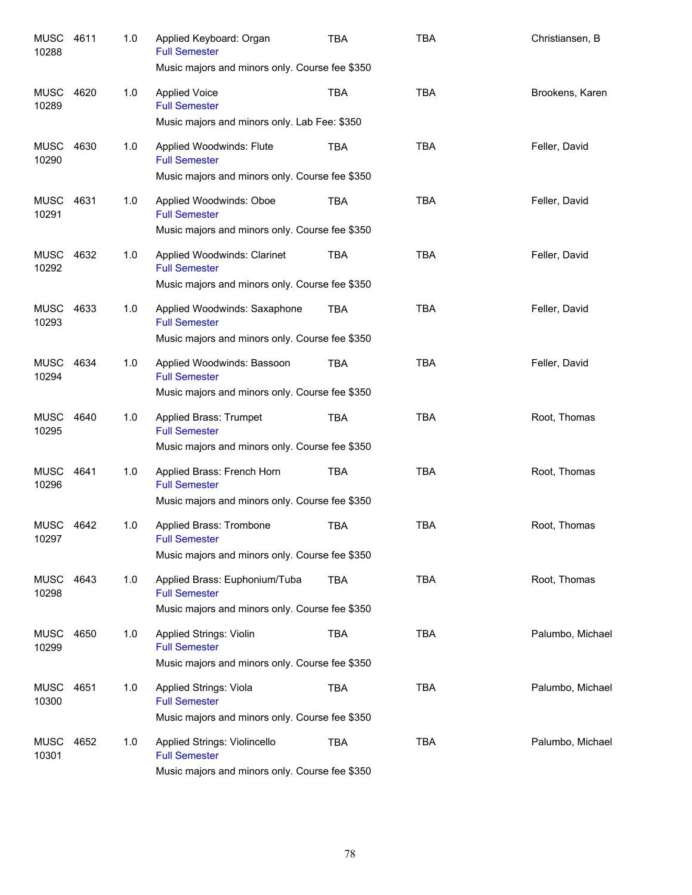| <b>MUSC</b><br>10288 | 4611 | 1.0 | Applied Keyboard: Organ<br><b>Full Semester</b><br>Music majors and minors only. Course fee \$350        | TBA        | <b>TBA</b> | Christiansen, B  |
|----------------------|------|-----|----------------------------------------------------------------------------------------------------------|------------|------------|------------------|
| MUSC<br>10289        | 4620 | 1.0 | <b>Applied Voice</b><br><b>Full Semester</b><br>Music majors and minors only. Lab Fee: \$350             | <b>TBA</b> | <b>TBA</b> | Brookens, Karen  |
| MUSC<br>10290        | 4630 | 1.0 | Applied Woodwinds: Flute<br><b>Full Semester</b><br>Music majors and minors only. Course fee \$350       | TBA        | <b>TBA</b> | Feller, David    |
| MUSC<br>10291        | 4631 | 1.0 | Applied Woodwinds: Oboe<br><b>Full Semester</b><br>Music majors and minors only. Course fee \$350        | TBA        | <b>TBA</b> | Feller, David    |
| MUSC<br>10292        | 4632 | 1.0 | Applied Woodwinds: Clarinet<br><b>Full Semester</b><br>Music majors and minors only. Course fee \$350    | TBA        | <b>TBA</b> | Feller, David    |
| MUSC<br>10293        | 4633 | 1.0 | Applied Woodwinds: Saxaphone<br><b>Full Semester</b><br>Music majors and minors only. Course fee \$350   | TBA        | <b>TBA</b> | Feller, David    |
| MUSC<br>10294        | 4634 | 1.0 | Applied Woodwinds: Bassoon<br><b>Full Semester</b><br>Music majors and minors only. Course fee \$350     | TBA        | <b>TBA</b> | Feller, David    |
| MUSC<br>10295        | 4640 | 1.0 | Applied Brass: Trumpet<br><b>Full Semester</b><br>Music majors and minors only. Course fee \$350         | TBA        | <b>TBA</b> | Root, Thomas     |
| MUSC<br>10296        | 4641 | 1.0 | Applied Brass: French Horn<br><b>Full Semester</b><br>Music majors and minors only. Course fee \$350     | TBA        | <b>TBA</b> | Root, Thomas     |
| MUSC<br>10297        | 4642 | 1.0 | Applied Brass: Trombone<br><b>Full Semester</b><br>Music majors and minors only. Course fee \$350        | TBA        | <b>TBA</b> | Root, Thomas     |
| MUSC 4643<br>10298   |      | 1.0 | Applied Brass: Euphonium/Tuba<br><b>Full Semester</b><br>Music majors and minors only. Course fee \$350  | <b>TBA</b> | <b>TBA</b> | Root, Thomas     |
| MUSC<br>10299        | 4650 | 1.0 | <b>Applied Strings: Violin</b><br><b>Full Semester</b><br>Music majors and minors only. Course fee \$350 | TBA        | <b>TBA</b> | Palumbo, Michael |
| <b>MUSC</b><br>10300 | 4651 | 1.0 | Applied Strings: Viola<br><b>Full Semester</b><br>Music majors and minors only. Course fee \$350         | TBA        | <b>TBA</b> | Palumbo, Michael |
| <b>MUSC</b><br>10301 | 4652 | 1.0 | Applied Strings: Violincello<br><b>Full Semester</b><br>Music majors and minors only. Course fee \$350   | TBA        | <b>TBA</b> | Palumbo, Michael |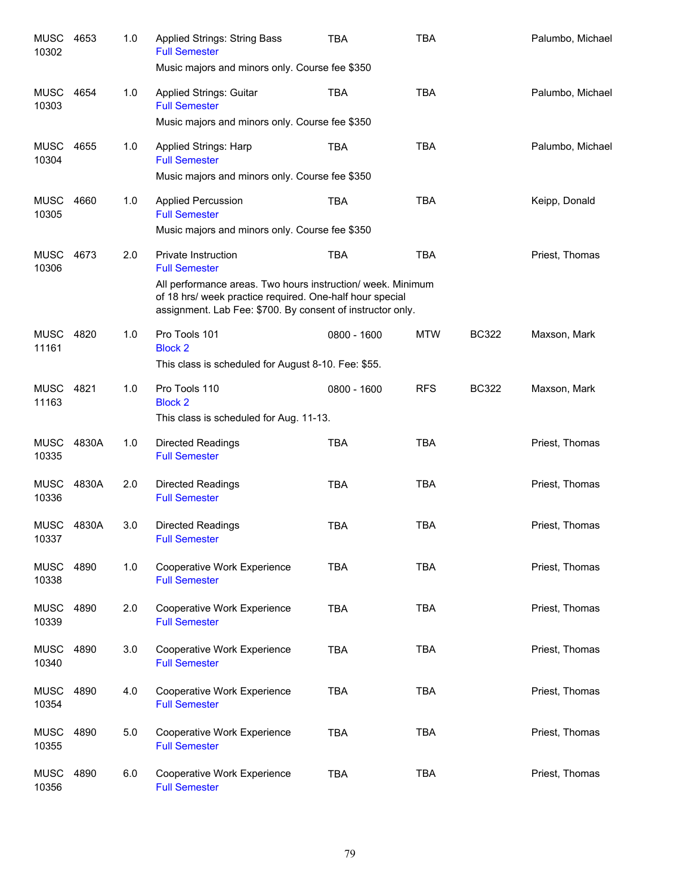| <b>MUSC</b><br>10302 | 4653  | 1.0 | Applied Strings: String Bass<br><b>Full Semester</b><br>Music majors and minors only. Course fee \$350                                                                                | TBA         | <b>TBA</b> |              | Palumbo, Michael |
|----------------------|-------|-----|---------------------------------------------------------------------------------------------------------------------------------------------------------------------------------------|-------------|------------|--------------|------------------|
| <b>MUSC</b><br>10303 | 4654  | 1.0 | <b>Applied Strings: Guitar</b><br><b>Full Semester</b>                                                                                                                                | <b>TBA</b>  | <b>TBA</b> |              | Palumbo, Michael |
|                      |       |     | Music majors and minors only. Course fee \$350                                                                                                                                        |             |            |              |                  |
| MUSC<br>10304        | 4655  | 1.0 | Applied Strings: Harp<br><b>Full Semester</b>                                                                                                                                         | <b>TBA</b>  | <b>TBA</b> |              | Palumbo, Michael |
|                      |       |     | Music majors and minors only. Course fee \$350                                                                                                                                        |             |            |              |                  |
| <b>MUSC</b><br>10305 | 4660  | 1.0 | <b>Applied Percussion</b><br><b>Full Semester</b>                                                                                                                                     | <b>TBA</b>  | <b>TBA</b> |              | Keipp, Donald    |
|                      |       |     | Music majors and minors only. Course fee \$350                                                                                                                                        |             |            |              |                  |
| <b>MUSC</b><br>10306 | 4673  | 2.0 | <b>Private Instruction</b><br><b>Full Semester</b>                                                                                                                                    | <b>TBA</b>  | <b>TBA</b> |              | Priest, Thomas   |
|                      |       |     | All performance areas. Two hours instruction/ week. Minimum<br>of 18 hrs/ week practice required. One-half hour special<br>assignment. Lab Fee: \$700. By consent of instructor only. |             |            |              |                  |
| <b>MUSC</b><br>11161 | 4820  | 1.0 | Pro Tools 101<br><b>Block 2</b>                                                                                                                                                       | 0800 - 1600 | <b>MTW</b> | <b>BC322</b> | Maxson, Mark     |
|                      |       |     | This class is scheduled for August 8-10. Fee: \$55.                                                                                                                                   |             |            |              |                  |
| <b>MUSC</b><br>11163 | 4821  | 1.0 | Pro Tools 110<br><b>Block 2</b>                                                                                                                                                       | 0800 - 1600 | <b>RFS</b> | <b>BC322</b> | Maxson, Mark     |
|                      |       |     | This class is scheduled for Aug. 11-13.                                                                                                                                               |             |            |              |                  |
| <b>MUSC</b><br>10335 | 4830A | 1.0 | <b>Directed Readings</b><br><b>Full Semester</b>                                                                                                                                      | <b>TBA</b>  | <b>TBA</b> |              | Priest, Thomas   |
| <b>MUSC</b><br>10336 | 4830A | 2.0 | <b>Directed Readings</b><br><b>Full Semester</b>                                                                                                                                      | <b>TBA</b>  | <b>TBA</b> |              | Priest, Thomas   |
| <b>MUSC</b><br>10337 | 4830A | 3.0 | <b>Directed Readings</b><br><b>Full Semester</b>                                                                                                                                      | <b>TBA</b>  | <b>TBA</b> |              | Priest, Thomas   |
| <b>MUSC</b><br>10338 | 4890  | 1.0 | Cooperative Work Experience<br><b>Full Semester</b>                                                                                                                                   | <b>TBA</b>  | <b>TBA</b> |              | Priest, Thomas   |
| <b>MUSC</b><br>10339 | 4890  | 2.0 | Cooperative Work Experience<br><b>Full Semester</b>                                                                                                                                   | <b>TBA</b>  | <b>TBA</b> |              | Priest, Thomas   |
| <b>MUSC</b><br>10340 | 4890  | 3.0 | Cooperative Work Experience<br><b>Full Semester</b>                                                                                                                                   | <b>TBA</b>  | <b>TBA</b> |              | Priest, Thomas   |
| <b>MUSC</b><br>10354 | 4890  | 4.0 | Cooperative Work Experience<br><b>Full Semester</b>                                                                                                                                   | <b>TBA</b>  | <b>TBA</b> |              | Priest, Thomas   |
| <b>MUSC</b><br>10355 | 4890  | 5.0 | Cooperative Work Experience<br><b>Full Semester</b>                                                                                                                                   | <b>TBA</b>  | <b>TBA</b> |              | Priest, Thomas   |
| <b>MUSC</b><br>10356 | 4890  | 6.0 | Cooperative Work Experience<br><b>Full Semester</b>                                                                                                                                   | <b>TBA</b>  | <b>TBA</b> |              | Priest, Thomas   |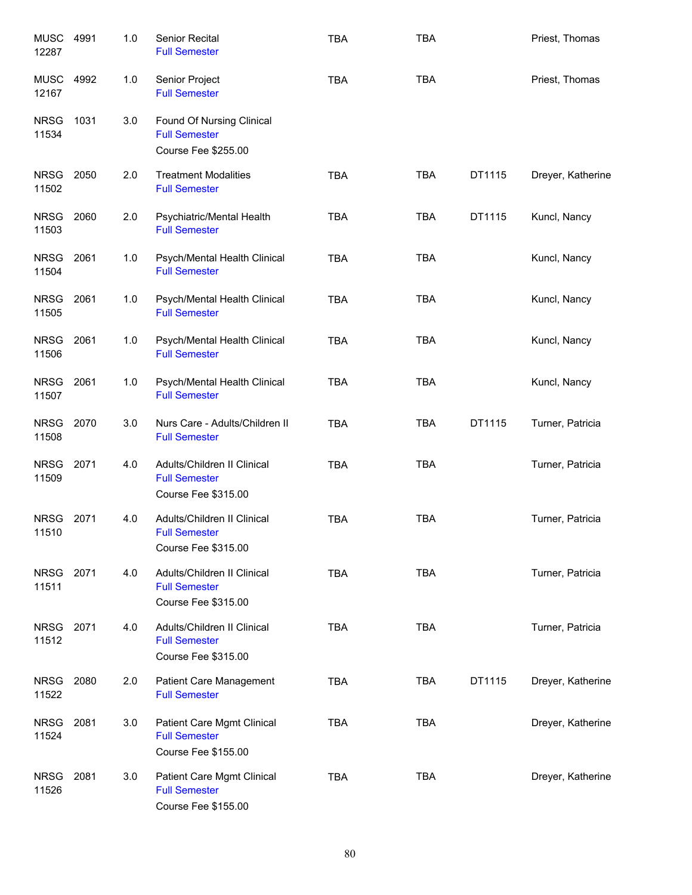| <b>MUSC</b><br>12287 | 4991 | 1.0 | Senior Recital<br><b>Full Semester</b>                                           | <b>TBA</b> | <b>TBA</b> |        | Priest, Thomas    |
|----------------------|------|-----|----------------------------------------------------------------------------------|------------|------------|--------|-------------------|
| MUSC<br>12167        | 4992 | 1.0 | Senior Project<br><b>Full Semester</b>                                           | <b>TBA</b> | <b>TBA</b> |        | Priest, Thomas    |
| <b>NRSG</b><br>11534 | 1031 | 3.0 | Found Of Nursing Clinical<br><b>Full Semester</b><br>Course Fee \$255.00         |            |            |        |                   |
| <b>NRSG</b><br>11502 | 2050 | 2.0 | <b>Treatment Modalities</b><br><b>Full Semester</b>                              | <b>TBA</b> | <b>TBA</b> | DT1115 | Dreyer, Katherine |
| <b>NRSG</b><br>11503 | 2060 | 2.0 | Psychiatric/Mental Health<br><b>Full Semester</b>                                | <b>TBA</b> | <b>TBA</b> | DT1115 | Kuncl, Nancy      |
| <b>NRSG</b><br>11504 | 2061 | 1.0 | Psych/Mental Health Clinical<br><b>Full Semester</b>                             | <b>TBA</b> | <b>TBA</b> |        | Kuncl, Nancy      |
| <b>NRSG</b><br>11505 | 2061 | 1.0 | Psych/Mental Health Clinical<br><b>Full Semester</b>                             | <b>TBA</b> | <b>TBA</b> |        | Kuncl, Nancy      |
| <b>NRSG</b><br>11506 | 2061 | 1.0 | Psych/Mental Health Clinical<br><b>Full Semester</b>                             | <b>TBA</b> | <b>TBA</b> |        | Kuncl, Nancy      |
| <b>NRSG</b><br>11507 | 2061 | 1.0 | Psych/Mental Health Clinical<br><b>Full Semester</b>                             | <b>TBA</b> | <b>TBA</b> |        | Kuncl, Nancy      |
| <b>NRSG</b><br>11508 | 2070 | 3.0 | Nurs Care - Adults/Children II<br><b>Full Semester</b>                           | <b>TBA</b> | <b>TBA</b> | DT1115 | Turner, Patricia  |
| <b>NRSG</b><br>11509 | 2071 | 4.0 | Adults/Children II Clinical<br><b>Full Semester</b><br>Course Fee \$315.00       | <b>TBA</b> | <b>TBA</b> |        | Turner, Patricia  |
| <b>NRSG</b><br>11510 | 2071 | 4.0 | Adults/Children II Clinical<br><b>Full Semester</b><br>Course Fee \$315.00       | <b>TBA</b> | <b>TBA</b> |        | Turner, Patricia  |
| <b>NRSG</b><br>11511 | 2071 | 4.0 | Adults/Children II Clinical<br><b>Full Semester</b><br>Course Fee \$315.00       | <b>TBA</b> | <b>TBA</b> |        | Turner, Patricia  |
| <b>NRSG</b><br>11512 | 2071 | 4.0 | Adults/Children II Clinical<br><b>Full Semester</b><br>Course Fee \$315.00       | <b>TBA</b> | <b>TBA</b> |        | Turner, Patricia  |
| <b>NRSG</b><br>11522 | 2080 | 2.0 | <b>Patient Care Management</b><br><b>Full Semester</b>                           | <b>TBA</b> | <b>TBA</b> | DT1115 | Dreyer, Katherine |
| <b>NRSG</b><br>11524 | 2081 | 3.0 | Patient Care Mgmt Clinical<br><b>Full Semester</b><br><b>Course Fee \$155.00</b> | <b>TBA</b> | <b>TBA</b> |        | Dreyer, Katherine |
| <b>NRSG</b><br>11526 | 2081 | 3.0 | Patient Care Mgmt Clinical<br><b>Full Semester</b><br>Course Fee \$155.00        | <b>TBA</b> | <b>TBA</b> |        | Dreyer, Katherine |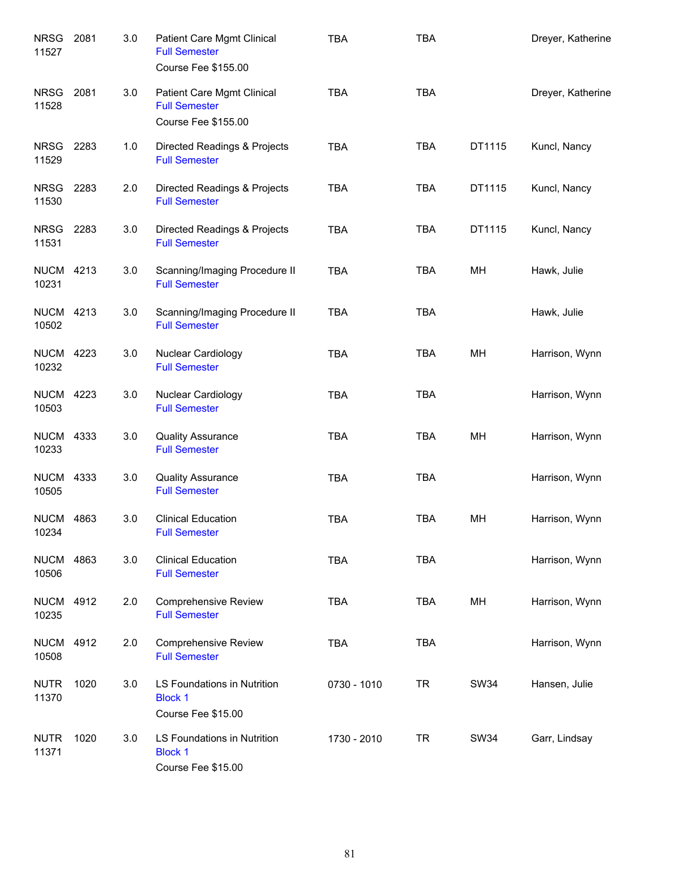| <b>NRSG</b><br>11527      | 2081 | 3.0 | Patient Care Mgmt Clinical<br><b>Full Semester</b><br><b>Course Fee \$155.00</b> | <b>TBA</b>  | <b>TBA</b> |             | Dreyer, Katherine |
|---------------------------|------|-----|----------------------------------------------------------------------------------|-------------|------------|-------------|-------------------|
| <b>NRSG</b><br>11528      | 2081 | 3.0 | Patient Care Mgmt Clinical<br><b>Full Semester</b><br><b>Course Fee \$155.00</b> | <b>TBA</b>  | <b>TBA</b> |             | Dreyer, Katherine |
| <b>NRSG</b><br>11529      | 2283 | 1.0 | Directed Readings & Projects<br><b>Full Semester</b>                             | <b>TBA</b>  | <b>TBA</b> | DT1115      | Kuncl, Nancy      |
| <b>NRSG</b><br>11530      | 2283 | 2.0 | Directed Readings & Projects<br><b>Full Semester</b>                             | <b>TBA</b>  | <b>TBA</b> | DT1115      | Kuncl, Nancy      |
| NRSG<br>11531             | 2283 | 3.0 | Directed Readings & Projects<br><b>Full Semester</b>                             | TBA         | <b>TBA</b> | DT1115      | Kuncl, Nancy      |
| <b>NUCM 4213</b><br>10231 |      | 3.0 | Scanning/Imaging Procedure II<br><b>Full Semester</b>                            | <b>TBA</b>  | <b>TBA</b> | MН          | Hawk, Julie       |
| <b>NUCM 4213</b><br>10502 |      | 3.0 | Scanning/Imaging Procedure II<br><b>Full Semester</b>                            | <b>TBA</b>  | <b>TBA</b> |             | Hawk, Julie       |
| <b>NUCM 4223</b><br>10232 |      | 3.0 | Nuclear Cardiology<br><b>Full Semester</b>                                       | <b>TBA</b>  | <b>TBA</b> | MH          | Harrison, Wynn    |
| <b>NUCM 4223</b><br>10503 |      | 3.0 | Nuclear Cardiology<br><b>Full Semester</b>                                       | <b>TBA</b>  | <b>TBA</b> |             | Harrison, Wynn    |
| <b>NUCM 4333</b><br>10233 |      | 3.0 | <b>Quality Assurance</b><br><b>Full Semester</b>                                 | <b>TBA</b>  | <b>TBA</b> | MH          | Harrison, Wynn    |
| <b>NUCM 4333</b><br>10505 |      | 3.0 | <b>Quality Assurance</b><br><b>Full Semester</b>                                 | <b>TBA</b>  | <b>TBA</b> |             | Harrison, Wynn    |
| <b>NUCM</b><br>10234      | 4863 | 3.0 | <b>Clinical Education</b><br><b>Full Semester</b>                                | <b>TBA</b>  | <b>TBA</b> | MH          | Harrison, Wynn    |
| <b>NUCM</b><br>10506      | 4863 | 3.0 | <b>Clinical Education</b><br><b>Full Semester</b>                                | <b>TBA</b>  | <b>TBA</b> |             | Harrison, Wynn    |
| <b>NUCM</b><br>10235      | 4912 | 2.0 | <b>Comprehensive Review</b><br><b>Full Semester</b>                              | <b>TBA</b>  | <b>TBA</b> | MН          | Harrison, Wynn    |
| <b>NUCM</b><br>10508      | 4912 | 2.0 | <b>Comprehensive Review</b><br><b>Full Semester</b>                              | <b>TBA</b>  | <b>TBA</b> |             | Harrison, Wynn    |
| <b>NUTR</b><br>11370      | 1020 | 3.0 | LS Foundations in Nutrition<br><b>Block 1</b><br>Course Fee \$15.00              | 0730 - 1010 | <b>TR</b>  | <b>SW34</b> | Hansen, Julie     |
| <b>NUTR</b><br>11371      | 1020 | 3.0 | LS Foundations in Nutrition<br><b>Block 1</b><br>Course Fee \$15.00              | 1730 - 2010 | <b>TR</b>  | <b>SW34</b> | Garr, Lindsay     |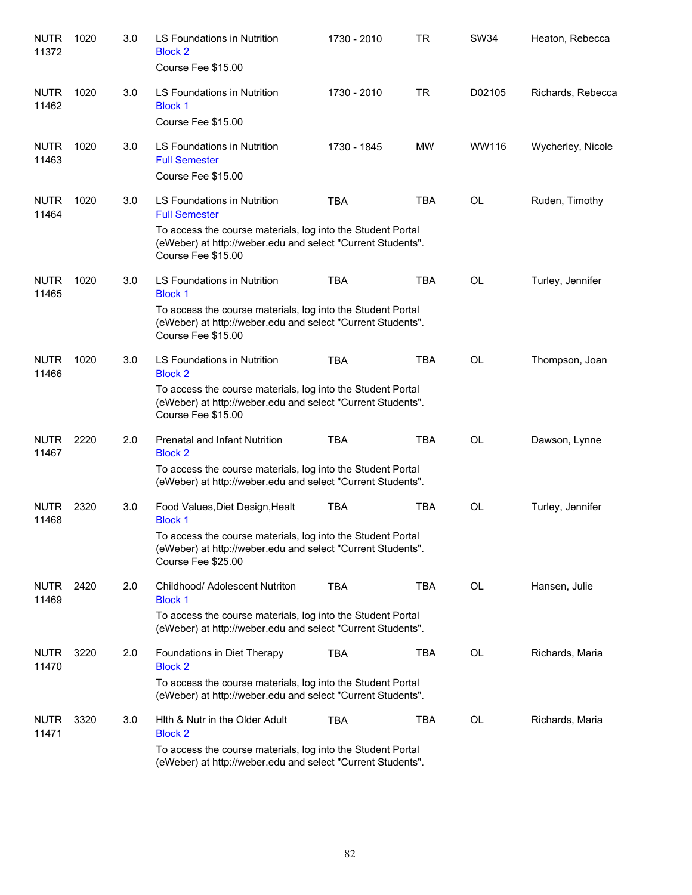| <b>NUTR</b><br>11372 | 1020 | 3.0 | LS Foundations in Nutrition<br><b>Block 2</b><br>Course Fee \$15.00                                                                              | 1730 - 2010 | <b>TR</b>  | <b>SW34</b> | Heaton, Rebecca   |
|----------------------|------|-----|--------------------------------------------------------------------------------------------------------------------------------------------------|-------------|------------|-------------|-------------------|
| <b>NUTR</b><br>11462 | 1020 | 3.0 | LS Foundations in Nutrition<br><b>Block 1</b><br>Course Fee \$15.00                                                                              | 1730 - 2010 | <b>TR</b>  | D02105      | Richards, Rebecca |
| <b>NUTR</b><br>11463 | 1020 | 3.0 | <b>LS Foundations in Nutrition</b><br><b>Full Semester</b><br>Course Fee \$15.00                                                                 | 1730 - 1845 | <b>MW</b>  | WW116       | Wycherley, Nicole |
| <b>NUTR</b><br>11464 | 1020 | 3.0 | LS Foundations in Nutrition<br><b>Full Semester</b>                                                                                              | <b>TBA</b>  | <b>TBA</b> | <b>OL</b>   | Ruden, Timothy    |
|                      |      |     | To access the course materials, log into the Student Portal<br>(eWeber) at http://weber.edu and select "Current Students".<br>Course Fee \$15.00 |             |            |             |                   |
| <b>NUTR</b><br>11465 | 1020 | 3.0 | LS Foundations in Nutrition<br><b>Block 1</b>                                                                                                    | <b>TBA</b>  | <b>TBA</b> | <b>OL</b>   | Turley, Jennifer  |
|                      |      |     | To access the course materials, log into the Student Portal<br>(eWeber) at http://weber.edu and select "Current Students".<br>Course Fee \$15.00 |             |            |             |                   |
| <b>NUTR</b><br>11466 | 1020 | 3.0 | LS Foundations in Nutrition<br><b>Block 2</b>                                                                                                    | <b>TBA</b>  | <b>TBA</b> | <b>OL</b>   | Thompson, Joan    |
|                      |      |     | To access the course materials, log into the Student Portal<br>(eWeber) at http://weber.edu and select "Current Students".<br>Course Fee \$15.00 |             |            |             |                   |
| <b>NUTR</b><br>11467 | 2220 | 2.0 | Prenatal and Infant Nutrition<br><b>Block 2</b>                                                                                                  | <b>TBA</b>  | <b>TBA</b> | <b>OL</b>   | Dawson, Lynne     |
|                      |      |     | To access the course materials, log into the Student Portal<br>(eWeber) at http://weber.edu and select "Current Students".                       |             |            |             |                   |
| <b>NUTR</b><br>11468 | 2320 | 3.0 | Food Values, Diet Design, Healt<br><b>Block 1</b>                                                                                                | <b>TBA</b>  | <b>TBA</b> | <b>OL</b>   | Turley, Jennifer  |
|                      |      |     | To access the course materials, log into the Student Portal<br>(eWeber) at http://weber.edu and select "Current Students".<br>Course Fee \$25.00 |             |            |             |                   |
| <b>NUTR</b><br>11469 | 2420 | 2.0 | Childhood/ Adolescent Nutriton<br><b>Block 1</b>                                                                                                 | <b>TBA</b>  | <b>TBA</b> | OL          | Hansen, Julie     |
|                      |      |     | To access the course materials, log into the Student Portal<br>(eWeber) at http://weber.edu and select "Current Students".                       |             |            |             |                   |
| <b>NUTR</b><br>11470 | 3220 | 2.0 | Foundations in Diet Therapy<br><b>Block 2</b>                                                                                                    | <b>TBA</b>  | <b>TBA</b> | OL          | Richards, Maria   |
|                      |      |     | To access the course materials, log into the Student Portal<br>(eWeber) at http://weber.edu and select "Current Students".                       |             |            |             |                   |
| <b>NUTR</b><br>11471 | 3320 | 3.0 | Hith & Nutr in the Older Adult<br><b>Block 2</b>                                                                                                 | <b>TBA</b>  | <b>TBA</b> | OL          | Richards, Maria   |
|                      |      |     | To access the course materials, log into the Student Portal<br>(eWeber) at http://weber.edu and select "Current Students".                       |             |            |             |                   |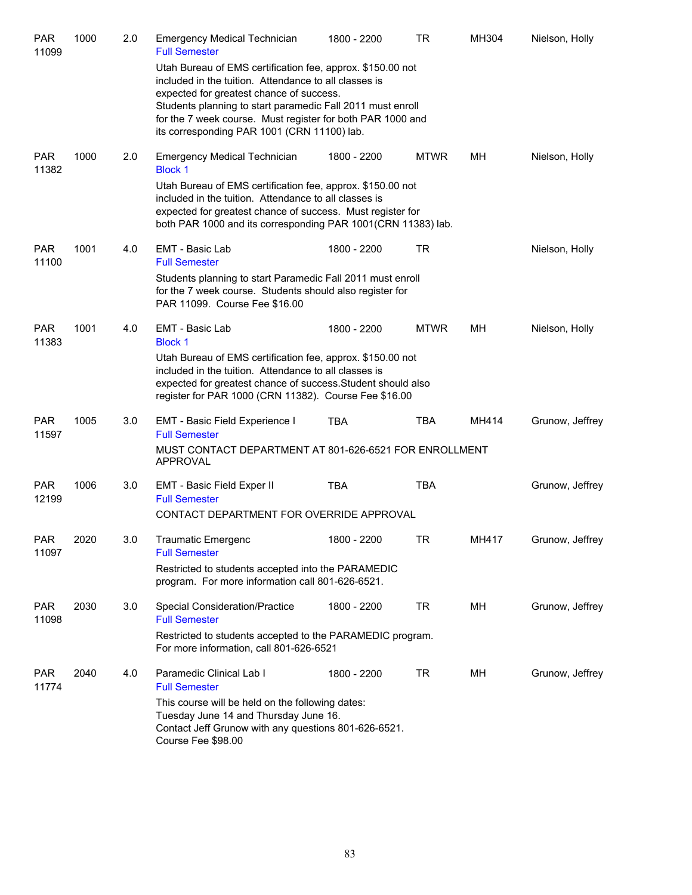| <b>PAR</b><br>11099 | 1000 | 2.0 | <b>Emergency Medical Technician</b><br><b>Full Semester</b>                                                                                                                                                                                       | 1800 - 2200 | TR          | MH304 | Nielson, Holly  |
|---------------------|------|-----|---------------------------------------------------------------------------------------------------------------------------------------------------------------------------------------------------------------------------------------------------|-------------|-------------|-------|-----------------|
|                     |      |     | Utah Bureau of EMS certification fee, approx. \$150.00 not<br>included in the tuition. Attendance to all classes is<br>expected for greatest chance of success.<br>Students planning to start paramedic Fall 2011 must enroll                     |             |             |       |                 |
|                     |      |     | for the 7 week course. Must register for both PAR 1000 and<br>its corresponding PAR 1001 (CRN 11100) lab.                                                                                                                                         |             |             |       |                 |
| <b>PAR</b><br>11382 | 1000 | 2.0 | <b>Emergency Medical Technician</b><br><b>Block 1</b>                                                                                                                                                                                             | 1800 - 2200 | <b>MTWR</b> | MН    | Nielson, Holly  |
|                     |      |     | Utah Bureau of EMS certification fee, approx. \$150.00 not<br>included in the tuition. Attendance to all classes is<br>expected for greatest chance of success. Must register for<br>both PAR 1000 and its corresponding PAR 1001(CRN 11383) lab. |             |             |       |                 |
| <b>PAR</b><br>11100 | 1001 | 4.0 | EMT - Basic Lab<br><b>Full Semester</b>                                                                                                                                                                                                           | 1800 - 2200 | TR          |       | Nielson, Holly  |
|                     |      |     | Students planning to start Paramedic Fall 2011 must enroll<br>for the 7 week course. Students should also register for<br>PAR 11099. Course Fee \$16.00                                                                                           |             |             |       |                 |
| <b>PAR</b><br>11383 | 1001 | 4.0 | EMT - Basic Lab<br><b>Block 1</b>                                                                                                                                                                                                                 | 1800 - 2200 | <b>MTWR</b> | MН    | Nielson, Holly  |
|                     |      |     | Utah Bureau of EMS certification fee, approx. \$150.00 not<br>included in the tuition. Attendance to all classes is<br>expected for greatest chance of success. Student should also<br>register for PAR 1000 (CRN 11382). Course Fee \$16.00      |             |             |       |                 |
| <b>PAR</b><br>11597 | 1005 | 3.0 | EMT - Basic Field Experience I<br><b>Full Semester</b>                                                                                                                                                                                            | <b>TBA</b>  | <b>TBA</b>  | MH414 | Grunow, Jeffrey |
|                     |      |     | MUST CONTACT DEPARTMENT AT 801-626-6521 FOR ENROLLMENT<br><b>APPROVAL</b>                                                                                                                                                                         |             |             |       |                 |
| <b>PAR</b><br>12199 | 1006 | 3.0 | EMT - Basic Field Exper II<br><b>Full Semester</b>                                                                                                                                                                                                | <b>TBA</b>  | <b>TBA</b>  |       | Grunow, Jeffrey |
|                     |      |     | CONTACT DEPARTMENT FOR OVERRIDE APPROVAL                                                                                                                                                                                                          |             |             |       |                 |
| PAR<br>11097        | 2020 | 3.0 | <b>Traumatic Emergenc</b><br><b>Full Semester</b>                                                                                                                                                                                                 | 1800 - 2200 | TR          | MH417 | Grunow, Jeffrey |
|                     |      |     | Restricted to students accepted into the PARAMEDIC<br>program. For more information call 801-626-6521.                                                                                                                                            |             |             |       |                 |
| <b>PAR</b><br>11098 | 2030 | 3.0 | <b>Special Consideration/Practice</b><br><b>Full Semester</b>                                                                                                                                                                                     | 1800 - 2200 | TR          | MН    | Grunow, Jeffrey |
|                     |      |     | Restricted to students accepted to the PARAMEDIC program.<br>For more information, call 801-626-6521                                                                                                                                              |             |             |       |                 |
| <b>PAR</b><br>11774 | 2040 | 4.0 | Paramedic Clinical Lab I<br><b>Full Semester</b>                                                                                                                                                                                                  | 1800 - 2200 | TR          | MН    | Grunow, Jeffrey |
|                     |      |     | This course will be held on the following dates:<br>Tuesday June 14 and Thursday June 16.<br>Contact Jeff Grunow with any questions 801-626-6521.<br>Course Fee \$98.00                                                                           |             |             |       |                 |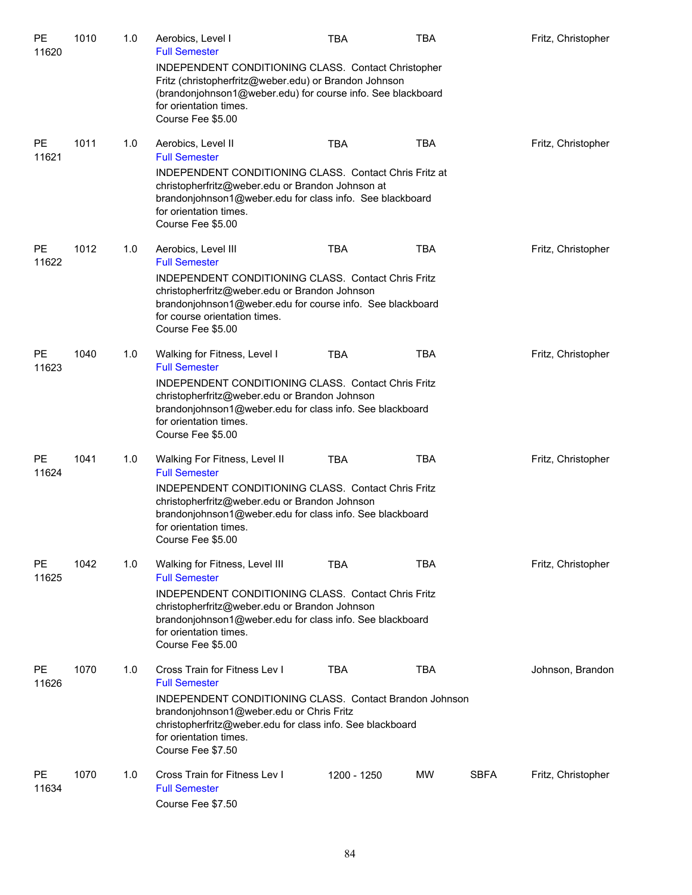| PE<br>11620        | 1010 | 1.0 | Aerobics, Level I<br><b>Full Semester</b>                                                                                                                                                                                                                                       | <b>TBA</b>  | TBA        |             | Fritz, Christopher |
|--------------------|------|-----|---------------------------------------------------------------------------------------------------------------------------------------------------------------------------------------------------------------------------------------------------------------------------------|-------------|------------|-------------|--------------------|
|                    |      |     | INDEPENDENT CONDITIONING CLASS. Contact Christopher<br>Fritz (christopherfritz@weber.edu) or Brandon Johnson<br>(brandonjohnson1@weber.edu) for course info. See blackboard<br>for orientation times.<br>Course Fee \$5.00                                                      |             |            |             |                    |
| <b>PE</b><br>11621 | 1011 | 1.0 | Aerobics, Level II<br><b>Full Semester</b>                                                                                                                                                                                                                                      | <b>TBA</b>  | <b>TBA</b> |             | Fritz, Christopher |
|                    |      |     | INDEPENDENT CONDITIONING CLASS. Contact Chris Fritz at<br>christopherfritz@weber.edu or Brandon Johnson at<br>brandonjohnson1@weber.edu for class info. See blackboard<br>for orientation times.<br>Course Fee \$5.00                                                           |             |            |             |                    |
| <b>PE</b><br>11622 | 1012 | 1.0 | Aerobics, Level III<br><b>Full Semester</b>                                                                                                                                                                                                                                     | <b>TBA</b>  | <b>TBA</b> |             | Fritz, Christopher |
|                    |      |     | <b>INDEPENDENT CONDITIONING CLASS. Contact Chris Fritz</b><br>christopherfritz@weber.edu or Brandon Johnson<br>brandonjohnson1@weber.edu for course info. See blackboard<br>for course orientation times.<br>Course Fee \$5.00                                                  |             |            |             |                    |
| <b>PE</b><br>11623 | 1040 | 1.0 | Walking for Fitness, Level I<br><b>Full Semester</b>                                                                                                                                                                                                                            | <b>TBA</b>  | <b>TBA</b> |             | Fritz, Christopher |
|                    |      |     | INDEPENDENT CONDITIONING CLASS. Contact Chris Fritz<br>christopherfritz@weber.edu or Brandon Johnson<br>brandonjohnson1@weber.edu for class info. See blackboard<br>for orientation times.<br>Course Fee \$5.00                                                                 |             |            |             |                    |
| PE<br>11624        | 1041 | 1.0 | Walking For Fitness, Level II<br><b>Full Semester</b><br><b>INDEPENDENT CONDITIONING CLASS. Contact Chris Fritz</b><br>christopherfritz@weber.edu or Brandon Johnson<br>brandonjohnson1@weber.edu for class info. See blackboard                                                | TBA         | <b>TBA</b> |             | Fritz, Christopher |
|                    |      |     | for orientation times.<br>Course Fee \$5.00                                                                                                                                                                                                                                     |             |            |             |                    |
| <b>PE</b><br>11625 | 1042 | 1.0 | Walking for Fitness, Level III<br><b>Full Semester</b>                                                                                                                                                                                                                          | <b>TBA</b>  | TBA        |             | Fritz, Christopher |
|                    |      |     | INDEPENDENT CONDITIONING CLASS. Contact Chris Fritz<br>christopherfritz@weber.edu or Brandon Johnson<br>brandonjohnson1@weber.edu for class info. See blackboard<br>for orientation times.<br>Course Fee \$5.00                                                                 |             |            |             |                    |
| <b>PE</b><br>11626 | 1070 | 1.0 | Cross Train for Fitness Lev I<br><b>Full Semester</b><br><b>INDEPENDENT CONDITIONING CLASS. Contact Brandon Johnson</b><br>brandonjohnson1@weber.edu or Chris Fritz<br>christopherfritz@weber.edu for class info. See blackboard<br>for orientation times.<br>Course Fee \$7.50 | TBA         | <b>TBA</b> |             | Johnson, Brandon   |
| <b>PE</b><br>11634 | 1070 | 1.0 | Cross Train for Fitness Lev I<br><b>Full Semester</b><br>Course Fee \$7.50                                                                                                                                                                                                      | 1200 - 1250 | <b>MW</b>  | <b>SBFA</b> | Fritz, Christopher |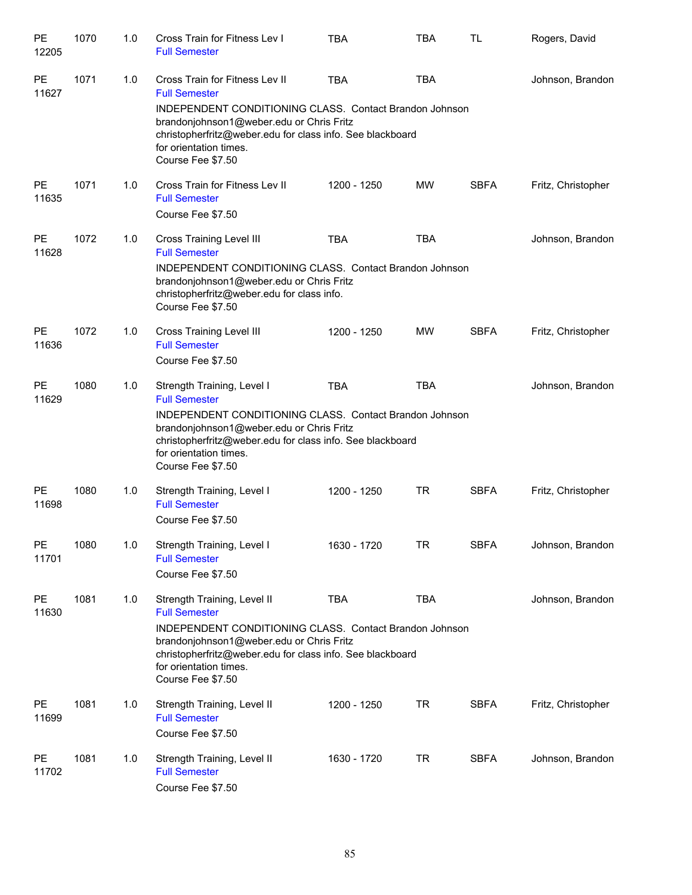| PE<br>12205 | 1070 | 1.0 | Cross Train for Fitness Lev I<br><b>Full Semester</b>                                                                                                                                                                                                                     | <b>TBA</b>  | <b>TBA</b> | <b>TL</b>   | Rogers, David      |
|-------------|------|-----|---------------------------------------------------------------------------------------------------------------------------------------------------------------------------------------------------------------------------------------------------------------------------|-------------|------------|-------------|--------------------|
| PE<br>11627 | 1071 | 1.0 | Cross Train for Fitness Lev II<br><b>Full Semester</b><br>INDEPENDENT CONDITIONING CLASS. Contact Brandon Johnson<br>brandonjohnson1@weber.edu or Chris Fritz<br>christopherfritz@weber.edu for class info. See blackboard<br>for orientation times.<br>Course Fee \$7.50 | <b>TBA</b>  | <b>TBA</b> |             | Johnson, Brandon   |
| PE<br>11635 | 1071 | 1.0 | Cross Train for Fitness Lev II<br><b>Full Semester</b><br>Course Fee \$7.50                                                                                                                                                                                               | 1200 - 1250 | <b>MW</b>  | <b>SBFA</b> | Fritz, Christopher |
| PE<br>11628 | 1072 | 1.0 | <b>Cross Training Level III</b><br><b>Full Semester</b><br>INDEPENDENT CONDITIONING CLASS. Contact Brandon Johnson<br>brandonjohnson1@weber.edu or Chris Fritz<br>christopherfritz@weber.edu for class info.<br>Course Fee \$7.50                                         | <b>TBA</b>  | <b>TBA</b> |             | Johnson, Brandon   |
| PE<br>11636 | 1072 | 1.0 | <b>Cross Training Level III</b><br><b>Full Semester</b><br>Course Fee \$7.50                                                                                                                                                                                              | 1200 - 1250 | <b>MW</b>  | <b>SBFA</b> | Fritz, Christopher |
| PE<br>11629 | 1080 | 1.0 | Strength Training, Level I<br><b>Full Semester</b><br>INDEPENDENT CONDITIONING CLASS. Contact Brandon Johnson<br>brandonjohnson1@weber.edu or Chris Fritz<br>christopherfritz@weber.edu for class info. See blackboard<br>for orientation times.<br>Course Fee \$7.50     | <b>TBA</b>  | <b>TBA</b> |             | Johnson, Brandon   |
| PE<br>11698 | 1080 | 1.0 | Strength Training, Level I<br><b>Full Semester</b><br>Course Fee \$7.50                                                                                                                                                                                                   | 1200 - 1250 | <b>TR</b>  | <b>SBFA</b> | Fritz, Christopher |
| PE<br>11701 | 1080 | 1.0 | Strength Training, Level I<br><b>Full Semester</b><br>Course Fee \$7.50                                                                                                                                                                                                   | 1630 - 1720 | <b>TR</b>  | <b>SBFA</b> | Johnson, Brandon   |
| PE<br>11630 | 1081 | 1.0 | Strength Training, Level II<br><b>Full Semester</b><br>INDEPENDENT CONDITIONING CLASS. Contact Brandon Johnson<br>brandonjohnson1@weber.edu or Chris Fritz<br>christopherfritz@weber.edu for class info. See blackboard<br>for orientation times.<br>Course Fee \$7.50    | <b>TBA</b>  | <b>TBA</b> |             | Johnson, Brandon   |
| PE<br>11699 | 1081 | 1.0 | Strength Training, Level II<br><b>Full Semester</b><br>Course Fee \$7.50                                                                                                                                                                                                  | 1200 - 1250 | <b>TR</b>  | <b>SBFA</b> | Fritz, Christopher |
| PE<br>11702 | 1081 | 1.0 | Strength Training, Level II<br><b>Full Semester</b><br>Course Fee \$7.50                                                                                                                                                                                                  | 1630 - 1720 | <b>TR</b>  | <b>SBFA</b> | Johnson, Brandon   |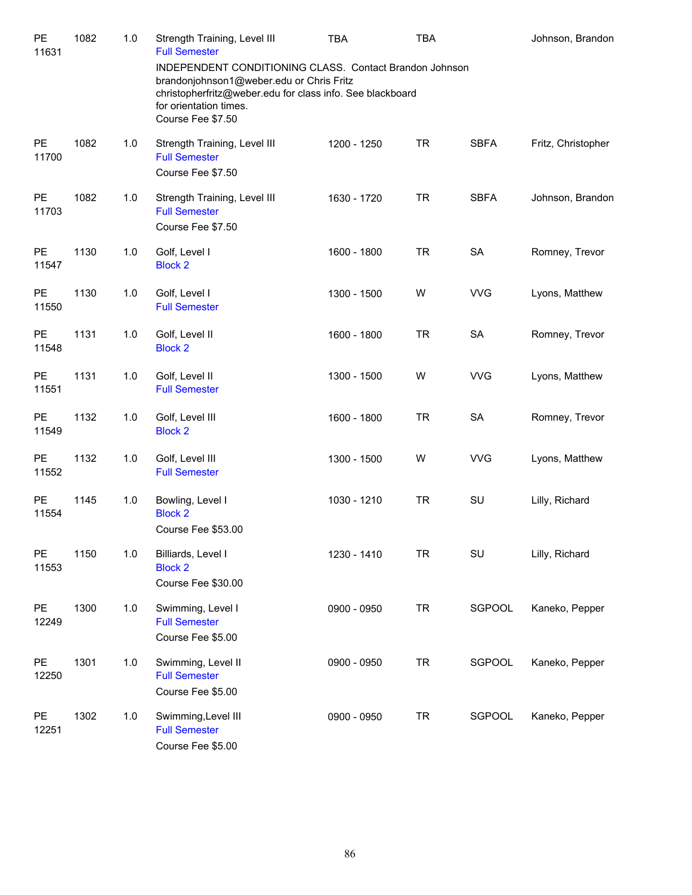| PE<br>11631        | 1082 | $1.0$ | Strength Training, Level III<br><b>Full Semester</b><br>INDEPENDENT CONDITIONING CLASS. Contact Brandon Johnson                                      | TBA         | <b>TBA</b> |             | Johnson, Brandon   |
|--------------------|------|-------|------------------------------------------------------------------------------------------------------------------------------------------------------|-------------|------------|-------------|--------------------|
|                    |      |       | brandonjohnson1@weber.edu or Chris Fritz<br>christopherfritz@weber.edu for class info. See blackboard<br>for orientation times.<br>Course Fee \$7.50 |             |            |             |                    |
| PE<br>11700        | 1082 | 1.0   | Strength Training, Level III<br><b>Full Semester</b><br>Course Fee \$7.50                                                                            | 1200 - 1250 | <b>TR</b>  | <b>SBFA</b> | Fritz, Christopher |
| PE<br>11703        | 1082 | 1.0   | Strength Training, Level III<br><b>Full Semester</b><br>Course Fee \$7.50                                                                            | 1630 - 1720 | <b>TR</b>  | <b>SBFA</b> | Johnson, Brandon   |
| PE<br>11547        | 1130 | 1.0   | Golf, Level I<br><b>Block 2</b>                                                                                                                      | 1600 - 1800 | <b>TR</b>  | SA          | Romney, Trevor     |
| PE<br>11550        | 1130 | 1.0   | Golf, Level I<br><b>Full Semester</b>                                                                                                                | 1300 - 1500 | W          | <b>VVG</b>  | Lyons, Matthew     |
| <b>PE</b><br>11548 | 1131 | 1.0   | Golf, Level II<br><b>Block 2</b>                                                                                                                     | 1600 - 1800 | <b>TR</b>  | SA          | Romney, Trevor     |
| <b>PE</b><br>11551 | 1131 | 1.0   | Golf, Level II<br><b>Full Semester</b>                                                                                                               | 1300 - 1500 | W          | <b>VVG</b>  | Lyons, Matthew     |
| <b>PE</b><br>11549 | 1132 | $1.0$ | Golf, Level III<br><b>Block 2</b>                                                                                                                    | 1600 - 1800 | <b>TR</b>  | <b>SA</b>   | Romney, Trevor     |
| <b>PE</b><br>11552 | 1132 | 1.0   | Golf, Level III<br><b>Full Semester</b>                                                                                                              | 1300 - 1500 | W          | <b>VVG</b>  | Lyons, Matthew     |
| PE<br>11554        | 1145 | 1.0   | Bowling, Level I<br><b>Block 2</b><br>Course Fee \$53.00                                                                                             | 1030 - 1210 | <b>TR</b>  | SU          | Lilly, Richard     |
| PE<br>11553        | 1150 | 1.0   | Billiards, Level I<br><b>Block 2</b><br>Course Fee \$30.00                                                                                           | 1230 - 1410 | <b>TR</b>  | SU          | Lilly, Richard     |
| PE<br>12249        | 1300 | 1.0   | Swimming, Level I<br><b>Full Semester</b><br>Course Fee \$5.00                                                                                       | 0900 - 0950 | <b>TR</b>  | SGPOOL      | Kaneko, Pepper     |
| PE<br>12250        | 1301 | 1.0   | Swimming, Level II<br><b>Full Semester</b><br>Course Fee \$5.00                                                                                      | 0900 - 0950 | <b>TR</b>  | SGPOOL      | Kaneko, Pepper     |
| PE<br>12251        | 1302 | 1.0   | Swimming, Level III<br><b>Full Semester</b><br>Course Fee \$5.00                                                                                     | 0900 - 0950 | <b>TR</b>  | SGPOOL      | Kaneko, Pepper     |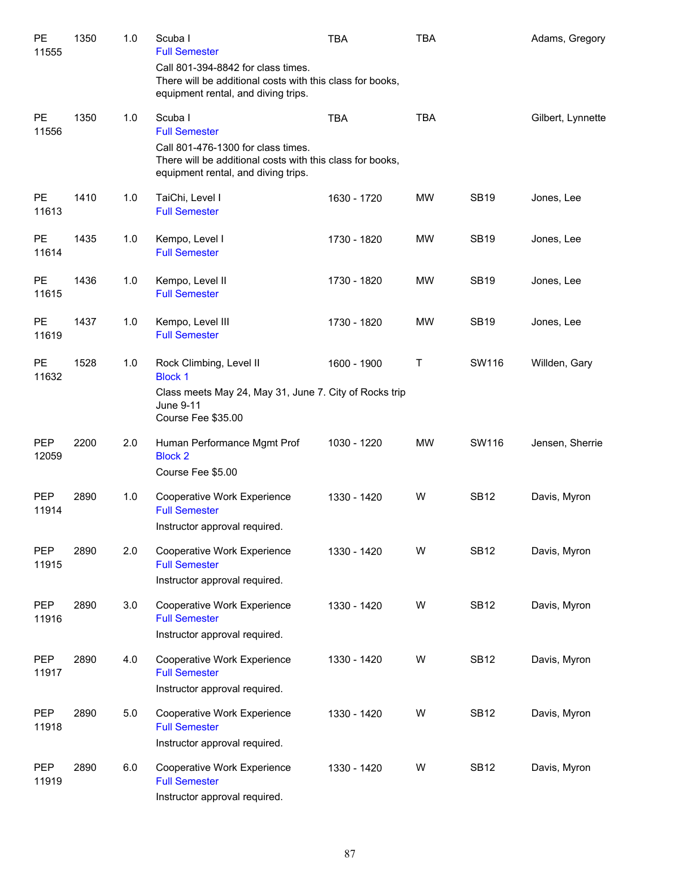| PE<br>11555         | 1350 | 1.0 | Scuba I<br><b>Full Semester</b><br>Call 801-394-8842 for class times.                                                                  | TBA         | <b>TBA</b> |             | Adams, Gregory    |
|---------------------|------|-----|----------------------------------------------------------------------------------------------------------------------------------------|-------------|------------|-------------|-------------------|
|                     |      |     | There will be additional costs with this class for books,<br>equipment rental, and diving trips.                                       |             |            |             |                   |
| <b>PE</b><br>11556  | 1350 | 1.0 | Scuba I<br><b>Full Semester</b>                                                                                                        | <b>TBA</b>  | <b>TBA</b> |             | Gilbert, Lynnette |
|                     |      |     | Call 801-476-1300 for class times.<br>There will be additional costs with this class for books,<br>equipment rental, and diving trips. |             |            |             |                   |
| <b>PE</b><br>11613  | 1410 | 1.0 | TaiChi, Level I<br><b>Full Semester</b>                                                                                                | 1630 - 1720 | <b>MW</b>  | <b>SB19</b> | Jones, Lee        |
| <b>PE</b><br>11614  | 1435 | 1.0 | Kempo, Level I<br><b>Full Semester</b>                                                                                                 | 1730 - 1820 | MW         | <b>SB19</b> | Jones, Lee        |
| <b>PE</b><br>11615  | 1436 | 1.0 | Kempo, Level II<br><b>Full Semester</b>                                                                                                | 1730 - 1820 | <b>MW</b>  | <b>SB19</b> | Jones, Lee        |
| PE<br>11619         | 1437 | 1.0 | Kempo, Level III<br><b>Full Semester</b>                                                                                               | 1730 - 1820 | <b>MW</b>  | <b>SB19</b> | Jones, Lee        |
| <b>PE</b><br>11632  | 1528 | 1.0 | Rock Climbing, Level II<br><b>Block 1</b>                                                                                              | 1600 - 1900 | Τ          | SW116       | Willden, Gary     |
|                     |      |     | Class meets May 24, May 31, June 7. City of Rocks trip<br>June 9-11<br>Course Fee \$35.00                                              |             |            |             |                   |
| <b>PEP</b><br>12059 | 2200 | 2.0 | Human Performance Mgmt Prof<br><b>Block 2</b><br>Course Fee \$5.00                                                                     | 1030 - 1220 | <b>MW</b>  | SW116       | Jensen, Sherrie   |
| <b>PEP</b><br>11914 | 2890 | 1.0 | Cooperative Work Experience<br><b>Full Semester</b><br>Instructor approval required.                                                   | 1330 - 1420 | W          | <b>SB12</b> | Davis, Myron      |
| PEP<br>11915        | 2890 | 2.0 | Cooperative Work Experience<br><b>Full Semester</b><br>Instructor approval required.                                                   | 1330 - 1420 | W          | <b>SB12</b> | Davis, Myron      |
| <b>PEP</b><br>11916 | 2890 | 3.0 | Cooperative Work Experience<br><b>Full Semester</b><br>Instructor approval required.                                                   | 1330 - 1420 | W          | <b>SB12</b> | Davis, Myron      |
| PEP<br>11917        | 2890 | 4.0 | Cooperative Work Experience<br><b>Full Semester</b><br>Instructor approval required.                                                   | 1330 - 1420 | W          | <b>SB12</b> | Davis, Myron      |
| PEP<br>11918        | 2890 | 5.0 | Cooperative Work Experience<br><b>Full Semester</b><br>Instructor approval required.                                                   | 1330 - 1420 | W          | <b>SB12</b> | Davis, Myron      |
| <b>PEP</b><br>11919 | 2890 | 6.0 | Cooperative Work Experience<br><b>Full Semester</b><br>Instructor approval required.                                                   | 1330 - 1420 | W          | <b>SB12</b> | Davis, Myron      |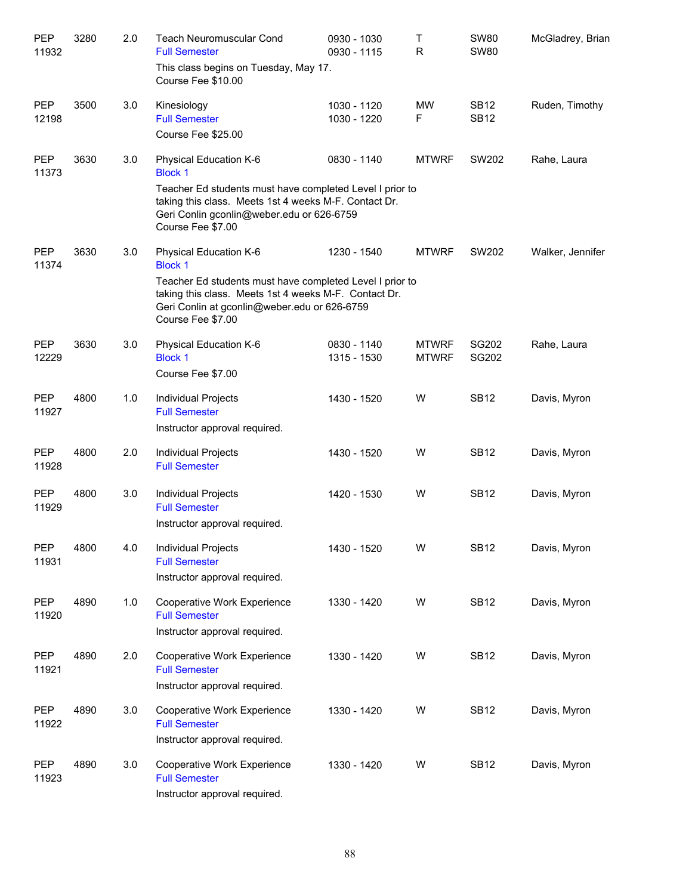| PEP<br>11932        | 3280 | 2.0 | <b>Teach Neuromuscular Cond</b><br><b>Full Semester</b><br>This class begins on Tuesday, May 17.<br>Course Fee \$10.00                                                                                                             | 0930 - 1030<br>0930 - 1115 | Τ<br>$\mathsf R$             | <b>SW80</b><br><b>SW80</b> | McGladrey, Brian |
|---------------------|------|-----|------------------------------------------------------------------------------------------------------------------------------------------------------------------------------------------------------------------------------------|----------------------------|------------------------------|----------------------------|------------------|
| <b>PEP</b><br>12198 | 3500 | 3.0 | Kinesiology<br><b>Full Semester</b><br>Course Fee \$25.00                                                                                                                                                                          | 1030 - 1120<br>1030 - 1220 | <b>MW</b><br>F               | <b>SB12</b><br><b>SB12</b> | Ruden, Timothy   |
| <b>PEP</b><br>11373 | 3630 | 3.0 | Physical Education K-6<br><b>Block 1</b><br>Teacher Ed students must have completed Level I prior to<br>taking this class. Meets 1st 4 weeks M-F. Contact Dr.<br>Geri Conlin gconlin@weber.edu or 626-6759<br>Course Fee \$7.00    | 0830 - 1140                | <b>MTWRF</b>                 | SW202                      | Rahe, Laura      |
| <b>PEP</b><br>11374 | 3630 | 3.0 | Physical Education K-6<br><b>Block 1</b><br>Teacher Ed students must have completed Level I prior to<br>taking this class. Meets 1st 4 weeks M-F. Contact Dr.<br>Geri Conlin at gconlin@weber.edu or 626-6759<br>Course Fee \$7.00 | 1230 - 1540                | <b>MTWRF</b>                 | SW202                      | Walker, Jennifer |
| <b>PEP</b><br>12229 | 3630 | 3.0 | Physical Education K-6<br><b>Block 1</b><br>Course Fee \$7.00                                                                                                                                                                      | 0830 - 1140<br>1315 - 1530 | <b>MTWRF</b><br><b>MTWRF</b> | SG202<br>SG202             | Rahe, Laura      |
| <b>PEP</b><br>11927 | 4800 | 1.0 | Individual Projects<br><b>Full Semester</b><br>Instructor approval required.                                                                                                                                                       | 1430 - 1520                | W                            | <b>SB12</b>                | Davis, Myron     |
| <b>PEP</b><br>11928 | 4800 | 2.0 | Individual Projects<br><b>Full Semester</b>                                                                                                                                                                                        | 1430 - 1520                | W                            | <b>SB12</b>                | Davis, Myron     |
| <b>PEP</b><br>11929 | 4800 | 3.0 | Individual Projects<br><b>Full Semester</b><br>Instructor approval required.                                                                                                                                                       | 1420 - 1530                | W                            | <b>SB12</b>                | Davis, Myron     |
| PEP<br>11931        | 4800 | 4.0 | Individual Projects<br><b>Full Semester</b><br>Instructor approval required.                                                                                                                                                       | 1430 - 1520                | W                            | <b>SB12</b>                | Davis, Myron     |
| PEP<br>11920        | 4890 | 1.0 | Cooperative Work Experience<br><b>Full Semester</b><br>Instructor approval required.                                                                                                                                               | 1330 - 1420                | W                            | <b>SB12</b>                | Davis, Myron     |
| PEP<br>11921        | 4890 | 2.0 | Cooperative Work Experience<br><b>Full Semester</b><br>Instructor approval required.                                                                                                                                               | 1330 - 1420                | W                            | <b>SB12</b>                | Davis, Myron     |
| PEP<br>11922        | 4890 | 3.0 | Cooperative Work Experience<br><b>Full Semester</b><br>Instructor approval required.                                                                                                                                               | 1330 - 1420                | W                            | <b>SB12</b>                | Davis, Myron     |
| PEP<br>11923        | 4890 | 3.0 | Cooperative Work Experience<br><b>Full Semester</b><br>Instructor approval required.                                                                                                                                               | 1330 - 1420                | W                            | <b>SB12</b>                | Davis, Myron     |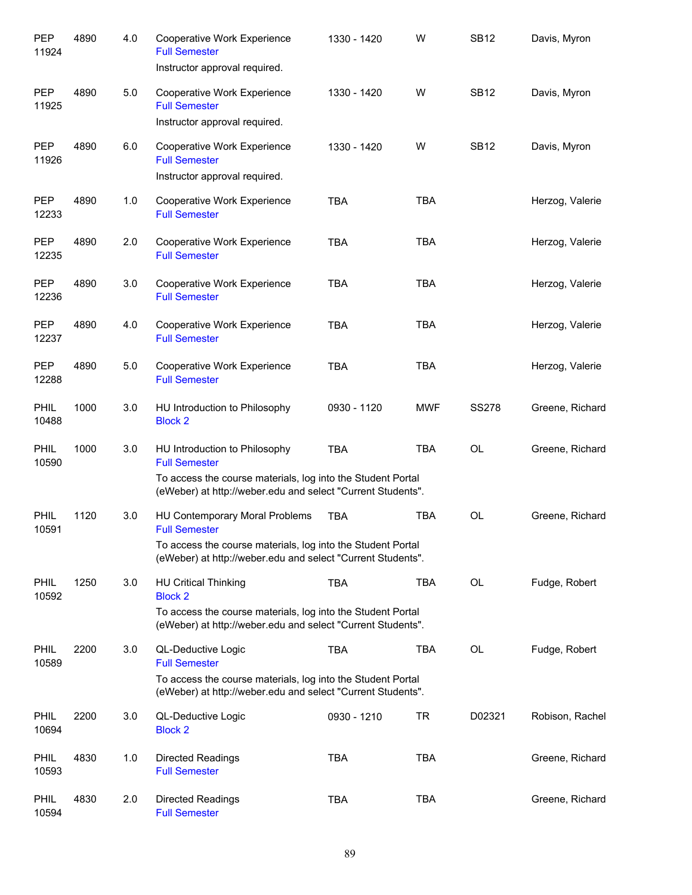| <b>PEP</b><br>11924  | 4890 | 4.0 | <b>Cooperative Work Experience</b><br><b>Full Semester</b><br>Instructor approval required.                                                                                          | 1330 - 1420 | W          | <b>SB12</b>  | Davis, Myron    |
|----------------------|------|-----|--------------------------------------------------------------------------------------------------------------------------------------------------------------------------------------|-------------|------------|--------------|-----------------|
| <b>PEP</b><br>11925  | 4890 | 5.0 | Cooperative Work Experience<br><b>Full Semester</b><br>Instructor approval required.                                                                                                 | 1330 - 1420 | W          | <b>SB12</b>  | Davis, Myron    |
| <b>PEP</b><br>11926  | 4890 | 6.0 | Cooperative Work Experience<br><b>Full Semester</b><br>Instructor approval required.                                                                                                 | 1330 - 1420 | W          | <b>SB12</b>  | Davis, Myron    |
| <b>PEP</b><br>12233  | 4890 | 1.0 | Cooperative Work Experience<br><b>Full Semester</b>                                                                                                                                  | <b>TBA</b>  | <b>TBA</b> |              | Herzog, Valerie |
| <b>PEP</b><br>12235  | 4890 | 2.0 | Cooperative Work Experience<br><b>Full Semester</b>                                                                                                                                  | <b>TBA</b>  | <b>TBA</b> |              | Herzog, Valerie |
| <b>PEP</b><br>12236  | 4890 | 3.0 | Cooperative Work Experience<br><b>Full Semester</b>                                                                                                                                  | <b>TBA</b>  | <b>TBA</b> |              | Herzog, Valerie |
| <b>PEP</b><br>12237  | 4890 | 4.0 | Cooperative Work Experience<br><b>Full Semester</b>                                                                                                                                  | <b>TBA</b>  | <b>TBA</b> |              | Herzog, Valerie |
| <b>PEP</b><br>12288  | 4890 | 5.0 | Cooperative Work Experience<br><b>Full Semester</b>                                                                                                                                  | <b>TBA</b>  | <b>TBA</b> |              | Herzog, Valerie |
| <b>PHIL</b><br>10488 | 1000 | 3.0 | HU Introduction to Philosophy<br><b>Block 2</b>                                                                                                                                      | 0930 - 1120 | <b>MWF</b> | <b>SS278</b> | Greene, Richard |
| <b>PHIL</b><br>10590 | 1000 | 3.0 | HU Introduction to Philosophy<br><b>Full Semester</b><br>To access the course materials, log into the Student Portal<br>(eWeber) at http://weber.edu and select "Current Students".  | <b>TBA</b>  | <b>TBA</b> | <b>OL</b>    | Greene, Richard |
| PHIL<br>10591        | 1120 | 3.0 | HU Contemporary Moral Problems<br><b>Full Semester</b><br>To access the course materials, log into the Student Portal<br>(eWeber) at http://weber.edu and select "Current Students". | <b>TBA</b>  | <b>TBA</b> | <b>OL</b>    | Greene, Richard |
| <b>PHIL</b><br>10592 | 1250 | 3.0 | <b>HU Critical Thinking</b><br><b>Block 2</b><br>To access the course materials, log into the Student Portal<br>(eWeber) at http://weber.edu and select "Current Students".          | <b>TBA</b>  | TBA        | OL           | Fudge, Robert   |
| PHIL<br>10589        | 2200 | 3.0 | QL-Deductive Logic<br><b>Full Semester</b><br>To access the course materials, log into the Student Portal<br>(eWeber) at http://weber.edu and select "Current Students".             | <b>TBA</b>  | TBA        | OL           | Fudge, Robert   |
| <b>PHIL</b><br>10694 | 2200 | 3.0 | QL-Deductive Logic<br><b>Block 2</b>                                                                                                                                                 | 0930 - 1210 | TR         | D02321       | Robison, Rachel |
| <b>PHIL</b><br>10593 | 4830 | 1.0 | <b>Directed Readings</b><br><b>Full Semester</b>                                                                                                                                     | <b>TBA</b>  | <b>TBA</b> |              | Greene, Richard |
| PHIL<br>10594        | 4830 | 2.0 | <b>Directed Readings</b><br><b>Full Semester</b>                                                                                                                                     | TBA         | TBA        |              | Greene, Richard |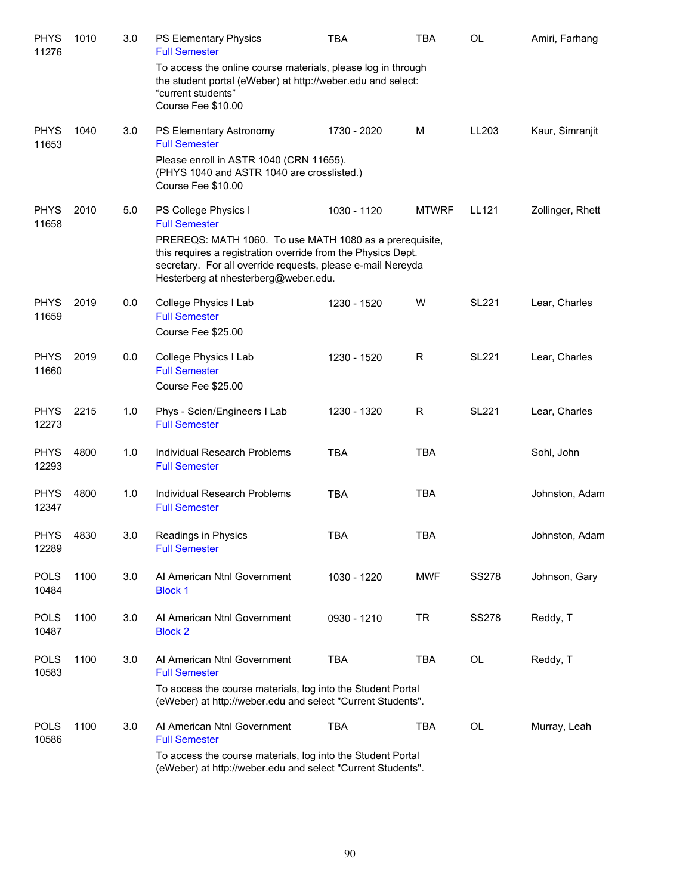| <b>PHYS</b><br>11276 | 1010 | 3.0 | PS Elementary Physics<br><b>Full Semester</b>                                                                                                                                                                                  | <b>TBA</b>  | <b>TBA</b>   | <b>OL</b>    | Amiri, Farhang   |
|----------------------|------|-----|--------------------------------------------------------------------------------------------------------------------------------------------------------------------------------------------------------------------------------|-------------|--------------|--------------|------------------|
|                      |      |     | To access the online course materials, please log in through<br>the student portal (eWeber) at http://weber.edu and select:<br>"current students"<br>Course Fee \$10.00                                                        |             |              |              |                  |
| <b>PHYS</b><br>11653 | 1040 | 3.0 | PS Elementary Astronomy<br><b>Full Semester</b><br>Please enroll in ASTR 1040 (CRN 11655).                                                                                                                                     | 1730 - 2020 | M            | LL203        | Kaur, Simranjit  |
|                      |      |     | (PHYS 1040 and ASTR 1040 are crosslisted.)<br>Course Fee \$10.00                                                                                                                                                               |             |              |              |                  |
| <b>PHYS</b><br>11658 | 2010 | 5.0 | PS College Physics I<br><b>Full Semester</b>                                                                                                                                                                                   | 1030 - 1120 | <b>MTWRF</b> | LL121        | Zollinger, Rhett |
|                      |      |     | PREREQS: MATH 1060. To use MATH 1080 as a prerequisite,<br>this requires a registration override from the Physics Dept.<br>secretary. For all override requests, please e-mail Nereyda<br>Hesterberg at nhesterberg@weber.edu. |             |              |              |                  |
| <b>PHYS</b><br>11659 | 2019 | 0.0 | College Physics I Lab<br><b>Full Semester</b><br>Course Fee \$25.00                                                                                                                                                            | 1230 - 1520 | W            | <b>SL221</b> | Lear, Charles    |
| <b>PHYS</b><br>11660 | 2019 | 0.0 | College Physics I Lab<br><b>Full Semester</b><br>Course Fee \$25.00                                                                                                                                                            | 1230 - 1520 | R            | <b>SL221</b> | Lear, Charles    |
| <b>PHYS</b><br>12273 | 2215 | 1.0 | Phys - Scien/Engineers I Lab<br><b>Full Semester</b>                                                                                                                                                                           | 1230 - 1320 | R            | <b>SL221</b> | Lear, Charles    |
| <b>PHYS</b><br>12293 | 4800 | 1.0 | Individual Research Problems<br><b>Full Semester</b>                                                                                                                                                                           | <b>TBA</b>  | <b>TBA</b>   |              | Sohl, John       |
| <b>PHYS</b><br>12347 | 4800 | 1.0 | Individual Research Problems<br><b>Full Semester</b>                                                                                                                                                                           | <b>TBA</b>  | <b>TBA</b>   |              | Johnston, Adam   |
| <b>PHYS</b><br>12289 | 4830 | 3.0 | Readings in Physics<br><b>Full Semester</b>                                                                                                                                                                                    | <b>TBA</b>  | <b>TBA</b>   |              | Johnston, Adam   |
| <b>POLS</b><br>10484 | 1100 | 3.0 | Al American Ntnl Government<br><b>Block 1</b>                                                                                                                                                                                  | 1030 - 1220 | <b>MWF</b>   | <b>SS278</b> | Johnson, Gary    |
| <b>POLS</b><br>10487 | 1100 | 3.0 | Al American Ntnl Government<br><b>Block 2</b>                                                                                                                                                                                  | 0930 - 1210 | TR           | SS278        | Reddy, T         |
| <b>POLS</b><br>10583 | 1100 | 3.0 | Al American Ntnl Government<br><b>Full Semester</b>                                                                                                                                                                            | <b>TBA</b>  | TBA          | OL           | Reddy, T         |
|                      |      |     | To access the course materials, log into the Student Portal<br>(eWeber) at http://weber.edu and select "Current Students".                                                                                                     |             |              |              |                  |
| <b>POLS</b><br>10586 | 1100 | 3.0 | Al American Ntnl Government<br><b>Full Semester</b>                                                                                                                                                                            | <b>TBA</b>  | <b>TBA</b>   | OL           | Murray, Leah     |
|                      |      |     | To access the course materials, log into the Student Portal<br>(eWeber) at http://weber.edu and select "Current Students".                                                                                                     |             |              |              |                  |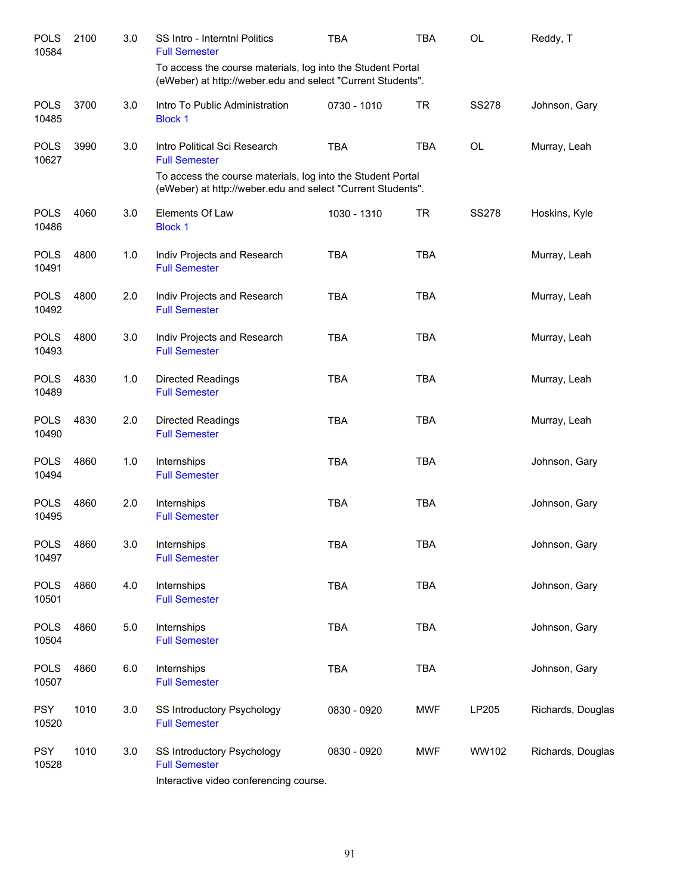| <b>POLS</b><br>10584 | 2100 | 3.0   | SS Intro - Interntnl Politics<br><b>Full Semester</b>                                                                      | <b>TBA</b>  | <b>TBA</b> | OL           | Reddy, T          |
|----------------------|------|-------|----------------------------------------------------------------------------------------------------------------------------|-------------|------------|--------------|-------------------|
|                      |      |       | To access the course materials, log into the Student Portal<br>(eWeber) at http://weber.edu and select "Current Students". |             |            |              |                   |
| <b>POLS</b><br>10485 | 3700 | 3.0   | Intro To Public Administration<br><b>Block 1</b>                                                                           | 0730 - 1010 | <b>TR</b>  | <b>SS278</b> | Johnson, Gary     |
| <b>POLS</b><br>10627 | 3990 | 3.0   | Intro Political Sci Research<br><b>Full Semester</b>                                                                       | <b>TBA</b>  | <b>TBA</b> | <b>OL</b>    | Murray, Leah      |
|                      |      |       | To access the course materials, log into the Student Portal<br>(eWeber) at http://weber.edu and select "Current Students". |             |            |              |                   |
| <b>POLS</b><br>10486 | 4060 | 3.0   | Elements Of Law<br><b>Block 1</b>                                                                                          | 1030 - 1310 | <b>TR</b>  | <b>SS278</b> | Hoskins, Kyle     |
| <b>POLS</b><br>10491 | 4800 | 1.0   | Indiv Projects and Research<br><b>Full Semester</b>                                                                        | <b>TBA</b>  | <b>TBA</b> |              | Murray, Leah      |
| <b>POLS</b><br>10492 | 4800 | 2.0   | Indiv Projects and Research<br><b>Full Semester</b>                                                                        | <b>TBA</b>  | <b>TBA</b> |              | Murray, Leah      |
| <b>POLS</b><br>10493 | 4800 | 3.0   | Indiv Projects and Research<br><b>Full Semester</b>                                                                        | <b>TBA</b>  | <b>TBA</b> |              | Murray, Leah      |
| <b>POLS</b><br>10489 | 4830 | 1.0   | Directed Readings<br><b>Full Semester</b>                                                                                  | <b>TBA</b>  | <b>TBA</b> |              | Murray, Leah      |
| <b>POLS</b><br>10490 | 4830 | 2.0   | Directed Readings<br><b>Full Semester</b>                                                                                  | <b>TBA</b>  | <b>TBA</b> |              | Murray, Leah      |
| <b>POLS</b><br>10494 | 4860 | 1.0   | Internships<br><b>Full Semester</b>                                                                                        | <b>TBA</b>  | <b>TBA</b> |              | Johnson, Gary     |
| <b>POLS</b><br>10495 | 4860 | 2.0   | Internships<br><b>Full Semester</b>                                                                                        | <b>TBA</b>  | <b>TBA</b> |              | Johnson, Gary     |
| <b>POLS</b><br>10497 | 4860 | 3.0   | Internships<br><b>Full Semester</b>                                                                                        | <b>TBA</b>  | <b>TBA</b> |              | Johnson, Gary     |
| <b>POLS</b><br>10501 | 4860 | 4.0   | Internships<br><b>Full Semester</b>                                                                                        | <b>TBA</b>  | <b>TBA</b> |              | Johnson, Gary     |
| <b>POLS</b><br>10504 | 4860 | $5.0$ | Internships<br><b>Full Semester</b>                                                                                        | TBA         | <b>TBA</b> |              | Johnson, Gary     |
| <b>POLS</b><br>10507 | 4860 | 6.0   | Internships<br><b>Full Semester</b>                                                                                        | <b>TBA</b>  | <b>TBA</b> |              | Johnson, Gary     |
| <b>PSY</b><br>10520  | 1010 | 3.0   | SS Introductory Psychology<br><b>Full Semester</b>                                                                         | 0830 - 0920 | <b>MWF</b> | LP205        | Richards, Douglas |
| <b>PSY</b><br>10528  | 1010 | 3.0   | SS Introductory Psychology<br><b>Full Semester</b><br>Interactive video conferencing course.                               | 0830 - 0920 | <b>MWF</b> | WW102        | Richards, Douglas |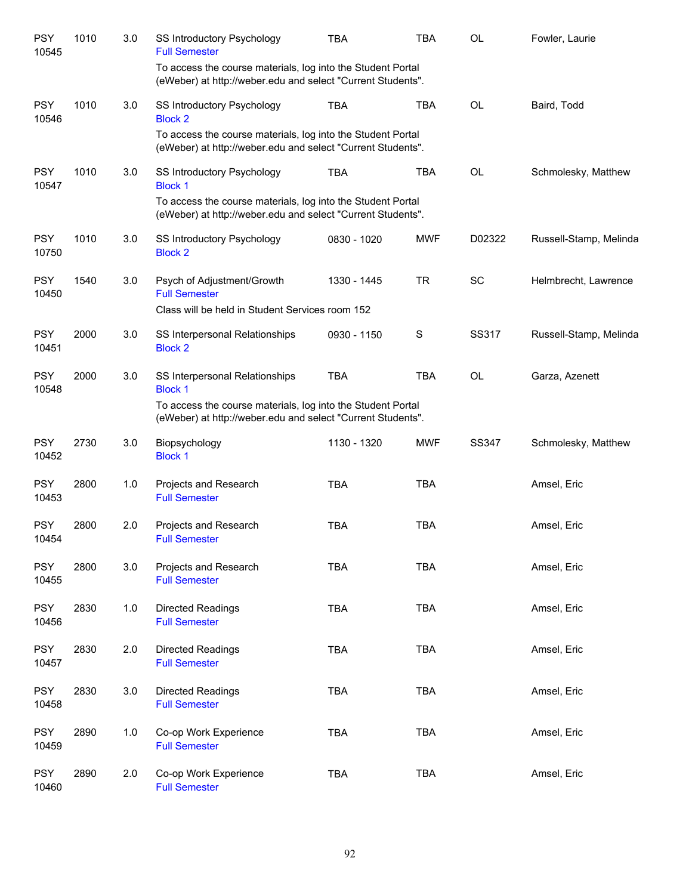| <b>PSY</b><br>10545 | 1010 | 3.0 | <b>SS Introductory Psychology</b><br><b>Full Semester</b>                                                                  | <b>TBA</b>  | <b>TBA</b>  | OL           | Fowler, Laurie         |
|---------------------|------|-----|----------------------------------------------------------------------------------------------------------------------------|-------------|-------------|--------------|------------------------|
|                     |      |     | To access the course materials, log into the Student Portal<br>(eWeber) at http://weber.edu and select "Current Students". |             |             |              |                        |
| <b>PSY</b><br>10546 | 1010 | 3.0 | SS Introductory Psychology<br><b>Block 2</b>                                                                               | <b>TBA</b>  | <b>TBA</b>  | <b>OL</b>    | Baird, Todd            |
|                     |      |     | To access the course materials, log into the Student Portal<br>(eWeber) at http://weber.edu and select "Current Students". |             |             |              |                        |
| <b>PSY</b><br>10547 | 1010 | 3.0 | SS Introductory Psychology<br><b>Block 1</b>                                                                               | <b>TBA</b>  | <b>TBA</b>  | OL           | Schmolesky, Matthew    |
|                     |      |     | To access the course materials, log into the Student Portal<br>(eWeber) at http://weber.edu and select "Current Students". |             |             |              |                        |
| <b>PSY</b><br>10750 | 1010 | 3.0 | SS Introductory Psychology<br><b>Block 2</b>                                                                               | 0830 - 1020 | <b>MWF</b>  | D02322       | Russell-Stamp, Melinda |
| <b>PSY</b><br>10450 | 1540 | 3.0 | Psych of Adjustment/Growth<br><b>Full Semester</b>                                                                         | 1330 - 1445 | <b>TR</b>   | <b>SC</b>    | Helmbrecht, Lawrence   |
|                     |      |     | Class will be held in Student Services room 152                                                                            |             |             |              |                        |
| <b>PSY</b><br>10451 | 2000 | 3.0 | SS Interpersonal Relationships<br><b>Block 2</b>                                                                           | 0930 - 1150 | $\mathbf S$ | SS317        | Russell-Stamp, Melinda |
| <b>PSY</b><br>10548 | 2000 | 3.0 | SS Interpersonal Relationships<br><b>Block 1</b>                                                                           | <b>TBA</b>  | <b>TBA</b>  | OL           | Garza, Azenett         |
|                     |      |     | To access the course materials, log into the Student Portal<br>(eWeber) at http://weber.edu and select "Current Students". |             |             |              |                        |
| <b>PSY</b><br>10452 | 2730 | 3.0 | Biopsychology<br><b>Block 1</b>                                                                                            | 1130 - 1320 | <b>MWF</b>  | <b>SS347</b> | Schmolesky, Matthew    |
| <b>PSY</b><br>10453 | 2800 | 1.0 | Projects and Research<br><b>Full Semester</b>                                                                              | <b>TBA</b>  | <b>TBA</b>  |              | Amsel, Eric            |
| <b>PSY</b><br>10454 | 2800 | 2.0 | Projects and Research<br><b>Full Semester</b>                                                                              | <b>TBA</b>  | <b>TBA</b>  |              | Amsel, Eric            |
| <b>PSY</b><br>10455 | 2800 | 3.0 | Projects and Research<br><b>Full Semester</b>                                                                              | TBA         | <b>TBA</b>  |              | Amsel, Eric            |
| <b>PSY</b><br>10456 | 2830 | 1.0 | Directed Readings<br><b>Full Semester</b>                                                                                  | <b>TBA</b>  | <b>TBA</b>  |              | Amsel, Eric            |
| <b>PSY</b><br>10457 | 2830 | 2.0 | <b>Directed Readings</b><br><b>Full Semester</b>                                                                           | <b>TBA</b>  | <b>TBA</b>  |              | Amsel, Eric            |
| <b>PSY</b><br>10458 | 2830 | 3.0 | Directed Readings<br><b>Full Semester</b>                                                                                  | TBA         | <b>TBA</b>  |              | Amsel, Eric            |
| <b>PSY</b><br>10459 | 2890 | 1.0 | Co-op Work Experience<br><b>Full Semester</b>                                                                              | <b>TBA</b>  | <b>TBA</b>  |              | Amsel, Eric            |
| <b>PSY</b><br>10460 | 2890 | 2.0 | Co-op Work Experience<br><b>Full Semester</b>                                                                              | <b>TBA</b>  | <b>TBA</b>  |              | Amsel, Eric            |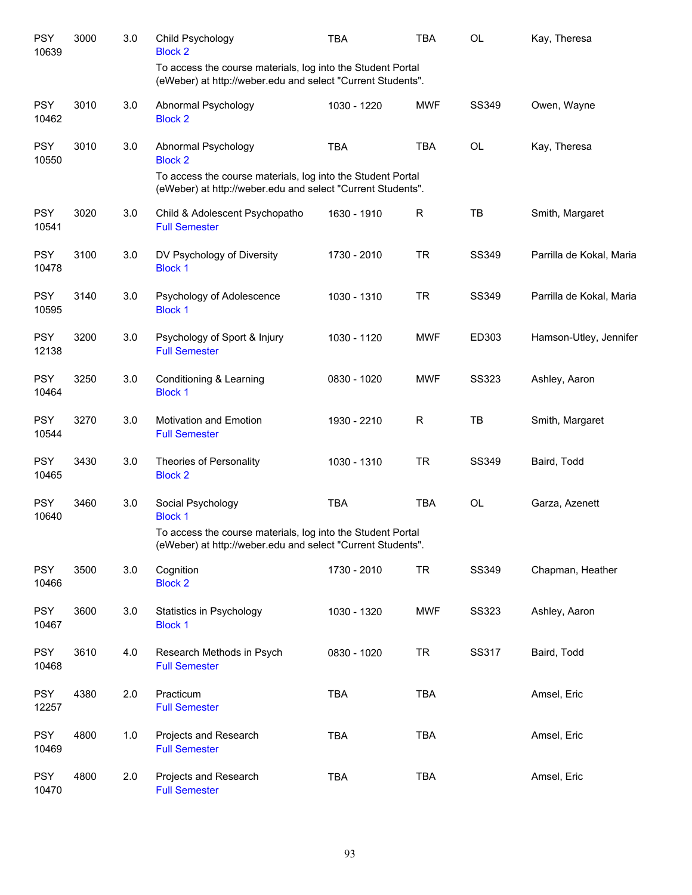| <b>PSY</b><br>10639 | 3000 | 3.0     | Child Psychology<br><b>Block 2</b>                                                                                         | <b>TBA</b>  | <b>TBA</b>  | OL           | Kay, Theresa             |
|---------------------|------|---------|----------------------------------------------------------------------------------------------------------------------------|-------------|-------------|--------------|--------------------------|
|                     |      |         | To access the course materials, log into the Student Portal<br>(eWeber) at http://weber.edu and select "Current Students". |             |             |              |                          |
| <b>PSY</b><br>10462 | 3010 | 3.0     | Abnormal Psychology<br><b>Block 2</b>                                                                                      | 1030 - 1220 | <b>MWF</b>  | SS349        | Owen, Wayne              |
| <b>PSY</b><br>10550 | 3010 | 3.0     | Abnormal Psychology<br><b>Block 2</b>                                                                                      | <b>TBA</b>  | <b>TBA</b>  | OL           | Kay, Theresa             |
|                     |      |         | To access the course materials, log into the Student Portal<br>(eWeber) at http://weber.edu and select "Current Students". |             |             |              |                          |
| <b>PSY</b><br>10541 | 3020 | 3.0     | Child & Adolescent Psychopatho<br><b>Full Semester</b>                                                                     | 1630 - 1910 | $\mathsf R$ | TB           | Smith, Margaret          |
| <b>PSY</b><br>10478 | 3100 | 3.0     | DV Psychology of Diversity<br><b>Block 1</b>                                                                               | 1730 - 2010 | <b>TR</b>   | SS349        | Parrilla de Kokal, Maria |
| <b>PSY</b><br>10595 | 3140 | 3.0     | Psychology of Adolescence<br><b>Block 1</b>                                                                                | 1030 - 1310 | <b>TR</b>   | SS349        | Parrilla de Kokal, Maria |
| <b>PSY</b><br>12138 | 3200 | 3.0     | Psychology of Sport & Injury<br><b>Full Semester</b>                                                                       | 1030 - 1120 | <b>MWF</b>  | ED303        | Hamson-Utley, Jennifer   |
| <b>PSY</b><br>10464 | 3250 | 3.0     | Conditioning & Learning<br><b>Block 1</b>                                                                                  | 0830 - 1020 | <b>MWF</b>  | SS323        | Ashley, Aaron            |
| <b>PSY</b><br>10544 | 3270 | 3.0     | <b>Motivation and Emotion</b><br><b>Full Semester</b>                                                                      | 1930 - 2210 | $\mathsf R$ | TB           | Smith, Margaret          |
| <b>PSY</b><br>10465 | 3430 | 3.0     | Theories of Personality<br><b>Block 2</b>                                                                                  | 1030 - 1310 | <b>TR</b>   | SS349        | Baird, Todd              |
| <b>PSY</b><br>10640 | 3460 | 3.0     | Social Psychology<br><b>Block 1</b>                                                                                        | <b>TBA</b>  | <b>TBA</b>  | OL           | Garza, Azenett           |
|                     |      |         | To access the course materials, log into the Student Portal<br>(eWeber) at http://weber.edu and select "Current Students". |             |             |              |                          |
| <b>PSY</b><br>10466 | 3500 | 3.0     | Cognition<br><b>Block 2</b>                                                                                                | 1730 - 2010 | <b>TR</b>   | SS349        | Chapman, Heather         |
| <b>PSY</b><br>10467 | 3600 | 3.0     | Statistics in Psychology<br><b>Block 1</b>                                                                                 | 1030 - 1320 | <b>MWF</b>  | <b>SS323</b> | Ashley, Aaron            |
| <b>PSY</b><br>10468 | 3610 | 4.0     | Research Methods in Psych<br><b>Full Semester</b>                                                                          | 0830 - 1020 | <b>TR</b>   | SS317        | Baird, Todd              |
| <b>PSY</b><br>12257 | 4380 | $2.0\,$ | Practicum<br><b>Full Semester</b>                                                                                          | <b>TBA</b>  | TBA         |              | Amsel, Eric              |
| <b>PSY</b><br>10469 | 4800 | 1.0     | Projects and Research<br><b>Full Semester</b>                                                                              | <b>TBA</b>  | <b>TBA</b>  |              | Amsel, Eric              |
| <b>PSY</b><br>10470 | 4800 | 2.0     | Projects and Research<br><b>Full Semester</b>                                                                              | <b>TBA</b>  | TBA         |              | Amsel, Eric              |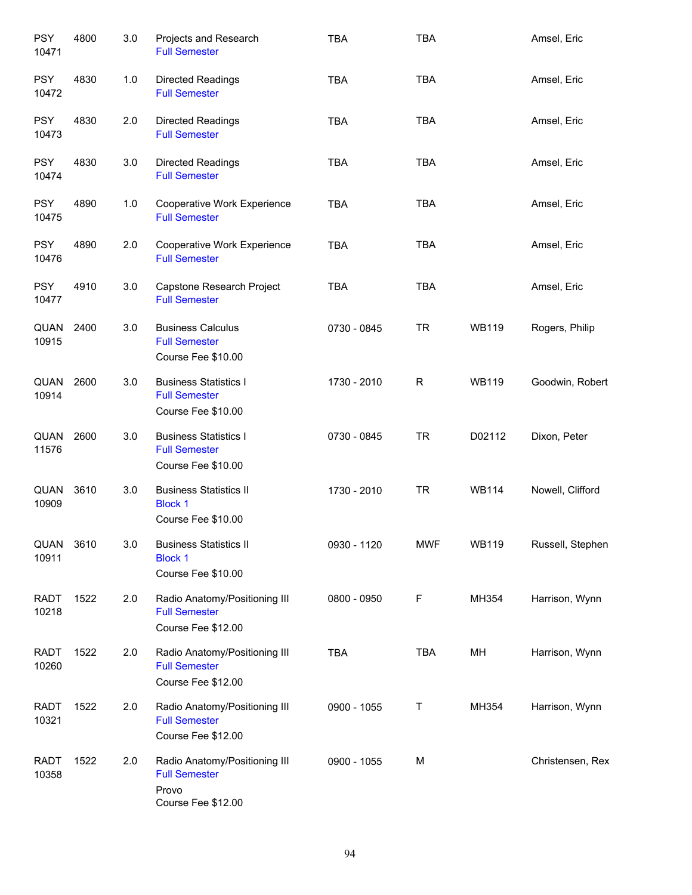| <b>PSY</b><br>10471  | 4800 | 3.0 | Projects and Research<br><b>Full Semester</b>                                        | <b>TBA</b>  | <b>TBA</b>  |              | Amsel, Eric      |
|----------------------|------|-----|--------------------------------------------------------------------------------------|-------------|-------------|--------------|------------------|
| <b>PSY</b><br>10472  | 4830 | 1.0 | <b>Directed Readings</b><br><b>Full Semester</b>                                     | <b>TBA</b>  | <b>TBA</b>  |              | Amsel, Eric      |
| <b>PSY</b><br>10473  | 4830 | 2.0 | <b>Directed Readings</b><br><b>Full Semester</b>                                     | <b>TBA</b>  | <b>TBA</b>  |              | Amsel, Eric      |
| <b>PSY</b><br>10474  | 4830 | 3.0 | Directed Readings<br><b>Full Semester</b>                                            | <b>TBA</b>  | <b>TBA</b>  |              | Amsel, Eric      |
| <b>PSY</b><br>10475  | 4890 | 1.0 | Cooperative Work Experience<br><b>Full Semester</b>                                  | <b>TBA</b>  | <b>TBA</b>  |              | Amsel, Eric      |
| <b>PSY</b><br>10476  | 4890 | 2.0 | Cooperative Work Experience<br><b>Full Semester</b>                                  | <b>TBA</b>  | <b>TBA</b>  |              | Amsel, Eric      |
| <b>PSY</b><br>10477  | 4910 | 3.0 | Capstone Research Project<br><b>Full Semester</b>                                    | <b>TBA</b>  | <b>TBA</b>  |              | Amsel, Eric      |
| QUAN<br>10915        | 2400 | 3.0 | <b>Business Calculus</b><br><b>Full Semester</b><br>Course Fee \$10.00               | 0730 - 0845 | <b>TR</b>   | <b>WB119</b> | Rogers, Philip   |
| QUAN<br>10914        | 2600 | 3.0 | <b>Business Statistics I</b><br><b>Full Semester</b><br>Course Fee \$10.00           | 1730 - 2010 | $\mathsf R$ | <b>WB119</b> | Goodwin, Robert  |
| QUAN<br>11576        | 2600 | 3.0 | <b>Business Statistics I</b><br><b>Full Semester</b><br>Course Fee \$10.00           | 0730 - 0845 | <b>TR</b>   | D02112       | Dixon, Peter     |
| QUAN<br>10909        | 3610 | 3.0 | <b>Business Statistics II</b><br><b>Block 1</b><br>Course Fee \$10.00                | 1730 - 2010 | <b>TR</b>   | <b>WB114</b> | Nowell, Clifford |
| QUAN<br>10911        | 3610 | 3.0 | <b>Business Statistics II</b><br><b>Block 1</b><br>Course Fee \$10.00                | 0930 - 1120 | <b>MWF</b>  | <b>WB119</b> | Russell, Stephen |
| <b>RADT</b><br>10218 | 1522 | 2.0 | Radio Anatomy/Positioning III<br><b>Full Semester</b><br>Course Fee \$12.00          | 0800 - 0950 | F           | MH354        | Harrison, Wynn   |
| <b>RADT</b><br>10260 | 1522 | 2.0 | Radio Anatomy/Positioning III<br><b>Full Semester</b><br>Course Fee \$12.00          | <b>TBA</b>  | <b>TBA</b>  | MH           | Harrison, Wynn   |
| <b>RADT</b><br>10321 | 1522 | 2.0 | Radio Anatomy/Positioning III<br><b>Full Semester</b><br>Course Fee \$12.00          | 0900 - 1055 | Т           | MH354        | Harrison, Wynn   |
| <b>RADT</b><br>10358 | 1522 | 2.0 | Radio Anatomy/Positioning III<br><b>Full Semester</b><br>Provo<br>Course Fee \$12.00 | 0900 - 1055 | M           |              | Christensen, Rex |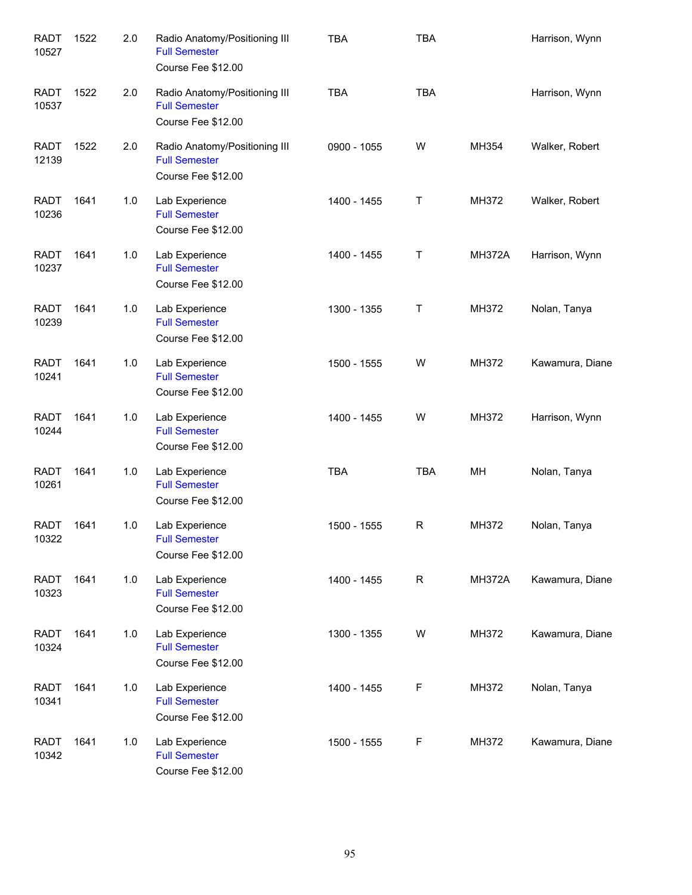| <b>RADT</b><br>10527 | 1522 | 2.0 | Radio Anatomy/Positioning III<br><b>Full Semester</b><br>Course Fee \$12.00 | <b>TBA</b>  | <b>TBA</b> |               | Harrison, Wynn  |
|----------------------|------|-----|-----------------------------------------------------------------------------|-------------|------------|---------------|-----------------|
| <b>RADT</b><br>10537 | 1522 | 2.0 | Radio Anatomy/Positioning III<br><b>Full Semester</b><br>Course Fee \$12.00 | <b>TBA</b>  | <b>TBA</b> |               | Harrison, Wynn  |
| <b>RADT</b><br>12139 | 1522 | 2.0 | Radio Anatomy/Positioning III<br><b>Full Semester</b><br>Course Fee \$12.00 | 0900 - 1055 | W          | MH354         | Walker, Robert  |
| <b>RADT</b><br>10236 | 1641 | 1.0 | Lab Experience<br><b>Full Semester</b><br>Course Fee \$12.00                | 1400 - 1455 | Τ          | MH372         | Walker, Robert  |
| <b>RADT</b><br>10237 | 1641 | 1.0 | Lab Experience<br><b>Full Semester</b><br>Course Fee \$12.00                | 1400 - 1455 | Т          | <b>MH372A</b> | Harrison, Wynn  |
| <b>RADT</b><br>10239 | 1641 | 1.0 | Lab Experience<br><b>Full Semester</b><br>Course Fee \$12.00                | 1300 - 1355 | Т          | MH372         | Nolan, Tanya    |
| <b>RADT</b><br>10241 | 1641 | 1.0 | Lab Experience<br><b>Full Semester</b><br>Course Fee \$12.00                | 1500 - 1555 | W          | MH372         | Kawamura, Diane |
| <b>RADT</b><br>10244 | 1641 | 1.0 | Lab Experience<br><b>Full Semester</b><br>Course Fee \$12.00                | 1400 - 1455 | W          | MH372         | Harrison, Wynn  |
| <b>RADT</b><br>10261 | 1641 | 1.0 | Lab Experience<br><b>Full Semester</b><br>Course Fee \$12.00                | <b>TBA</b>  | <b>TBA</b> | МH            | Nolan, Tanya    |
| <b>RADT</b><br>10322 | 1641 | 1.0 | Lab Experience<br><b>Full Semester</b><br>Course Fee \$12.00                | 1500 - 1555 | R          | MH372         | Nolan, Tanya    |
| <b>RADT</b><br>10323 | 1641 | 1.0 | Lab Experience<br><b>Full Semester</b><br>Course Fee \$12.00                | 1400 - 1455 | R          | <b>MH372A</b> | Kawamura, Diane |
| <b>RADT</b><br>10324 | 1641 | 1.0 | Lab Experience<br><b>Full Semester</b><br>Course Fee \$12.00                | 1300 - 1355 | W          | MH372         | Kawamura, Diane |
| <b>RADT</b><br>10341 | 1641 | 1.0 | Lab Experience<br><b>Full Semester</b><br>Course Fee \$12.00                | 1400 - 1455 | F          | MH372         | Nolan, Tanya    |
| <b>RADT</b><br>10342 | 1641 | 1.0 | Lab Experience<br><b>Full Semester</b><br>Course Fee \$12.00                | 1500 - 1555 | F          | MH372         | Kawamura, Diane |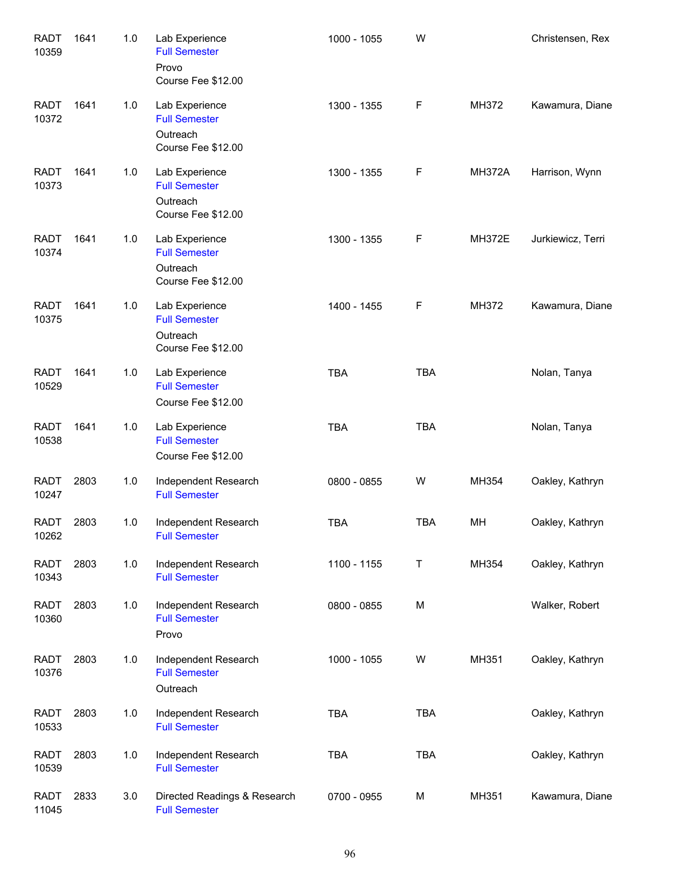| <b>RADT</b><br>10359 | 1641 | 1.0   | Lab Experience<br><b>Full Semester</b><br>Provo<br>Course Fee \$12.00    | 1000 - 1055 | W          |               | Christensen, Rex  |
|----------------------|------|-------|--------------------------------------------------------------------------|-------------|------------|---------------|-------------------|
| <b>RADT</b><br>10372 | 1641 | 1.0   | Lab Experience<br><b>Full Semester</b><br>Outreach<br>Course Fee \$12.00 | 1300 - 1355 | F          | MH372         | Kawamura, Diane   |
| <b>RADT</b><br>10373 | 1641 | 1.0   | Lab Experience<br><b>Full Semester</b><br>Outreach<br>Course Fee \$12.00 | 1300 - 1355 | F          | <b>MH372A</b> | Harrison, Wynn    |
| <b>RADT</b><br>10374 | 1641 | 1.0   | Lab Experience<br><b>Full Semester</b><br>Outreach<br>Course Fee \$12.00 | 1300 - 1355 | F          | <b>MH372E</b> | Jurkiewicz, Terri |
| <b>RADT</b><br>10375 | 1641 | 1.0   | Lab Experience<br><b>Full Semester</b><br>Outreach<br>Course Fee \$12.00 | 1400 - 1455 | F          | MH372         | Kawamura, Diane   |
| <b>RADT</b><br>10529 | 1641 | 1.0   | Lab Experience<br><b>Full Semester</b><br>Course Fee \$12.00             | <b>TBA</b>  | <b>TBA</b> |               | Nolan, Tanya      |
| <b>RADT</b><br>10538 | 1641 | 1.0   | Lab Experience<br><b>Full Semester</b><br>Course Fee \$12.00             | <b>TBA</b>  | <b>TBA</b> |               | Nolan, Tanya      |
| <b>RADT</b><br>10247 | 2803 | $1.0$ | Independent Research<br><b>Full Semester</b>                             | 0800 - 0855 | W          | MH354         | Oakley, Kathryn   |
| <b>RADT</b><br>10262 | 2803 | 1.0   | Independent Research<br><b>Full Semester</b>                             | <b>TBA</b>  | <b>TBA</b> | MH            | Oakley, Kathryn   |
| <b>RADT</b><br>10343 | 2803 | 1.0   | Independent Research<br><b>Full Semester</b>                             | 1100 - 1155 | Τ          | MH354         | Oakley, Kathryn   |
| <b>RADT</b><br>10360 | 2803 | 1.0   | Independent Research<br><b>Full Semester</b><br>Provo                    | 0800 - 0855 | M          |               | Walker, Robert    |
| <b>RADT</b><br>10376 | 2803 | 1.0   | Independent Research<br><b>Full Semester</b><br>Outreach                 | 1000 - 1055 | W          | MH351         | Oakley, Kathryn   |
| <b>RADT</b><br>10533 | 2803 | 1.0   | Independent Research<br><b>Full Semester</b>                             | TBA         | <b>TBA</b> |               | Oakley, Kathryn   |
| <b>RADT</b><br>10539 | 2803 | 1.0   | Independent Research<br><b>Full Semester</b>                             | TBA         | <b>TBA</b> |               | Oakley, Kathryn   |
| <b>RADT</b><br>11045 | 2833 | 3.0   | Directed Readings & Research<br><b>Full Semester</b>                     | 0700 - 0955 | М          | MH351         | Kawamura, Diane   |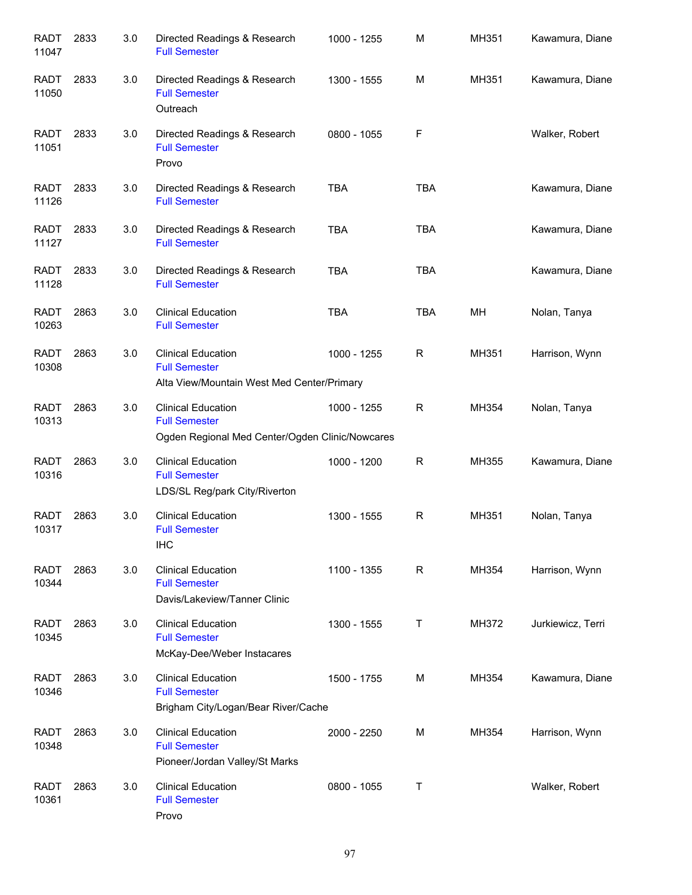| <b>RADT</b><br>11047 | 2833 | 3.0 | Directed Readings & Research<br><b>Full Semester</b>                                                 | 1000 - 1255 | M            | MH351 | Kawamura, Diane   |
|----------------------|------|-----|------------------------------------------------------------------------------------------------------|-------------|--------------|-------|-------------------|
| <b>RADT</b><br>11050 | 2833 | 3.0 | Directed Readings & Research<br><b>Full Semester</b><br>Outreach                                     | 1300 - 1555 | M            | MH351 | Kawamura, Diane   |
| <b>RADT</b><br>11051 | 2833 | 3.0 | Directed Readings & Research<br><b>Full Semester</b><br>Provo                                        | 0800 - 1055 | F            |       | Walker, Robert    |
| <b>RADT</b><br>11126 | 2833 | 3.0 | Directed Readings & Research<br><b>Full Semester</b>                                                 | <b>TBA</b>  | <b>TBA</b>   |       | Kawamura, Diane   |
| <b>RADT</b><br>11127 | 2833 | 3.0 | Directed Readings & Research<br><b>Full Semester</b>                                                 | <b>TBA</b>  | <b>TBA</b>   |       | Kawamura, Diane   |
| <b>RADT</b><br>11128 | 2833 | 3.0 | Directed Readings & Research<br><b>Full Semester</b>                                                 | <b>TBA</b>  | <b>TBA</b>   |       | Kawamura, Diane   |
| <b>RADT</b><br>10263 | 2863 | 3.0 | <b>Clinical Education</b><br><b>Full Semester</b>                                                    | <b>TBA</b>  | <b>TBA</b>   | MН    | Nolan, Tanya      |
| <b>RADT</b><br>10308 | 2863 | 3.0 | <b>Clinical Education</b><br><b>Full Semester</b><br>Alta View/Mountain West Med Center/Primary      | 1000 - 1255 | R            | MH351 | Harrison, Wynn    |
| <b>RADT</b><br>10313 | 2863 | 3.0 | <b>Clinical Education</b><br><b>Full Semester</b><br>Ogden Regional Med Center/Ogden Clinic/Nowcares | 1000 - 1255 | $\mathsf{R}$ | MH354 | Nolan, Tanya      |
| <b>RADT</b><br>10316 | 2863 | 3.0 | <b>Clinical Education</b><br><b>Full Semester</b><br>LDS/SL Reg/park City/Riverton                   | 1000 - 1200 | R            | MH355 | Kawamura, Diane   |
| <b>RADT</b><br>10317 | 2863 | 3.0 | <b>Clinical Education</b><br><b>Full Semester</b><br><b>IHC</b>                                      | 1300 - 1555 | $\mathsf{R}$ | MH351 | Nolan, Tanya      |
| <b>RADT</b><br>10344 | 2863 | 3.0 | <b>Clinical Education</b><br><b>Full Semester</b><br>Davis/Lakeview/Tanner Clinic                    | 1100 - 1355 | R            | MH354 | Harrison, Wynn    |
| <b>RADT</b><br>10345 | 2863 | 3.0 | <b>Clinical Education</b><br><b>Full Semester</b><br>McKay-Dee/Weber Instacares                      | 1300 - 1555 | Τ            | MH372 | Jurkiewicz, Terri |
| <b>RADT</b><br>10346 | 2863 | 3.0 | <b>Clinical Education</b><br><b>Full Semester</b><br>Brigham City/Logan/Bear River/Cache             | 1500 - 1755 | M            | MH354 | Kawamura, Diane   |
| <b>RADT</b><br>10348 | 2863 | 3.0 | <b>Clinical Education</b><br><b>Full Semester</b><br>Pioneer/Jordan Valley/St Marks                  | 2000 - 2250 | M            | MH354 | Harrison, Wynn    |
| <b>RADT</b><br>10361 | 2863 | 3.0 | <b>Clinical Education</b><br><b>Full Semester</b><br>Provo                                           | 0800 - 1055 | Т            |       | Walker, Robert    |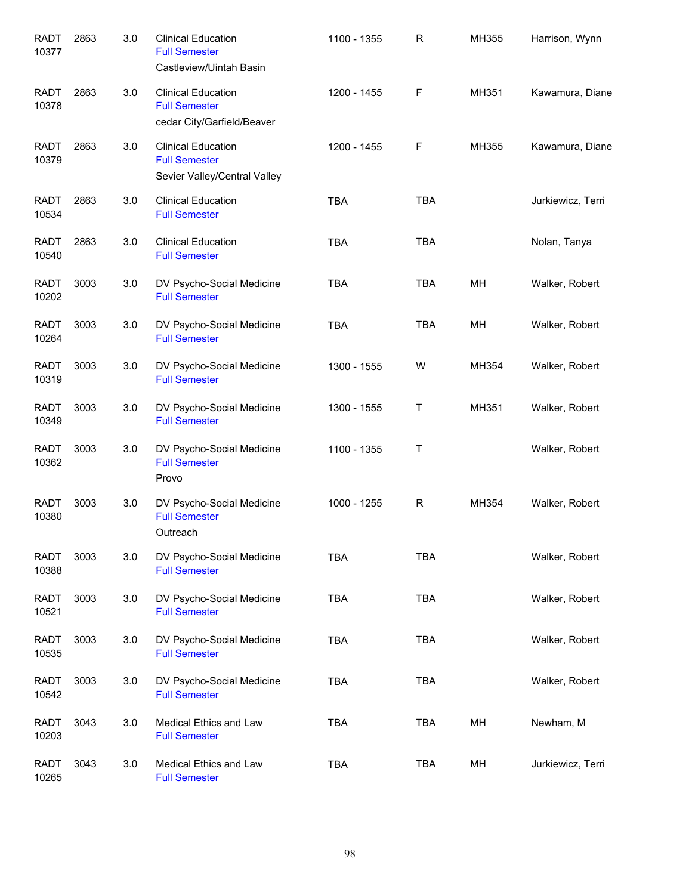| <b>RADT</b><br>10377 | 2863 | 3.0 | <b>Clinical Education</b><br><b>Full Semester</b><br>Castleview/Uintah Basin      | 1100 - 1355 | $\mathsf R$ | MH355 | Harrison, Wynn    |
|----------------------|------|-----|-----------------------------------------------------------------------------------|-------------|-------------|-------|-------------------|
| <b>RADT</b><br>10378 | 2863 | 3.0 | <b>Clinical Education</b><br><b>Full Semester</b><br>cedar City/Garfield/Beaver   | 1200 - 1455 | F           | MH351 | Kawamura, Diane   |
| <b>RADT</b><br>10379 | 2863 | 3.0 | <b>Clinical Education</b><br><b>Full Semester</b><br>Sevier Valley/Central Valley | 1200 - 1455 | F           | MH355 | Kawamura, Diane   |
| <b>RADT</b><br>10534 | 2863 | 3.0 | <b>Clinical Education</b><br><b>Full Semester</b>                                 | <b>TBA</b>  | <b>TBA</b>  |       | Jurkiewicz, Terri |
| <b>RADT</b><br>10540 | 2863 | 3.0 | <b>Clinical Education</b><br><b>Full Semester</b>                                 | <b>TBA</b>  | <b>TBA</b>  |       | Nolan, Tanya      |
| <b>RADT</b><br>10202 | 3003 | 3.0 | DV Psycho-Social Medicine<br><b>Full Semester</b>                                 | <b>TBA</b>  | <b>TBA</b>  | MН    | Walker, Robert    |
| <b>RADT</b><br>10264 | 3003 | 3.0 | DV Psycho-Social Medicine<br><b>Full Semester</b>                                 | <b>TBA</b>  | <b>TBA</b>  | MН    | Walker, Robert    |
| <b>RADT</b><br>10319 | 3003 | 3.0 | DV Psycho-Social Medicine<br><b>Full Semester</b>                                 | 1300 - 1555 | W           | MH354 | Walker, Robert    |
| <b>RADT</b><br>10349 | 3003 | 3.0 | DV Psycho-Social Medicine<br><b>Full Semester</b>                                 | 1300 - 1555 | Τ           | MH351 | Walker, Robert    |
| <b>RADT</b><br>10362 | 3003 | 3.0 | DV Psycho-Social Medicine<br><b>Full Semester</b><br>Provo                        | 1100 - 1355 | $\sf T$     |       | Walker, Robert    |
| <b>RADT</b><br>10380 | 3003 | 3.0 | DV Psycho-Social Medicine<br><b>Full Semester</b><br>Outreach                     | 1000 - 1255 | ${\sf R}$   | MH354 | Walker, Robert    |
| <b>RADT</b><br>10388 | 3003 | 3.0 | DV Psycho-Social Medicine<br><b>Full Semester</b>                                 | <b>TBA</b>  | <b>TBA</b>  |       | Walker, Robert    |
| <b>RADT</b><br>10521 | 3003 | 3.0 | DV Psycho-Social Medicine<br><b>Full Semester</b>                                 | <b>TBA</b>  | <b>TBA</b>  |       | Walker, Robert    |
| <b>RADT</b><br>10535 | 3003 | 3.0 | DV Psycho-Social Medicine<br><b>Full Semester</b>                                 | <b>TBA</b>  | <b>TBA</b>  |       | Walker, Robert    |
| <b>RADT</b><br>10542 | 3003 | 3.0 | DV Psycho-Social Medicine<br><b>Full Semester</b>                                 | <b>TBA</b>  | <b>TBA</b>  |       | Walker, Robert    |
| <b>RADT</b><br>10203 | 3043 | 3.0 | Medical Ethics and Law<br><b>Full Semester</b>                                    | <b>TBA</b>  | <b>TBA</b>  | MH    | Newham, M         |
| <b>RADT</b><br>10265 | 3043 | 3.0 | Medical Ethics and Law<br><b>Full Semester</b>                                    | <b>TBA</b>  | <b>TBA</b>  | MH    | Jurkiewicz, Terri |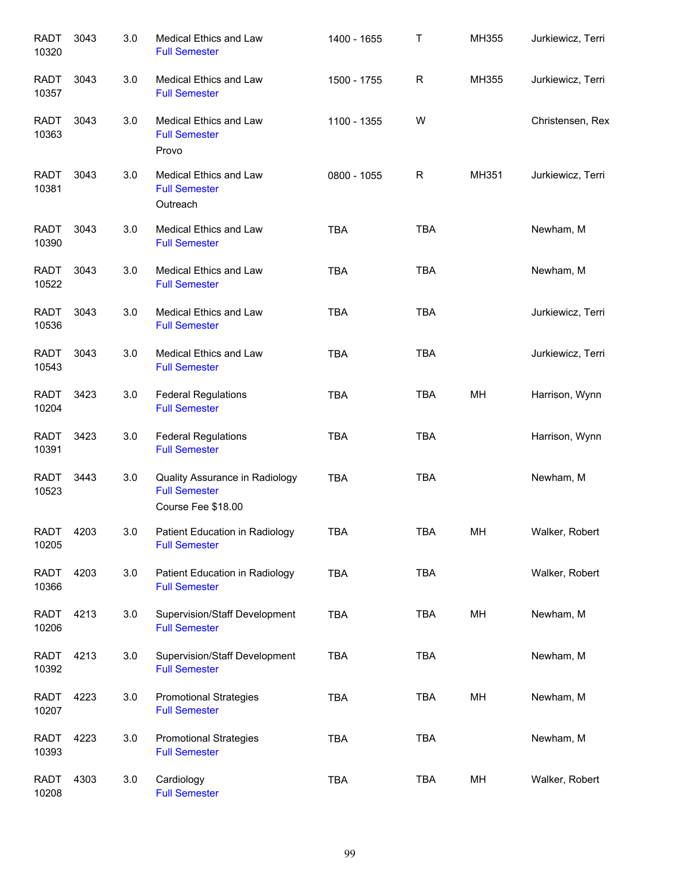| <b>RADT</b><br>10320 | 3043 | 3.0 | Medical Ethics and Law<br><b>Full Semester</b>                               | 1400 - 1655 | Τ          | MH355 | Jurkiewicz, Terri |
|----------------------|------|-----|------------------------------------------------------------------------------|-------------|------------|-------|-------------------|
| <b>RADT</b><br>10357 | 3043 | 3.0 | Medical Ethics and Law<br><b>Full Semester</b>                               | 1500 - 1755 | R          | MH355 | Jurkiewicz, Terri |
| <b>RADT</b><br>10363 | 3043 | 3.0 | Medical Ethics and Law<br><b>Full Semester</b><br>Provo                      | 1100 - 1355 | W          |       | Christensen, Rex  |
| <b>RADT</b><br>10381 | 3043 | 3.0 | Medical Ethics and Law<br><b>Full Semester</b><br>Outreach                   | 0800 - 1055 | R          | MH351 | Jurkiewicz, Terri |
| <b>RADT</b><br>10390 | 3043 | 3.0 | Medical Ethics and Law<br><b>Full Semester</b>                               | <b>TBA</b>  | <b>TBA</b> |       | Newham, M         |
| <b>RADT</b><br>10522 | 3043 | 3.0 | Medical Ethics and Law<br><b>Full Semester</b>                               | <b>TBA</b>  | <b>TBA</b> |       | Newham, M         |
| <b>RADT</b><br>10536 | 3043 | 3.0 | Medical Ethics and Law<br><b>Full Semester</b>                               | <b>TBA</b>  | <b>TBA</b> |       | Jurkiewicz, Terri |
| <b>RADT</b><br>10543 | 3043 | 3.0 | Medical Ethics and Law<br><b>Full Semester</b>                               | <b>TBA</b>  | <b>TBA</b> |       | Jurkiewicz, Terri |
| <b>RADT</b><br>10204 | 3423 | 3.0 | <b>Federal Regulations</b><br><b>Full Semester</b>                           | <b>TBA</b>  | <b>TBA</b> | MH    | Harrison, Wynn    |
| <b>RADT</b><br>10391 | 3423 | 3.0 | <b>Federal Regulations</b><br><b>Full Semester</b>                           | <b>TBA</b>  | <b>TBA</b> |       | Harrison, Wynn    |
| <b>RADT</b><br>10523 | 3443 | 3.0 | Quality Assurance in Radiology<br><b>Full Semester</b><br>Course Fee \$18.00 | <b>TBA</b>  | <b>TBA</b> |       | Newham, M         |
| <b>RADT</b><br>10205 | 4203 | 3.0 | Patient Education in Radiology<br><b>Full Semester</b>                       | <b>TBA</b>  | <b>TBA</b> | MH    | Walker, Robert    |
| RADT<br>10366        | 4203 | 3.0 | Patient Education in Radiology<br><b>Full Semester</b>                       | <b>TBA</b>  | <b>TBA</b> |       | Walker, Robert    |
| RADT<br>10206        | 4213 | 3.0 | Supervision/Staff Development<br><b>Full Semester</b>                        | <b>TBA</b>  | <b>TBA</b> | MH    | Newham, M         |
| RADT<br>10392        | 4213 | 3.0 | Supervision/Staff Development<br><b>Full Semester</b>                        | <b>TBA</b>  | <b>TBA</b> |       | Newham, M         |
| RADT<br>10207        | 4223 | 3.0 | <b>Promotional Strategies</b><br><b>Full Semester</b>                        | <b>TBA</b>  | <b>TBA</b> | MH    | Newham, M         |
| RADT<br>10393        | 4223 | 3.0 | <b>Promotional Strategies</b><br><b>Full Semester</b>                        | <b>TBA</b>  | TBA        |       | Newham, M         |
| RADT<br>10208        | 4303 | 3.0 | Cardiology<br><b>Full Semester</b>                                           | <b>TBA</b>  | <b>TBA</b> | MH    | Walker, Robert    |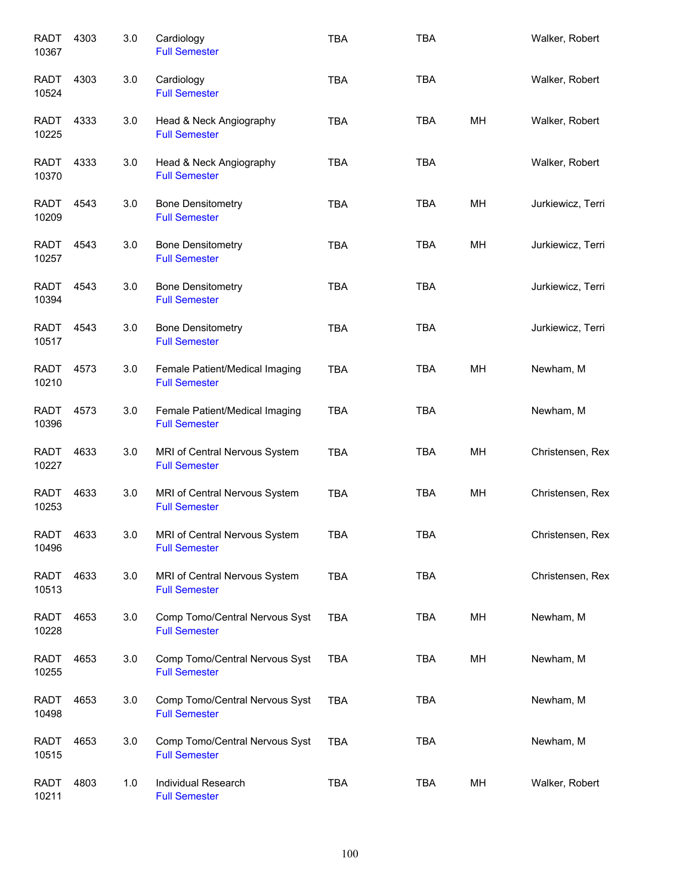| <b>RADT</b><br>10367 | 4303 | 3.0 | Cardiology<br><b>Full Semester</b>                     | <b>TBA</b> | <b>TBA</b> |    | Walker, Robert    |
|----------------------|------|-----|--------------------------------------------------------|------------|------------|----|-------------------|
| RADT<br>10524        | 4303 | 3.0 | Cardiology<br><b>Full Semester</b>                     | <b>TBA</b> | <b>TBA</b> |    | Walker, Robert    |
| RADT<br>10225        | 4333 | 3.0 | Head & Neck Angiography<br><b>Full Semester</b>        | <b>TBA</b> | <b>TBA</b> | MН | Walker, Robert    |
| RADT<br>10370        | 4333 | 3.0 | Head & Neck Angiography<br><b>Full Semester</b>        | <b>TBA</b> | <b>TBA</b> |    | Walker, Robert    |
| <b>RADT</b><br>10209 | 4543 | 3.0 | <b>Bone Densitometry</b><br><b>Full Semester</b>       | <b>TBA</b> | <b>TBA</b> | MH | Jurkiewicz, Terri |
| RADT<br>10257        | 4543 | 3.0 | <b>Bone Densitometry</b><br><b>Full Semester</b>       | <b>TBA</b> | <b>TBA</b> | MН | Jurkiewicz, Terri |
| <b>RADT</b><br>10394 | 4543 | 3.0 | <b>Bone Densitometry</b><br><b>Full Semester</b>       | <b>TBA</b> | <b>TBA</b> |    | Jurkiewicz, Terri |
| <b>RADT</b><br>10517 | 4543 | 3.0 | <b>Bone Densitometry</b><br><b>Full Semester</b>       | <b>TBA</b> | <b>TBA</b> |    | Jurkiewicz, Terri |
| <b>RADT</b><br>10210 | 4573 | 3.0 | Female Patient/Medical Imaging<br><b>Full Semester</b> | <b>TBA</b> | <b>TBA</b> | MH | Newham, M         |
| <b>RADT</b><br>10396 | 4573 | 3.0 | Female Patient/Medical Imaging<br><b>Full Semester</b> | <b>TBA</b> | <b>TBA</b> |    | Newham, M         |
| <b>RADT</b><br>10227 | 4633 | 3.0 | MRI of Central Nervous System<br><b>Full Semester</b>  | <b>TBA</b> | <b>TBA</b> | MH | Christensen, Rex  |
| <b>RADT</b><br>10253 | 4633 | 3.0 | MRI of Central Nervous System<br><b>Full Semester</b>  | <b>TBA</b> | <b>TBA</b> | MH | Christensen, Rex  |
| RADT<br>10496        | 4633 | 3.0 | MRI of Central Nervous System<br><b>Full Semester</b>  | TBA        | TBA        |    | Christensen, Rex  |
| <b>RADT</b><br>10513 | 4633 | 3.0 | MRI of Central Nervous System<br><b>Full Semester</b>  | <b>TBA</b> | <b>TBA</b> |    | Christensen, Rex  |
| RADT<br>10228        | 4653 | 3.0 | Comp Tomo/Central Nervous Syst<br><b>Full Semester</b> | <b>TBA</b> | <b>TBA</b> | MH | Newham, M         |
| <b>RADT</b><br>10255 | 4653 | 3.0 | Comp Tomo/Central Nervous Syst<br><b>Full Semester</b> | <b>TBA</b> | <b>TBA</b> | MH | Newham, M         |
| RADT<br>10498        | 4653 | 3.0 | Comp Tomo/Central Nervous Syst<br><b>Full Semester</b> | <b>TBA</b> | <b>TBA</b> |    | Newham, M         |
| <b>RADT</b><br>10515 | 4653 | 3.0 | Comp Tomo/Central Nervous Syst<br><b>Full Semester</b> | <b>TBA</b> | <b>TBA</b> |    | Newham, M         |
| <b>RADT</b><br>10211 | 4803 | 1.0 | Individual Research<br><b>Full Semester</b>            | <b>TBA</b> | TBA        | MH | Walker, Robert    |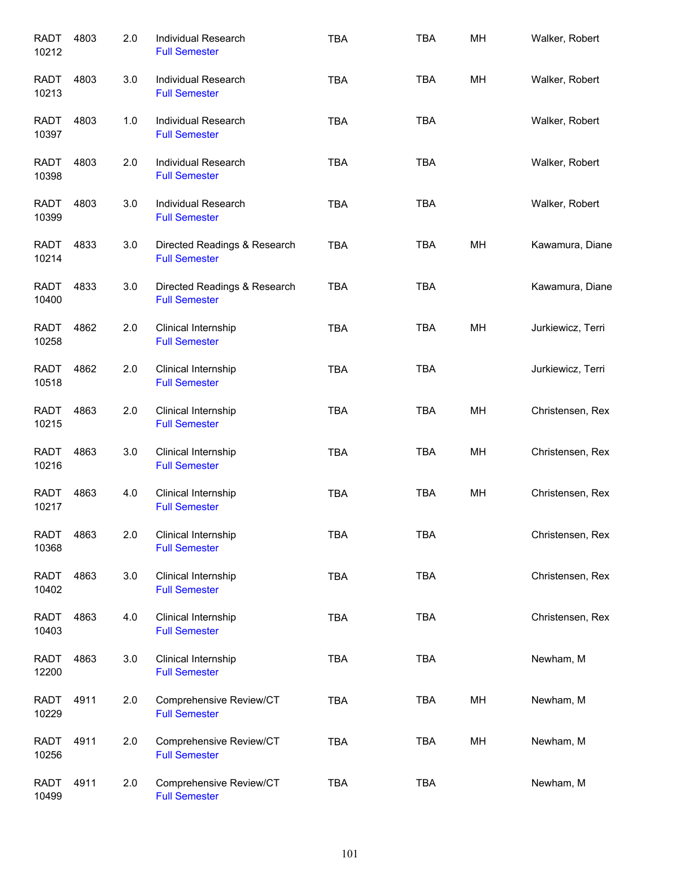| <b>RADT</b><br>10212 | 4803 | 2.0 | <b>Individual Research</b><br><b>Full Semester</b>   | <b>TBA</b> | <b>TBA</b> | MH | Walker, Robert    |
|----------------------|------|-----|------------------------------------------------------|------------|------------|----|-------------------|
| RADT<br>10213        | 4803 | 3.0 | <b>Individual Research</b><br><b>Full Semester</b>   | <b>TBA</b> | <b>TBA</b> | MH | Walker, Robert    |
| RADT<br>10397        | 4803 | 1.0 | Individual Research<br><b>Full Semester</b>          | <b>TBA</b> | <b>TBA</b> |    | Walker, Robert    |
| <b>RADT</b><br>10398 | 4803 | 2.0 | Individual Research<br><b>Full Semester</b>          | <b>TBA</b> | <b>TBA</b> |    | Walker, Robert    |
| RADT<br>10399        | 4803 | 3.0 | Individual Research<br><b>Full Semester</b>          | <b>TBA</b> | <b>TBA</b> |    | Walker, Robert    |
| <b>RADT</b><br>10214 | 4833 | 3.0 | Directed Readings & Research<br><b>Full Semester</b> | <b>TBA</b> | <b>TBA</b> | MН | Kawamura, Diane   |
| <b>RADT</b><br>10400 | 4833 | 3.0 | Directed Readings & Research<br><b>Full Semester</b> | <b>TBA</b> | <b>TBA</b> |    | Kawamura, Diane   |
| <b>RADT</b><br>10258 | 4862 | 2.0 | Clinical Internship<br><b>Full Semester</b>          | <b>TBA</b> | <b>TBA</b> | MH | Jurkiewicz, Terri |
| <b>RADT</b><br>10518 | 4862 | 2.0 | Clinical Internship<br><b>Full Semester</b>          | <b>TBA</b> | <b>TBA</b> |    | Jurkiewicz, Terri |
| <b>RADT</b><br>10215 | 4863 | 2.0 | Clinical Internship<br><b>Full Semester</b>          | <b>TBA</b> | TBA        | MН | Christensen, Rex  |
| <b>RADT</b><br>10216 | 4863 | 3.0 | Clinical Internship<br><b>Full Semester</b>          | <b>TBA</b> | <b>TBA</b> | MH | Christensen, Rex  |
| <b>RADT</b><br>10217 | 4863 | 4.0 | Clinical Internship<br><b>Full Semester</b>          | <b>TBA</b> | <b>TBA</b> | MH | Christensen, Rex  |
| <b>RADT</b><br>10368 | 4863 | 2.0 | Clinical Internship<br><b>Full Semester</b>          | <b>TBA</b> | TBA        |    | Christensen, Rex  |
| <b>RADT</b><br>10402 | 4863 | 3.0 | Clinical Internship<br><b>Full Semester</b>          | TBA        | <b>TBA</b> |    | Christensen, Rex  |
| <b>RADT</b><br>10403 | 4863 | 4.0 | Clinical Internship<br><b>Full Semester</b>          | TBA        | <b>TBA</b> |    | Christensen, Rex  |
| <b>RADT</b><br>12200 | 4863 | 3.0 | Clinical Internship<br><b>Full Semester</b>          | TBA        | <b>TBA</b> |    | Newham, M         |
| <b>RADT</b><br>10229 | 4911 | 2.0 | Comprehensive Review/CT<br><b>Full Semester</b>      | TBA        | <b>TBA</b> | MH | Newham, M         |
| <b>RADT</b><br>10256 | 4911 | 2.0 | Comprehensive Review/CT<br><b>Full Semester</b>      | <b>TBA</b> | <b>TBA</b> | MH | Newham, M         |
| <b>RADT</b><br>10499 | 4911 | 2.0 | Comprehensive Review/CT<br><b>Full Semester</b>      | <b>TBA</b> | <b>TBA</b> |    | Newham, M         |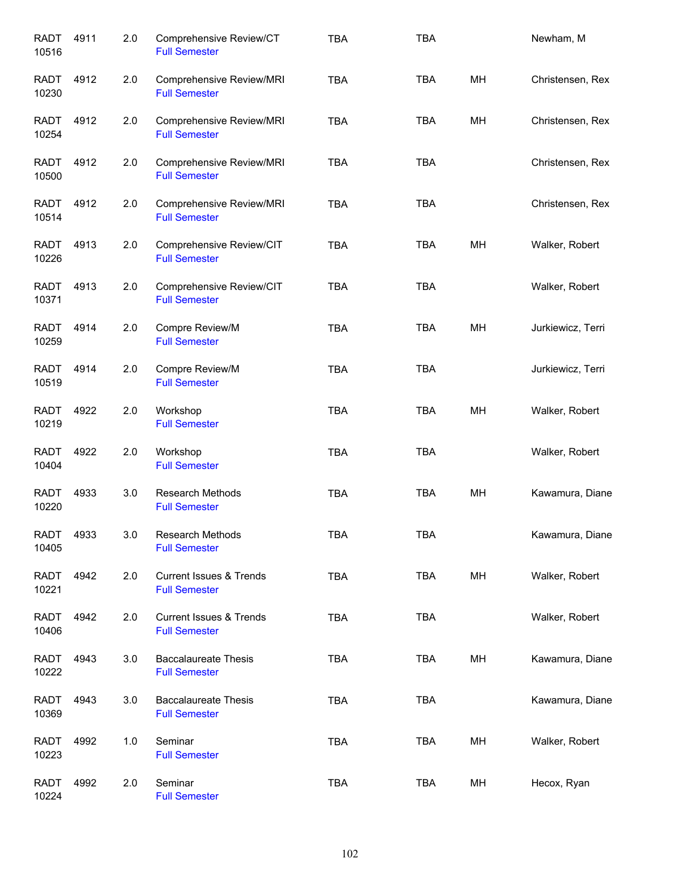| <b>RADT</b><br>10516 | 4911 | 2.0 | Comprehensive Review/CT<br><b>Full Semester</b>            | <b>TBA</b> | <b>TBA</b> |    | Newham, M         |
|----------------------|------|-----|------------------------------------------------------------|------------|------------|----|-------------------|
| RADT<br>10230        | 4912 | 2.0 | Comprehensive Review/MRI<br><b>Full Semester</b>           | <b>TBA</b> | <b>TBA</b> | MH | Christensen, Rex  |
| <b>RADT</b><br>10254 | 4912 | 2.0 | Comprehensive Review/MRI<br><b>Full Semester</b>           | <b>TBA</b> | <b>TBA</b> | MH | Christensen, Rex  |
| <b>RADT</b><br>10500 | 4912 | 2.0 | Comprehensive Review/MRI<br><b>Full Semester</b>           | <b>TBA</b> | <b>TBA</b> |    | Christensen, Rex  |
| <b>RADT</b><br>10514 | 4912 | 2.0 | Comprehensive Review/MRI<br><b>Full Semester</b>           | <b>TBA</b> | <b>TBA</b> |    | Christensen, Rex  |
| <b>RADT</b><br>10226 | 4913 | 2.0 | Comprehensive Review/CIT<br><b>Full Semester</b>           | <b>TBA</b> | <b>TBA</b> | MH | Walker, Robert    |
| <b>RADT</b><br>10371 | 4913 | 2.0 | Comprehensive Review/CIT<br><b>Full Semester</b>           | <b>TBA</b> | <b>TBA</b> |    | Walker, Robert    |
| <b>RADT</b><br>10259 | 4914 | 2.0 | Compre Review/M<br><b>Full Semester</b>                    | <b>TBA</b> | <b>TBA</b> | MH | Jurkiewicz, Terri |
| <b>RADT</b><br>10519 | 4914 | 2.0 | Compre Review/M<br><b>Full Semester</b>                    | <b>TBA</b> | <b>TBA</b> |    | Jurkiewicz, Terri |
| <b>RADT</b><br>10219 | 4922 | 2.0 | Workshop<br><b>Full Semester</b>                           | <b>TBA</b> | <b>TBA</b> | MH | Walker, Robert    |
| <b>RADT</b><br>10404 | 4922 | 2.0 | Workshop<br><b>Full Semester</b>                           | <b>TBA</b> | <b>TBA</b> |    | Walker, Robert    |
| <b>RADT</b><br>10220 | 4933 | 3.0 | Research Methods<br><b>Full Semester</b>                   | <b>TBA</b> | <b>TBA</b> | MH | Kawamura, Diane   |
| <b>RADT</b><br>10405 | 4933 | 3.0 | Research Methods<br><b>Full Semester</b>                   | <b>TBA</b> | <b>TBA</b> |    | Kawamura, Diane   |
| <b>RADT</b><br>10221 | 4942 | 2.0 | <b>Current Issues &amp; Trends</b><br><b>Full Semester</b> | <b>TBA</b> | <b>TBA</b> | MH | Walker, Robert    |
| <b>RADT</b><br>10406 | 4942 | 2.0 | <b>Current Issues &amp; Trends</b><br><b>Full Semester</b> | <b>TBA</b> | <b>TBA</b> |    | Walker, Robert    |
| RADT<br>10222        | 4943 | 3.0 | <b>Baccalaureate Thesis</b><br><b>Full Semester</b>        | <b>TBA</b> | <b>TBA</b> | MH | Kawamura, Diane   |
| <b>RADT</b><br>10369 | 4943 | 3.0 | <b>Baccalaureate Thesis</b><br><b>Full Semester</b>        | <b>TBA</b> | <b>TBA</b> |    | Kawamura, Diane   |
| <b>RADT</b><br>10223 | 4992 | 1.0 | Seminar<br><b>Full Semester</b>                            | <b>TBA</b> | TBA        | MH | Walker, Robert    |
| <b>RADT</b><br>10224 | 4992 | 2.0 | Seminar<br><b>Full Semester</b>                            | <b>TBA</b> | TBA        | MH | Hecox, Ryan       |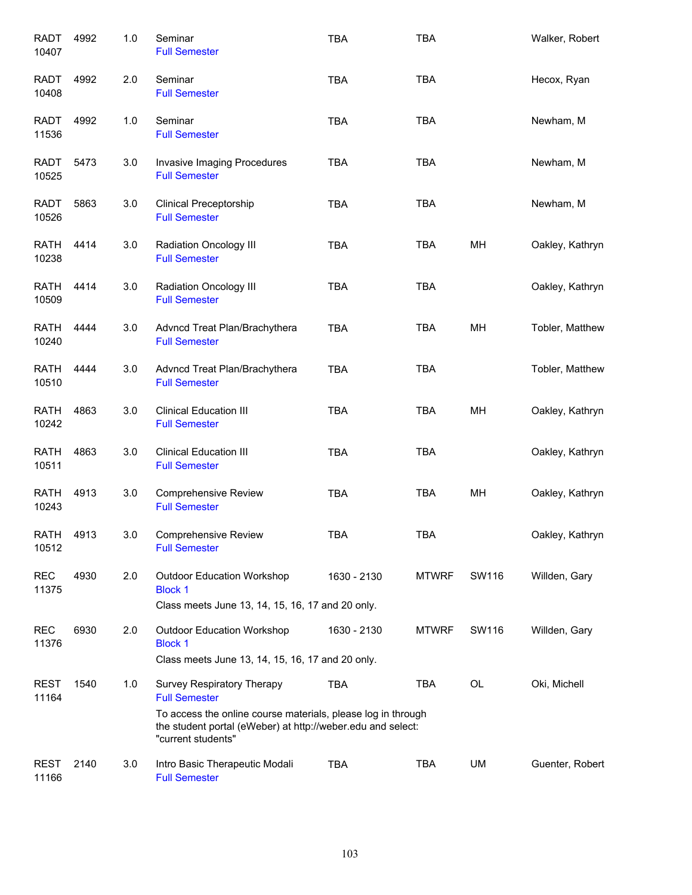| <b>RADT</b><br>10407 | 4992 | 1.0 | Seminar<br><b>Full Semester</b>                                                                                                                   | <b>TBA</b>  | <b>TBA</b>   |       | Walker, Robert  |
|----------------------|------|-----|---------------------------------------------------------------------------------------------------------------------------------------------------|-------------|--------------|-------|-----------------|
| <b>RADT</b><br>10408 | 4992 | 2.0 | Seminar<br><b>Full Semester</b>                                                                                                                   | <b>TBA</b>  | <b>TBA</b>   |       | Hecox, Ryan     |
| <b>RADT</b><br>11536 | 4992 | 1.0 | Seminar<br><b>Full Semester</b>                                                                                                                   | <b>TBA</b>  | <b>TBA</b>   |       | Newham, M       |
| <b>RADT</b><br>10525 | 5473 | 3.0 | Invasive Imaging Procedures<br><b>Full Semester</b>                                                                                               | <b>TBA</b>  | <b>TBA</b>   |       | Newham, M       |
| <b>RADT</b><br>10526 | 5863 | 3.0 | <b>Clinical Preceptorship</b><br><b>Full Semester</b>                                                                                             | <b>TBA</b>  | <b>TBA</b>   |       | Newham, M       |
| <b>RATH</b><br>10238 | 4414 | 3.0 | Radiation Oncology III<br><b>Full Semester</b>                                                                                                    | <b>TBA</b>  | <b>TBA</b>   | MH    | Oakley, Kathryn |
| <b>RATH</b><br>10509 | 4414 | 3.0 | Radiation Oncology III<br><b>Full Semester</b>                                                                                                    | <b>TBA</b>  | <b>TBA</b>   |       | Oakley, Kathryn |
| <b>RATH</b><br>10240 | 4444 | 3.0 | Advncd Treat Plan/Brachythera<br><b>Full Semester</b>                                                                                             | <b>TBA</b>  | <b>TBA</b>   | MH    | Tobler, Matthew |
| <b>RATH</b><br>10510 | 4444 | 3.0 | Advncd Treat Plan/Brachythera<br><b>Full Semester</b>                                                                                             | <b>TBA</b>  | <b>TBA</b>   |       | Tobler, Matthew |
| <b>RATH</b><br>10242 | 4863 | 3.0 | <b>Clinical Education III</b><br><b>Full Semester</b>                                                                                             | <b>TBA</b>  | TBA          | MH    | Oakley, Kathryn |
| <b>RATH</b><br>10511 | 4863 | 3.0 | <b>Clinical Education III</b><br><b>Full Semester</b>                                                                                             | <b>TBA</b>  | <b>TBA</b>   |       | Oakley, Kathryn |
| <b>RATH</b><br>10243 | 4913 | 3.0 | <b>Comprehensive Review</b><br><b>Full Semester</b>                                                                                               | <b>TBA</b>  | <b>TBA</b>   | MH    | Oakley, Kathryn |
| <b>RATH</b><br>10512 | 4913 | 3.0 | <b>Comprehensive Review</b><br><b>Full Semester</b>                                                                                               | TBA         | TBA          |       | Oakley, Kathryn |
| <b>REC</b><br>11375  | 4930 | 2.0 | <b>Outdoor Education Workshop</b><br><b>Block 1</b><br>Class meets June 13, 14, 15, 16, 17 and 20 only.                                           | 1630 - 2130 | <b>MTWRF</b> | SW116 | Willden, Gary   |
| <b>REC</b><br>11376  | 6930 | 2.0 | <b>Outdoor Education Workshop</b><br><b>Block 1</b>                                                                                               | 1630 - 2130 | <b>MTWRF</b> | SW116 | Willden, Gary   |
| <b>REST</b><br>11164 | 1540 | 1.0 | Class meets June 13, 14, 15, 16, 17 and 20 only.<br>Survey Respiratory Therapy<br><b>Full Semester</b>                                            | TBA         | TBA          | OL    | Oki, Michell    |
|                      |      |     | To access the online course materials, please log in through<br>the student portal (eWeber) at http://weber.edu and select:<br>"current students" |             |              |       |                 |
| <b>REST</b><br>11166 | 2140 | 3.0 | Intro Basic Therapeutic Modali<br><b>Full Semester</b>                                                                                            | <b>TBA</b>  | TBA          | UM    | Guenter, Robert |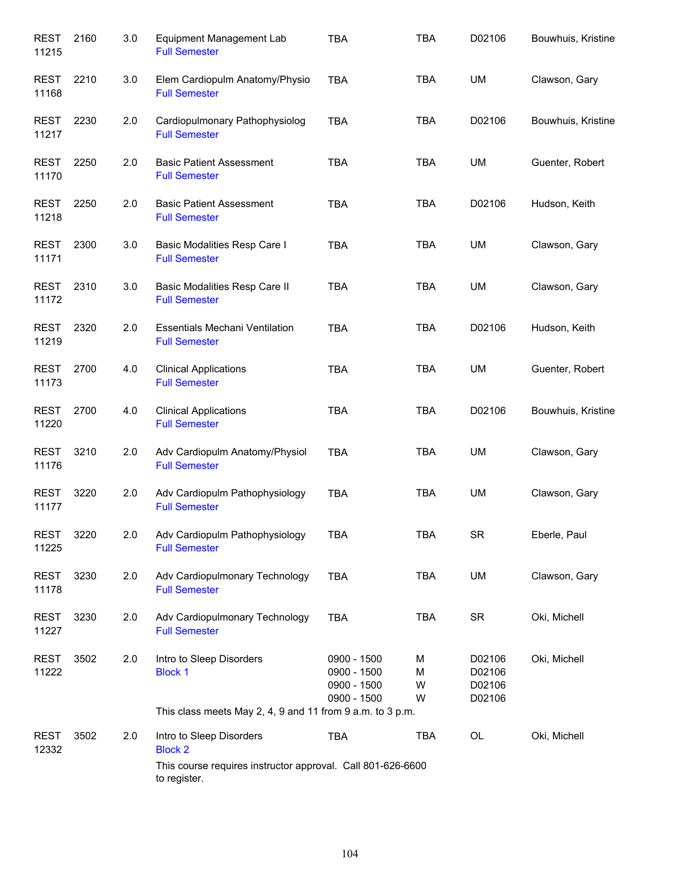| <b>REST</b><br>11215 | 2160 | 3.0 | <b>Equipment Management Lab</b><br><b>Full Semester</b>                     | <b>TBA</b>                                               | <b>TBA</b>       | D02106                               | Bouwhuis, Kristine |
|----------------------|------|-----|-----------------------------------------------------------------------------|----------------------------------------------------------|------------------|--------------------------------------|--------------------|
| <b>REST</b><br>11168 | 2210 | 3.0 | Elem Cardiopulm Anatomy/Physio<br><b>Full Semester</b>                      | <b>TBA</b>                                               | <b>TBA</b>       | UM                                   | Clawson, Gary      |
| REST<br>11217        | 2230 | 2.0 | Cardiopulmonary Pathophysiolog<br><b>Full Semester</b>                      | <b>TBA</b>                                               | <b>TBA</b>       | D02106                               | Bouwhuis, Kristine |
| <b>REST</b><br>11170 | 2250 | 2.0 | <b>Basic Patient Assessment</b><br><b>Full Semester</b>                     | <b>TBA</b>                                               | <b>TBA</b>       | UM                                   | Guenter, Robert    |
| REST<br>11218        | 2250 | 2.0 | <b>Basic Patient Assessment</b><br><b>Full Semester</b>                     | <b>TBA</b>                                               | <b>TBA</b>       | D02106                               | Hudson, Keith      |
| <b>REST</b><br>11171 | 2300 | 3.0 | Basic Modalities Resp Care I<br><b>Full Semester</b>                        | <b>TBA</b>                                               | <b>TBA</b>       | UM                                   | Clawson, Gary      |
| <b>REST</b><br>11172 | 2310 | 3.0 | Basic Modalities Resp Care II<br><b>Full Semester</b>                       | <b>TBA</b>                                               | <b>TBA</b>       | UM                                   | Clawson, Gary      |
| <b>REST</b><br>11219 | 2320 | 2.0 | <b>Essentials Mechani Ventilation</b><br><b>Full Semester</b>               | <b>TBA</b>                                               | <b>TBA</b>       | D02106                               | Hudson, Keith      |
| <b>REST</b><br>11173 | 2700 | 4.0 | <b>Clinical Applications</b><br><b>Full Semester</b>                        | <b>TBA</b>                                               | <b>TBA</b>       | UM                                   | Guenter, Robert    |
| <b>REST</b><br>11220 | 2700 | 4.0 | <b>Clinical Applications</b><br><b>Full Semester</b>                        | <b>TBA</b>                                               | <b>TBA</b>       | D02106                               | Bouwhuis, Kristine |
| <b>REST</b><br>11176 | 3210 | 2.0 | Adv Cardiopulm Anatomy/Physiol<br><b>Full Semester</b>                      | <b>TBA</b>                                               | <b>TBA</b>       | UM                                   | Clawson, Gary      |
| <b>REST</b><br>11177 | 3220 | 2.0 | Adv Cardiopulm Pathophysiology<br><b>Full Semester</b>                      | <b>TBA</b>                                               | <b>TBA</b>       | UM                                   | Clawson, Gary      |
| <b>REST</b><br>11225 | 3220 | 2.0 | Adv Cardiopulm Pathophysiology<br><b>Full Semester</b>                      | TBA                                                      | <b>TBA</b>       | <b>SR</b>                            | Eberle, Paul       |
| REST<br>11178        | 3230 | 2.0 | Adv Cardiopulmonary Technology<br><b>Full Semester</b>                      | <b>TBA</b>                                               | <b>TBA</b>       | UM                                   | Clawson, Gary      |
| REST<br>11227        | 3230 | 2.0 | Adv Cardiopulmonary Technology<br><b>Full Semester</b>                      | <b>TBA</b>                                               | <b>TBA</b>       | <b>SR</b>                            | Oki, Michell       |
| <b>REST</b><br>11222 | 3502 | 2.0 | Intro to Sleep Disorders<br><b>Block 1</b>                                  | 0900 - 1500<br>0900 - 1500<br>0900 - 1500<br>0900 - 1500 | M<br>M<br>W<br>W | D02106<br>D02106<br>D02106<br>D02106 | Oki, Michell       |
|                      |      |     | This class meets May 2, 4, 9 and 11 from 9 a.m. to 3 p.m.                   |                                                          |                  |                                      |                    |
| <b>REST</b><br>12332 | 3502 | 2.0 | Intro to Sleep Disorders<br><b>Block 2</b>                                  | <b>TBA</b>                                               | <b>TBA</b>       | OL                                   | Oki, Michell       |
|                      |      |     | This course requires instructor approval. Call 801-626-6600<br>to register. |                                                          |                  |                                      |                    |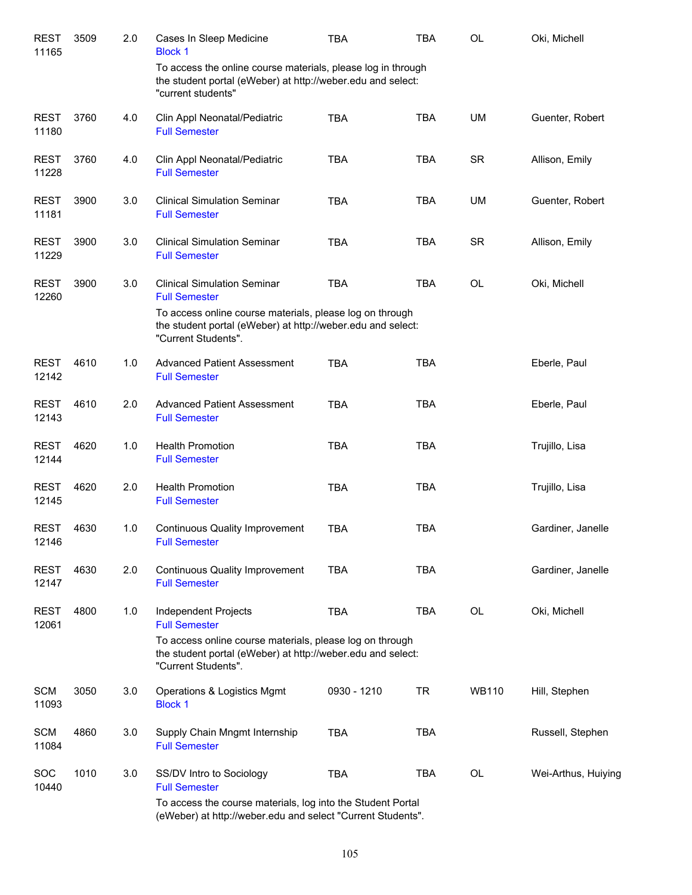| <b>REST</b><br>11165 | 3509 | 2.0 | Cases In Sleep Medicine<br><b>Block 1</b>                                                                                                         | <b>TBA</b>  | <b>TBA</b> | <b>OL</b>    | Oki, Michell        |
|----------------------|------|-----|---------------------------------------------------------------------------------------------------------------------------------------------------|-------------|------------|--------------|---------------------|
|                      |      |     | To access the online course materials, please log in through<br>the student portal (eWeber) at http://weber.edu and select:<br>"current students" |             |            |              |                     |
| <b>REST</b><br>11180 | 3760 | 4.0 | Clin Appl Neonatal/Pediatric<br><b>Full Semester</b>                                                                                              | <b>TBA</b>  | <b>TBA</b> | UM           | Guenter, Robert     |
| <b>REST</b><br>11228 | 3760 | 4.0 | Clin Appl Neonatal/Pediatric<br><b>Full Semester</b>                                                                                              | <b>TBA</b>  | <b>TBA</b> | <b>SR</b>    | Allison, Emily      |
| <b>REST</b><br>11181 | 3900 | 3.0 | <b>Clinical Simulation Seminar</b><br><b>Full Semester</b>                                                                                        | <b>TBA</b>  | <b>TBA</b> | UM           | Guenter, Robert     |
| <b>REST</b><br>11229 | 3900 | 3.0 | <b>Clinical Simulation Seminar</b><br><b>Full Semester</b>                                                                                        | <b>TBA</b>  | <b>TBA</b> | <b>SR</b>    | Allison, Emily      |
| <b>REST</b><br>12260 | 3900 | 3.0 | <b>Clinical Simulation Seminar</b><br><b>Full Semester</b>                                                                                        | <b>TBA</b>  | <b>TBA</b> | <b>OL</b>    | Oki, Michell        |
|                      |      |     | To access online course materials, please log on through<br>the student portal (eWeber) at http://weber.edu and select:<br>"Current Students".    |             |            |              |                     |
| <b>REST</b><br>12142 | 4610 | 1.0 | <b>Advanced Patient Assessment</b><br><b>Full Semester</b>                                                                                        | <b>TBA</b>  | <b>TBA</b> |              | Eberle, Paul        |
| <b>REST</b><br>12143 | 4610 | 2.0 | <b>Advanced Patient Assessment</b><br><b>Full Semester</b>                                                                                        | <b>TBA</b>  | <b>TBA</b> |              | Eberle, Paul        |
| <b>REST</b><br>12144 | 4620 | 1.0 | <b>Health Promotion</b><br><b>Full Semester</b>                                                                                                   | <b>TBA</b>  | <b>TBA</b> |              | Trujillo, Lisa      |
| <b>REST</b><br>12145 | 4620 | 2.0 | <b>Health Promotion</b><br><b>Full Semester</b>                                                                                                   | <b>TBA</b>  | <b>TBA</b> |              | Trujillo, Lisa      |
| REST<br>12146        | 4630 | 1.0 | <b>Continuous Quality Improvement</b><br><b>Full Semester</b>                                                                                     | <b>TBA</b>  | <b>TBA</b> |              | Gardiner, Janelle   |
| <b>REST</b><br>12147 | 4630 | 2.0 | <b>Continuous Quality Improvement</b><br><b>Full Semester</b>                                                                                     | <b>TBA</b>  | <b>TBA</b> |              | Gardiner, Janelle   |
| <b>REST</b><br>12061 | 4800 | 1.0 | Independent Projects<br><b>Full Semester</b>                                                                                                      | <b>TBA</b>  | <b>TBA</b> | OL           | Oki, Michell        |
|                      |      |     | To access online course materials, please log on through<br>the student portal (eWeber) at http://weber.edu and select:<br>"Current Students".    |             |            |              |                     |
| <b>SCM</b><br>11093  | 3050 | 3.0 | Operations & Logistics Mgmt<br><b>Block 1</b>                                                                                                     | 0930 - 1210 | <b>TR</b>  | <b>WB110</b> | Hill, Stephen       |
| <b>SCM</b><br>11084  | 4860 | 3.0 | Supply Chain Mngmt Internship<br><b>Full Semester</b>                                                                                             | <b>TBA</b>  | <b>TBA</b> |              | Russell, Stephen    |
| <b>SOC</b><br>10440  | 1010 | 3.0 | SS/DV Intro to Sociology<br><b>Full Semester</b>                                                                                                  | <b>TBA</b>  | <b>TBA</b> | OL           | Wei-Arthus, Huiying |
|                      |      |     | To access the course materials, log into the Student Portal<br>(eWeber) at http://weber.edu and select "Current Students".                        |             |            |              |                     |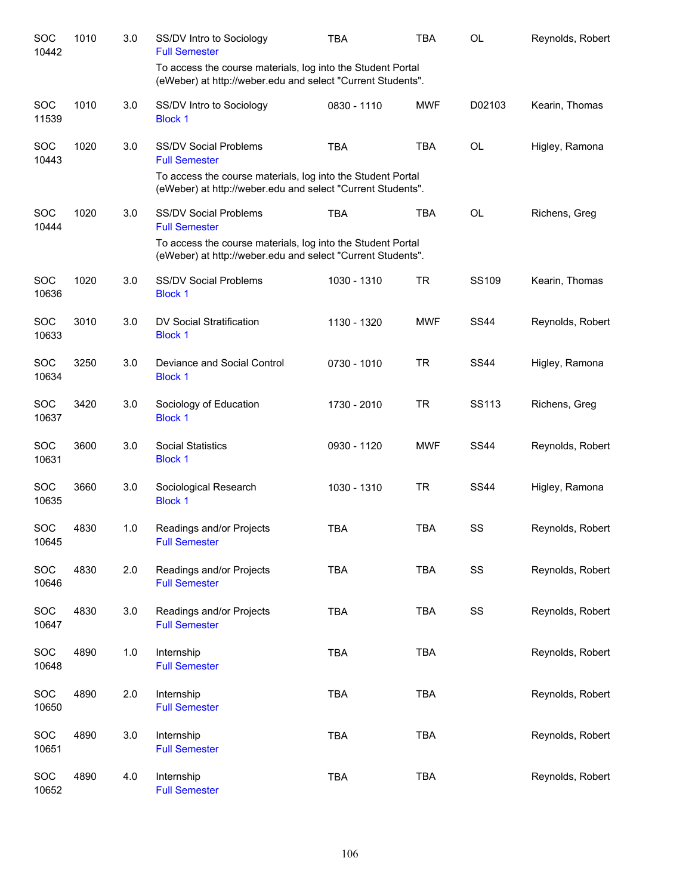| SOC<br>10442        | 1010 | 3.0 | SS/DV Intro to Sociology<br><b>Full Semester</b>                                                                           | <b>TBA</b>  | <b>TBA</b> | <b>OL</b>   | Reynolds, Robert |
|---------------------|------|-----|----------------------------------------------------------------------------------------------------------------------------|-------------|------------|-------------|------------------|
|                     |      |     | To access the course materials, log into the Student Portal<br>(eWeber) at http://weber.edu and select "Current Students". |             |            |             |                  |
| <b>SOC</b><br>11539 | 1010 | 3.0 | SS/DV Intro to Sociology<br><b>Block 1</b>                                                                                 | 0830 - 1110 | <b>MWF</b> | D02103      | Kearin, Thomas   |
| <b>SOC</b><br>10443 | 1020 | 3.0 | <b>SS/DV Social Problems</b><br><b>Full Semester</b>                                                                       | <b>TBA</b>  | <b>TBA</b> | <b>OL</b>   | Higley, Ramona   |
|                     |      |     | To access the course materials, log into the Student Portal<br>(eWeber) at http://weber.edu and select "Current Students". |             |            |             |                  |
| <b>SOC</b><br>10444 | 1020 | 3.0 | <b>SS/DV Social Problems</b><br><b>Full Semester</b>                                                                       | <b>TBA</b>  | <b>TBA</b> | <b>OL</b>   | Richens, Greg    |
|                     |      |     | To access the course materials, log into the Student Portal<br>(eWeber) at http://weber.edu and select "Current Students". |             |            |             |                  |
| <b>SOC</b><br>10636 | 1020 | 3.0 | <b>SS/DV Social Problems</b><br><b>Block 1</b>                                                                             | 1030 - 1310 | <b>TR</b>  | SS109       | Kearin, Thomas   |
| SOC<br>10633        | 3010 | 3.0 | DV Social Stratification<br><b>Block 1</b>                                                                                 | 1130 - 1320 | <b>MWF</b> | <b>SS44</b> | Reynolds, Robert |
| SOC<br>10634        | 3250 | 3.0 | Deviance and Social Control<br><b>Block 1</b>                                                                              | 0730 - 1010 | <b>TR</b>  | <b>SS44</b> | Higley, Ramona   |
| SOC<br>10637        | 3420 | 3.0 | Sociology of Education<br><b>Block 1</b>                                                                                   | 1730 - 2010 | <b>TR</b>  | SS113       | Richens, Greg    |
| SOC<br>10631        | 3600 | 3.0 | <b>Social Statistics</b><br><b>Block 1</b>                                                                                 | 0930 - 1120 | <b>MWF</b> | <b>SS44</b> | Reynolds, Robert |
| SOC<br>10635        | 3660 | 3.0 | Sociological Research<br><b>Block 1</b>                                                                                    | 1030 - 1310 | <b>TR</b>  | <b>SS44</b> | Higley, Ramona   |
| <b>SOC</b><br>10645 | 4830 | 1.0 | Readings and/or Projects<br><b>Full Semester</b>                                                                           | <b>TBA</b>  | <b>TBA</b> | SS          | Reynolds, Robert |
| SOC<br>10646        | 4830 | 2.0 | Readings and/or Projects<br><b>Full Semester</b>                                                                           | <b>TBA</b>  | <b>TBA</b> | SS          | Reynolds, Robert |
| SOC<br>10647        | 4830 | 3.0 | Readings and/or Projects<br><b>Full Semester</b>                                                                           | <b>TBA</b>  | <b>TBA</b> | SS          | Reynolds, Robert |
| SOC<br>10648        | 4890 | 1.0 | Internship<br><b>Full Semester</b>                                                                                         | <b>TBA</b>  | <b>TBA</b> |             | Reynolds, Robert |
| SOC<br>10650        | 4890 | 2.0 | Internship<br><b>Full Semester</b>                                                                                         | <b>TBA</b>  | <b>TBA</b> |             | Reynolds, Robert |
| SOC<br>10651        | 4890 | 3.0 | Internship<br><b>Full Semester</b>                                                                                         | <b>TBA</b>  | <b>TBA</b> |             | Reynolds, Robert |
| SOC<br>10652        | 4890 | 4.0 | Internship<br><b>Full Semester</b>                                                                                         | <b>TBA</b>  | <b>TBA</b> |             | Reynolds, Robert |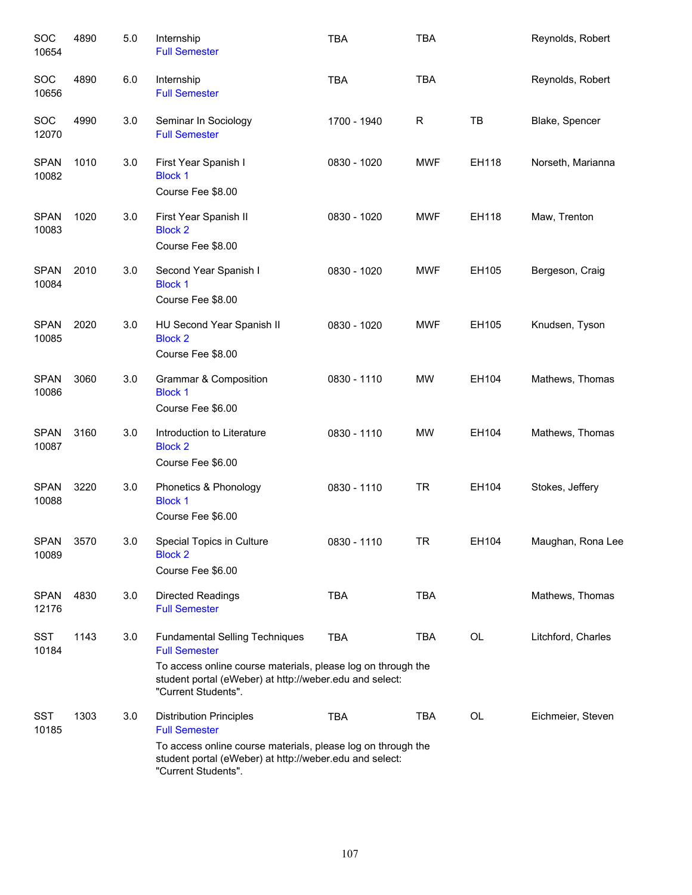| SOC<br>10654         | 4890 | 5.0 | Internship<br><b>Full Semester</b>                                                                                                                                                                              | <b>TBA</b>  | <b>TBA</b> |       | Reynolds, Robert   |
|----------------------|------|-----|-----------------------------------------------------------------------------------------------------------------------------------------------------------------------------------------------------------------|-------------|------------|-------|--------------------|
| SOC<br>10656         | 4890 | 6.0 | Internship<br><b>Full Semester</b>                                                                                                                                                                              | <b>TBA</b>  | <b>TBA</b> |       | Reynolds, Robert   |
| SOC<br>12070         | 4990 | 3.0 | Seminar In Sociology<br><b>Full Semester</b>                                                                                                                                                                    | 1700 - 1940 | R          | TB    | Blake, Spencer     |
| <b>SPAN</b><br>10082 | 1010 | 3.0 | First Year Spanish I<br><b>Block 1</b><br>Course Fee \$8.00                                                                                                                                                     | 0830 - 1020 | <b>MWF</b> | EH118 | Norseth, Marianna  |
| <b>SPAN</b><br>10083 | 1020 | 3.0 | First Year Spanish II<br><b>Block 2</b><br>Course Fee \$8.00                                                                                                                                                    | 0830 - 1020 | <b>MWF</b> | EH118 | Maw, Trenton       |
| <b>SPAN</b><br>10084 | 2010 | 3.0 | Second Year Spanish I<br><b>Block 1</b><br>Course Fee \$8.00                                                                                                                                                    | 0830 - 1020 | <b>MWF</b> | EH105 | Bergeson, Craig    |
| <b>SPAN</b><br>10085 | 2020 | 3.0 | HU Second Year Spanish II<br><b>Block 2</b><br>Course Fee \$8.00                                                                                                                                                | 0830 - 1020 | <b>MWF</b> | EH105 | Knudsen, Tyson     |
| <b>SPAN</b><br>10086 | 3060 | 3.0 | Grammar & Composition<br><b>Block 1</b><br>Course Fee \$6.00                                                                                                                                                    | 0830 - 1110 | <b>MW</b>  | EH104 | Mathews, Thomas    |
| <b>SPAN</b><br>10087 | 3160 | 3.0 | Introduction to Literature<br><b>Block 2</b><br>Course Fee \$6.00                                                                                                                                               | 0830 - 1110 | <b>MW</b>  | EH104 | Mathews, Thomas    |
| <b>SPAN</b><br>10088 | 3220 | 3.0 | Phonetics & Phonology<br><b>Block 1</b><br>Course Fee \$6.00                                                                                                                                                    | 0830 - 1110 | <b>TR</b>  | EH104 | Stokes, Jeffery    |
| <b>SPAN</b><br>10089 | 3570 | 3.0 | Special Topics in Culture<br><b>Block 2</b><br>Course Fee \$6.00                                                                                                                                                | 0830 - 1110 | TR         | EH104 | Maughan, Rona Lee  |
| <b>SPAN</b><br>12176 | 4830 | 3.0 | <b>Directed Readings</b><br><b>Full Semester</b>                                                                                                                                                                | <b>TBA</b>  | <b>TBA</b> |       | Mathews, Thomas    |
| <b>SST</b><br>10184  | 1143 | 3.0 | <b>Fundamental Selling Techniques</b><br><b>Full Semester</b><br>To access online course materials, please log on through the<br>student portal (eWeber) at http://weber.edu and select:<br>"Current Students". | <b>TBA</b>  | TBA        | OL    | Litchford, Charles |
| <b>SST</b><br>10185  | 1303 | 3.0 | <b>Distribution Principles</b><br><b>Full Semester</b><br>To access online course materials, please log on through the<br>student portal (eWeber) at http://weber.edu and select:<br>"Current Students".        | <b>TBA</b>  | TBA        | OL    | Eichmeier, Steven  |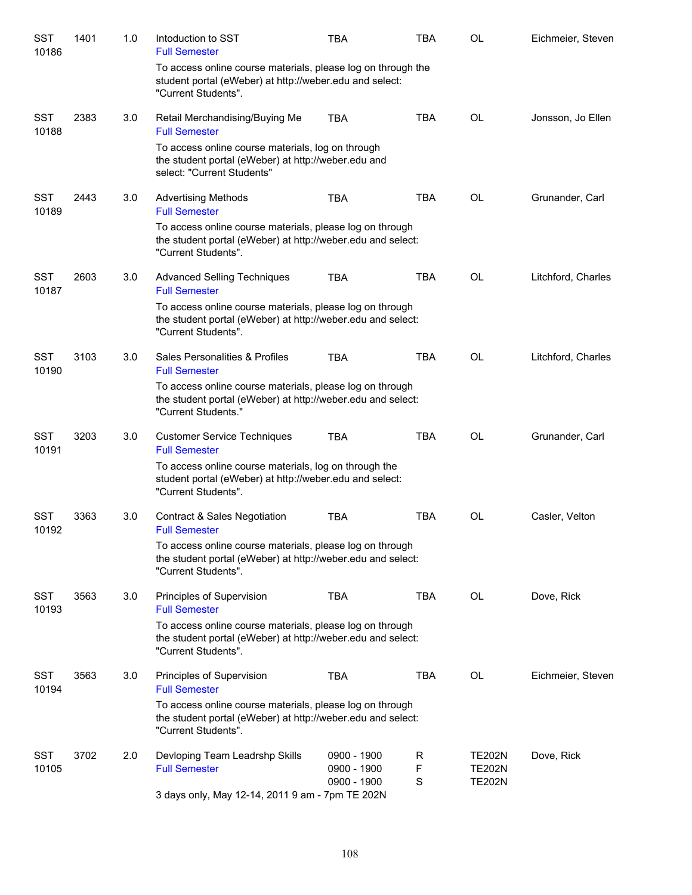| <b>SST</b><br>10186 | 1401 | 1.0 | Intoduction to SST<br><b>Full Semester</b>                                                                                                     | <b>TBA</b>                 | <b>TBA</b>  | OL                             | Eichmeier, Steven  |
|---------------------|------|-----|------------------------------------------------------------------------------------------------------------------------------------------------|----------------------------|-------------|--------------------------------|--------------------|
|                     |      |     | To access online course materials, please log on through the<br>student portal (eWeber) at http://weber.edu and select:<br>"Current Students". |                            |             |                                |                    |
| <b>SST</b><br>10188 | 2383 | 3.0 | Retail Merchandising/Buying Me<br><b>Full Semester</b>                                                                                         | <b>TBA</b>                 | <b>TBA</b>  | <b>OL</b>                      | Jonsson, Jo Ellen  |
|                     |      |     | To access online course materials, log on through<br>the student portal (eWeber) at http://weber.edu and<br>select: "Current Students"         |                            |             |                                |                    |
| <b>SST</b><br>10189 | 2443 | 3.0 | <b>Advertising Methods</b><br><b>Full Semester</b>                                                                                             | <b>TBA</b>                 | <b>TBA</b>  | OL                             | Grunander, Carl    |
|                     |      |     | To access online course materials, please log on through<br>the student portal (eWeber) at http://weber.edu and select:<br>"Current Students". |                            |             |                                |                    |
| <b>SST</b><br>10187 | 2603 | 3.0 | <b>Advanced Selling Techniques</b><br><b>Full Semester</b>                                                                                     | <b>TBA</b>                 | <b>TBA</b>  | <b>OL</b>                      | Litchford, Charles |
|                     |      |     | To access online course materials, please log on through<br>the student portal (eWeber) at http://weber.edu and select:<br>"Current Students". |                            |             |                                |                    |
| <b>SST</b><br>10190 | 3103 | 3.0 | Sales Personalities & Profiles<br><b>Full Semester</b>                                                                                         | <b>TBA</b>                 | <b>TBA</b>  | <b>OL</b>                      | Litchford, Charles |
|                     |      |     | To access online course materials, please log on through<br>the student portal (eWeber) at http://weber.edu and select:<br>"Current Students." |                            |             |                                |                    |
| <b>SST</b><br>10191 | 3203 | 3.0 | <b>Customer Service Techniques</b><br><b>Full Semester</b>                                                                                     | <b>TBA</b>                 | <b>TBA</b>  | <b>OL</b>                      | Grunander, Carl    |
|                     |      |     | To access online course materials, log on through the<br>student portal (eWeber) at http://weber.edu and select:<br>"Current Students".        |                            |             |                                |                    |
| <b>SST</b><br>10192 | 3363 | 3.0 | <b>Contract &amp; Sales Negotiation</b><br><b>Full Semester</b>                                                                                | <b>TBA</b>                 | <b>TBA</b>  | OL                             | Casler, Velton     |
|                     |      |     | To access online course materials, please log on through<br>the student portal (eWeber) at http://weber.edu and select:<br>"Current Students". |                            |             |                                |                    |
| <b>SST</b><br>10193 | 3563 | 3.0 | Principles of Supervision<br><b>Full Semester</b>                                                                                              | <b>TBA</b>                 | <b>TBA</b>  | <b>OL</b>                      | Dove, Rick         |
|                     |      |     | To access online course materials, please log on through<br>the student portal (eWeber) at http://weber.edu and select:<br>"Current Students". |                            |             |                                |                    |
| <b>SST</b><br>10194 | 3563 | 3.0 | Principles of Supervision<br><b>Full Semester</b>                                                                                              | <b>TBA</b>                 | <b>TBA</b>  | OL                             | Eichmeier, Steven  |
|                     |      |     | To access online course materials, please log on through<br>the student portal (eWeber) at http://weber.edu and select:<br>"Current Students". |                            |             |                                |                    |
| <b>SST</b><br>10105 | 3702 | 2.0 | Devloping Team Leadrshp Skills<br><b>Full Semester</b>                                                                                         | 0900 - 1900<br>0900 - 1900 | R<br>F      | <b>TE202N</b><br><b>TE202N</b> | Dove, Rick         |
|                     |      |     | 3 days only, May 12-14, 2011 9 am - 7pm TE 202N                                                                                                | 0900 - 1900                | $\mathbf S$ | <b>TE202N</b>                  |                    |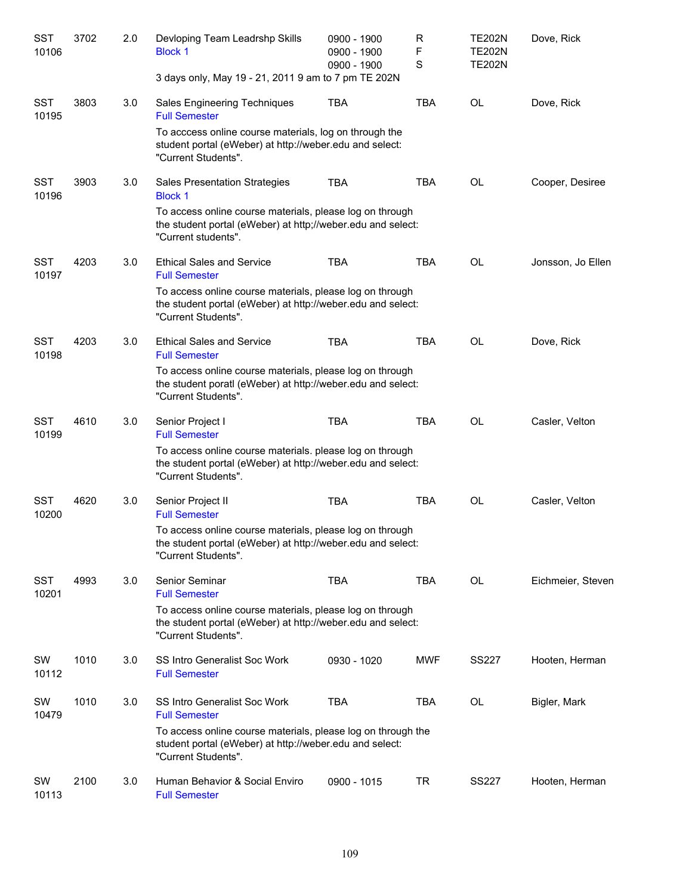| SST<br>10106        | 3702 | 2.0 | Devloping Team Leadrshp Skills<br><b>Block 1</b>                                                                                               | 0900 - 1900<br>0900 - 1900<br>0900 - 1900 | $\mathsf{R}$<br>F<br>$\mathbf S$ | <b>TE202N</b><br><b>TE202N</b><br><b>TE202N</b> | Dove, Rick        |
|---------------------|------|-----|------------------------------------------------------------------------------------------------------------------------------------------------|-------------------------------------------|----------------------------------|-------------------------------------------------|-------------------|
|                     |      |     | 3 days only, May 19 - 21, 2011 9 am to 7 pm TE 202N                                                                                            |                                           |                                  |                                                 |                   |
| <b>SST</b><br>10195 | 3803 | 3.0 | Sales Engineering Techniques<br><b>Full Semester</b>                                                                                           | <b>TBA</b>                                | <b>TBA</b>                       | <b>OL</b>                                       | Dove, Rick        |
|                     |      |     | To acccess online course materials, log on through the<br>student portal (eWeber) at http://weber.edu and select:<br>"Current Students".       |                                           |                                  |                                                 |                   |
| <b>SST</b><br>10196 | 3903 | 3.0 | Sales Presentation Strategies<br><b>Block 1</b>                                                                                                | <b>TBA</b>                                | <b>TBA</b>                       | <b>OL</b>                                       | Cooper, Desiree   |
|                     |      |     | To access online course materials, please log on through<br>the student portal (eWeber) at http;//weber.edu and select:<br>"Current students". |                                           |                                  |                                                 |                   |
| <b>SST</b><br>10197 | 4203 | 3.0 | <b>Ethical Sales and Service</b><br><b>Full Semester</b>                                                                                       | <b>TBA</b>                                | <b>TBA</b>                       | <b>OL</b>                                       | Jonsson, Jo Ellen |
|                     |      |     | To access online course materials, please log on through<br>the student portal (eWeber) at http://weber.edu and select:<br>"Current Students". |                                           |                                  |                                                 |                   |
| <b>SST</b><br>10198 | 4203 | 3.0 | <b>Ethical Sales and Service</b><br><b>Full Semester</b>                                                                                       | <b>TBA</b>                                | <b>TBA</b>                       | <b>OL</b>                                       | Dove, Rick        |
|                     |      |     | To access online course materials, please log on through<br>the student poratl (eWeber) at http://weber.edu and select:<br>"Current Students". |                                           |                                  |                                                 |                   |
| <b>SST</b><br>10199 | 4610 | 3.0 | Senior Project I<br><b>Full Semester</b>                                                                                                       | <b>TBA</b>                                | <b>TBA</b>                       | <b>OL</b>                                       | Casler, Velton    |
|                     |      |     | To access online course materials. please log on through<br>the student portal (eWeber) at http://weber.edu and select:<br>"Current Students". |                                           |                                  |                                                 |                   |
| <b>SST</b><br>10200 | 4620 | 3.0 | Senior Project II<br><b>Full Semester</b>                                                                                                      | <b>TBA</b>                                | <b>TBA</b>                       | <b>OL</b>                                       | Casler, Velton    |
|                     |      |     | To access online course materials, please log on through<br>the student portal (eWeber) at http://weber.edu and select:<br>"Current Students". |                                           |                                  |                                                 |                   |
| <b>SST</b><br>10201 | 4993 | 3.0 | Senior Seminar<br><b>Full Semester</b>                                                                                                         | <b>TBA</b>                                | <b>TBA</b>                       | OL                                              | Eichmeier, Steven |
|                     |      |     | To access online course materials, please log on through<br>the student portal (eWeber) at http://weber.edu and select:<br>"Current Students". |                                           |                                  |                                                 |                   |
| SW<br>10112         | 1010 | 3.0 | SS Intro Generalist Soc Work<br><b>Full Semester</b>                                                                                           | 0930 - 1020                               | <b>MWF</b>                       | <b>SS227</b>                                    | Hooten, Herman    |
| SW<br>10479         | 1010 | 3.0 | SS Intro Generalist Soc Work<br><b>Full Semester</b>                                                                                           | <b>TBA</b>                                | TBA                              | OL                                              | Bigler, Mark      |
|                     |      |     | To access online course materials, please log on through the<br>student portal (eWeber) at http://weber.edu and select:<br>"Current Students". |                                           |                                  |                                                 |                   |
| SW<br>10113         | 2100 | 3.0 | Human Behavior & Social Enviro<br><b>Full Semester</b>                                                                                         | 0900 - 1015                               | <b>TR</b>                        | <b>SS227</b>                                    | Hooten, Herman    |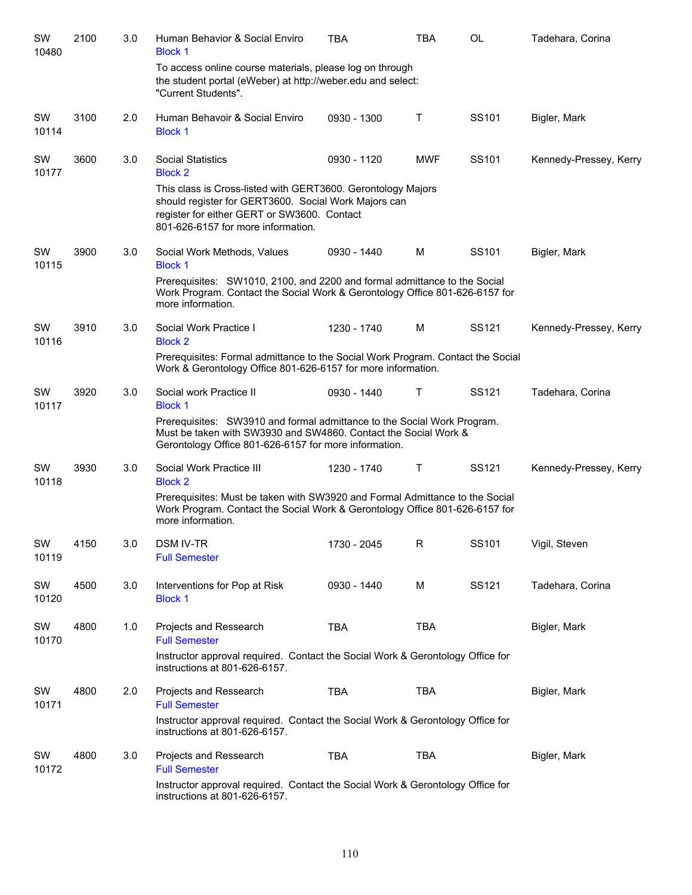| SW<br>10480 | 2100 | 3.0 | Human Behavior & Social Enviro<br><b>Block 1</b>                                                                                                                                                          | <b>TBA</b>  | <b>TBA</b> | OL    | Tadehara, Corina       |  |  |  |
|-------------|------|-----|-----------------------------------------------------------------------------------------------------------------------------------------------------------------------------------------------------------|-------------|------------|-------|------------------------|--|--|--|
|             |      |     | To access online course materials, please log on through<br>the student portal (eWeber) at http://weber.edu and select:<br>"Current Students".                                                            |             |            |       |                        |  |  |  |
| SW<br>10114 | 3100 | 2.0 | Human Behavoir & Social Enviro<br><b>Block 1</b>                                                                                                                                                          | 0930 - 1300 | Т          | SS101 | Bigler, Mark           |  |  |  |
| SW<br>10177 | 3600 | 3.0 | <b>Social Statistics</b><br><b>Block 2</b>                                                                                                                                                                | 0930 - 1120 | <b>MWF</b> | SS101 | Kennedy-Pressey, Kerry |  |  |  |
|             |      |     | This class is Cross-listed with GERT3600. Gerontology Majors<br>should register for GERT3600. Social Work Majors can<br>register for either GERT or SW3600. Contact<br>801-626-6157 for more information. |             |            |       |                        |  |  |  |
| SW<br>10115 | 3900 | 3.0 | Social Work Methods, Values<br><b>Block 1</b>                                                                                                                                                             | 0930 - 1440 | м          | SS101 | Bigler, Mark           |  |  |  |
|             |      |     | Prerequisites: SW1010, 2100, and 2200 and formal admittance to the Social<br>Work Program. Contact the Social Work & Gerontology Office 801-626-6157 for<br>more information.                             |             |            |       |                        |  |  |  |
| SW<br>10116 | 3910 | 3.0 | Social Work Practice I<br><b>Block 2</b>                                                                                                                                                                  | 1230 - 1740 | M          | SS121 | Kennedy-Pressey, Kerry |  |  |  |
|             |      |     | Prerequisites: Formal admittance to the Social Work Program. Contact the Social<br>Work & Gerontology Office 801-626-6157 for more information.                                                           |             |            |       |                        |  |  |  |
| SW<br>10117 | 3920 | 3.0 | Social work Practice II<br><b>Block 1</b>                                                                                                                                                                 | 0930 - 1440 | Т          | SS121 | Tadehara, Corina       |  |  |  |
|             |      |     | Prerequisites: SW3910 and formal admittance to the Social Work Program.<br>Must be taken with SW3930 and SW4860. Contact the Social Work &<br>Gerontology Office 801-626-6157 for more information.       |             |            |       |                        |  |  |  |
| SW<br>10118 | 3930 | 3.0 | Social Work Practice III<br><b>Block 2</b>                                                                                                                                                                | 1230 - 1740 | Т          | SS121 | Kennedy-Pressey, Kerry |  |  |  |
|             |      |     | Prerequisites: Must be taken with SW3920 and Formal Admittance to the Social<br>Work Program. Contact the Social Work & Gerontology Office 801-626-6157 for<br>more information.                          |             |            |       |                        |  |  |  |
| SW<br>10119 | 4150 | 3.0 | <b>DSM IV-TR</b><br><b>Full Semester</b>                                                                                                                                                                  | 1730 - 2045 | R          | SS101 | Vigil, Steven          |  |  |  |
| SW<br>10120 | 4500 | 3.0 | Interventions for Pop at Risk<br><b>Block 1</b>                                                                                                                                                           | 0930 - 1440 | M          | SS121 | Tadehara, Corina       |  |  |  |
| SW<br>10170 | 4800 | 1.0 | Projects and Ressearch<br><b>Full Semester</b>                                                                                                                                                            | <b>TBA</b>  | <b>TBA</b> |       | Bigler, Mark           |  |  |  |
|             |      |     | Instructor approval required. Contact the Social Work & Gerontology Office for<br>instructions at 801-626-6157.                                                                                           |             |            |       |                        |  |  |  |
| SW<br>10171 | 4800 | 2.0 | Projects and Ressearch<br><b>Full Semester</b>                                                                                                                                                            | <b>TBA</b>  | <b>TBA</b> |       | Bigler, Mark           |  |  |  |
|             |      |     | Instructor approval required. Contact the Social Work & Gerontology Office for<br>instructions at 801-626-6157.                                                                                           |             |            |       |                        |  |  |  |
| SW<br>10172 | 4800 | 3.0 | Projects and Ressearch<br><b>Full Semester</b>                                                                                                                                                            | <b>TBA</b>  | <b>TBA</b> |       | Bigler, Mark           |  |  |  |
|             |      |     | Instructor approval required. Contact the Social Work & Gerontology Office for<br>instructions at 801-626-6157.                                                                                           |             |            |       |                        |  |  |  |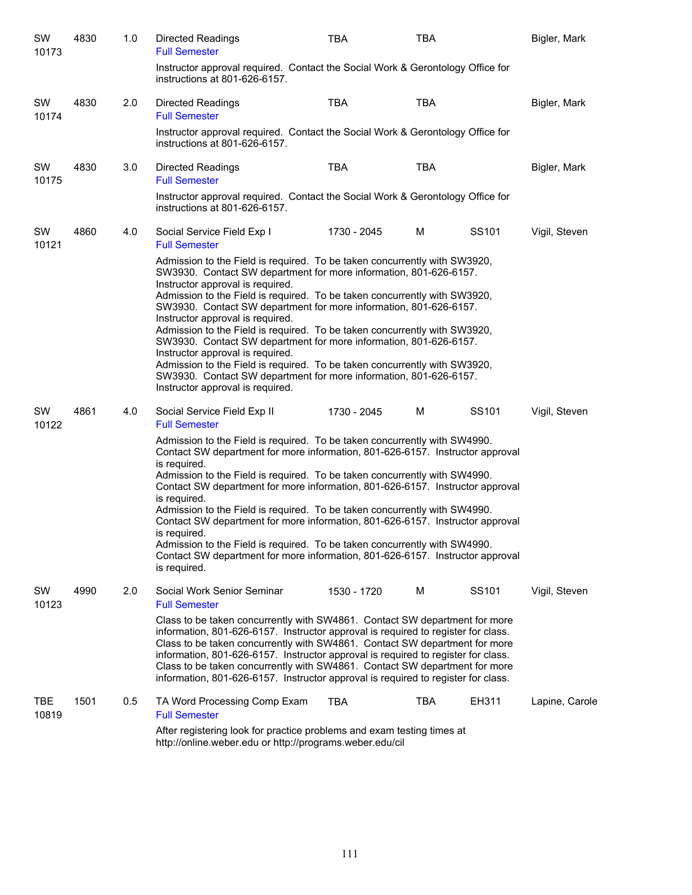| SW<br>10173         | 4830 | 1.0 | Directed Readings<br><b>Full Semester</b>                                                                                                                                                                                                                                                                                                                                                                                                                                                             | <b>TBA</b>                                                                                                                                                                         | <b>TBA</b> |                   | Bigler, Mark   |  |  |  |
|---------------------|------|-----|-------------------------------------------------------------------------------------------------------------------------------------------------------------------------------------------------------------------------------------------------------------------------------------------------------------------------------------------------------------------------------------------------------------------------------------------------------------------------------------------------------|------------------------------------------------------------------------------------------------------------------------------------------------------------------------------------|------------|-------------------|----------------|--|--|--|
|                     |      |     | Instructor approval required. Contact the Social Work & Gerontology Office for<br>instructions at 801-626-6157.                                                                                                                                                                                                                                                                                                                                                                                       |                                                                                                                                                                                    |            |                   |                |  |  |  |
| SW<br>10174         | 4830 | 2.0 | <b>Directed Readings</b><br><b>Full Semester</b>                                                                                                                                                                                                                                                                                                                                                                                                                                                      | TBA                                                                                                                                                                                | <b>TBA</b> |                   | Bigler, Mark   |  |  |  |
|                     |      |     | Instructor approval required. Contact the Social Work & Gerontology Office for<br>instructions at 801-626-6157.                                                                                                                                                                                                                                                                                                                                                                                       |                                                                                                                                                                                    |            |                   |                |  |  |  |
| SW<br>10175         | 4830 | 3.0 | Directed Readings<br><b>Full Semester</b>                                                                                                                                                                                                                                                                                                                                                                                                                                                             | TBA                                                                                                                                                                                | TBA        |                   | Bigler, Mark   |  |  |  |
|                     |      |     | Instructor approval required. Contact the Social Work & Gerontology Office for<br>instructions at 801-626-6157.                                                                                                                                                                                                                                                                                                                                                                                       |                                                                                                                                                                                    |            |                   |                |  |  |  |
| SW<br>10121         | 4860 | 4.0 | Social Service Field Exp I<br><b>Full Semester</b>                                                                                                                                                                                                                                                                                                                                                                                                                                                    | 1730 - 2045                                                                                                                                                                        | м          | SS <sub>101</sub> | Vigil, Steven  |  |  |  |
|                     |      |     | Admission to the Field is required. To be taken concurrently with SW3920,<br>SW3930. Contact SW department for more information, 801-626-6157.<br>Instructor approval is required.                                                                                                                                                                                                                                                                                                                    |                                                                                                                                                                                    |            |                   |                |  |  |  |
|                     |      |     |                                                                                                                                                                                                                                                                                                                                                                                                                                                                                                       | Admission to the Field is required. To be taken concurrently with SW3920,<br>SW3930. Contact SW department for more information, 801-626-6157.<br>Instructor approval is required. |            |                   |                |  |  |  |
|                     |      |     | Admission to the Field is required. To be taken concurrently with SW3920,<br>SW3930. Contact SW department for more information, 801-626-6157.                                                                                                                                                                                                                                                                                                                                                        |                                                                                                                                                                                    |            |                   |                |  |  |  |
|                     |      |     | Instructor approval is required.<br>Admission to the Field is required. To be taken concurrently with SW3920,<br>SW3930. Contact SW department for more information, 801-626-6157.<br>Instructor approval is required.                                                                                                                                                                                                                                                                                |                                                                                                                                                                                    |            |                   |                |  |  |  |
| SW<br>10122         | 4861 | 4.0 | Social Service Field Exp II<br><b>Full Semester</b>                                                                                                                                                                                                                                                                                                                                                                                                                                                   | 1730 - 2045                                                                                                                                                                        | М          | SS <sub>101</sub> | Vigil, Steven  |  |  |  |
|                     |      |     | Admission to the Field is required. To be taken concurrently with SW4990.<br>Contact SW department for more information, 801-626-6157. Instructor approval<br>is required.                                                                                                                                                                                                                                                                                                                            |                                                                                                                                                                                    |            |                   |                |  |  |  |
|                     |      |     | Admission to the Field is required. To be taken concurrently with SW4990.<br>Contact SW department for more information, 801-626-6157. Instructor approval                                                                                                                                                                                                                                                                                                                                            |                                                                                                                                                                                    |            |                   |                |  |  |  |
|                     |      |     | is required.<br>Admission to the Field is required. To be taken concurrently with SW4990.<br>Contact SW department for more information, 801-626-6157. Instructor approval                                                                                                                                                                                                                                                                                                                            |                                                                                                                                                                                    |            |                   |                |  |  |  |
|                     |      |     | is required.<br>Admission to the Field is required. To be taken concurrently with SW4990.<br>Contact SW department for more information, 801-626-6157. Instructor approval<br>is required.                                                                                                                                                                                                                                                                                                            |                                                                                                                                                                                    |            |                   |                |  |  |  |
| SW<br>10123         | 4990 | 2.0 | Social Work Senior Seminar<br><b>Full Semester</b>                                                                                                                                                                                                                                                                                                                                                                                                                                                    | 1530 - 1720                                                                                                                                                                        | м          | SS101             | Vigil, Steven  |  |  |  |
|                     |      |     | Class to be taken concurrently with SW4861. Contact SW department for more<br>information, 801-626-6157. Instructor approval is required to register for class.<br>Class to be taken concurrently with SW4861. Contact SW department for more<br>information, 801-626-6157. Instructor approval is required to register for class.<br>Class to be taken concurrently with SW4861. Contact SW department for more<br>information, 801-626-6157. Instructor approval is required to register for class. |                                                                                                                                                                                    |            |                   |                |  |  |  |
| <b>TBE</b><br>10819 | 1501 | 0.5 | TA Word Processing Comp Exam<br><b>Full Semester</b>                                                                                                                                                                                                                                                                                                                                                                                                                                                  | TBA                                                                                                                                                                                | TBA        | EH311             | Lapine, Carole |  |  |  |
|                     |      |     | After registering look for practice problems and exam testing times at<br>http://online.weber.edu or http://programs.weber.edu/cil                                                                                                                                                                                                                                                                                                                                                                    |                                                                                                                                                                                    |            |                   |                |  |  |  |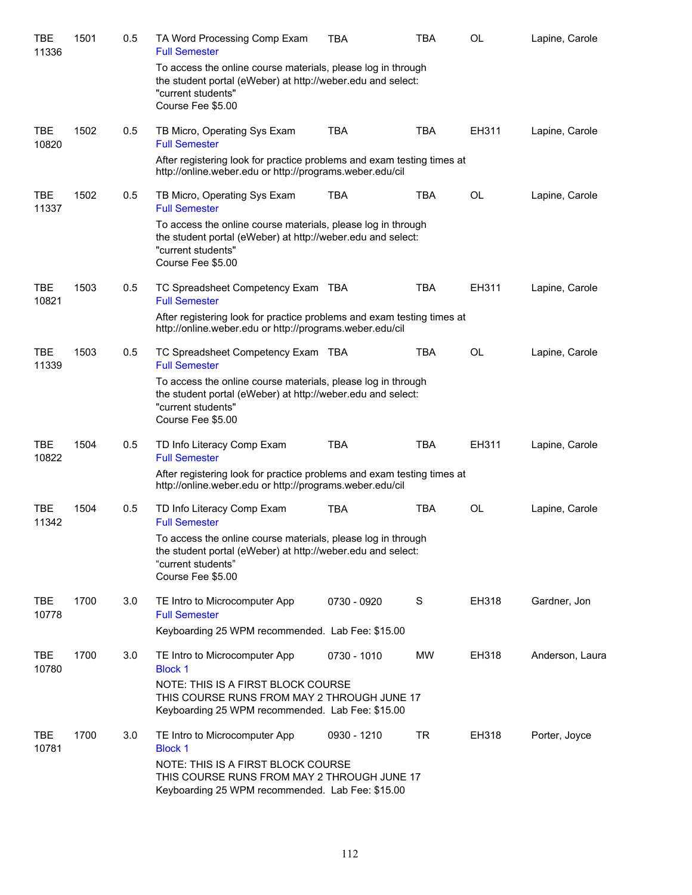| TBE<br>11336        | 1501 | 0.5 | TA Word Processing Comp Exam<br><b>Full Semester</b>                                                                                                                   | <b>TBA</b>  | <b>TBA</b> | OL        | Lapine, Carole  |  |  |
|---------------------|------|-----|------------------------------------------------------------------------------------------------------------------------------------------------------------------------|-------------|------------|-----------|-----------------|--|--|
|                     |      |     | To access the online course materials, please log in through<br>the student portal (eWeber) at http://weber.edu and select:<br>"current students"<br>Course Fee \$5.00 |             |            |           |                 |  |  |
| <b>TBE</b><br>10820 | 1502 | 0.5 | TB Micro, Operating Sys Exam<br><b>Full Semester</b>                                                                                                                   | <b>TBA</b>  | <b>TBA</b> | EH311     | Lapine, Carole  |  |  |
|                     |      |     | After registering look for practice problems and exam testing times at<br>http://online.weber.edu or http://programs.weber.edu/cil                                     |             |            |           |                 |  |  |
| <b>TBE</b><br>11337 | 1502 | 0.5 | TB Micro, Operating Sys Exam<br><b>Full Semester</b>                                                                                                                   | <b>TBA</b>  | TBA        | OL        | Lapine, Carole  |  |  |
|                     |      |     | To access the online course materials, please log in through<br>the student portal (eWeber) at http://weber.edu and select:<br>"current students"<br>Course Fee \$5.00 |             |            |           |                 |  |  |
| <b>TBE</b><br>10821 | 1503 | 0.5 | TC Spreadsheet Competency Exam TBA<br><b>Full Semester</b>                                                                                                             |             | TBA        | EH311     | Lapine, Carole  |  |  |
|                     |      |     | After registering look for practice problems and exam testing times at<br>http://online.weber.edu or http://programs.weber.edu/cil                                     |             |            |           |                 |  |  |
| <b>TBE</b><br>11339 | 1503 | 0.5 | TC Spreadsheet Competency Exam TBA<br><b>Full Semester</b>                                                                                                             |             | TBA        | OL        | Lapine, Carole  |  |  |
|                     |      |     | To access the online course materials, please log in through<br>the student portal (eWeber) at http://weber.edu and select:<br>"current students"<br>Course Fee \$5.00 |             |            |           |                 |  |  |
| <b>TBE</b><br>10822 | 1504 | 0.5 | TD Info Literacy Comp Exam<br><b>Full Semester</b>                                                                                                                     | <b>TBA</b>  | <b>TBA</b> | EH311     | Lapine, Carole  |  |  |
|                     |      |     | After registering look for practice problems and exam testing times at<br>http://online.weber.edu or http://programs.weber.edu/cil                                     |             |            |           |                 |  |  |
| <b>TBE</b><br>11342 | 1504 | 0.5 | TD Info Literacy Comp Exam<br><b>Full Semester</b>                                                                                                                     | <b>TBA</b>  | <b>TBA</b> | <b>OL</b> | Lapine, Carole  |  |  |
|                     |      |     | To access the online course materials, please log in through<br>the student portal (eWeber) at http://weber.edu and select:<br>"current students"<br>Course Fee \$5.00 |             |            |           |                 |  |  |
| <b>TBE</b><br>10778 | 1700 | 3.0 | TE Intro to Microcomputer App<br><b>Full Semester</b>                                                                                                                  | 0730 - 0920 | S          | EH318     | Gardner, Jon    |  |  |
|                     |      |     | Keyboarding 25 WPM recommended. Lab Fee: \$15.00                                                                                                                       |             |            |           |                 |  |  |
| <b>TBE</b><br>10780 | 1700 | 3.0 | TE Intro to Microcomputer App<br><b>Block 1</b>                                                                                                                        | 0730 - 1010 | MW         | EH318     | Anderson, Laura |  |  |
|                     |      |     | NOTE: THIS IS A FIRST BLOCK COURSE<br>THIS COURSE RUNS FROM MAY 2 THROUGH JUNE 17<br>Keyboarding 25 WPM recommended. Lab Fee: \$15.00                                  |             |            |           |                 |  |  |
| <b>TBE</b><br>10781 | 1700 | 3.0 | TE Intro to Microcomputer App<br><b>Block 1</b>                                                                                                                        | 0930 - 1210 | <b>TR</b>  | EH318     | Porter, Joyce   |  |  |
|                     |      |     | NOTE: THIS IS A FIRST BLOCK COURSE<br>THIS COURSE RUNS FROM MAY 2 THROUGH JUNE 17<br>Keyboarding 25 WPM recommended. Lab Fee: \$15.00                                  |             |            |           |                 |  |  |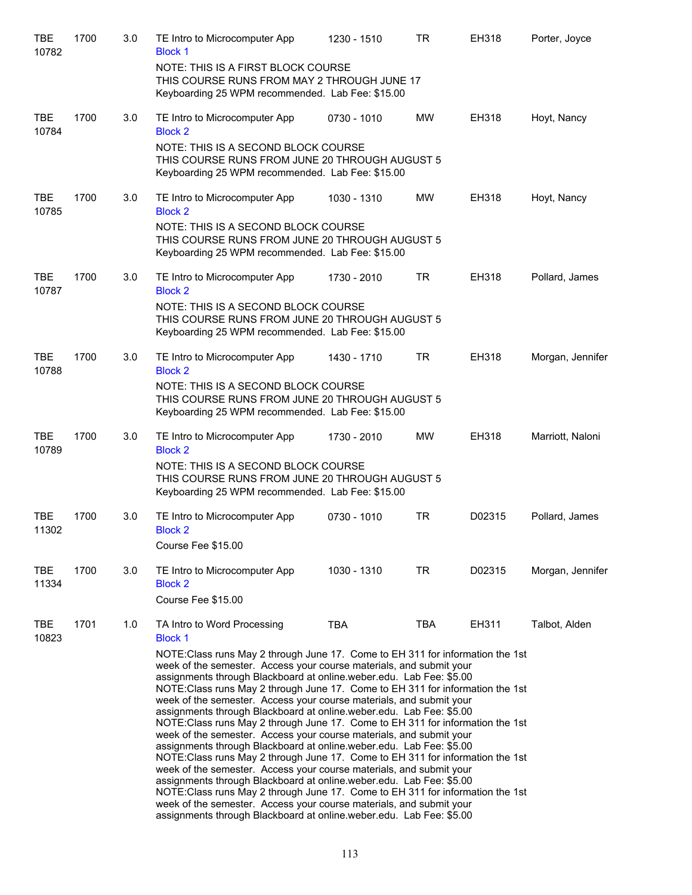| <b>TBE</b><br>10782 | 1700 | 3.0 | TE Intro to Microcomputer App<br><b>Block 1</b>                                                                                                                                                                                                                                                                                                                                                                                                                                                                                                                                                                                                                                                                                                                                                                                                                                                                                                                                                                                                                                                                                                             | 1230 - 1510 | <b>TR</b>  | EH318  | Porter, Joyce    |
|---------------------|------|-----|-------------------------------------------------------------------------------------------------------------------------------------------------------------------------------------------------------------------------------------------------------------------------------------------------------------------------------------------------------------------------------------------------------------------------------------------------------------------------------------------------------------------------------------------------------------------------------------------------------------------------------------------------------------------------------------------------------------------------------------------------------------------------------------------------------------------------------------------------------------------------------------------------------------------------------------------------------------------------------------------------------------------------------------------------------------------------------------------------------------------------------------------------------------|-------------|------------|--------|------------------|
|                     |      |     | NOTE: THIS IS A FIRST BLOCK COURSE<br>THIS COURSE RUNS FROM MAY 2 THROUGH JUNE 17<br>Keyboarding 25 WPM recommended. Lab Fee: \$15.00                                                                                                                                                                                                                                                                                                                                                                                                                                                                                                                                                                                                                                                                                                                                                                                                                                                                                                                                                                                                                       |             |            |        |                  |
| <b>TBE</b><br>10784 | 1700 | 3.0 | TE Intro to Microcomputer App<br><b>Block 2</b>                                                                                                                                                                                                                                                                                                                                                                                                                                                                                                                                                                                                                                                                                                                                                                                                                                                                                                                                                                                                                                                                                                             | 0730 - 1010 | <b>MW</b>  | EH318  | Hoyt, Nancy      |
|                     |      |     | NOTE: THIS IS A SECOND BLOCK COURSE<br>THIS COURSE RUNS FROM JUNE 20 THROUGH AUGUST 5<br>Keyboarding 25 WPM recommended. Lab Fee: \$15.00                                                                                                                                                                                                                                                                                                                                                                                                                                                                                                                                                                                                                                                                                                                                                                                                                                                                                                                                                                                                                   |             |            |        |                  |
| <b>TBE</b><br>10785 | 1700 | 3.0 | TE Intro to Microcomputer App<br><b>Block 2</b>                                                                                                                                                                                                                                                                                                                                                                                                                                                                                                                                                                                                                                                                                                                                                                                                                                                                                                                                                                                                                                                                                                             | 1030 - 1310 | <b>MW</b>  | EH318  | Hoyt, Nancy      |
|                     |      |     | NOTE: THIS IS A SECOND BLOCK COURSE<br>THIS COURSE RUNS FROM JUNE 20 THROUGH AUGUST 5<br>Keyboarding 25 WPM recommended. Lab Fee: \$15.00                                                                                                                                                                                                                                                                                                                                                                                                                                                                                                                                                                                                                                                                                                                                                                                                                                                                                                                                                                                                                   |             |            |        |                  |
| <b>TBE</b><br>10787 | 1700 | 3.0 | TE Intro to Microcomputer App<br><b>Block 2</b>                                                                                                                                                                                                                                                                                                                                                                                                                                                                                                                                                                                                                                                                                                                                                                                                                                                                                                                                                                                                                                                                                                             | 1730 - 2010 | <b>TR</b>  | EH318  | Pollard, James   |
|                     |      |     | NOTE: THIS IS A SECOND BLOCK COURSE<br>THIS COURSE RUNS FROM JUNE 20 THROUGH AUGUST 5<br>Keyboarding 25 WPM recommended. Lab Fee: \$15.00                                                                                                                                                                                                                                                                                                                                                                                                                                                                                                                                                                                                                                                                                                                                                                                                                                                                                                                                                                                                                   |             |            |        |                  |
| <b>TBE</b><br>10788 | 1700 | 3.0 | TE Intro to Microcomputer App<br><b>Block 2</b>                                                                                                                                                                                                                                                                                                                                                                                                                                                                                                                                                                                                                                                                                                                                                                                                                                                                                                                                                                                                                                                                                                             | 1430 - 1710 | <b>TR</b>  | EH318  | Morgan, Jennifer |
|                     |      |     | NOTE: THIS IS A SECOND BLOCK COURSE<br>THIS COURSE RUNS FROM JUNE 20 THROUGH AUGUST 5<br>Keyboarding 25 WPM recommended. Lab Fee: \$15.00                                                                                                                                                                                                                                                                                                                                                                                                                                                                                                                                                                                                                                                                                                                                                                                                                                                                                                                                                                                                                   |             |            |        |                  |
| <b>TBE</b><br>10789 | 1700 | 3.0 | TE Intro to Microcomputer App<br><b>Block 2</b>                                                                                                                                                                                                                                                                                                                                                                                                                                                                                                                                                                                                                                                                                                                                                                                                                                                                                                                                                                                                                                                                                                             | 1730 - 2010 | MW         | EH318  | Marriott, Naloni |
|                     |      |     | NOTE: THIS IS A SECOND BLOCK COURSE<br>THIS COURSE RUNS FROM JUNE 20 THROUGH AUGUST 5<br>Keyboarding 25 WPM recommended. Lab Fee: \$15.00                                                                                                                                                                                                                                                                                                                                                                                                                                                                                                                                                                                                                                                                                                                                                                                                                                                                                                                                                                                                                   |             |            |        |                  |
| <b>TBE</b><br>11302 | 1700 | 3.0 | TE Intro to Microcomputer App<br><b>Block 2</b><br>Course Fee \$15.00                                                                                                                                                                                                                                                                                                                                                                                                                                                                                                                                                                                                                                                                                                                                                                                                                                                                                                                                                                                                                                                                                       | 0730 - 1010 | <b>TR</b>  | D02315 | Pollard, James   |
| TBE<br>11334        | 1700 | 3.0 | TE Intro to Microcomputer App<br><b>Block 2</b><br>Course Fee \$15.00                                                                                                                                                                                                                                                                                                                                                                                                                                                                                                                                                                                                                                                                                                                                                                                                                                                                                                                                                                                                                                                                                       | 1030 - 1310 | TR.        | D02315 | Morgan, Jennifer |
| TBE<br>10823        | 1701 | 1.0 | TA Intro to Word Processing<br><b>Block 1</b>                                                                                                                                                                                                                                                                                                                                                                                                                                                                                                                                                                                                                                                                                                                                                                                                                                                                                                                                                                                                                                                                                                               | <b>TBA</b>  | <b>TBA</b> | EH311  | Talbot, Alden    |
|                     |      |     | NOTE: Class runs May 2 through June 17. Come to EH 311 for information the 1st<br>week of the semester. Access your course materials, and submit your<br>assignments through Blackboard at online.weber.edu. Lab Fee: \$5.00<br>NOTE: Class runs May 2 through June 17. Come to EH 311 for information the 1st<br>week of the semester. Access your course materials, and submit your<br>assignments through Blackboard at online.weber.edu. Lab Fee: \$5.00<br>NOTE: Class runs May 2 through June 17. Come to EH 311 for information the 1st<br>week of the semester. Access your course materials, and submit your<br>assignments through Blackboard at online.weber.edu. Lab Fee: \$5.00<br>NOTE:Class runs May 2 through June 17. Come to EH 311 for information the 1st<br>week of the semester. Access your course materials, and submit your<br>assignments through Blackboard at online.weber.edu. Lab Fee: \$5.00<br>NOTE: Class runs May 2 through June 17. Come to EH 311 for information the 1st<br>week of the semester. Access your course materials, and submit your<br>assignments through Blackboard at online.weber.edu. Lab Fee: \$5.00 |             |            |        |                  |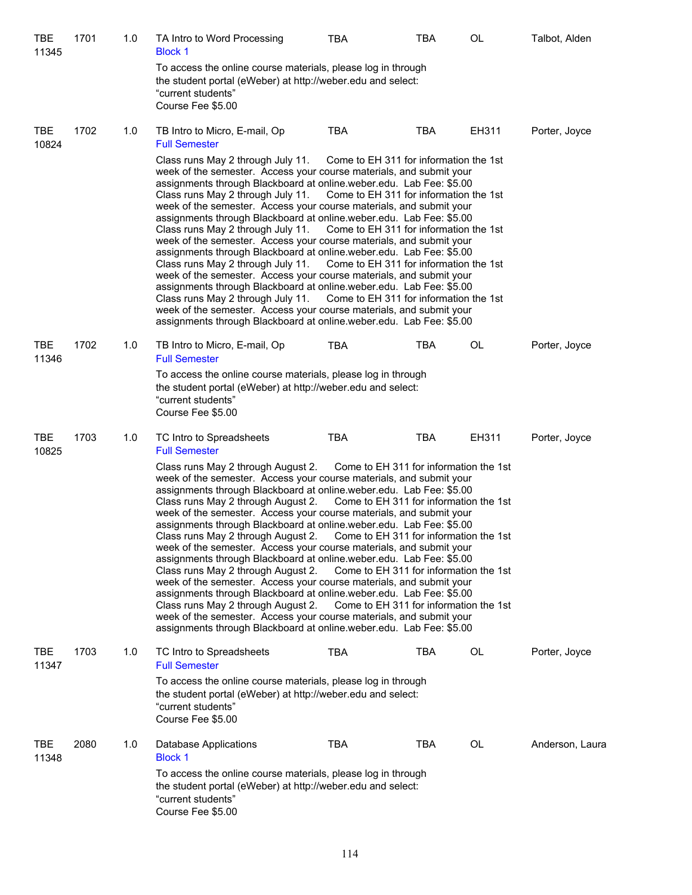| TBE<br>11345        | 1701 | 1.0 | TA Intro to Word Processing<br><b>Block 1</b>                                                                                                                                                                                                                                                                                                                                                                                                                                                                                                                                                                                                                                                                                                                                                                                                                                                                                    | TBA                                                                                                                                                                                                            | TBA        | OL    | Talbot, Alden   |
|---------------------|------|-----|----------------------------------------------------------------------------------------------------------------------------------------------------------------------------------------------------------------------------------------------------------------------------------------------------------------------------------------------------------------------------------------------------------------------------------------------------------------------------------------------------------------------------------------------------------------------------------------------------------------------------------------------------------------------------------------------------------------------------------------------------------------------------------------------------------------------------------------------------------------------------------------------------------------------------------|----------------------------------------------------------------------------------------------------------------------------------------------------------------------------------------------------------------|------------|-------|-----------------|
|                     |      |     | To access the online course materials, please log in through<br>the student portal (eWeber) at http://weber.edu and select:<br>"current students"<br>Course Fee \$5.00                                                                                                                                                                                                                                                                                                                                                                                                                                                                                                                                                                                                                                                                                                                                                           |                                                                                                                                                                                                                |            |       |                 |
| TBE<br>10824        | 1702 | 1.0 | TB Intro to Micro, E-mail, Op<br><b>Full Semester</b>                                                                                                                                                                                                                                                                                                                                                                                                                                                                                                                                                                                                                                                                                                                                                                                                                                                                            | <b>TBA</b>                                                                                                                                                                                                     | <b>TBA</b> | EH311 | Porter, Joyce   |
|                     |      |     | Class runs May 2 through July 11.<br>week of the semester. Access your course materials, and submit your<br>assignments through Blackboard at online.weber.edu. Lab Fee: \$5.00<br>Class runs May 2 through July 11.<br>week of the semester. Access your course materials, and submit your<br>assignments through Blackboard at online.weber.edu. Lab Fee: \$5.00<br>Class runs May 2 through July 11.<br>week of the semester. Access your course materials, and submit your<br>assignments through Blackboard at online.weber.edu. Lab Fee: \$5.00<br>Class runs May 2 through July 11.<br>week of the semester. Access your course materials, and submit your<br>assignments through Blackboard at online.weber.edu. Lab Fee: \$5.00<br>Class runs May 2 through July 11.<br>week of the semester. Access your course materials, and submit your<br>assignments through Blackboard at online.weber.edu. Lab Fee: \$5.00      | Come to EH 311 for information the 1st<br>Come to EH 311 for information the 1st<br>Come to EH 311 for information the 1st<br>Come to EH 311 for information the 1st<br>Come to EH 311 for information the 1st |            |       |                 |
| <b>TBE</b><br>11346 | 1702 | 1.0 | TB Intro to Micro, E-mail, Op<br><b>Full Semester</b>                                                                                                                                                                                                                                                                                                                                                                                                                                                                                                                                                                                                                                                                                                                                                                                                                                                                            | <b>TBA</b>                                                                                                                                                                                                     | <b>TBA</b> | OL    | Porter, Joyce   |
|                     |      |     | To access the online course materials, please log in through<br>the student portal (eWeber) at http://weber.edu and select:<br>"current students"<br>Course Fee \$5.00                                                                                                                                                                                                                                                                                                                                                                                                                                                                                                                                                                                                                                                                                                                                                           |                                                                                                                                                                                                                |            |       |                 |
| <b>TBE</b><br>10825 | 1703 | 1.0 | TC Intro to Spreadsheets<br><b>Full Semester</b>                                                                                                                                                                                                                                                                                                                                                                                                                                                                                                                                                                                                                                                                                                                                                                                                                                                                                 | <b>TBA</b>                                                                                                                                                                                                     | TBA        | EH311 | Porter, Joyce   |
|                     |      |     | Class runs May 2 through August 2.<br>week of the semester. Access your course materials, and submit your<br>assignments through Blackboard at online weber edu. Lab Fee: \$5.00<br>Class runs May 2 through August 2.<br>week of the semester. Access your course materials, and submit your<br>assignments through Blackboard at online.weber.edu. Lab Fee: \$5.00<br>Class runs May 2 through August 2.<br>week of the semester. Access your course materials, and submit your<br>assignments through Blackboard at online.weber.edu. Lab Fee: \$5.00<br>Class runs May 2 through August 2.<br>week of the semester. Access your course materials, and submit your<br>assignments through Blackboard at online.weber.edu. Lab Fee: \$5.00<br>Class runs May 2 through August 2.<br>week of the semester. Access your course materials, and submit your<br>assignments through Blackboard at online.weber.edu. Lab Fee: \$5.00 | Come to EH 311 for information the 1st<br>Come to EH 311 for information the 1st<br>Come to EH 311 for information the 1st<br>Come to EH 311 for information the 1st<br>Come to EH 311 for information the 1st |            |       |                 |
| TBE<br>11347        | 1703 | 1.0 | TC Intro to Spreadsheets<br><b>Full Semester</b><br>To access the online course materials, please log in through                                                                                                                                                                                                                                                                                                                                                                                                                                                                                                                                                                                                                                                                                                                                                                                                                 | <b>TBA</b>                                                                                                                                                                                                     | <b>TBA</b> | OL    | Porter, Joyce   |
|                     |      |     | the student portal (eWeber) at http://weber.edu and select:<br>"current students"<br>Course Fee \$5.00                                                                                                                                                                                                                                                                                                                                                                                                                                                                                                                                                                                                                                                                                                                                                                                                                           |                                                                                                                                                                                                                |            |       |                 |
| <b>TBE</b><br>11348 | 2080 | 1.0 | Database Applications<br><b>Block 1</b>                                                                                                                                                                                                                                                                                                                                                                                                                                                                                                                                                                                                                                                                                                                                                                                                                                                                                          | <b>TBA</b>                                                                                                                                                                                                     | <b>TBA</b> | OL    | Anderson, Laura |
|                     |      |     | To access the online course materials, please log in through<br>the student portal (eWeber) at http://weber.edu and select:<br>"current students"<br>Course Fee \$5.00                                                                                                                                                                                                                                                                                                                                                                                                                                                                                                                                                                                                                                                                                                                                                           |                                                                                                                                                                                                                |            |       |                 |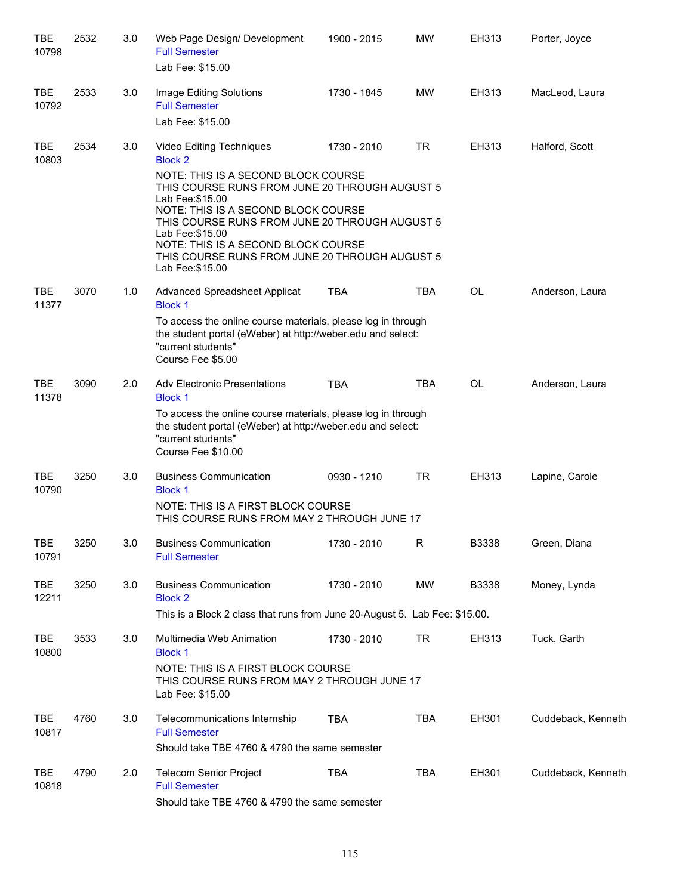| 2532 | 3.0  | Web Page Design/ Development<br><b>Full Semester</b><br>Lab Fee: \$15.00   | 1900 - 2015                                     | <b>MW</b>                                                                                                                                                                                                                                                                                       | EH313                                                                                                                                                                                                                                                                                                                                                                                                                                                                                                                        | Porter, Joyce      |  |  |  |
|------|------|----------------------------------------------------------------------------|-------------------------------------------------|-------------------------------------------------------------------------------------------------------------------------------------------------------------------------------------------------------------------------------------------------------------------------------------------------|------------------------------------------------------------------------------------------------------------------------------------------------------------------------------------------------------------------------------------------------------------------------------------------------------------------------------------------------------------------------------------------------------------------------------------------------------------------------------------------------------------------------------|--------------------|--|--|--|
| 2533 | 3.0  | Image Editing Solutions<br><b>Full Semester</b><br>Lab Fee: \$15.00        | 1730 - 1845                                     | MW                                                                                                                                                                                                                                                                                              | EH313                                                                                                                                                                                                                                                                                                                                                                                                                                                                                                                        | MacLeod, Laura     |  |  |  |
| 2534 | 3.0  | Video Editing Techniques<br><b>Block 2</b>                                 | 1730 - 2010                                     | <b>TR</b>                                                                                                                                                                                                                                                                                       | EH313                                                                                                                                                                                                                                                                                                                                                                                                                                                                                                                        | Halford, Scott     |  |  |  |
|      |      | Lab Fee: \$15.00<br>Lab Fee: \$15.00<br>Lab Fee: \$15.00                   |                                                 |                                                                                                                                                                                                                                                                                                 |                                                                                                                                                                                                                                                                                                                                                                                                                                                                                                                              |                    |  |  |  |
| 3070 | 1.0  | <b>Advanced Spreadsheet Applicat</b><br><b>Block 1</b>                     | <b>TBA</b>                                      | <b>TBA</b>                                                                                                                                                                                                                                                                                      | <b>OL</b>                                                                                                                                                                                                                                                                                                                                                                                                                                                                                                                    | Anderson, Laura    |  |  |  |
|      |      | "current students"<br>Course Fee \$5.00                                    |                                                 |                                                                                                                                                                                                                                                                                                 |                                                                                                                                                                                                                                                                                                                                                                                                                                                                                                                              |                    |  |  |  |
| 3090 | 2.0  | <b>Adv Electronic Presentations</b>                                        | <b>TBA</b>                                      | <b>TBA</b>                                                                                                                                                                                                                                                                                      | <b>OL</b>                                                                                                                                                                                                                                                                                                                                                                                                                                                                                                                    | Anderson, Laura    |  |  |  |
|      |      | "current students"<br>Course Fee \$10.00                                   |                                                 |                                                                                                                                                                                                                                                                                                 |                                                                                                                                                                                                                                                                                                                                                                                                                                                                                                                              |                    |  |  |  |
| 3250 | 3.0  | <b>Business Communication</b><br><b>Block 1</b>                            | 0930 - 1210                                     | <b>TR</b>                                                                                                                                                                                                                                                                                       | EH313                                                                                                                                                                                                                                                                                                                                                                                                                                                                                                                        | Lapine, Carole     |  |  |  |
|      |      |                                                                            |                                                 |                                                                                                                                                                                                                                                                                                 |                                                                                                                                                                                                                                                                                                                                                                                                                                                                                                                              |                    |  |  |  |
| 3250 | 3.0  | <b>Business Communication</b><br><b>Full Semester</b>                      | 1730 - 2010                                     | R                                                                                                                                                                                                                                                                                               | B3338                                                                                                                                                                                                                                                                                                                                                                                                                                                                                                                        | Green, Diana       |  |  |  |
| 3250 | 3.0  | <b>Business Communication</b><br><b>Block 2</b>                            | 1730 - 2010                                     | MW                                                                                                                                                                                                                                                                                              | B3338                                                                                                                                                                                                                                                                                                                                                                                                                                                                                                                        | Money, Lynda       |  |  |  |
|      |      | This is a Block 2 class that runs from June 20-August 5. Lab Fee: \$15.00. |                                                 |                                                                                                                                                                                                                                                                                                 |                                                                                                                                                                                                                                                                                                                                                                                                                                                                                                                              |                    |  |  |  |
| 3533 | 3.0  | Multimedia Web Animation<br><b>Block 1</b>                                 | 1730 - 2010                                     | <b>TR</b>                                                                                                                                                                                                                                                                                       | EH313                                                                                                                                                                                                                                                                                                                                                                                                                                                                                                                        | Tuck, Garth        |  |  |  |
|      |      | Lab Fee: \$15.00                                                           |                                                 |                                                                                                                                                                                                                                                                                                 |                                                                                                                                                                                                                                                                                                                                                                                                                                                                                                                              |                    |  |  |  |
| 4760 | 3.0  | Telecommunications Internship<br><b>Full Semester</b>                      | <b>TBA</b>                                      | <b>TBA</b>                                                                                                                                                                                                                                                                                      | EH301                                                                                                                                                                                                                                                                                                                                                                                                                                                                                                                        | Cuddeback, Kenneth |  |  |  |
|      |      |                                                                            |                                                 |                                                                                                                                                                                                                                                                                                 |                                                                                                                                                                                                                                                                                                                                                                                                                                                                                                                              |                    |  |  |  |
|      | 2.0  | <b>Full Semester</b>                                                       | <b>TBA</b>                                      |                                                                                                                                                                                                                                                                                                 | EH301                                                                                                                                                                                                                                                                                                                                                                                                                                                                                                                        | Cuddeback, Kenneth |  |  |  |
|      | 4790 |                                                                            | <b>Block 1</b><br><b>Telecom Senior Project</b> | NOTE: THIS IS A SECOND BLOCK COURSE<br>NOTE: THIS IS A SECOND BLOCK COURSE<br>NOTE: THIS IS A SECOND BLOCK COURSE<br>NOTE: THIS IS A FIRST BLOCK COURSE<br>NOTE: THIS IS A FIRST BLOCK COURSE<br>Should take TBE 4760 & 4790 the same semester<br>Should take TBE 4760 & 4790 the same semester | THIS COURSE RUNS FROM JUNE 20 THROUGH AUGUST 5<br>THIS COURSE RUNS FROM JUNE 20 THROUGH AUGUST 5<br>THIS COURSE RUNS FROM JUNE 20 THROUGH AUGUST 5<br>To access the online course materials, please log in through<br>the student portal (eWeber) at http://weber.edu and select:<br>To access the online course materials, please log in through<br>the student portal (eWeber) at http://weber.edu and select:<br>THIS COURSE RUNS FROM MAY 2 THROUGH JUNE 17<br>THIS COURSE RUNS FROM MAY 2 THROUGH JUNE 17<br><b>TBA</b> |                    |  |  |  |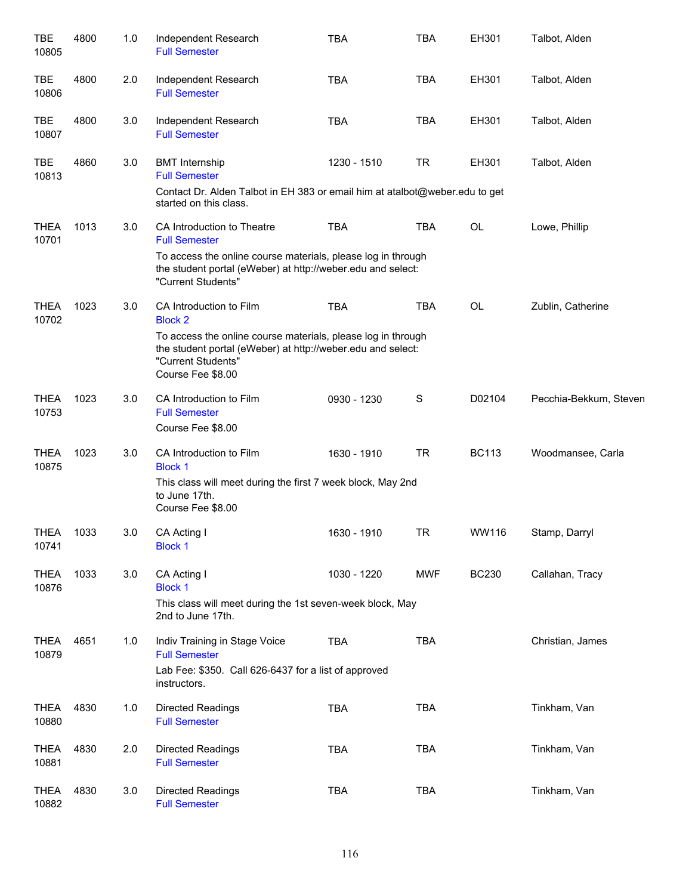| TBE<br>10805         | 4800 | 1.0 | Independent Research<br><b>Full Semester</b>                                                                                                                           | <b>TBA</b>  | <b>TBA</b>  | EH301        | Talbot, Alden          |
|----------------------|------|-----|------------------------------------------------------------------------------------------------------------------------------------------------------------------------|-------------|-------------|--------------|------------------------|
| TBE<br>10806         | 4800 | 2.0 | Independent Research<br><b>Full Semester</b>                                                                                                                           | <b>TBA</b>  | <b>TBA</b>  | EH301        | Talbot, Alden          |
| TBE<br>10807         | 4800 | 3.0 | Independent Research<br><b>Full Semester</b>                                                                                                                           | <b>TBA</b>  | <b>TBA</b>  | EH301        | Talbot, Alden          |
| <b>TBE</b><br>10813  | 4860 | 3.0 | <b>BMT</b> Internship<br><b>Full Semester</b>                                                                                                                          | 1230 - 1510 | <b>TR</b>   | EH301        | Talbot, Alden          |
|                      |      |     | Contact Dr. Alden Talbot in EH 383 or email him at atalbot@weber.edu to get<br>started on this class.                                                                  |             |             |              |                        |
| <b>THEA</b><br>10701 | 1013 | 3.0 | CA Introduction to Theatre<br><b>Full Semester</b>                                                                                                                     | <b>TBA</b>  | <b>TBA</b>  | OL           | Lowe, Phillip          |
|                      |      |     | To access the online course materials, please log in through<br>the student portal (eWeber) at http://weber.edu and select:<br>"Current Students"                      |             |             |              |                        |
| <b>THEA</b><br>10702 | 1023 | 3.0 | CA Introduction to Film<br><b>Block 2</b>                                                                                                                              | <b>TBA</b>  | <b>TBA</b>  | OL           | Zublin, Catherine      |
|                      |      |     | To access the online course materials, please log in through<br>the student portal (eWeber) at http://weber.edu and select:<br>"Current Students"<br>Course Fee \$8.00 |             |             |              |                        |
| <b>THEA</b><br>10753 | 1023 | 3.0 | CA Introduction to Film<br><b>Full Semester</b><br>Course Fee \$8.00                                                                                                   | 0930 - 1230 | $\mathbf S$ | D02104       | Pecchia-Bekkum, Steven |
| <b>THEA</b><br>10875 | 1023 | 3.0 | CA Introduction to Film<br><b>Block 1</b>                                                                                                                              | 1630 - 1910 | <b>TR</b>   | <b>BC113</b> | Woodmansee, Carla      |
|                      |      |     | This class will meet during the first 7 week block, May 2nd<br>to June 17th.<br>Course Fee \$8.00                                                                      |             |             |              |                        |
| <b>THEA</b><br>10741 | 1033 | 3.0 | CA Acting I<br><b>Block 1</b>                                                                                                                                          | 1630 - 1910 | <b>TR</b>   | WW116        | Stamp, Darryl          |
| <b>THEA</b><br>10876 | 1033 | 3.0 | CA Acting I<br><b>Block 1</b>                                                                                                                                          | 1030 - 1220 | <b>MWF</b>  | <b>BC230</b> | Callahan, Tracy        |
|                      |      |     | This class will meet during the 1st seven-week block, May<br>2nd to June 17th.                                                                                         |             |             |              |                        |
| <b>THEA</b><br>10879 | 4651 | 1.0 | Indiv Training in Stage Voice<br><b>Full Semester</b>                                                                                                                  | <b>TBA</b>  | <b>TBA</b>  |              | Christian, James       |
|                      |      |     | Lab Fee: \$350. Call 626-6437 for a list of approved<br>instructors.                                                                                                   |             |             |              |                        |
| <b>THEA</b><br>10880 | 4830 | 1.0 | <b>Directed Readings</b><br><b>Full Semester</b>                                                                                                                       | <b>TBA</b>  | <b>TBA</b>  |              | Tinkham, Van           |
| <b>THEA</b><br>10881 | 4830 | 2.0 | Directed Readings<br><b>Full Semester</b>                                                                                                                              | <b>TBA</b>  | <b>TBA</b>  |              | Tinkham, Van           |
| <b>THEA</b><br>10882 | 4830 | 3.0 | Directed Readings<br><b>Full Semester</b>                                                                                                                              | <b>TBA</b>  | <b>TBA</b>  |              | Tinkham, Van           |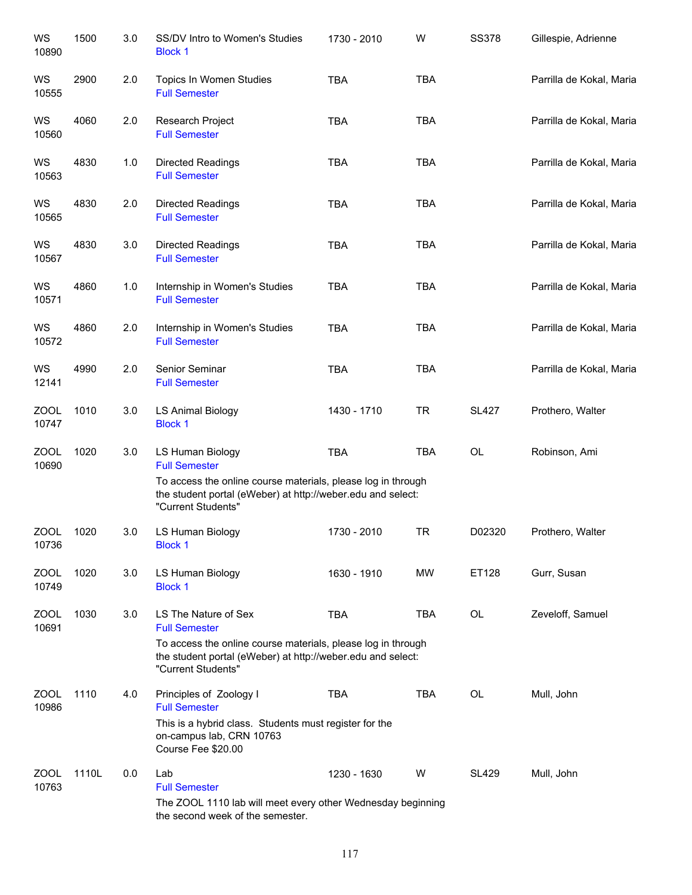| WS<br>10890          | 1500  | 3.0 | SS/DV Intro to Women's Studies<br><b>Block 1</b>                                                                                                  | 1730 - 2010 | W          | <b>SS378</b> | Gillespie, Adrienne      |
|----------------------|-------|-----|---------------------------------------------------------------------------------------------------------------------------------------------------|-------------|------------|--------------|--------------------------|
| WS<br>10555          | 2900  | 2.0 | Topics In Women Studies<br><b>Full Semester</b>                                                                                                   | <b>TBA</b>  | <b>TBA</b> |              | Parrilla de Kokal, Maria |
| WS<br>10560          | 4060  | 2.0 | Research Project<br><b>Full Semester</b>                                                                                                          | <b>TBA</b>  | <b>TBA</b> |              | Parrilla de Kokal, Maria |
| WS<br>10563          | 4830  | 1.0 | <b>Directed Readings</b><br><b>Full Semester</b>                                                                                                  | <b>TBA</b>  | <b>TBA</b> |              | Parrilla de Kokal, Maria |
| WS<br>10565          | 4830  | 2.0 | <b>Directed Readings</b><br><b>Full Semester</b>                                                                                                  | <b>TBA</b>  | <b>TBA</b> |              | Parrilla de Kokal, Maria |
| WS<br>10567          | 4830  | 3.0 | <b>Directed Readings</b><br><b>Full Semester</b>                                                                                                  | <b>TBA</b>  | <b>TBA</b> |              | Parrilla de Kokal, Maria |
| WS<br>10571          | 4860  | 1.0 | Internship in Women's Studies<br><b>Full Semester</b>                                                                                             | <b>TBA</b>  | <b>TBA</b> |              | Parrilla de Kokal, Maria |
| WS<br>10572          | 4860  | 2.0 | Internship in Women's Studies<br><b>Full Semester</b>                                                                                             | <b>TBA</b>  | <b>TBA</b> |              | Parrilla de Kokal, Maria |
| WS<br>12141          | 4990  | 2.0 | Senior Seminar<br><b>Full Semester</b>                                                                                                            | <b>TBA</b>  | <b>TBA</b> |              | Parrilla de Kokal, Maria |
| ZOOL<br>10747        | 1010  | 3.0 | <b>LS Animal Biology</b><br><b>Block 1</b>                                                                                                        | 1430 - 1710 | <b>TR</b>  | <b>SL427</b> | Prothero, Walter         |
| <b>ZOOL</b><br>10690 | 1020  | 3.0 | LS Human Biology<br><b>Full Semester</b>                                                                                                          | <b>TBA</b>  | <b>TBA</b> | OL           | Robinson, Ami            |
|                      |       |     | To access the online course materials, please log in through<br>the student portal (eWeber) at http://weber.edu and select:<br>"Current Students" |             |            |              |                          |
| ZOOL<br>10736        | 1020  | 3.0 | LS Human Biology<br><b>Block 1</b>                                                                                                                | 1730 - 2010 | <b>TR</b>  | D02320       | Prothero, Walter         |
| <b>ZOOL</b><br>10749 | 1020  | 3.0 | LS Human Biology<br><b>Block 1</b>                                                                                                                | 1630 - 1910 | MW         | ET128        | Gurr, Susan              |
| ZOOL<br>10691        | 1030  | 3.0 | LS The Nature of Sex<br><b>Full Semester</b>                                                                                                      | <b>TBA</b>  | <b>TBA</b> | OL           | Zeveloff, Samuel         |
|                      |       |     | To access the online course materials, please log in through<br>the student portal (eWeber) at http://weber.edu and select:<br>"Current Students" |             |            |              |                          |
| <b>ZOOL</b><br>10986 | 1110  | 4.0 | Principles of Zoology I<br><b>Full Semester</b>                                                                                                   | <b>TBA</b>  | <b>TBA</b> | OL           | Mull, John               |
|                      |       |     | This is a hybrid class. Students must register for the<br>on-campus lab, CRN 10763<br>Course Fee \$20.00                                          |             |            |              |                          |
| <b>ZOOL</b><br>10763 | 1110L | 0.0 | Lab<br><b>Full Semester</b>                                                                                                                       | 1230 - 1630 | W          | <b>SL429</b> | Mull, John               |
|                      |       |     | The ZOOL 1110 lab will meet every other Wednesday beginning<br>the second week of the semester.                                                   |             |            |              |                          |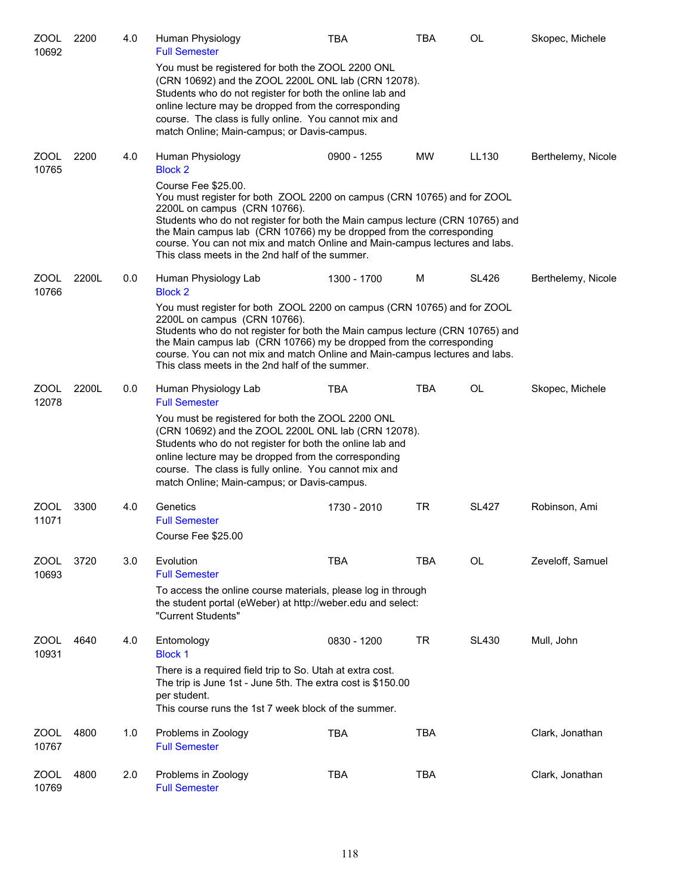| ZOOL<br>10692        | 2200  | 4.0 | Human Physiology<br><b>Full Semester</b>                                                                                                                                                                                                                                                                                                                                                                                  | <b>TBA</b>  | <b>TBA</b> | OL           | Skopec, Michele    |  |
|----------------------|-------|-----|---------------------------------------------------------------------------------------------------------------------------------------------------------------------------------------------------------------------------------------------------------------------------------------------------------------------------------------------------------------------------------------------------------------------------|-------------|------------|--------------|--------------------|--|
|                      |       |     | You must be registered for both the ZOOL 2200 ONL<br>(CRN 10692) and the ZOOL 2200L ONL lab (CRN 12078).<br>Students who do not register for both the online lab and<br>online lecture may be dropped from the corresponding<br>course. The class is fully online. You cannot mix and<br>match Online; Main-campus; or Davis-campus.                                                                                      |             |            |              |                    |  |
| ZOOL<br>10765        | 2200  | 4.0 | Human Physiology<br><b>Block 2</b>                                                                                                                                                                                                                                                                                                                                                                                        | 0900 - 1255 | <b>MW</b>  | LL130        | Berthelemy, Nicole |  |
|                      |       |     | Course Fee \$25.00.<br>You must register for both ZOOL 2200 on campus (CRN 10765) and for ZOOL<br>2200L on campus (CRN 10766).<br>Students who do not register for both the Main campus lecture (CRN 10765) and<br>the Main campus lab (CRN 10766) my be dropped from the corresponding<br>course. You can not mix and match Online and Main-campus lectures and labs.<br>This class meets in the 2nd half of the summer. |             |            |              |                    |  |
| ZOOL<br>10766        | 2200L | 0.0 | Human Physiology Lab<br><b>Block 2</b>                                                                                                                                                                                                                                                                                                                                                                                    | 1300 - 1700 | М          | <b>SL426</b> | Berthelemy, Nicole |  |
|                      |       |     | You must register for both ZOOL 2200 on campus (CRN 10765) and for ZOOL<br>2200L on campus (CRN 10766).<br>Students who do not register for both the Main campus lecture (CRN 10765) and<br>the Main campus lab (CRN 10766) my be dropped from the corresponding<br>course. You can not mix and match Online and Main-campus lectures and labs.<br>This class meets in the 2nd half of the summer.                        |             |            |              |                    |  |
| <b>ZOOL</b><br>12078 | 2200L | 0.0 | Human Physiology Lab<br><b>Full Semester</b>                                                                                                                                                                                                                                                                                                                                                                              | <b>TBA</b>  | <b>TBA</b> | OL           | Skopec, Michele    |  |
|                      |       |     | You must be registered for both the ZOOL 2200 ONL<br>(CRN 10692) and the ZOOL 2200L ONL lab (CRN 12078).<br>Students who do not register for both the online lab and<br>online lecture may be dropped from the corresponding<br>course. The class is fully online. You cannot mix and<br>match Online; Main-campus; or Davis-campus.                                                                                      |             |            |              |                    |  |
| ZOOL<br>11071        | 3300  | 4.0 | Genetics<br><b>Full Semester</b><br>Course Fee \$25.00                                                                                                                                                                                                                                                                                                                                                                    | 1730 - 2010 | TR         | <b>SL427</b> | Robinson, Ami      |  |
| <b>ZOOL</b><br>10693 | 3720  | 3.0 | Evolution<br><b>Full Semester</b>                                                                                                                                                                                                                                                                                                                                                                                         | <b>TBA</b>  | <b>TBA</b> | OL           | Zeveloff, Samuel   |  |
|                      |       |     | To access the online course materials, please log in through<br>the student portal (eWeber) at http://weber.edu and select:<br>"Current Students"                                                                                                                                                                                                                                                                         |             |            |              |                    |  |
| ZOOL<br>10931        | 4640  | 4.0 | Entomology<br><b>Block 1</b>                                                                                                                                                                                                                                                                                                                                                                                              | 0830 - 1200 | <b>TR</b>  | <b>SL430</b> | Mull, John         |  |
|                      |       |     | There is a required field trip to So. Utah at extra cost.<br>The trip is June 1st - June 5th. The extra cost is \$150.00<br>per student.<br>This course runs the 1st 7 week block of the summer.                                                                                                                                                                                                                          |             |            |              |                    |  |
| ZOOL<br>10767        | 4800  | 1.0 | Problems in Zoology<br><b>Full Semester</b>                                                                                                                                                                                                                                                                                                                                                                               | <b>TBA</b>  | <b>TBA</b> |              | Clark, Jonathan    |  |
| <b>ZOOL</b><br>10769 | 4800  | 2.0 | Problems in Zoology<br><b>Full Semester</b>                                                                                                                                                                                                                                                                                                                                                                               | <b>TBA</b>  | <b>TBA</b> |              | Clark, Jonathan    |  |